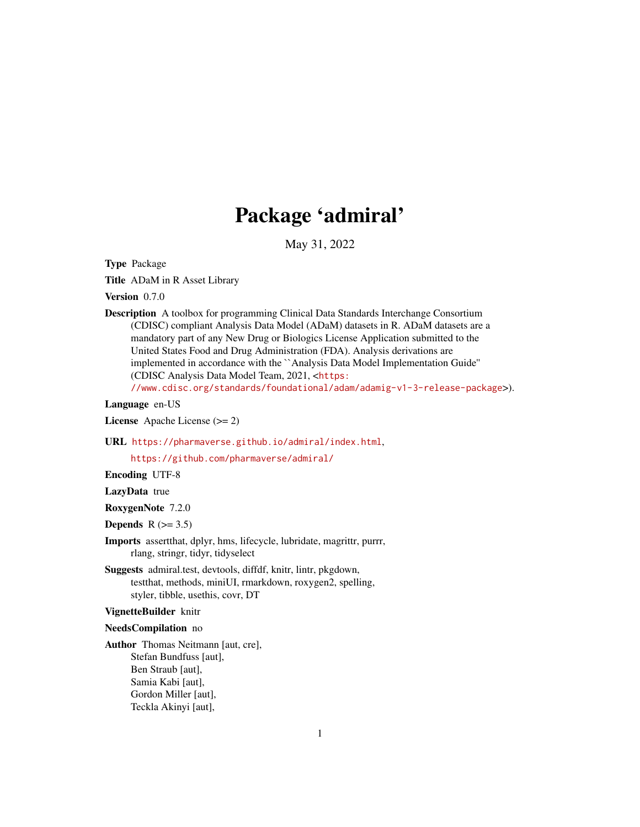# Package 'admiral'

May 31, 2022

Type Package

Title ADaM in R Asset Library

Version 0.7.0

Description A toolbox for programming Clinical Data Standards Interchange Consortium (CDISC) compliant Analysis Data Model (ADaM) datasets in R. ADaM datasets are a mandatory part of any New Drug or Biologics License Application submitted to the United States Food and Drug Administration (FDA). Analysis derivations are implemented in accordance with the ``Analysis Data Model Implementation Guide'' (CDISC Analysis Data Model Team, 2021, <[https:](https://www.cdisc.org/standards/foundational/adam/adamig-v1-3-release-package)

[//www.cdisc.org/standards/foundational/adam/adamig-v1-3-release-package](https://www.cdisc.org/standards/foundational/adam/adamig-v1-3-release-package)>).

#### Language en-US

License Apache License (>= 2)

URL <https://pharmaverse.github.io/admiral/index.html>,

<https://github.com/pharmaverse/admiral/>

Encoding UTF-8

LazyData true

RoxygenNote 7.2.0

Depends  $R$  ( $> = 3.5$ )

- Imports assertthat, dplyr, hms, lifecycle, lubridate, magrittr, purrr, rlang, stringr, tidyr, tidyselect
- Suggests admiral.test, devtools, diffdf, knitr, lintr, pkgdown, testthat, methods, miniUI, rmarkdown, roxygen2, spelling, styler, tibble, usethis, covr, DT

#### VignetteBuilder knitr

#### NeedsCompilation no

Author Thomas Neitmann [aut, cre], Stefan Bundfuss [aut], Ben Straub [aut], Samia Kabi [aut], Gordon Miller [aut], Teckla Akinyi [aut],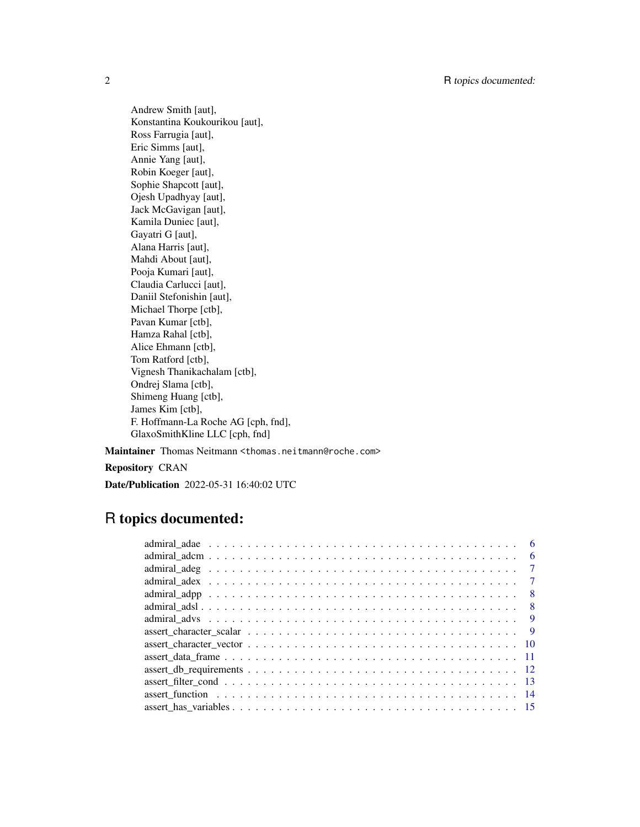Andrew Smith [aut], Konstantina Koukourikou [aut], Ross Farrugia [aut], Eric Simms [aut], Annie Yang [aut], Robin Koeger [aut], Sophie Shapcott [aut], Ojesh Upadhyay [aut], Jack McGavigan [aut], Kamila Duniec [aut], Gayatri G [aut], Alana Harris [aut], Mahdi About [aut], Pooja Kumari [aut], Claudia Carlucci [aut], Daniil Stefonishin [aut], Michael Thorpe [ctb], Pavan Kumar [ctb], Hamza Rahal [ctb], Alice Ehmann [ctb], Tom Ratford [ctb], Vignesh Thanikachalam [ctb], Ondrej Slama [ctb], Shimeng Huang [ctb], James Kim [ctb], F. Hoffmann-La Roche AG [cph, fnd], GlaxoSmithKline LLC [cph, fnd]

Maintainer Thomas Neitmann <thomas.neitmann@roche.com>

Repository CRAN

Date/Publication 2022-05-31 16:40:02 UTC

# R topics documented:

|  |  |  |  |  |  |  |  |  |  |  |  |  |  |  |  |  | - 6            |
|--|--|--|--|--|--|--|--|--|--|--|--|--|--|--|--|--|----------------|
|  |  |  |  |  |  |  |  |  |  |  |  |  |  |  |  |  | -6             |
|  |  |  |  |  |  |  |  |  |  |  |  |  |  |  |  |  | $\overline{7}$ |
|  |  |  |  |  |  |  |  |  |  |  |  |  |  |  |  |  | $\overline{7}$ |
|  |  |  |  |  |  |  |  |  |  |  |  |  |  |  |  |  | -8             |
|  |  |  |  |  |  |  |  |  |  |  |  |  |  |  |  |  | - 8            |
|  |  |  |  |  |  |  |  |  |  |  |  |  |  |  |  |  | - 9            |
|  |  |  |  |  |  |  |  |  |  |  |  |  |  |  |  |  | <b>q</b>       |
|  |  |  |  |  |  |  |  |  |  |  |  |  |  |  |  |  |                |
|  |  |  |  |  |  |  |  |  |  |  |  |  |  |  |  |  |                |
|  |  |  |  |  |  |  |  |  |  |  |  |  |  |  |  |  |                |
|  |  |  |  |  |  |  |  |  |  |  |  |  |  |  |  |  |                |
|  |  |  |  |  |  |  |  |  |  |  |  |  |  |  |  |  |                |
|  |  |  |  |  |  |  |  |  |  |  |  |  |  |  |  |  |                |
|  |  |  |  |  |  |  |  |  |  |  |  |  |  |  |  |  |                |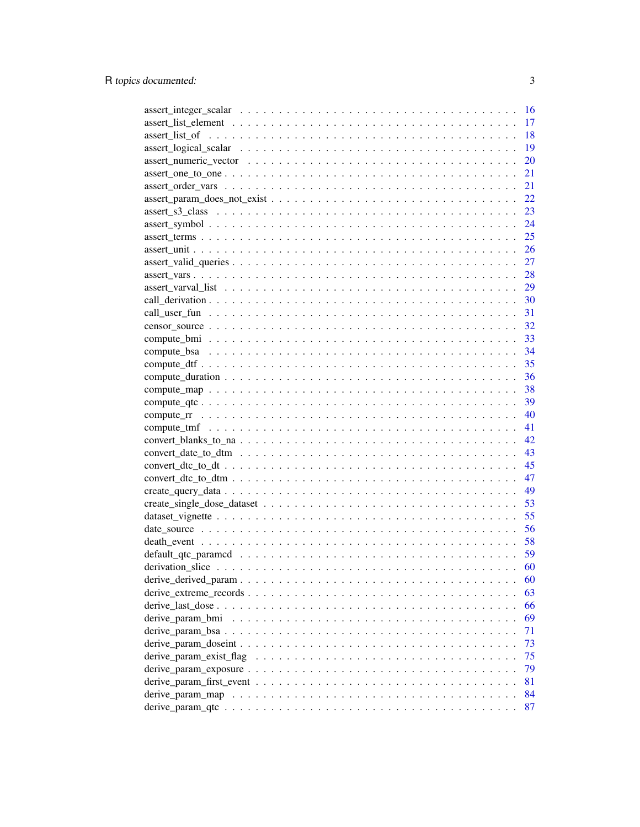|                        | 16 |
|------------------------|----|
|                        | 17 |
|                        | 18 |
|                        | 19 |
|                        | 20 |
| $assert\_one\_to\_one$ | 21 |
|                        | 21 |
|                        | 22 |
|                        | 23 |
|                        | 24 |
|                        | 25 |
|                        | 26 |
|                        | 27 |
|                        | 28 |
|                        | 29 |
|                        |    |
|                        |    |
|                        |    |
|                        |    |
|                        |    |
|                        | 35 |
|                        | 36 |
|                        | 38 |
|                        |    |
|                        | 40 |
|                        | 41 |
|                        | 42 |
|                        |    |
|                        | 45 |
|                        | 47 |
|                        | 49 |
|                        | 53 |
|                        | 55 |
|                        | 56 |
|                        |    |
|                        | 59 |
|                        | 60 |
|                        | 60 |
|                        | 63 |
|                        | 66 |
|                        | 69 |
|                        | 71 |
|                        | 73 |
|                        | 75 |
|                        | 79 |
|                        | 81 |
|                        | 84 |
|                        | 87 |
|                        |    |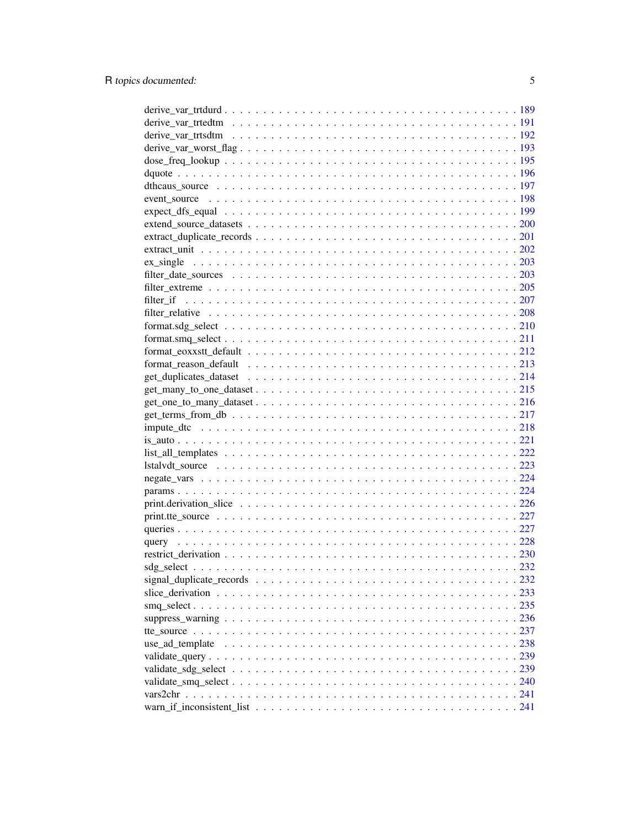| $get_t$ terms from $db \ldots \ldots \ldots \ldots \ldots \ldots \ldots \ldots \ldots \ldots \ldots \ldots \ldots 217$ |  |
|------------------------------------------------------------------------------------------------------------------------|--|
|                                                                                                                        |  |
|                                                                                                                        |  |
|                                                                                                                        |  |
|                                                                                                                        |  |
|                                                                                                                        |  |
|                                                                                                                        |  |
|                                                                                                                        |  |
|                                                                                                                        |  |
|                                                                                                                        |  |
|                                                                                                                        |  |
|                                                                                                                        |  |
|                                                                                                                        |  |
|                                                                                                                        |  |
|                                                                                                                        |  |
|                                                                                                                        |  |
|                                                                                                                        |  |
|                                                                                                                        |  |
| use_ad_template                                                                                                        |  |
|                                                                                                                        |  |
|                                                                                                                        |  |
|                                                                                                                        |  |
|                                                                                                                        |  |
|                                                                                                                        |  |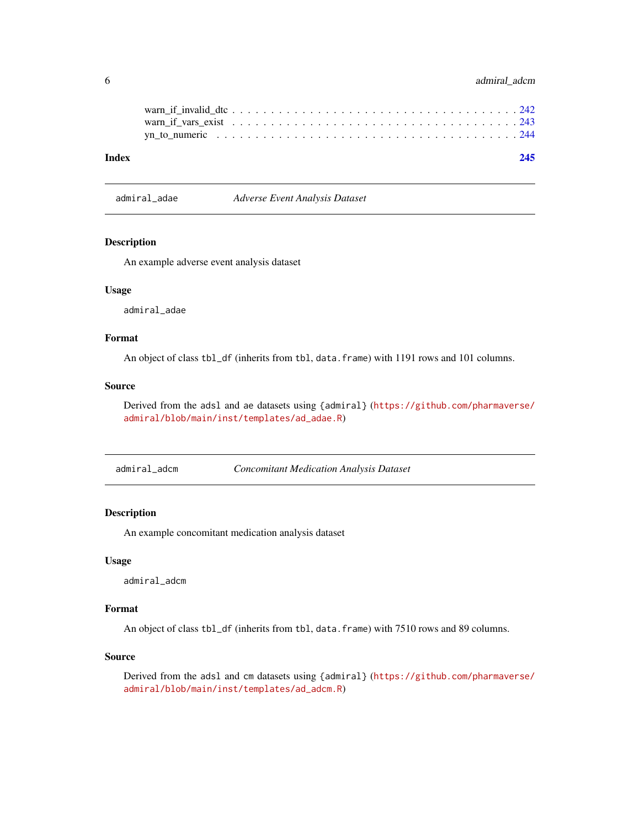### <span id="page-5-0"></span>6 admiral\_adcm

| Index |  |
|-------|--|
|       |  |
|       |  |
|       |  |
|       |  |

admiral\_adae *Adverse Event Analysis Dataset*

#### Description

An example adverse event analysis dataset

### Usage

admiral\_adae

### Format

An object of class tbl\_df (inherits from tbl, data.frame) with 1191 rows and 101 columns.

#### Source

Derived from the adsl and ae datasets using {admiral} ([https://github.com/pharmaverse/](https://github.com/pharmaverse/admiral/blob/main/inst/templates/ad_adae.R) [admiral/blob/main/inst/templates/ad\\_adae.R](https://github.com/pharmaverse/admiral/blob/main/inst/templates/ad_adae.R))

admiral\_adcm *Concomitant Medication Analysis Dataset*

### Description

An example concomitant medication analysis dataset

#### Usage

admiral\_adcm

#### Format

An object of class tbl\_df (inherits from tbl, data.frame) with 7510 rows and 89 columns.

#### Source

Derived from the adsl and cm datasets using {admiral} ([https://github.com/pharmaverse/](https://github.com/pharmaverse/admiral/blob/main/inst/templates/ad_adcm.R) [admiral/blob/main/inst/templates/ad\\_adcm.R](https://github.com/pharmaverse/admiral/blob/main/inst/templates/ad_adcm.R))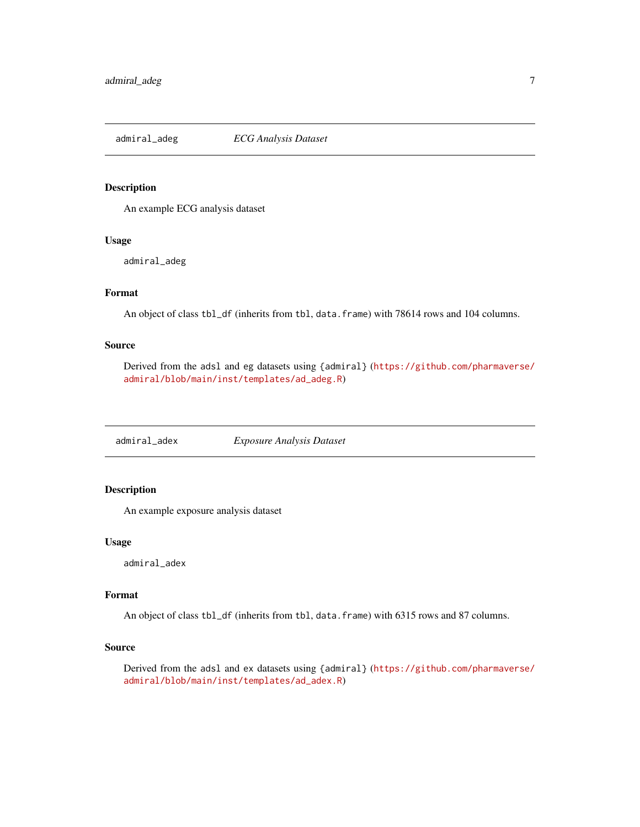<span id="page-6-0"></span>admiral\_adeg *ECG Analysis Dataset*

#### Description

An example ECG analysis dataset

### Usage

admiral\_adeg

### Format

An object of class tbl\_df (inherits from tbl, data.frame) with 78614 rows and 104 columns.

### Source

Derived from the adsl and eg datasets using {admiral} ([https://github.com/pharmaverse/](https://github.com/pharmaverse/admiral/blob/main/inst/templates/ad_adeg.R) [admiral/blob/main/inst/templates/ad\\_adeg.R](https://github.com/pharmaverse/admiral/blob/main/inst/templates/ad_adeg.R))

admiral\_adex *Exposure Analysis Dataset*

### Description

An example exposure analysis dataset

#### Usage

admiral\_adex

#### Format

An object of class tbl\_df (inherits from tbl, data.frame) with 6315 rows and 87 columns.

#### Source

Derived from the adsl and ex datasets using {admiral} ([https://github.com/pharmaverse/](https://github.com/pharmaverse/admiral/blob/main/inst/templates/ad_adex.R) [admiral/blob/main/inst/templates/ad\\_adex.R](https://github.com/pharmaverse/admiral/blob/main/inst/templates/ad_adex.R))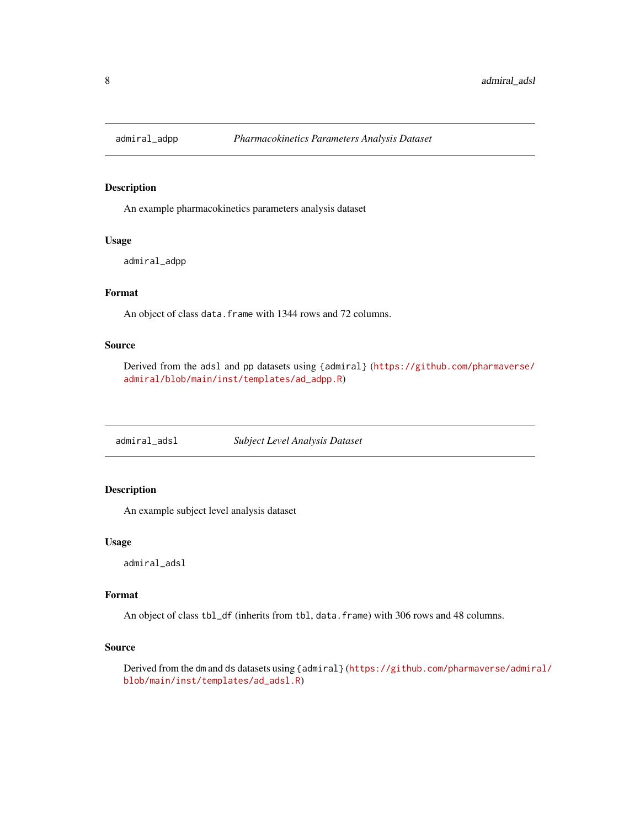<span id="page-7-0"></span>

An example pharmacokinetics parameters analysis dataset

### Usage

admiral\_adpp

### Format

An object of class data. frame with 1344 rows and 72 columns.

### Source

Derived from the adsl and pp datasets using {admiral} ([https://github.com/pharmaverse/](https://github.com/pharmaverse/admiral/blob/main/inst/templates/ad_adpp.R) [admiral/blob/main/inst/templates/ad\\_adpp.R](https://github.com/pharmaverse/admiral/blob/main/inst/templates/ad_adpp.R))

admiral\_adsl *Subject Level Analysis Dataset*

### Description

An example subject level analysis dataset

#### Usage

admiral\_adsl

#### Format

An object of class tbl\_df (inherits from tbl, data.frame) with 306 rows and 48 columns.

#### Source

Derived from the dm and ds datasets using {admiral} ([https://github.com/pharmaverse/admir](https://github.com/pharmaverse/admiral/blob/main/inst/templates/ad_adsl.R)al/ [blob/main/inst/templates/ad\\_adsl.R](https://github.com/pharmaverse/admiral/blob/main/inst/templates/ad_adsl.R))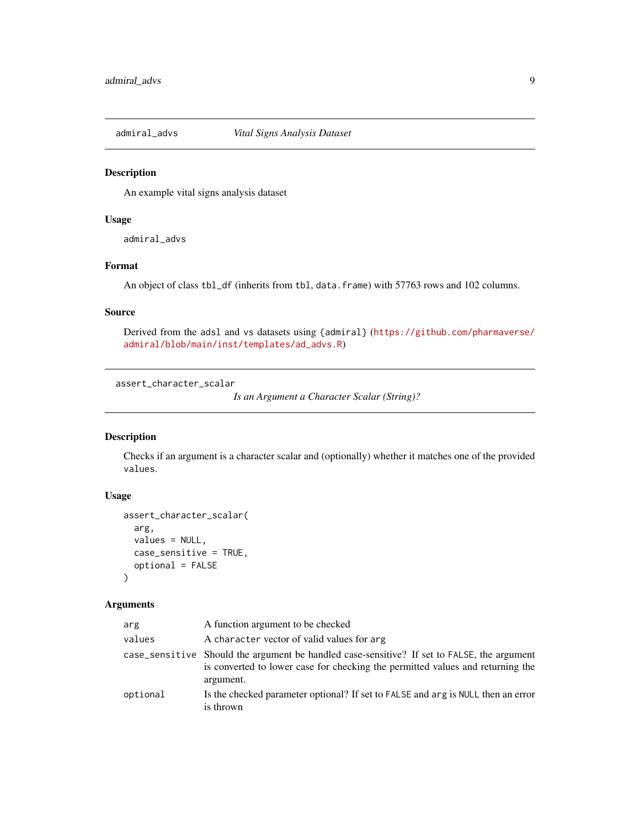<span id="page-8-0"></span>

An example vital signs analysis dataset

### Usage

admiral\_advs

### Format

An object of class tbl\_df (inherits from tbl, data.frame) with 57763 rows and 102 columns.

#### Source

Derived from the adsl and vs datasets using {admiral} ([https://github.com/pharmaverse/](https://github.com/pharmaverse/admiral/blob/main/inst/templates/ad_advs.R) [admiral/blob/main/inst/templates/ad\\_advs.R](https://github.com/pharmaverse/admiral/blob/main/inst/templates/ad_advs.R))

assert\_character\_scalar

*Is an Argument a Character Scalar (String)?*

### Description

Checks if an argument is a character scalar and (optionally) whether it matches one of the provided values.

### Usage

```
assert_character_scalar(
  arg,
  values = NULL,
  case_sensitive = TRUE,
  optional = FALSE
\mathcal{E}
```
### Arguments

| arg      | A function argument to be checked                                                                                                                                                          |
|----------|--------------------------------------------------------------------------------------------------------------------------------------------------------------------------------------------|
| values   | A character vector of valid values for arg                                                                                                                                                 |
|          | case_sensitive Should the argument be handled case-sensitive? If set to FALSE, the argument<br>is converted to lower case for checking the permitted values and returning the<br>argument. |
| optional | Is the checked parameter optional? If set to FALSE and arg is NULL then an error<br>is thrown                                                                                              |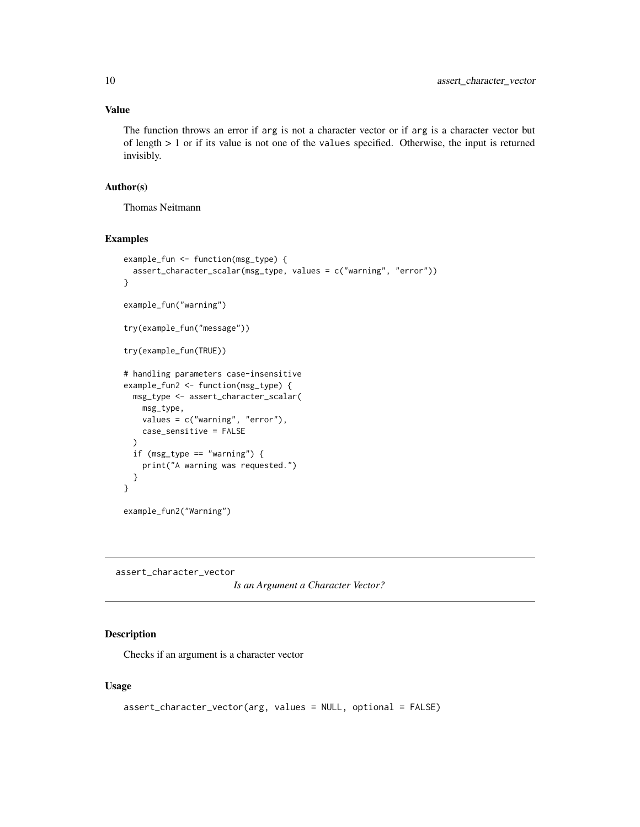#### <span id="page-9-0"></span>Value

The function throws an error if arg is not a character vector or if arg is a character vector but of length  $> 1$  or if its value is not one of the values specified. Otherwise, the input is returned invisibly.

#### Author(s)

Thomas Neitmann

#### Examples

```
example_fun <- function(msg_type) {
 assert_character_scalar(msg_type, values = c("warning", "error"))
}
example_fun("warning")
try(example_fun("message"))
try(example_fun(TRUE))
# handling parameters case-insensitive
example_fun2 <- function(msg_type) {
 msg_type <- assert_character_scalar(
   msg_type,
   values = c("warning", "error"),
   case_sensitive = FALSE
 )
 if (msg_type == "warning") {
   print("A warning was requested.")
 }
}
example_fun2("Warning")
```
assert\_character\_vector

*Is an Argument a Character Vector?*

#### Description

Checks if an argument is a character vector

#### Usage

```
assert_character_vector(arg, values = NULL, optional = FALSE)
```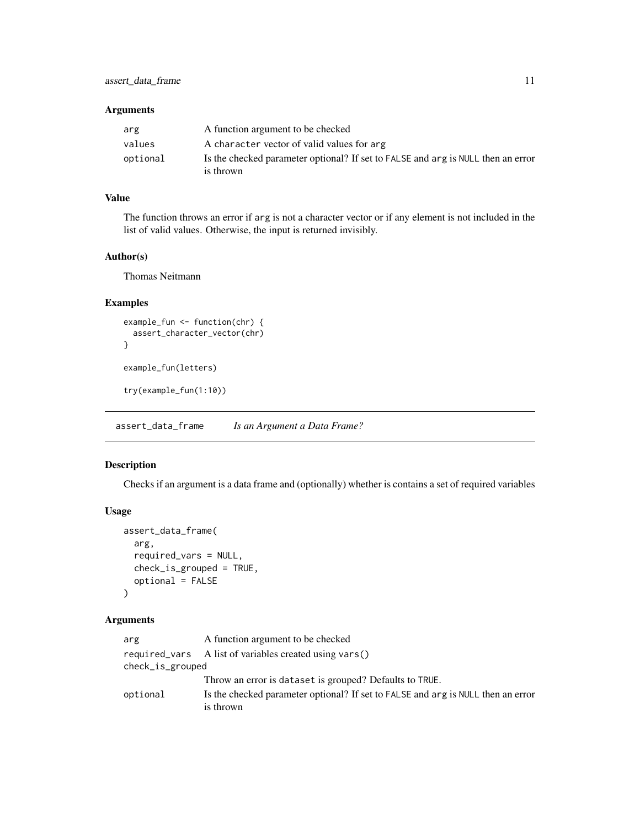### <span id="page-10-0"></span>Arguments

| arg      | A function argument to be checked                                                             |
|----------|-----------------------------------------------------------------------------------------------|
| values   | A character vector of valid values for arg                                                    |
| optional | Is the checked parameter optional? If set to FALSE and arg is NULL then an error<br>is thrown |

### Value

The function throws an error if arg is not a character vector or if any element is not included in the list of valid values. Otherwise, the input is returned invisibly.

#### Author(s)

Thomas Neitmann

### Examples

```
example_fun <- function(chr) {
  assert_character_vector(chr)
}
example_fun(letters)
```
try(example\_fun(1:10))

assert\_data\_frame *Is an Argument a Data Frame?*

### Description

Checks if an argument is a data frame and (optionally) whether is contains a set of required variables

### Usage

```
assert_data_frame(
  arg,
  required_vars = NULL,
 check_is_grouped = TRUE,
  optional = FALSE
)
```
### Arguments

| arg              | A function argument to be checked                                                |
|------------------|----------------------------------------------------------------------------------|
|                  | required vars A list of variables created using vars()                           |
| check_is_grouped |                                                                                  |
|                  | Throw an error is dataset is grouped? Defaults to TRUE.                          |
| optional         | Is the checked parameter optional? If set to FALSE and arg is NULL then an error |
|                  | is thrown                                                                        |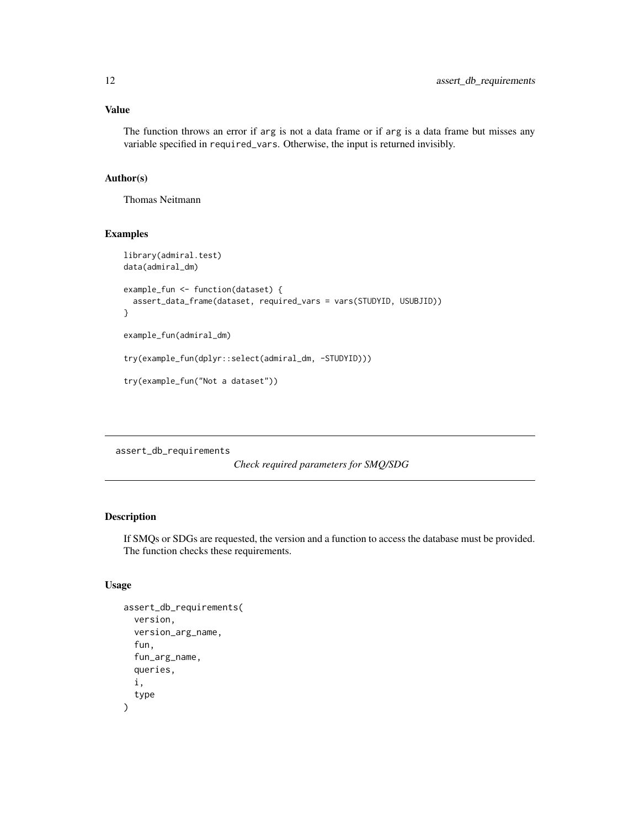### <span id="page-11-0"></span>Value

The function throws an error if arg is not a data frame or if arg is a data frame but misses any variable specified in required\_vars. Otherwise, the input is returned invisibly.

### Author(s)

Thomas Neitmann

#### Examples

```
library(admiral.test)
data(admiral_dm)
example_fun <- function(dataset) {
  assert_data_frame(dataset, required_vars = vars(STUDYID, USUBJID))
}
example_fun(admiral_dm)
try(example_fun(dplyr::select(admiral_dm, -STUDYID)))
try(example_fun("Not a dataset"))
```
assert\_db\_requirements

*Check required parameters for SMQ/SDG*

## Description

If SMQs or SDGs are requested, the version and a function to access the database must be provided. The function checks these requirements.

### Usage

```
assert_db_requirements(
 version,
  version_arg_name,
  fun,
  fun_arg_name,
  queries,
  i,
  type
)
```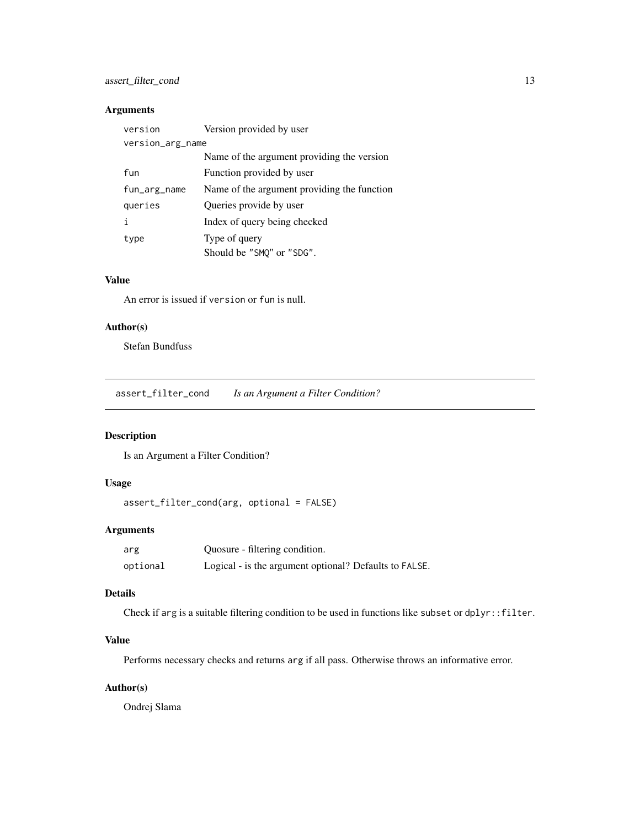### <span id="page-12-0"></span>assert\_filter\_cond 13

### Arguments

| version          | Version provided by user                    |
|------------------|---------------------------------------------|
| version_arg_name |                                             |
|                  | Name of the argument providing the version  |
| fun              | Function provided by user                   |
| fun_arg_name     | Name of the argument providing the function |
| queries          | Queries provide by user                     |
|                  | Index of query being checked                |
| type             | Type of query                               |
|                  | Should be "SMO" or "SDG".                   |

### Value

An error is issued if version or fun is null.

### Author(s)

Stefan Bundfuss

assert\_filter\_cond *Is an Argument a Filter Condition?*

### Description

Is an Argument a Filter Condition?

### Usage

```
assert_filter_cond(arg, optional = FALSE)
```
### Arguments

| arg      | Quosure - filtering condition.                         |
|----------|--------------------------------------------------------|
| optional | Logical - is the argument optional? Defaults to FALSE. |

### Details

Check if arg is a suitable filtering condition to be used in functions like subset or dplyr::filter.

### Value

Performs necessary checks and returns arg if all pass. Otherwise throws an informative error.

### Author(s)

Ondrej Slama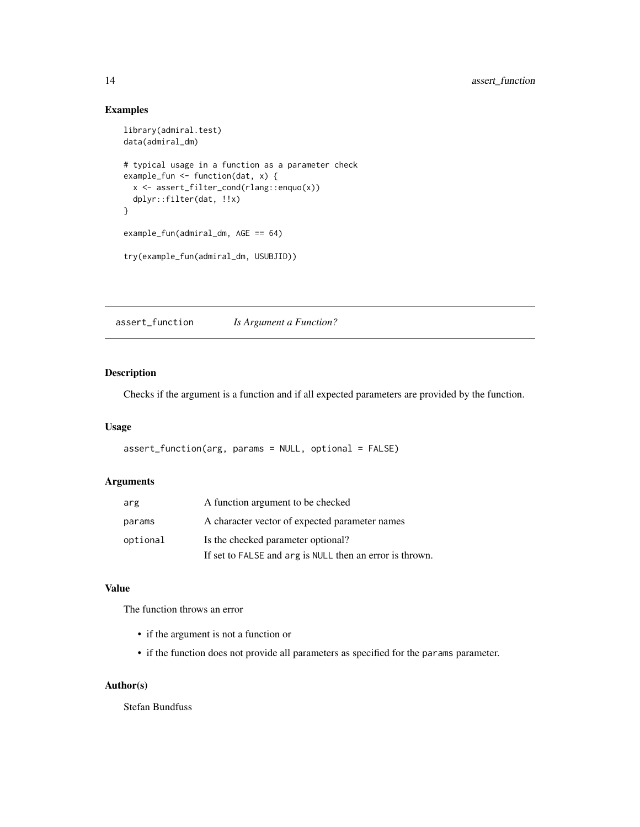### Examples

```
library(admiral.test)
data(admiral_dm)
# typical usage in a function as a parameter check
example_fun <- function(dat, x) {
  x <- assert_filter_cond(rlang::enquo(x))
  dplyr::filter(dat, !!x)
}
example_fun(admiral_dm, AGE == 64)
try(example_fun(admiral_dm, USUBJID))
```
assert\_function *Is Argument a Function?*

### Description

Checks if the argument is a function and if all expected parameters are provided by the function.

### Usage

```
assert_function(arg, params = NULL, optional = FALSE)
```
### Arguments

| arg      | A function argument to be checked                        |
|----------|----------------------------------------------------------|
| params   | A character vector of expected parameter names           |
| optional | Is the checked parameter optional?                       |
|          | If set to FALSE and arg is NULL then an error is thrown. |

### Value

The function throws an error

- if the argument is not a function or
- if the function does not provide all parameters as specified for the params parameter.

#### Author(s)

Stefan Bundfuss

<span id="page-13-0"></span>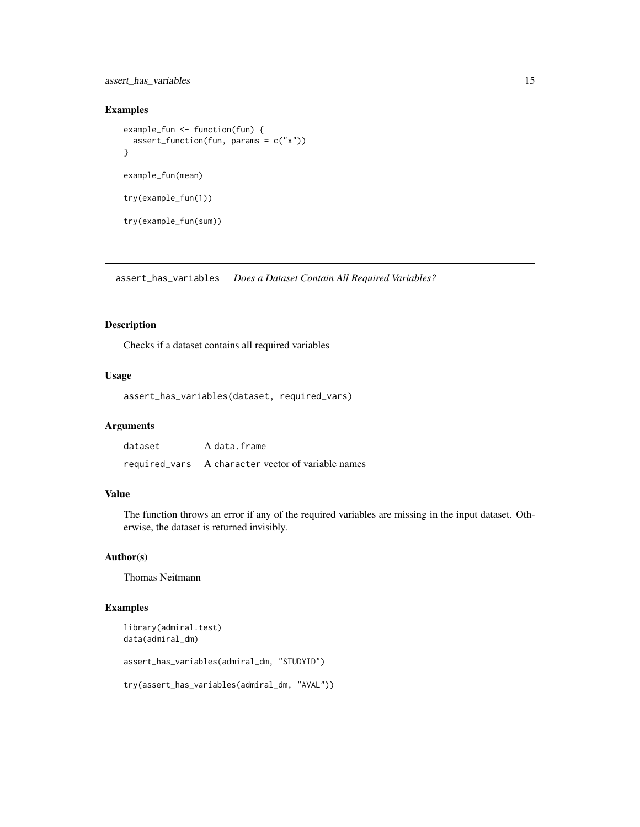<span id="page-14-0"></span>assert\_has\_variables 15

### Examples

```
example_fun <- function(fun) {
  assert_function(fun, params = c("x"))
}
example_fun(mean)
try(example_fun(1))
try(example_fun(sum))
```
assert\_has\_variables *Does a Dataset Contain All Required Variables?*

### Description

Checks if a dataset contains all required variables

### Usage

```
assert_has_variables(dataset, required_vars)
```
### Arguments

| dataset | A data.frame                                       |
|---------|----------------------------------------------------|
|         | required_vars A character vector of variable names |

### Value

The function throws an error if any of the required variables are missing in the input dataset. Otherwise, the dataset is returned invisibly.

### Author(s)

Thomas Neitmann

## Examples

```
library(admiral.test)
data(admiral_dm)
```
assert\_has\_variables(admiral\_dm, "STUDYID")

try(assert\_has\_variables(admiral\_dm, "AVAL"))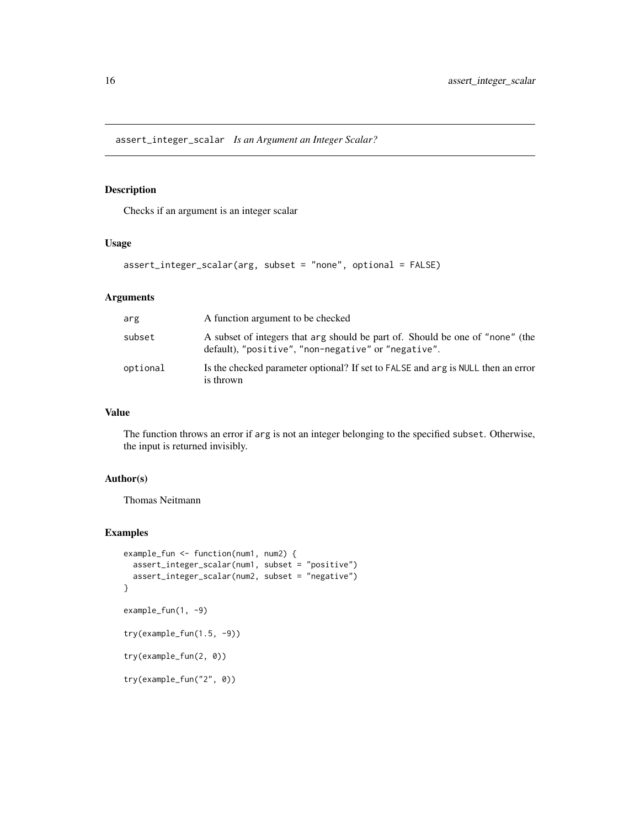<span id="page-15-0"></span>assert\_integer\_scalar *Is an Argument an Integer Scalar?*

### Description

Checks if an argument is an integer scalar

### Usage

```
assert_integer_scalar(arg, subset = "none", optional = FALSE)
```
#### Arguments

| arg      | A function argument to be checked                                                                                                    |
|----------|--------------------------------------------------------------------------------------------------------------------------------------|
| subset   | A subset of integers that arg should be part of. Should be one of "none" (the<br>default), "positive", "non-negative" or "negative". |
| optional | Is the checked parameter optional? If set to FALSE and arg is NULL then an error<br>is thrown                                        |

### Value

The function throws an error if arg is not an integer belonging to the specified subset. Otherwise, the input is returned invisibly.

### Author(s)

Thomas Neitmann

```
example_fun <- function(num1, num2) {
  assert_integer_scalar(num1, subset = "positive")
  assert_integer_scalar(num2, subset = "negative")
}
example_fun(1, -9)
try(example_fun(1.5, -9))
try(example_fun(2, 0))
try(example_fun("2", 0))
```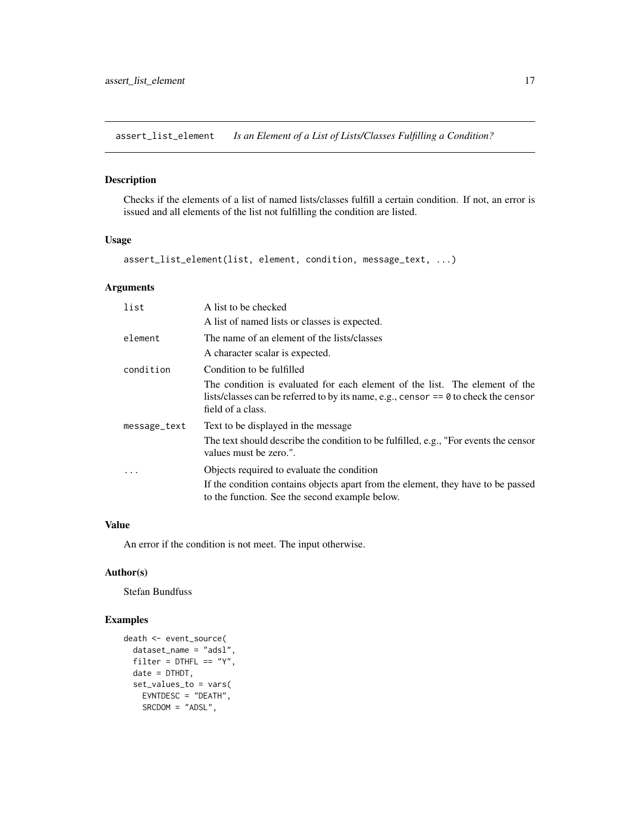<span id="page-16-0"></span>assert\_list\_element *Is an Element of a List of Lists/Classes Fulfilling a Condition?*

### Description

Checks if the elements of a list of named lists/classes fulfill a certain condition. If not, an error is issued and all elements of the list not fulfilling the condition are listed.

### Usage

assert\_list\_element(list, element, condition, message\_text, ...)

### Arguments

| list         | A list to be checked                                                                                                                                                                      |
|--------------|-------------------------------------------------------------------------------------------------------------------------------------------------------------------------------------------|
|              | A list of named lists or classes is expected.                                                                                                                                             |
| element      | The name of an element of the lists/classes                                                                                                                                               |
|              | A character scalar is expected.                                                                                                                                                           |
| condition    | Condition to be fulfilled                                                                                                                                                                 |
|              | The condition is evaluated for each element of the list. The element of the<br>lists/classes can be referred to by its name, e.g., censor $== 0$ to check the censor<br>field of a class. |
| message_text | Text to be displayed in the message.                                                                                                                                                      |
|              | The text should describe the condition to be fulfilled, e.g., "For events the censor<br>values must be zero.".                                                                            |
| .            | Objects required to evaluate the condition                                                                                                                                                |
|              | If the condition contains objects apart from the element, they have to be passed<br>to the function. See the second example below.                                                        |

### Value

An error if the condition is not meet. The input otherwise.

### Author(s)

Stefan Bundfuss

```
death <- event_source(
  dataset_name = "adsl",
  filter = DTHFL == "Y",date = DTHDT,
  set_values_to = vars(
   EVNTDESC = "DEATH",
   SRCDOM = "ADSL",
```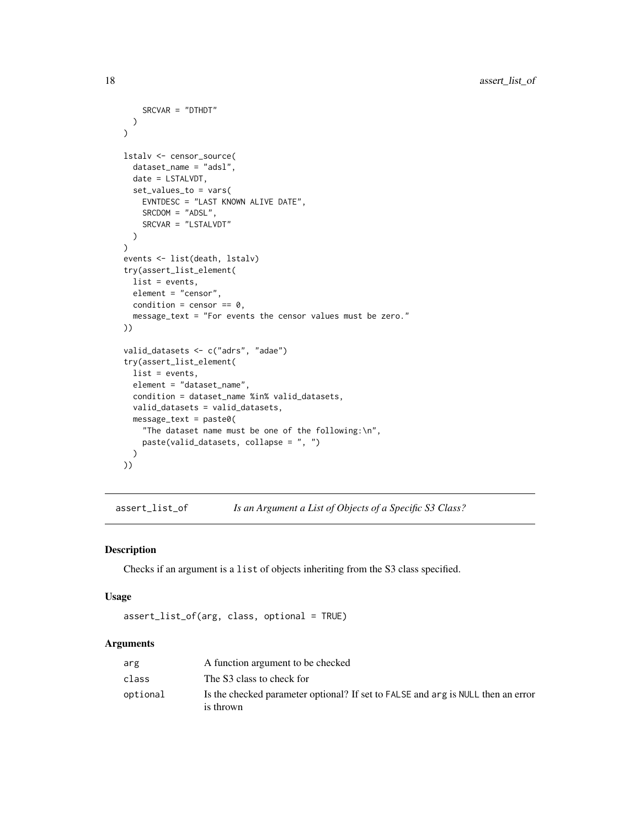```
SRCVAR = "DTHDT"
  )
\mathcal{L}lstalv <- censor_source(
 dataset_name = "adsl",
  date = LSTALVDT,
  set_values_to = vars(
   EVNTDESC = "LAST KNOWN ALIVE DATE",
   SRCDOM = "ADSL",
   SRCVAR = "LSTALVDT"
  )
)
events <- list(death, lstalv)
try(assert_list_element(
  list = events,
 element = "censor",
  condition = censor == 0,
  message_text = "For events the censor values must be zero."
))
valid_datasets <- c("adrs", "adae")
try(assert_list_element(
  list = events,
  element = "dataset_name",
  condition = dataset_name %in% valid_datasets,
  valid_datasets = valid_datasets,
  message_text = paste0(
    "The dataset name must be one of the following:\n",
   paste(valid_datasets, collapse = ", ")
  )
))
```

```
assert_list_of Is an Argument a List of Objects of a Specific S3 Class?
```
Checks if an argument is a list of objects inheriting from the S3 class specified.

### Usage

```
assert_list_of(arg, class, optional = TRUE)
```
### Arguments

| arg      | A function argument to be checked                                                             |
|----------|-----------------------------------------------------------------------------------------------|
| class    | The S3 class to check for                                                                     |
| optional | Is the checked parameter optional? If set to FALSE and arg is NULL then an error<br>is thrown |

<span id="page-17-0"></span>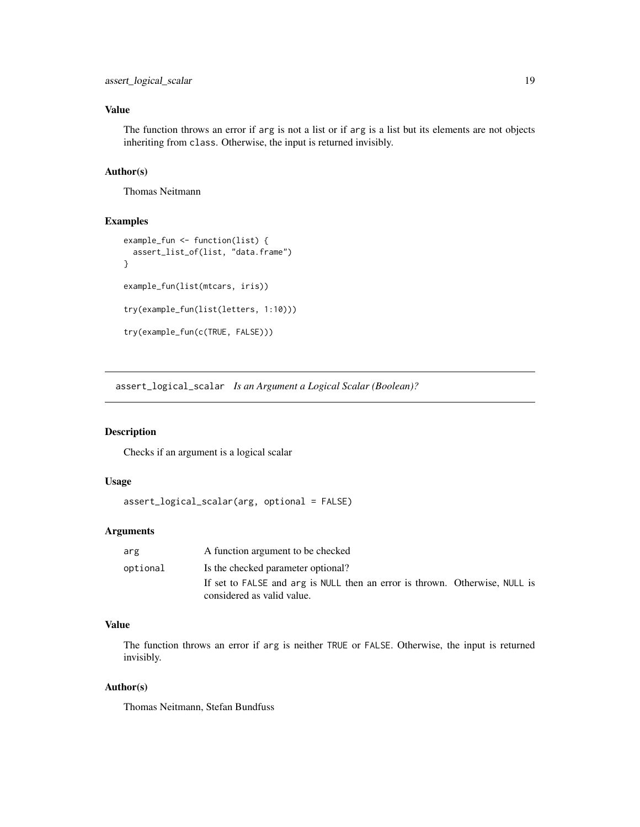### <span id="page-18-0"></span>Value

The function throws an error if arg is not a list or if arg is a list but its elements are not objects inheriting from class. Otherwise, the input is returned invisibly.

### Author(s)

Thomas Neitmann

### Examples

```
example_fun <- function(list) {
  assert_list_of(list, "data.frame")
}
example_fun(list(mtcars, iris))
try(example_fun(list(letters, 1:10)))
try(example_fun(c(TRUE, FALSE)))
```
assert\_logical\_scalar *Is an Argument a Logical Scalar (Boolean)?*

### Description

Checks if an argument is a logical scalar

#### Usage

```
assert_logical_scalar(arg, optional = FALSE)
```
#### Arguments

| arg      | A function argument to be checked                                                                         |
|----------|-----------------------------------------------------------------------------------------------------------|
| optional | Is the checked parameter optional?                                                                        |
|          | If set to FALSE and arg is NULL then an error is thrown. Otherwise, NULL is<br>considered as valid value. |
|          |                                                                                                           |

### Value

The function throws an error if arg is neither TRUE or FALSE. Otherwise, the input is returned invisibly.

#### Author(s)

Thomas Neitmann, Stefan Bundfuss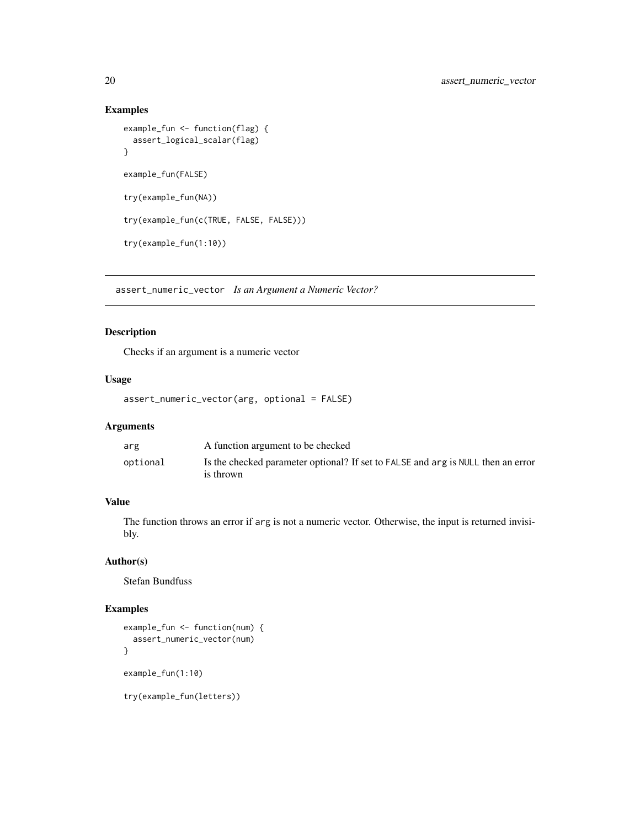### Examples

```
example_fun <- function(flag) {
 assert_logical_scalar(flag)
}
example_fun(FALSE)
try(example_fun(NA))
try(example_fun(c(TRUE, FALSE, FALSE)))
try(example_fun(1:10))
```
assert\_numeric\_vector *Is an Argument a Numeric Vector?*

### Description

Checks if an argument is a numeric vector

### Usage

```
assert_numeric_vector(arg, optional = FALSE)
```
### Arguments

| arg      | A function argument to be checked                                                |
|----------|----------------------------------------------------------------------------------|
| optional | Is the checked parameter optional? If set to FALSE and arg is NULL then an error |
|          | is thrown                                                                        |

### Value

The function throws an error if arg is not a numeric vector. Otherwise, the input is returned invisibly.

### Author(s)

Stefan Bundfuss

### Examples

```
example_fun <- function(num) {
  assert_numeric_vector(num)
}
example_fun(1:10)
```
try(example\_fun(letters))

<span id="page-19-0"></span>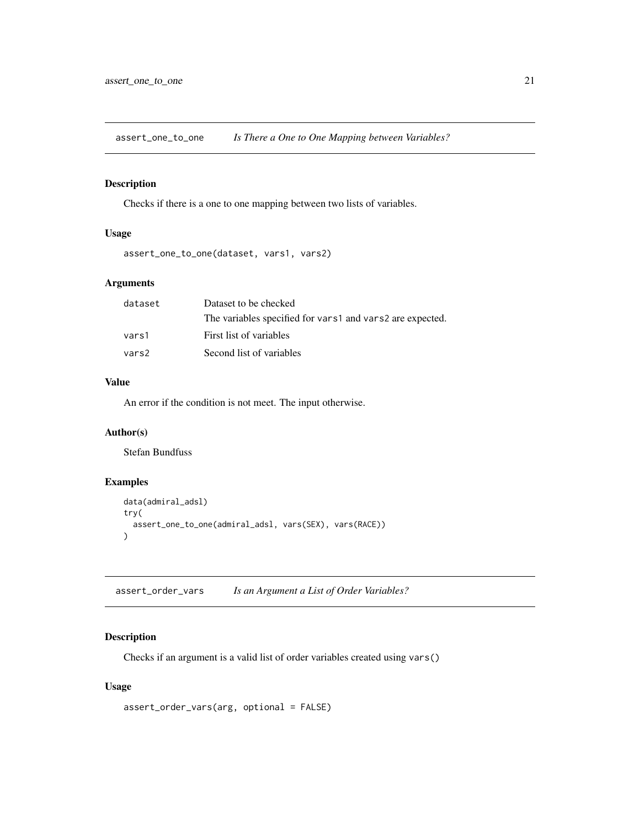<span id="page-20-0"></span>assert\_one\_to\_one *Is There a One to One Mapping between Variables?*

## Description

Checks if there is a one to one mapping between two lists of variables.

### Usage

```
assert_one_to_one(dataset, vars1, vars2)
```
### Arguments

| dataset | Dataset to be checked                                     |
|---------|-----------------------------------------------------------|
|         | The variables specified for vars1 and vars2 are expected. |
| vars1   | First list of variables                                   |
| vars2   | Second list of variables                                  |

### Value

An error if the condition is not meet. The input otherwise.

### Author(s)

Stefan Bundfuss

### Examples

```
data(admiral_adsl)
try(
  assert_one_to_one(admiral_adsl, vars(SEX), vars(RACE))
)
```
assert\_order\_vars *Is an Argument a List of Order Variables?*

### Description

Checks if an argument is a valid list of order variables created using vars()

#### Usage

```
assert_order_vars(arg, optional = FALSE)
```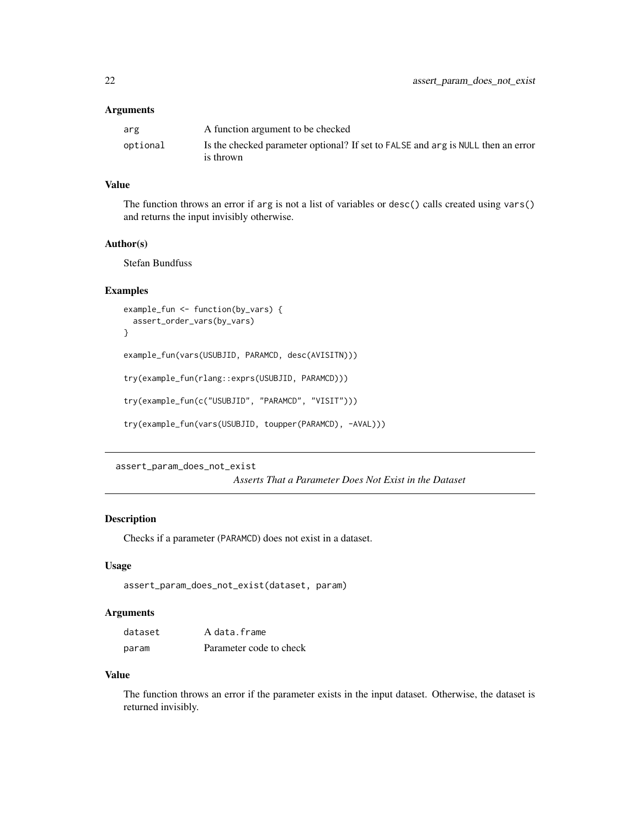### <span id="page-21-0"></span>Arguments

| arg      | A function argument to be checked                                                |
|----------|----------------------------------------------------------------------------------|
| optional | Is the checked parameter optional? If set to FALSE and arg is NULL then an error |
|          | is thrown                                                                        |

### Value

The function throws an error if arg is not a list of variables or desc() calls created using vars() and returns the input invisibly otherwise.

#### Author(s)

Stefan Bundfuss

### Examples

```
example_fun <- function(by_vars) {
  assert_order_vars(by_vars)
}
```
example\_fun(vars(USUBJID, PARAMCD, desc(AVISITN)))

try(example\_fun(rlang::exprs(USUBJID, PARAMCD)))

try(example\_fun(c("USUBJID", "PARAMCD", "VISIT")))

```
try(example_fun(vars(USUBJID, toupper(PARAMCD), -AVAL)))
```
assert\_param\_does\_not\_exist

*Asserts That a Parameter Does Not Exist in the Dataset*

### Description

Checks if a parameter (PARAMCD) does not exist in a dataset.

#### Usage

```
assert_param_does_not_exist(dataset, param)
```
### Arguments

| dataset | A data.frame            |
|---------|-------------------------|
| param   | Parameter code to check |

#### Value

The function throws an error if the parameter exists in the input dataset. Otherwise, the dataset is returned invisibly.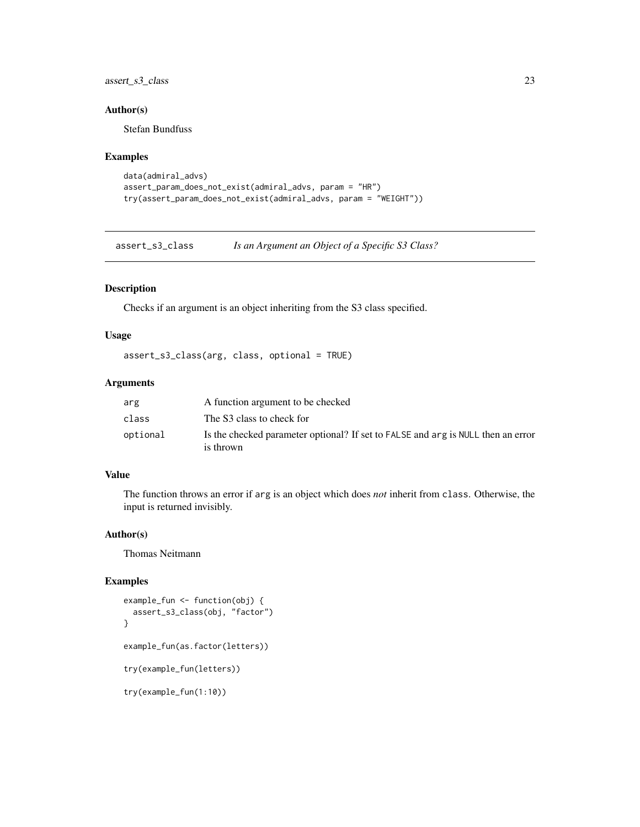<span id="page-22-0"></span>assert\_s3\_class 23

### Author(s)

Stefan Bundfuss

#### Examples

```
data(admiral_advs)
assert_param_does_not_exist(admiral_advs, param = "HR")
try(assert_param_does_not_exist(admiral_advs, param = "WEIGHT"))
```
assert\_s3\_class *Is an Argument an Object of a Specific S3 Class?*

### Description

Checks if an argument is an object inheriting from the S3 class specified.

#### Usage

```
assert_s3_class(arg, class, optional = TRUE)
```
#### Arguments

| arg      | A function argument to be checked                                                             |
|----------|-----------------------------------------------------------------------------------------------|
| class    | The S3 class to check for                                                                     |
| optional | Is the checked parameter optional? If set to FALSE and arg is NULL then an error<br>is thrown |

### Value

The function throws an error if arg is an object which does *not* inherit from class. Otherwise, the input is returned invisibly.

### Author(s)

Thomas Neitmann

```
example_fun <- function(obj) {
 assert_s3_class(obj, "factor")
}
example_fun(as.factor(letters))
try(example_fun(letters))
try(example_fun(1:10))
```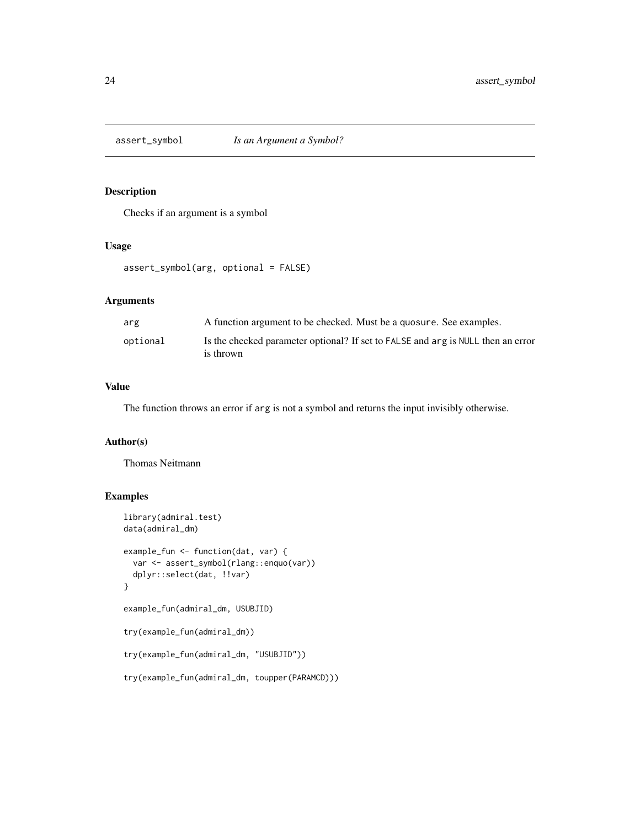<span id="page-23-0"></span>

Checks if an argument is a symbol

### Usage

```
assert_symbol(arg, optional = FALSE)
```
### Arguments

| arg      | A function argument to be checked. Must be a quosure. See examples.                           |
|----------|-----------------------------------------------------------------------------------------------|
| optional | Is the checked parameter optional? If set to FALSE and arg is NULL then an error<br>is thrown |

### Value

The function throws an error if arg is not a symbol and returns the input invisibly otherwise.

### Author(s)

Thomas Neitmann

```
library(admiral.test)
data(admiral_dm)
example_fun <- function(dat, var) {
  var <- assert_symbol(rlang::enquo(var))
  dplyr::select(dat, !!var)
}
example_fun(admiral_dm, USUBJID)
try(example_fun(admiral_dm))
try(example_fun(admiral_dm, "USUBJID"))
try(example_fun(admiral_dm, toupper(PARAMCD)))
```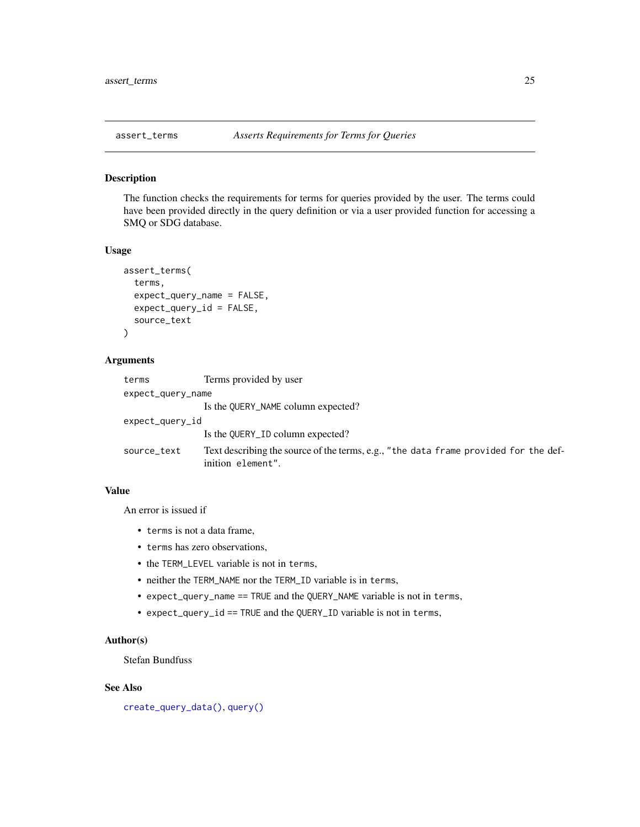<span id="page-24-0"></span>

The function checks the requirements for terms for queries provided by the user. The terms could have been provided directly in the query definition or via a user provided function for accessing a SMQ or SDG database.

#### Usage

```
assert_terms(
  terms,
  expect_query_name = FALSE,
  expect_query_id = FALSE,
  source_text
)
```
#### Arguments

| terms             | Terms provided by user                                                                                    |  |
|-------------------|-----------------------------------------------------------------------------------------------------------|--|
| expect_query_name |                                                                                                           |  |
|                   | Is the QUERY_NAME column expected?                                                                        |  |
| expect_query_id   |                                                                                                           |  |
|                   | Is the QUERY_ID column expected?                                                                          |  |
| source_text       | Text describing the source of the terms, e.g., "the data frame provided for the def-<br>inition element". |  |

### Value

An error is issued if

- terms is not a data frame,
- terms has zero observations,
- the TERM\_LEVEL variable is not in terms,
- neither the TERM\_NAME nor the TERM\_ID variable is in terms,
- expect\_query\_name == TRUE and the QUERY\_NAME variable is not in terms,
- expect\_query\_id == TRUE and the QUERY\_ID variable is not in terms,

### Author(s)

Stefan Bundfuss

### See Also

[create\\_query\\_data\(\)](#page-48-1), [query\(\)](#page-227-1)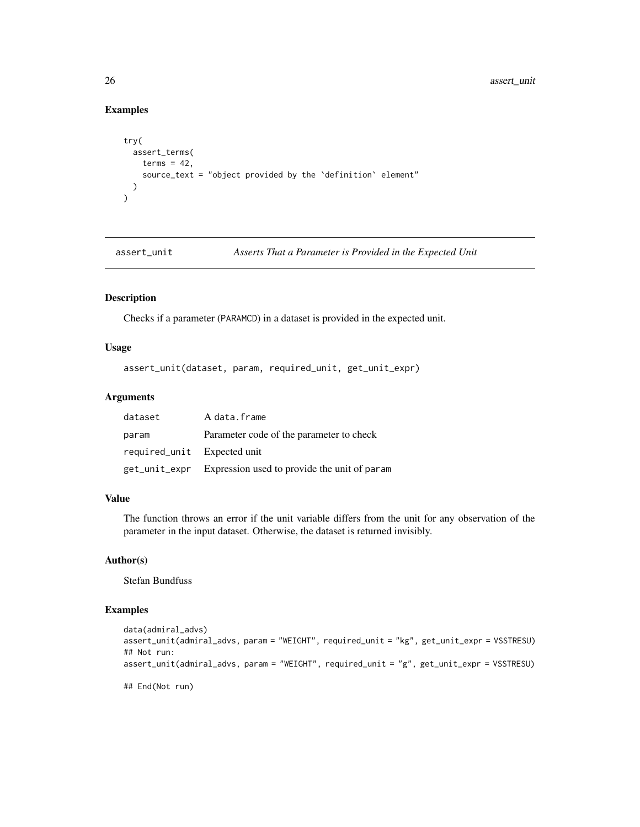### Examples

```
try(
  assert_terms(
   terms = 42,
    source_text = "object provided by the `definition` element"
  )
\overline{)}
```
assert\_unit *Asserts That a Parameter is Provided in the Expected Unit*

### Description

Checks if a parameter (PARAMCD) in a dataset is provided in the expected unit.

### Usage

assert\_unit(dataset, param, required\_unit, get\_unit\_expr)

### Arguments

| dataset                     | A data.frame                                               |
|-----------------------------|------------------------------------------------------------|
| param                       | Parameter code of the parameter to check                   |
| required_unit Expected unit |                                                            |
|                             | get_unit_expr Expression used to provide the unit of param |

#### Value

The function throws an error if the unit variable differs from the unit for any observation of the parameter in the input dataset. Otherwise, the dataset is returned invisibly.

### Author(s)

Stefan Bundfuss

```
data(admiral_advs)
assert_unit(admiral_advs, param = "WEIGHT", required_unit = "kg", get_unit_expr = VSSTRESU)
## Not run:
assert_unit(admiral_advs, param = "WEIGHT", required_unit = "g", get_unit_expr = VSSTRESU)
## End(Not run)
```
<span id="page-25-0"></span>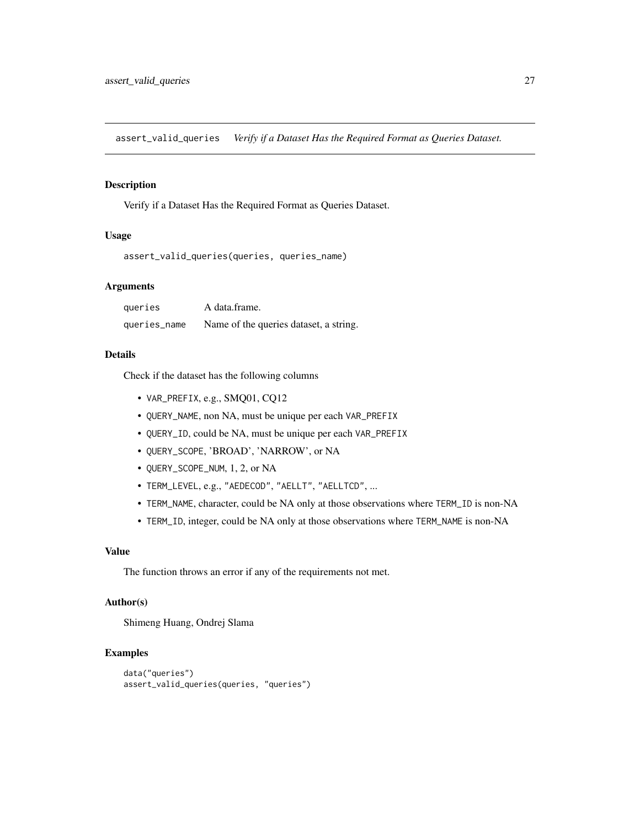<span id="page-26-0"></span>assert\_valid\_queries *Verify if a Dataset Has the Required Format as Queries Dataset.*

### Description

Verify if a Dataset Has the Required Format as Queries Dataset.

### Usage

```
assert_valid_queries(queries, queries_name)
```
### Arguments

| queries      | A data frame.                          |
|--------------|----------------------------------------|
| queries_name | Name of the queries dataset, a string. |

### Details

Check if the dataset has the following columns

- VAR\_PREFIX, e.g., SMQ01, CQ12
- QUERY\_NAME, non NA, must be unique per each VAR\_PREFIX
- QUERY\_ID, could be NA, must be unique per each VAR\_PREFIX
- QUERY\_SCOPE, 'BROAD', 'NARROW', or NA
- QUERY\_SCOPE\_NUM, 1, 2, or NA
- TERM\_LEVEL, e.g., "AEDECOD", "AELLT", "AELLTCD", ...
- TERM\_NAME, character, could be NA only at those observations where TERM\_ID is non-NA
- TERM\_ID, integer, could be NA only at those observations where TERM\_NAME is non-NA

### Value

The function throws an error if any of the requirements not met.

### Author(s)

Shimeng Huang, Ondrej Slama

```
data("queries")
assert_valid_queries(queries, "queries")
```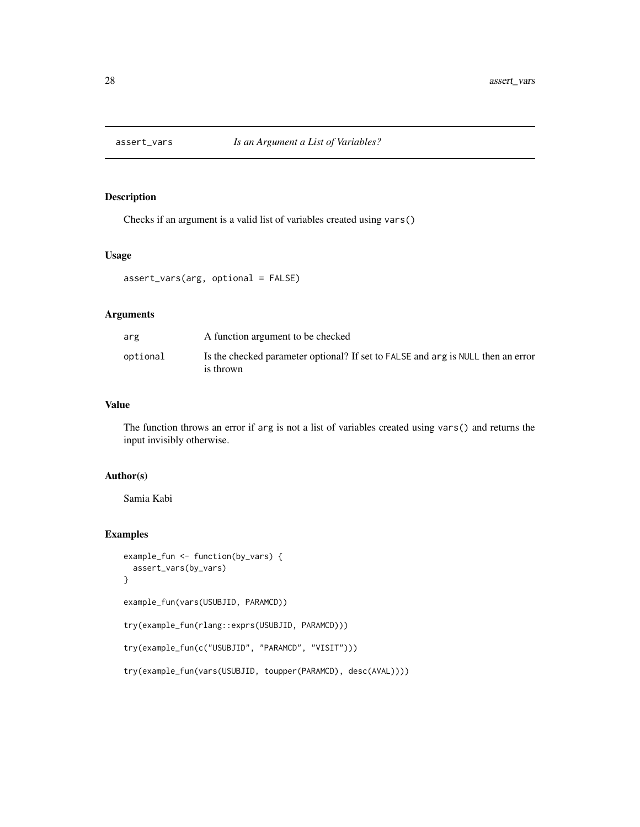<span id="page-27-0"></span>

Checks if an argument is a valid list of variables created using vars()

#### Usage

```
assert_vars(arg, optional = FALSE)
```
#### Arguments

| arg      | A function argument to be checked                                                             |
|----------|-----------------------------------------------------------------------------------------------|
| optional | Is the checked parameter optional? If set to FALSE and arg is NULL then an error<br>is thrown |

### Value

The function throws an error if arg is not a list of variables created using vars() and returns the input invisibly otherwise.

### Author(s)

Samia Kabi

```
example_fun <- function(by_vars) {
 assert_vars(by_vars)
}
example_fun(vars(USUBJID, PARAMCD))
try(example_fun(rlang::exprs(USUBJID, PARAMCD)))
try(example_fun(c("USUBJID", "PARAMCD", "VISIT")))
try(example_fun(vars(USUBJID, toupper(PARAMCD), desc(AVAL))))
```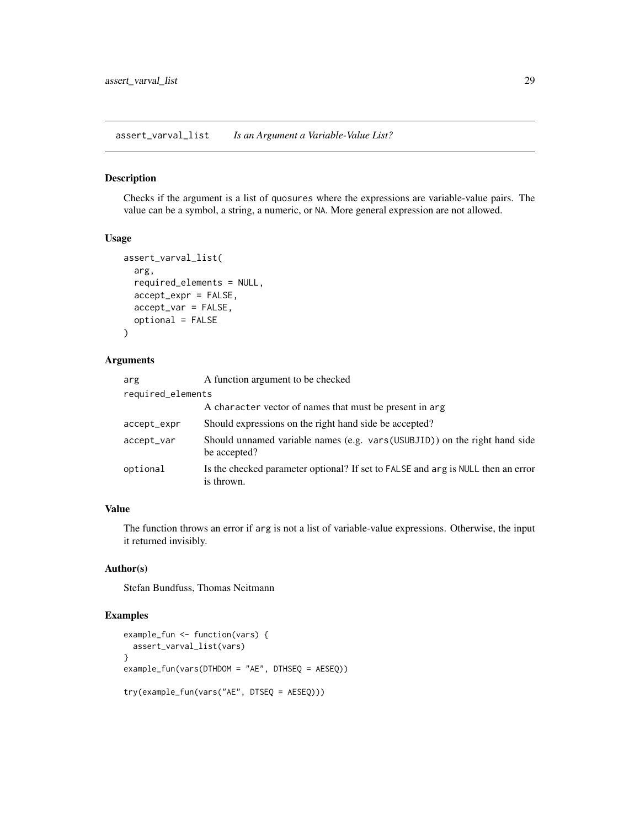<span id="page-28-0"></span>assert\_varval\_list *Is an Argument a Variable-Value List?*

### Description

Checks if the argument is a list of quosures where the expressions are variable-value pairs. The value can be a symbol, a string, a numeric, or NA. More general expression are not allowed.

#### Usage

```
assert_varval_list(
  arg,
  required_elements = NULL,
  accept_expr = FALSE,
  accept_var = FALSE,
  optional = FALSE
)
```
#### Arguments

| arg               | A function argument to be checked                                                              |
|-------------------|------------------------------------------------------------------------------------------------|
| required_elements |                                                                                                |
|                   | A character vector of names that must be present in arg.                                       |
| accept_expr       | Should expressions on the right hand side be accepted?                                         |
| accept_var        | Should unnamed variable names (e.g. vars (USUBJID)) on the right hand side<br>be accepted?     |
| optional          | Is the checked parameter optional? If set to FALSE and arg is NULL then an error<br>is thrown. |

### Value

The function throws an error if arg is not a list of variable-value expressions. Otherwise, the input it returned invisibly.

### Author(s)

Stefan Bundfuss, Thomas Neitmann

```
example_fun <- function(vars) {
 assert_varval_list(vars)
}
example_fun(vars(DTHDOM = "AE", DTHSEQ = AESEQ))
try(example_fun(vars("AE", DTSEQ = AESEQ)))
```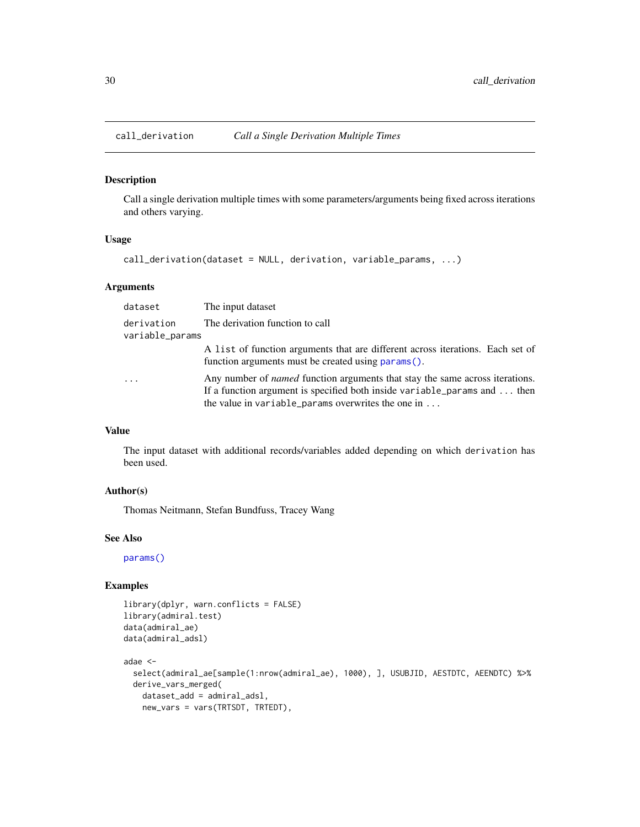<span id="page-29-0"></span>

Call a single derivation multiple times with some parameters/arguments being fixed across iterations and others varying.

#### Usage

```
call_derivation(dataset = NULL, derivation, variable_params, ...)
```
### Arguments

| dataset                       | The input dataset                                                                                                                                                                                                                     |
|-------------------------------|---------------------------------------------------------------------------------------------------------------------------------------------------------------------------------------------------------------------------------------|
| derivation<br>variable_params | The derivation function to call                                                                                                                                                                                                       |
|                               | A list of function arguments that are different across iterations. Each set of<br>function arguments must be created using params().                                                                                                  |
| $\cdot$ $\cdot$ $\cdot$       | Any number of <i>named</i> function arguments that stay the same across iterations.<br>If a function argument is specified both inside variable params and $\dots$ then<br>the value in variable_params overwrites the one in $\dots$ |

### Value

The input dataset with additional records/variables added depending on which derivation has been used.

#### Author(s)

Thomas Neitmann, Stefan Bundfuss, Tracey Wang

#### See Also

[params\(\)](#page-223-1)

```
library(dplyr, warn.conflicts = FALSE)
library(admiral.test)
data(admiral_ae)
data(admiral_adsl)
adae <-
  select(admiral_ae[sample(1:nrow(admiral_ae), 1000), ], USUBJID, AESTDTC, AEENDTC) %>%
  derive_vars_merged(
   dataset_add = admiral_adsl,
   new_vars = vars(TRTSDT, TRTEDT),
```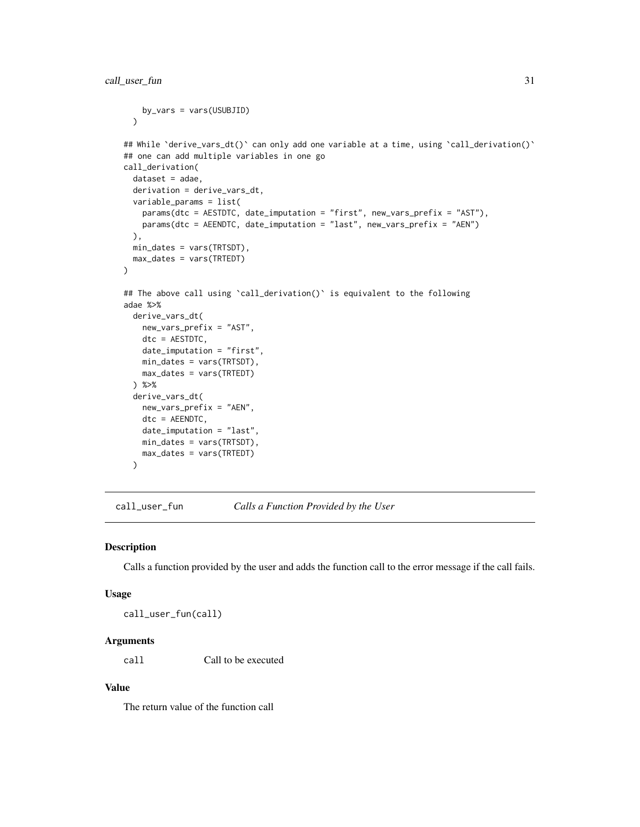```
by_vars = vars(USUBJID)
 \lambda## While `derive_vars_dt()` can only add one variable at a time, using `call_derivation()`
## one can add multiple variables in one go
call_derivation(
 dataset = adae,derivation = derive_vars_dt,
 variable_params = list(
   params(dtc = AESTDTC, date_imputation = "first", new_vars_prefix = "AST"),
   params(dtc = AEENDTC, date_imputation = "last", new_vars_prefix = "AEN")
 ),
 min_dates = vars(TRTSDT),
 max_dates = vars(TRTEDT)
)
## The above call using `call_derivation()` is equivalent to the following
adae %>%
 derive_vars_dt(
   new_vars_prefix = "AST",
   dtc = AESTDTC,
   date_imputation = "first",
   min_dates = vars(TRTSDT),
   max_dates = vars(TRTEDT)
 ) %>%
 derive_vars_dt(
   new_vars_prefix = "AEN",
   dtc = AEENDTC,
   date_imputation = "last",
   min_dates = vars(TRTSDT),
   max_dates = vars(TRTEDT)
 )
```
call\_user\_fun *Calls a Function Provided by the User*

#### Description

Calls a function provided by the user and adds the function call to the error message if the call fails.

#### Usage

call\_user\_fun(call)

### Arguments

call Call to be executed

#### Value

The return value of the function call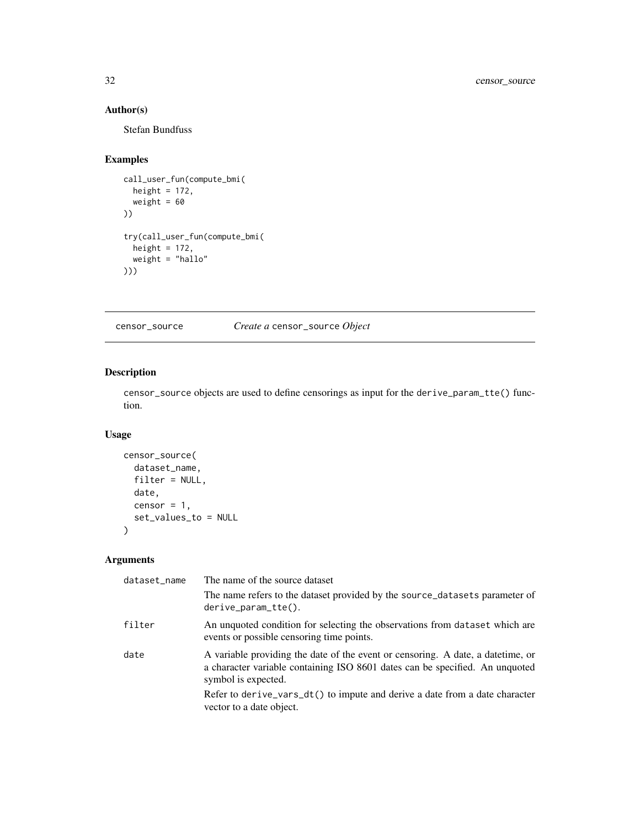### Author(s)

Stefan Bundfuss

### Examples

```
call_user_fun(compute_bmi(
 height = 172,
  weight = 60))
try(call_user_fun(compute_bmi(
  height = 172,
  weight = "hallo"
)))
```
censor\_source *Create a* censor\_source *Object*

### Description

censor\_source objects are used to define censorings as input for the derive\_param\_tte() function.

#### Usage

```
censor_source(
  dataset_name,
  filter = NULL,
  date,
  censor = 1,
  set_values_to = NULL
)
```
### Arguments

| dataset_name | The name of the source dataset                                                                                                                                                          |
|--------------|-----------------------------------------------------------------------------------------------------------------------------------------------------------------------------------------|
|              | The name refers to the dataset provided by the source_datasets parameter of<br>$derive\_param\_tte()$ .                                                                                 |
| filter       | An unquoted condition for selecting the observations from dataset which are<br>events or possible censoring time points.                                                                |
| date         | A variable providing the date of the event or censoring. A date, a date time, or<br>a character variable containing ISO 8601 dates can be specified. An unquoted<br>symbol is expected. |
|              | Refer to derive_vars_dt() to impute and derive a date from a date character<br>vector to a date object.                                                                                 |

<span id="page-31-0"></span>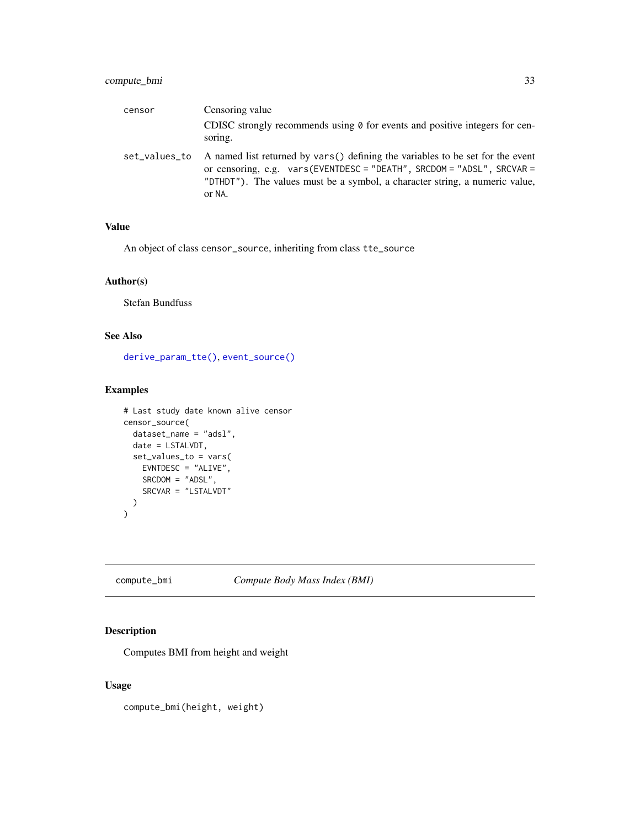### <span id="page-32-0"></span>compute\_bmi 33

| censor        | Censoring value                                                                                                                                                                                                                                   |
|---------------|---------------------------------------------------------------------------------------------------------------------------------------------------------------------------------------------------------------------------------------------------|
|               | CDISC strongly recommends using $\theta$ for events and positive integers for cen-<br>soring.                                                                                                                                                     |
| set_values_to | A named list returned by vars() defining the variables to be set for the event<br>or censoring, e.g. vars(EVENTDESC = "DEATH", SRCDOM = "ADSL", SRCVAR =<br>"DTHDT"). The values must be a symbol, a character string, a numeric value,<br>or NA. |

### Value

An object of class censor\_source, inheriting from class tte\_source

#### Author(s)

Stefan Bundfuss

### See Also

[derive\\_param\\_tte\(\)](#page-90-1), [event\\_source\(\)](#page-197-1)

### Examples

```
# Last study date known alive censor
censor_source(
  dataset_name = "adsl",
 date = LSTALVDT,
  set_values_to = vars(
   EVNTDESC = "ALIVE",
   SRCDOM = "ADSL",
   SRCVAR = "LSTALVDT"
 )
)
```
## compute\_bmi *Compute Body Mass Index (BMI)*

### Description

Computes BMI from height and weight

### Usage

compute\_bmi(height, weight)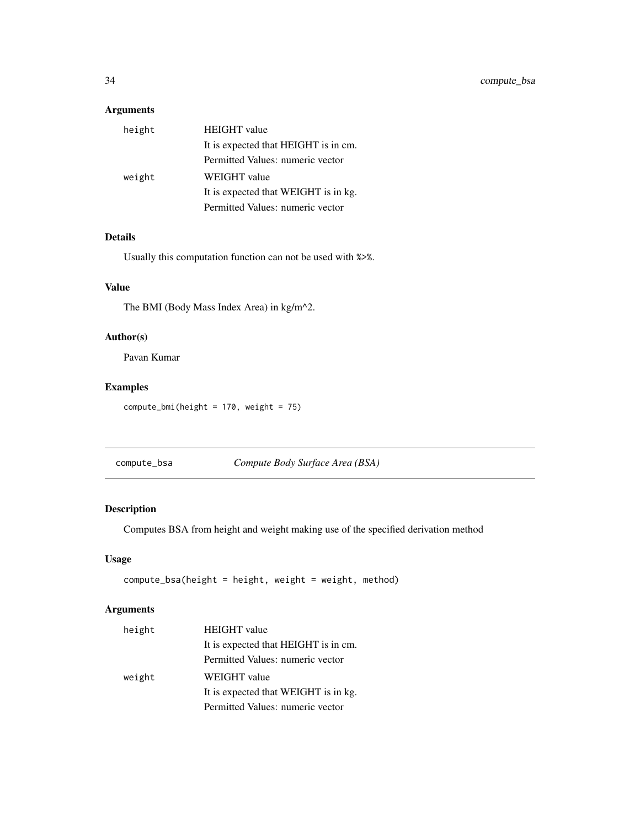### <span id="page-33-0"></span>Arguments

| height | <b>HEIGHT</b> value                  |
|--------|--------------------------------------|
|        | It is expected that HEIGHT is in cm. |
|        | Permitted Values: numeric vector     |
| weight | WEIGHT value                         |
|        | It is expected that WEIGHT is in kg. |
|        | Permitted Values: numeric vector     |

### Details

Usually this computation function can not be used with %>%.

### Value

The BMI (Body Mass Index Area) in kg/m^2.

### Author(s)

Pavan Kumar

### Examples

compute\_bmi(height = 170, weight = 75)

compute\_bsa *Compute Body Surface Area (BSA)*

### Description

Computes BSA from height and weight making use of the specified derivation method

### Usage

```
compute_bsa(height = height, weight = weight, method)
```
### Arguments

| height | <b>HEIGHT</b> value                  |
|--------|--------------------------------------|
|        | It is expected that HEIGHT is in cm. |
|        | Permitted Values: numeric vector     |
| weight | <b>WEIGHT</b> value                  |
|        | It is expected that WEIGHT is in kg. |
|        | Permitted Values: numeric vector     |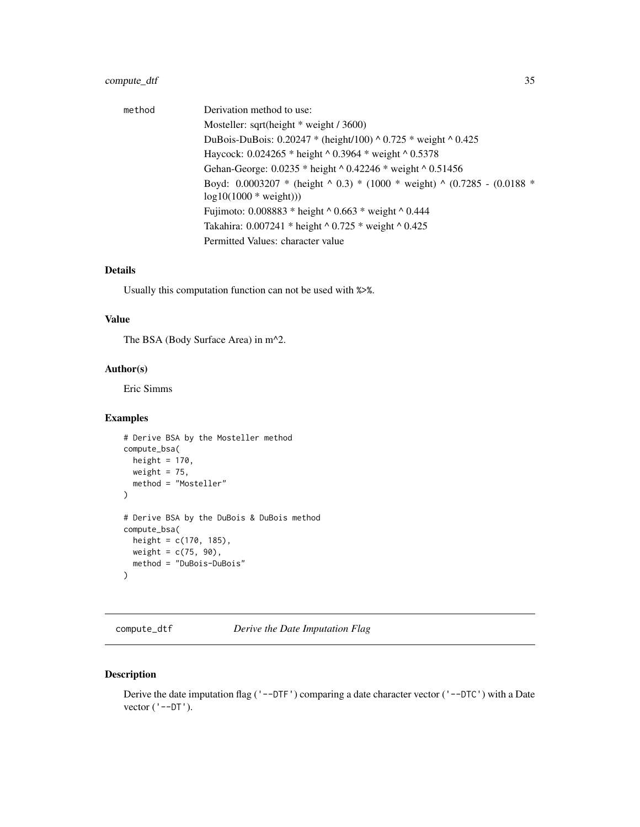### <span id="page-34-0"></span>compute\_dtf 35

| method | Derivation method to use:                                                              |
|--------|----------------------------------------------------------------------------------------|
|        | Mosteller: sqrt(height $*$ weight / 3600)                                              |
|        | DuBois-DuBois: $0.20247$ * (height/100) ^ 0.725 * weight ^ 0.425                       |
|        | Haycock: $0.024265$ * height ^ 0.3964 * weight ^ 0.5378                                |
|        | Gehan-George: 0.0235 * height ^ 0.42246 * weight ^ 0.51456                             |
|        | Boyd: $0.0003207$ * (height $\land$ 0.3) * (1000 * weight) $\land$ (0.7285 - (0.0188 * |
|        | $log10(1000 * weight))$                                                                |
|        | Fujimoto: $0.008883$ * height ^ 0.663 * weight ^ 0.444                                 |
|        | Takahira: $0.007241 * height * 0.725 * weight * 0.425$                                 |
|        | Permitted Values: character value                                                      |

#### Details

Usually this computation function can not be used with %>%.

### Value

The BSA (Body Surface Area) in m^2.

### Author(s)

Eric Simms

### Examples

```
# Derive BSA by the Mosteller method
compute_bsa(
 height = 170,
 weight = 75,
  method = "Mosteller"
\mathcal{L}# Derive BSA by the DuBois & DuBois method
compute_bsa(
 height = c(170, 185),
  weight = c(75, 90),
  method = "DuBois-DuBois"
)
```
compute\_dtf *Derive the Date Imputation Flag*

### Description

Derive the date imputation flag ('--DTF') comparing a date character vector ('--DTC') with a Date vector  $('--DT')$ .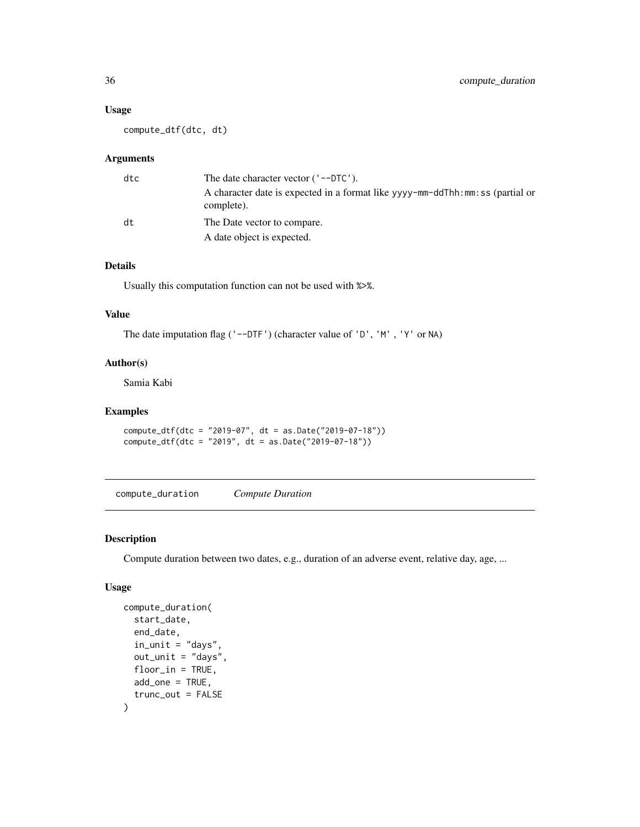### Usage

compute\_dtf(dtc, dt)

### Arguments

| dtc | The date character vector $('--DTC')$ .                                                      |
|-----|----------------------------------------------------------------------------------------------|
|     | A character date is expected in a format like yyyy-mm-ddThh:mm: ss (partial or<br>complete). |
| dt. | The Date vector to compare.                                                                  |
|     | A date object is expected.                                                                   |

### Details

Usually this computation function can not be used with %>%.

#### Value

The date imputation flag ('--DTF') (character value of 'D', 'M', 'Y' or NA)

### Author(s)

Samia Kabi

#### Examples

```
compute_dtf(dtc = "2019-07", dt = as.Date("2019-07-18"))
compute_dtf(dtc = "2019", dt = as.Date("2019-07-18"))
```
compute\_duration *Compute Duration*

### Description

Compute duration between two dates, e.g., duration of an adverse event, relative day, age, ...

#### Usage

```
compute_duration(
  start_date,
  end_date,
  in\_unit = "days",out_unit = "days",
  floor_in = TRUE,
  add_one = TRUE,
  trunc_out = FALSE
\mathcal{E}
```
<span id="page-35-0"></span>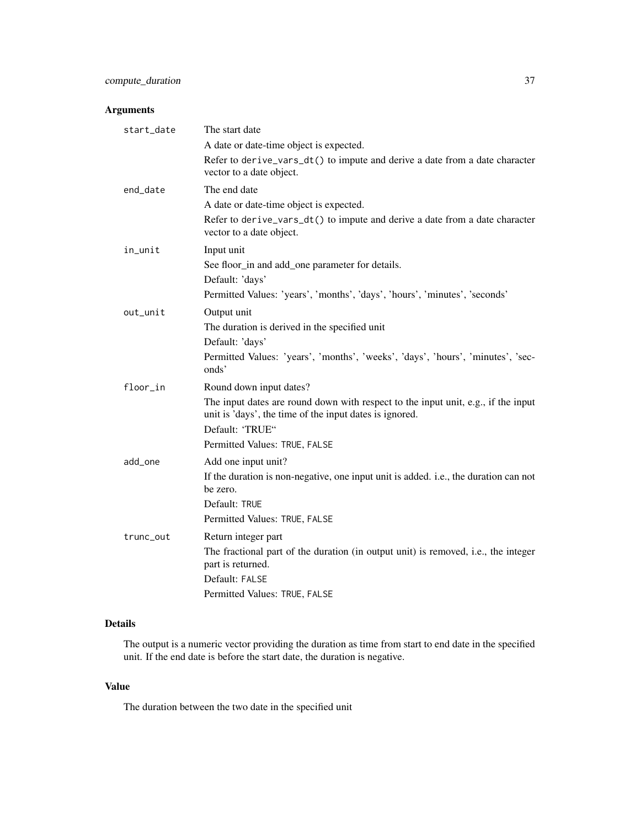# Arguments

| start_date | The start date                                                                                                                               |
|------------|----------------------------------------------------------------------------------------------------------------------------------------------|
|            | A date or date-time object is expected.                                                                                                      |
|            | Refer to derive_vars_dt() to impute and derive a date from a date character<br>vector to a date object.                                      |
| end_date   | The end date                                                                                                                                 |
|            | A date or date-time object is expected.                                                                                                      |
|            | Refer to derive_vars_dt() to impute and derive a date from a date character<br>vector to a date object.                                      |
| in_unit    | Input unit                                                                                                                                   |
|            | See floor_in and add_one parameter for details.                                                                                              |
|            | Default: 'days'                                                                                                                              |
|            | Permitted Values: 'years', 'months', 'days', 'hours', 'minutes', 'seconds'                                                                   |
| out_unit   | Output unit                                                                                                                                  |
|            | The duration is derived in the specified unit                                                                                                |
|            | Default: 'days'                                                                                                                              |
|            | Permitted Values: 'years', 'months', 'weeks', 'days', 'hours', 'minutes', 'sec-<br>onds'                                                     |
| floor_in   | Round down input dates?                                                                                                                      |
|            | The input dates are round down with respect to the input unit, e.g., if the input<br>unit is 'days', the time of the input dates is ignored. |
|            | Default: 'TRUE"                                                                                                                              |
|            | Permitted Values: TRUE, FALSE                                                                                                                |
| add_one    | Add one input unit?                                                                                                                          |
|            | If the duration is non-negative, one input unit is added. i.e., the duration can not<br>be zero.                                             |
|            | Default: TRUE                                                                                                                                |
|            | Permitted Values: TRUE, FALSE                                                                                                                |
| trunc_out  | Return integer part                                                                                                                          |
|            | The fractional part of the duration (in output unit) is removed, i.e., the integer<br>part is returned.                                      |
|            | Default: FALSE                                                                                                                               |
|            | Permitted Values: TRUE, FALSE                                                                                                                |

# Details

The output is a numeric vector providing the duration as time from start to end date in the specified unit. If the end date is before the start date, the duration is negative.

# Value

The duration between the two date in the specified unit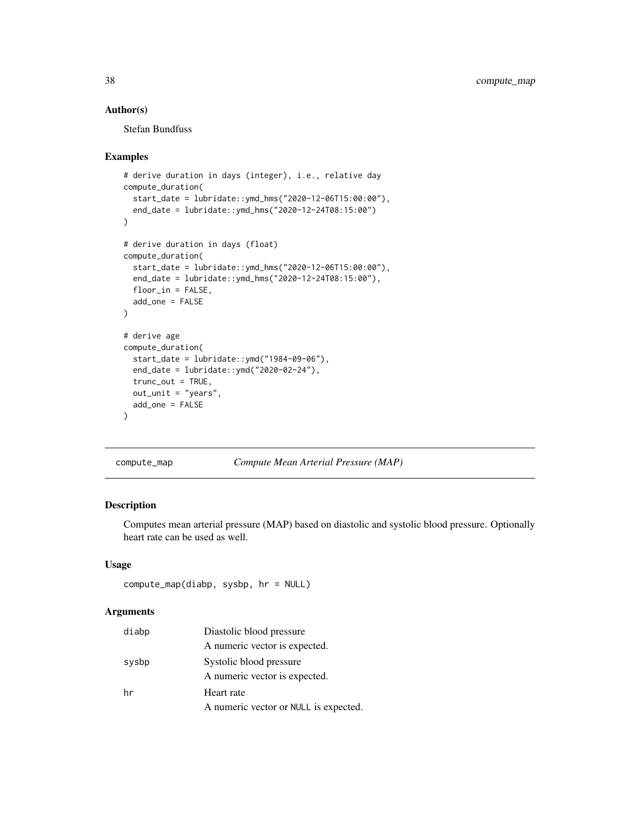# Author(s)

Stefan Bundfuss

#### Examples

```
# derive duration in days (integer), i.e., relative day
compute_duration(
  start_date = lubridate::ymd_hms("2020-12-06T15:00:00"),
  end_date = lubridate::ymd_hms("2020-12-24T08:15:00")
)
# derive duration in days (float)
compute_duration(
  start_date = lubridate::ymd_hms("2020-12-06T15:00:00"),
  end_date = lubridate::ymd_hms("2020-12-24T08:15:00"),
  floor_in = FALSE,
  add_one = FALSE
\lambda# derive age
compute_duration(
  start_date = lubridate::ymd("1984-09-06"),
  end_date = lubridate::ymd("2020-02-24"),
  trunc_out = TRUE,
  out_unit = "years",
  add_one = FALSE
)
```
compute\_map *Compute Mean Arterial Pressure (MAP)*

# Description

Computes mean arterial pressure (MAP) based on diastolic and systolic blood pressure. Optionally heart rate can be used as well.

## Usage

```
compute_map(diabp, sysbp, hr = NULL)
```
## **Arguments**

| diabp | Diastolic blood pressure              |
|-------|---------------------------------------|
|       | A numeric vector is expected.         |
| sysbp | Systolic blood pressure               |
|       | A numeric vector is expected.         |
| hr    | Heart rate                            |
|       | A numeric vector or NULL is expected. |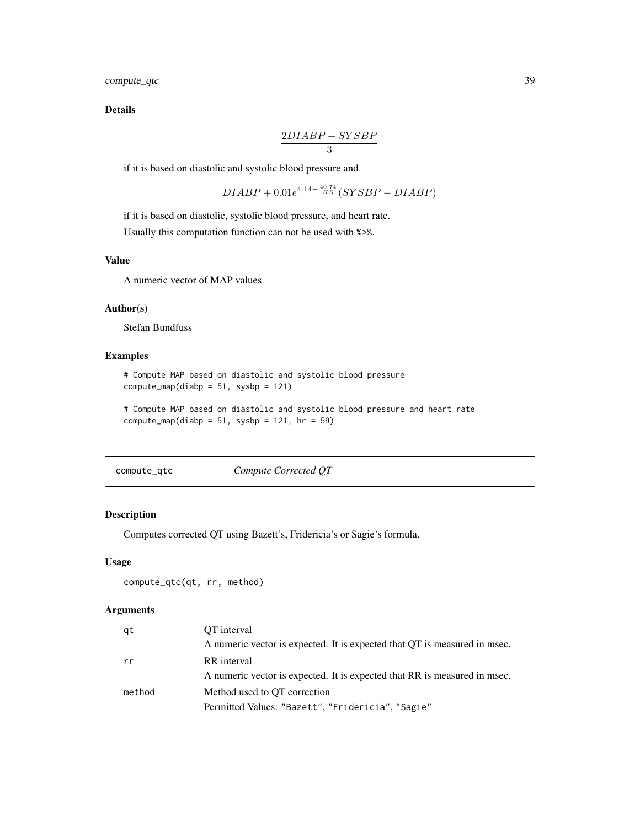compute\_qtc 39

Details

$$
\frac{2DIABP+SYSBP}{3}
$$

if it is based on diastolic and systolic blood pressure and

$$
DIABP + 0.01e^{4.14 - \frac{40.74}{HR}} (SYSBP - DIABP)
$$

if it is based on diastolic, systolic blood pressure, and heart rate. Usually this computation function can not be used with %>%.

## Value

A numeric vector of MAP values

#### Author(s)

Stefan Bundfuss

# Examples

```
# Compute MAP based on diastolic and systolic blood pressure
compute_map(diabp = 51, sysbp = 121)
```

```
# Compute MAP based on diastolic and systolic blood pressure and heart rate
compute_map(diabp = 51, sysbp = 121, hr = 59)
```
compute\_qtc *Compute Corrected QT*

# Description

Computes corrected QT using Bazett's, Fridericia's or Sagie's formula.

# Usage

```
compute_qtc(qt, rr, method)
```
# Arguments

| qt     | OT interval                                                               |
|--------|---------------------------------------------------------------------------|
|        | A numeric vector is expected. It is expected that QT is measured in msec. |
| rr     | RR interval                                                               |
|        | A numeric vector is expected. It is expected that RR is measured in msec. |
| method | Method used to OT correction                                              |
|        | Permitted Values: "Bazett", "Fridericia", "Sagie"                         |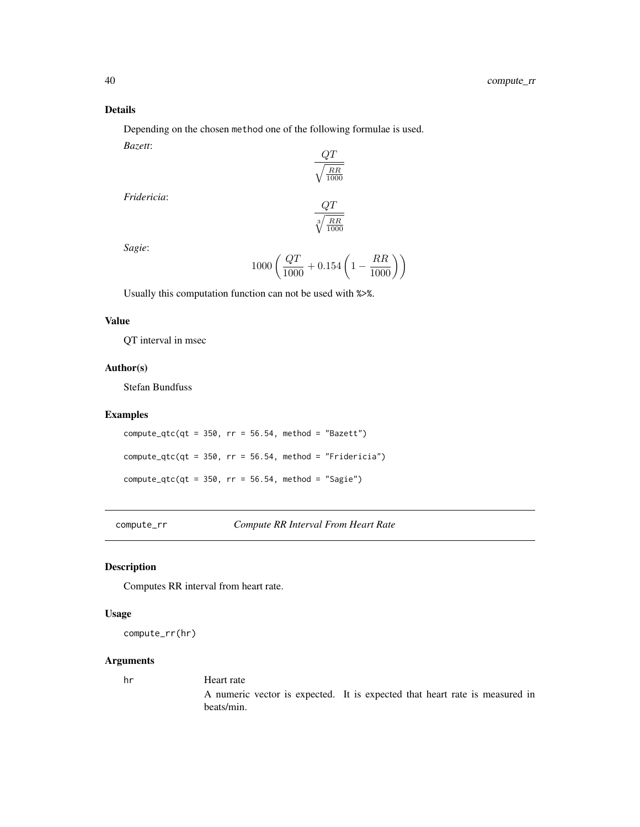# Details

Depending on the chosen method one of the following formulae is used. *Bazett*:  $\sim$ 

$$
\frac{QT}{\sqrt{\frac{RR}{1000}}}
$$

*Fridericia*:

$$
\frac{QT}{\sqrt[3]{\frac{RR}{1000}}}
$$

*Sagie*:

$$
1000\left(\frac{QT}{1000}+0.154\left(1-\frac{RR}{1000}\right)\right)
$$

Usually this computation function can not be used with %>%.

# Value

QT interval in msec

# Author(s)

Stefan Bundfuss

## Examples

compute\_qtc(qt =  $350$ , rr =  $56.54$ , method = "Bazett") compute\_qtc(qt =  $350$ , rr =  $56.54$ , method = "Fridericia")  $compute_qtc(qt = 350, rr = 56.54, method = "Sagine")$ 

compute\_rr *Compute RR Interval From Heart Rate*

# Description

Computes RR interval from heart rate.

# Usage

compute\_rr(hr)

## Arguments

hr Heart rate A numeric vector is expected. It is expected that heart rate is measured in beats/min.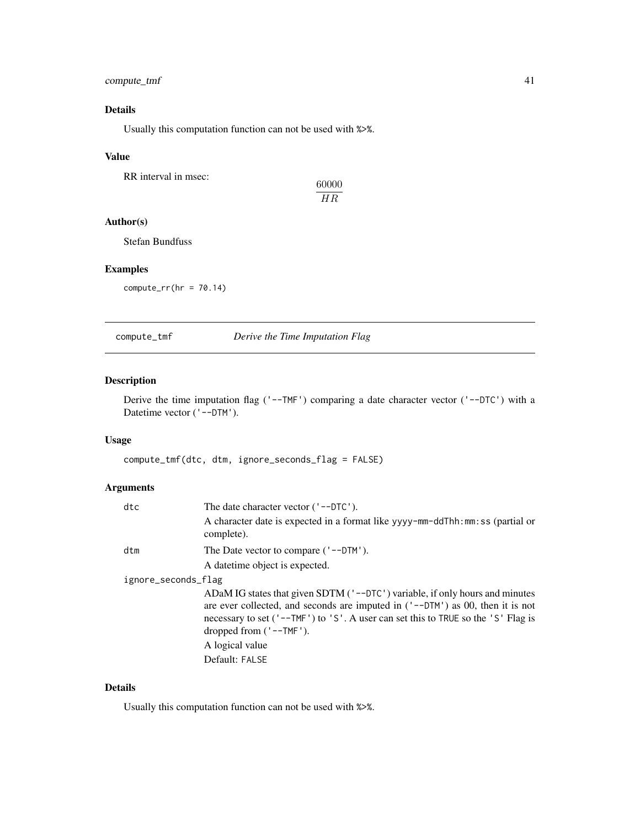# compute\_tmf 41

# Details

Usually this computation function can not be used with %>%.

## Value

RR interval in msec:

60000 HR

# Author(s)

Stefan Bundfuss

# Examples

 $computer_rr(hr = 70.14)$ 

compute\_tmf *Derive the Time Imputation Flag*

# Description

Derive the time imputation flag ('--TMF') comparing a date character vector ('--DTC') with a Datetime vector ('--DTM').

# Usage

compute\_tmf(dtc, dtm, ignore\_seconds\_flag = FALSE)

# Arguments

| dtc                 | The date character vector $('--DTC')$ .                                                                                                                                                                                                                                             |  |
|---------------------|-------------------------------------------------------------------------------------------------------------------------------------------------------------------------------------------------------------------------------------------------------------------------------------|--|
|                     | A character date is expected in a format like yyyy-mm-ddThh: mm: ss (partial or<br>complete).                                                                                                                                                                                       |  |
| dtm                 | The Date vector to compare $('--DTM')$ .                                                                                                                                                                                                                                            |  |
|                     | A date time object is expected.                                                                                                                                                                                                                                                     |  |
| ignore_seconds_flag |                                                                                                                                                                                                                                                                                     |  |
|                     | ADaM IG states that given SDTM ('--DTC') variable, if only hours and minutes<br>are ever collected, and seconds are imputed in $('--DTM')$ as 00, then it is not<br>necessary to set ('--TMF') to 'S'. A user can set this to TRUE so the 'S' Flag is<br>dropped from $('--TMF')$ . |  |
|                     | A logical value                                                                                                                                                                                                                                                                     |  |
|                     | Default: FALSE                                                                                                                                                                                                                                                                      |  |

# Details

Usually this computation function can not be used with %>%.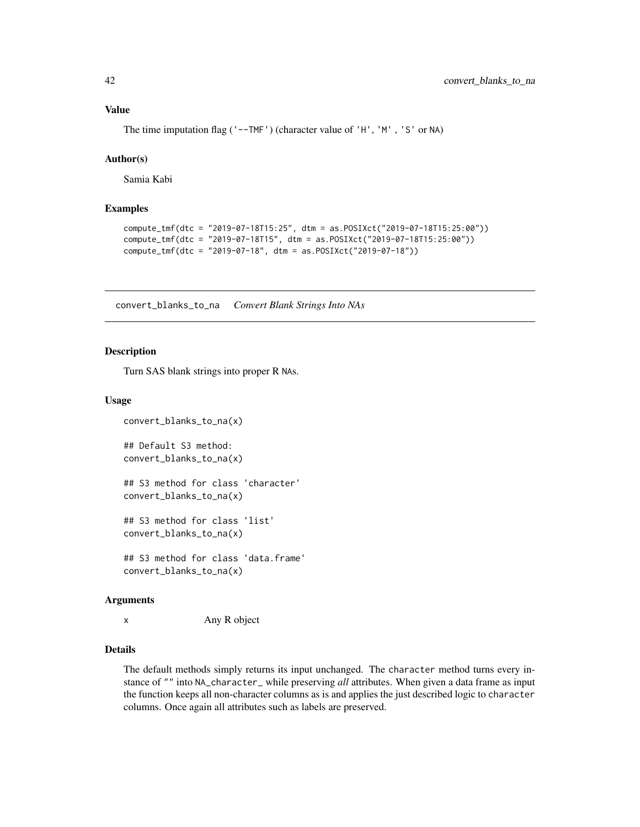The time imputation flag ('--TMF') (character value of 'H', 'M', 'S' or NA)

## Author(s)

Samia Kabi

## Examples

```
compute_tmf(dtc = "2019-07-18T15:25", dtm = as.POSIXct("2019-07-18T15:25:00"))
compute_tmf(dtc = "2019-07-18T15", dtm = as.POSIXct("2019-07-18T15:25:00"))
compute_tmf(dtc = "2019-07-18", dtm = as.POSIXct("2019-07-18"))
```
convert\_blanks\_to\_na *Convert Blank Strings Into NAs*

#### Description

Turn SAS blank strings into proper R NAs.

## Usage

convert\_blanks\_to\_na(x)

## Default S3 method: convert\_blanks\_to\_na(x)

## S3 method for class 'character' convert\_blanks\_to\_na(x)

## S3 method for class 'list' convert\_blanks\_to\_na(x)

## S3 method for class 'data.frame' convert\_blanks\_to\_na(x)

#### Arguments

x Any R object

# Details

The default methods simply returns its input unchanged. The character method turns every instance of "" into NA\_character\_ while preserving *all* attributes. When given a data frame as input the function keeps all non-character columns as is and applies the just described logic to character columns. Once again all attributes such as labels are preserved.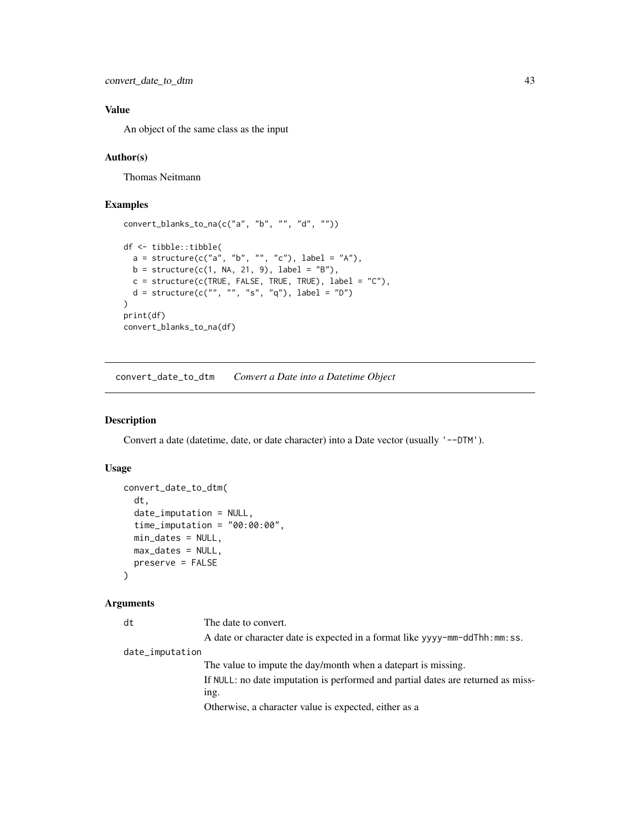```
convert_date_to_dtm 43
```
# Value

An object of the same class as the input

## Author(s)

Thomas Neitmann

# Examples

```
convert_blanks_to_na(c("a", "b", "", "d", ""))
df <- tibble::tibble(
  a = structure(c("a", "b", "", "c"), label = "A"),b = structure(c(1, NA, 21, 9), label = "B"),c = structure(c(TRUE, FALSE, TRUE, TRUE), label = "C"),d = structure(c("", "", "s", "q"), label = "D"))
print(df)
convert_blanks_to_na(df)
```
convert\_date\_to\_dtm *Convert a Date into a Datetime Object*

## Description

Convert a date (datetime, date, or date character) into a Date vector (usually '--DTM').

# Usage

```
convert_date_to_dtm(
  dt,
  date_imputation = NULL,
  time_imputation = "00:00:00",
 min_dates = NULL,
 max_dates = NULL,
 preserve = FALSE
)
```
## Arguments

dt The date to convert.

A date or character date is expected in a format like yyyy-mm-ddThh:mm:ss.

date\_imputation

The value to impute the day/month when a datepart is missing. If NULL: no date imputation is performed and partial dates are returned as missing. Otherwise, a character value is expected, either as a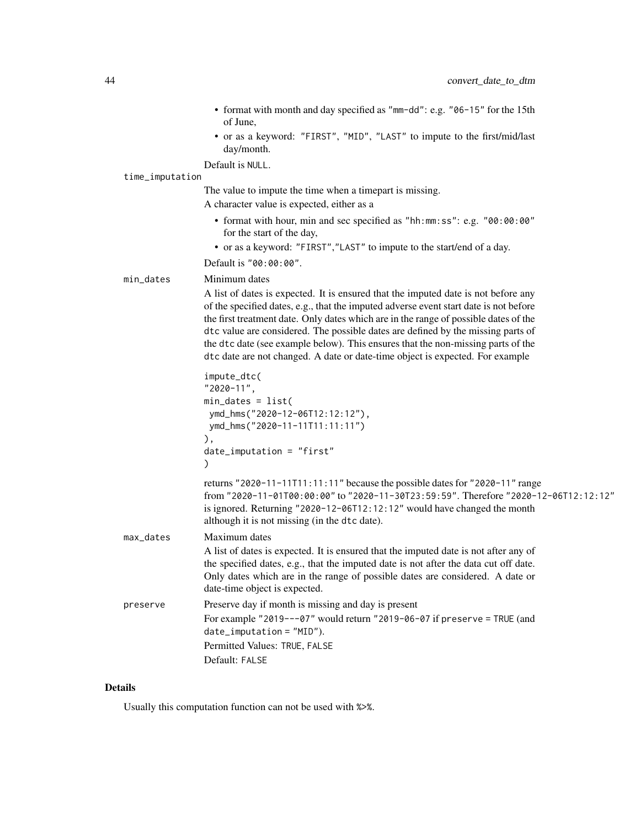- format with month and day specified as "mm-dd": e.g. "06-15" for the 15th of June,
- or as a keyword: "FIRST", "MID", "LAST" to impute to the first/mid/last day/month.

Default is NULL.

#### time\_imputation

The value to impute the time when a timepart is missing.

A character value is expected, either as a

- format with hour, min and sec specified as "hh:mm:ss": e.g. "00:00:00" for the start of the day,
- or as a keyword: "FIRST","LAST" to impute to the start/end of a day.

Default is "00:00:00".

## min\_dates Minimum dates

A list of dates is expected. It is ensured that the imputed date is not before any of the specified dates, e.g., that the imputed adverse event start date is not before the first treatment date. Only dates which are in the range of possible dates of the dtc value are considered. The possible dates are defined by the missing parts of the dtc date (see example below). This ensures that the non-missing parts of the dtc date are not changed. A date or date-time object is expected. For example

```
impute_dtc(
"2020-11",
min_dates = list(
ymd_hms("2020-12-06T12:12:12"),
ymd_hms("2020-11-11T11:11:11")
),
date_imputation = "first"
)
```
returns "2020-11-11T11:11:11" because the possible dates for "2020-11" range from "2020-11-01T00:00:00" to "2020-11-30T23:59:59". Therefore "2020-12-06T12:12:12" is ignored. Returning "2020-12-06T12:12:12" would have changed the month although it is not missing (in the dtc date).

- max\_dates Maximum dates A list of dates is expected. It is ensured that the imputed date is not after any of the specified dates, e.g., that the imputed date is not after the data cut off date. Only dates which are in the range of possible dates are considered. A date or date-time object is expected. preserve Preserve day if month is missing and day is present For example "2019---07" would return "2019-06-07 if preserve = TRUE (and
	- date\_imputation = "MID"). Permitted Values: TRUE, FALSE Default: FALSE

#### Details

Usually this computation function can not be used with %>%.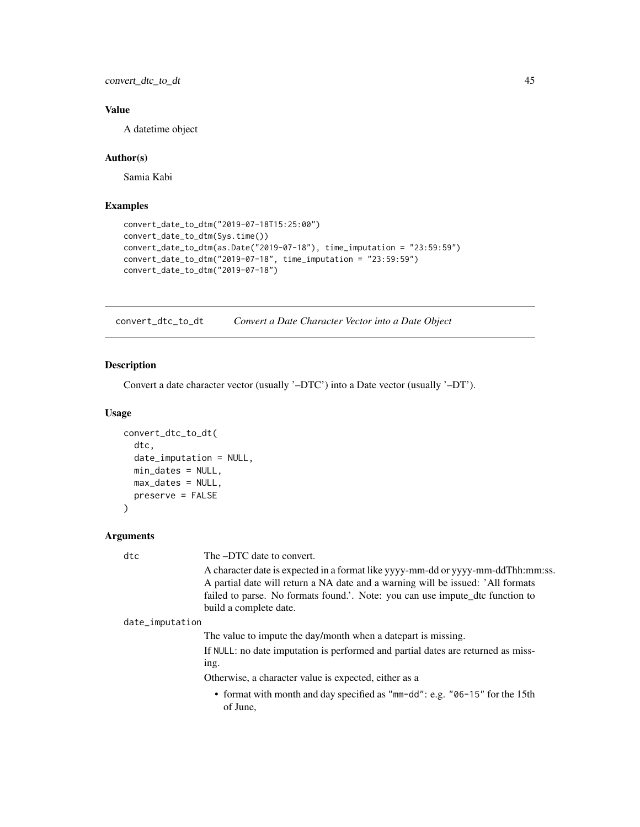convert\_dtc\_to\_dt 45

# Value

A datetime object

# Author(s)

Samia Kabi

# Examples

```
convert_date_to_dtm("2019-07-18T15:25:00")
convert_date_to_dtm(Sys.time())
convert_date_to_dtm(as.Date("2019-07-18"), time_imputation = "23:59:59")
convert_date_to_dtm("2019-07-18", time_imputation = "23:59:59")
convert_date_to_dtm("2019-07-18")
```
convert\_dtc\_to\_dt *Convert a Date Character Vector into a Date Object*

## Description

Convert a date character vector (usually '–DTC') into a Date vector (usually '–DT').

#### Usage

```
convert_dtc_to_dt(
  dtc,
  date_imputation = NULL,
  min_dates = NULL,
 max_dates = NULL,
  preserve = FALSE
)
```
#### Arguments

dtc The –DTC date to convert.

A character date is expected in a format like yyyy-mm-dd or yyyy-mm-ddThh:mm:ss. A partial date will return a NA date and a warning will be issued: 'All formats failed to parse. No formats found.'. Note: you can use impute\_dtc function to build a complete date.

date\_imputation

The value to impute the day/month when a datepart is missing.

If NULL: no date imputation is performed and partial dates are returned as missing.

Otherwise, a character value is expected, either as a

• format with month and day specified as "mm-dd": e.g. "06-15" for the 15th of June,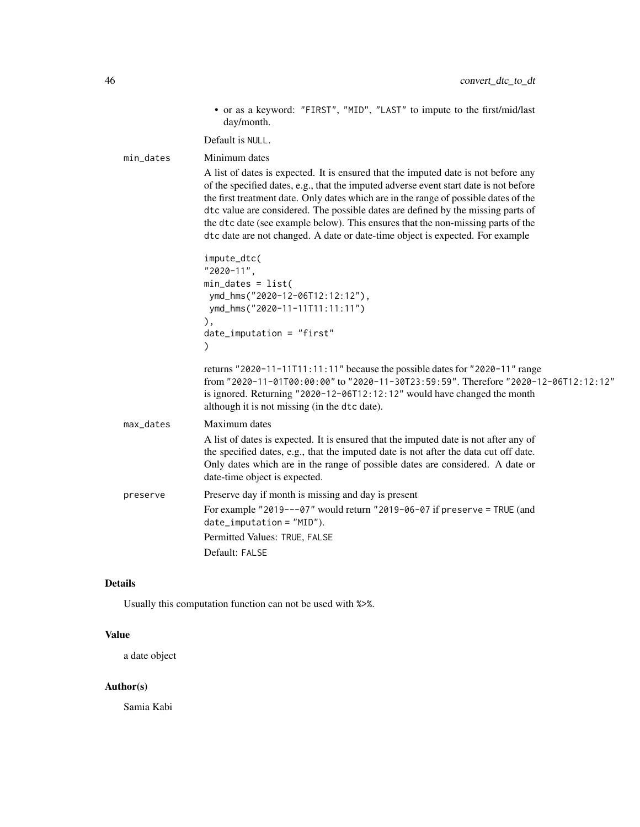• or as a keyword: "FIRST", "MID", "LAST" to impute to the first/mid/last day/month.

Default is NULL.

| min_dates | Minimum dates                                                                                                                                                                                                                                                                                                                                                                                                                                                                                                                |
|-----------|------------------------------------------------------------------------------------------------------------------------------------------------------------------------------------------------------------------------------------------------------------------------------------------------------------------------------------------------------------------------------------------------------------------------------------------------------------------------------------------------------------------------------|
|           | A list of dates is expected. It is ensured that the imputed date is not before any<br>of the specified dates, e.g., that the imputed adverse event start date is not before<br>the first treatment date. Only dates which are in the range of possible dates of the<br>dtc value are considered. The possible dates are defined by the missing parts of<br>the dtc date (see example below). This ensures that the non-missing parts of the<br>dtc date are not changed. A date or date-time object is expected. For example |
|           | impute_dtc(<br>"2020-11",<br>$min\_dates = list($<br>ymd_hms("2020-12-06T12:12:12"),<br>ymd_hms("2020-11-11T11:11:11")<br>),<br>$date_i$ mputation = "first"                                                                                                                                                                                                                                                                                                                                                                 |
|           | ⟩<br>returns "2020-11-11T11:11:11" because the possible dates for "2020-11" range<br>from "2020-11-01T00:00:00" to "2020-11-30T23:59:59". Therefore "2020-12-06T12:12:12"<br>is ignored. Returning "2020-12-06T12:12:12" would have changed the month<br>although it is not missing (in the dtc date).                                                                                                                                                                                                                       |
| max_dates | Maximum dates                                                                                                                                                                                                                                                                                                                                                                                                                                                                                                                |
|           | A list of dates is expected. It is ensured that the imputed date is not after any of<br>the specified dates, e.g., that the imputed date is not after the data cut off date.<br>Only dates which are in the range of possible dates are considered. A date or<br>date-time object is expected.                                                                                                                                                                                                                               |
| preserve  | Preserve day if month is missing and day is present                                                                                                                                                                                                                                                                                                                                                                                                                                                                          |
|           | For example "2019---07" would return "2019-06-07 if preserve = TRUE (and<br>$date_i$ mputation = $"MID"$ ).                                                                                                                                                                                                                                                                                                                                                                                                                  |
|           | Permitted Values: TRUE, FALSE                                                                                                                                                                                                                                                                                                                                                                                                                                                                                                |
|           | Default: FALSE                                                                                                                                                                                                                                                                                                                                                                                                                                                                                                               |

# Details

Usually this computation function can not be used with %>%.

# Value

a date object

# Author(s)

Samia Kabi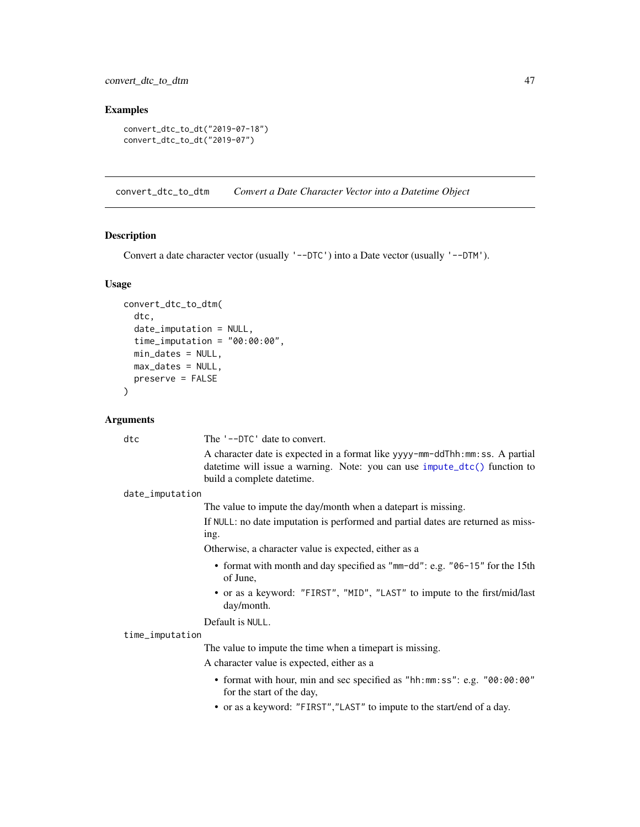## Examples

```
convert_dtc_to_dt("2019-07-18")
convert_dtc_to_dt("2019-07")
```
convert\_dtc\_to\_dtm *Convert a Date Character Vector into a Datetime Object*

# Description

Convert a date character vector (usually '--DTC') into a Date vector (usually '--DTM').

#### Usage

```
convert_dtc_to_dtm(
  dtc,
  date_imputation = NULL,
  time_imputation = "00:00:00",min_dates = NULL,
  max_dates = NULL,
  preserve = FALSE
)
```
## Arguments

dtc The '--DTC' date to convert.

A character date is expected in a format like yyyy-mm-ddThh:mm:ss. A partial datetime will issue a warning. Note: you can use [impute\\_dtc\(\)](#page-217-0) function to build a complete datetime.

date\_imputation

The value to impute the day/month when a datepart is missing.

If NULL: no date imputation is performed and partial dates are returned as missing.

Otherwise, a character value is expected, either as a

- format with month and day specified as "mm-dd": e.g. "06-15" for the 15th of June,
- or as a keyword: "FIRST", "MID", "LAST" to impute to the first/mid/last day/month.

## Default is NULL.

# time\_imputation

The value to impute the time when a timepart is missing.

A character value is expected, either as a

- format with hour, min and sec specified as "hh:mm:ss": e.g. "00:00:00" for the start of the day,
- or as a keyword: "FIRST","LAST" to impute to the start/end of a day.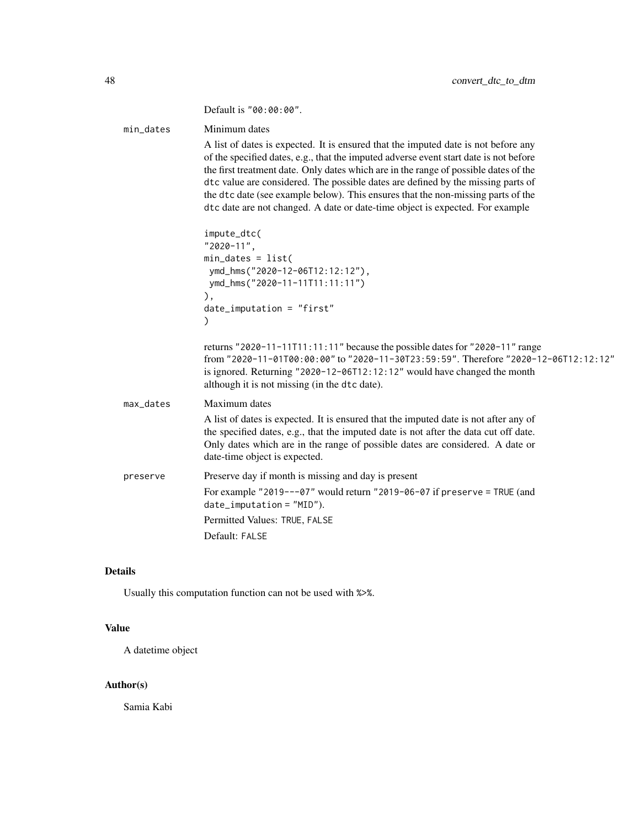|           | Default is "00:00:00".                                                                                                                                                                                                                                                                                                                                                                                                                                                                                                       |
|-----------|------------------------------------------------------------------------------------------------------------------------------------------------------------------------------------------------------------------------------------------------------------------------------------------------------------------------------------------------------------------------------------------------------------------------------------------------------------------------------------------------------------------------------|
| min_dates | Minimum dates                                                                                                                                                                                                                                                                                                                                                                                                                                                                                                                |
|           | A list of dates is expected. It is ensured that the imputed date is not before any<br>of the specified dates, e.g., that the imputed adverse event start date is not before<br>the first treatment date. Only dates which are in the range of possible dates of the<br>dtc value are considered. The possible dates are defined by the missing parts of<br>the dtc date (see example below). This ensures that the non-missing parts of the<br>dtc date are not changed. A date or date-time object is expected. For example |
|           | impute_dtc(<br>"2020-11",<br>$min\_dates = list($<br>ymd_hms("2020-12-06T12:12:12"),<br>ymd_hms("2020-11-11T11:11:11")<br>),<br>$date_i$ mputation = "first"<br>$\mathcal{C}$                                                                                                                                                                                                                                                                                                                                                |
|           | returns "2020-11-11T11:11:11" because the possible dates for "2020-11" range<br>from "2020-11-01T00:00:00" to "2020-11-30T23:59:59". Therefore "2020-12-06T12:12:12"<br>is ignored. Returning "2020-12-06T12:12:12" would have changed the month<br>although it is not missing (in the dtc date).                                                                                                                                                                                                                            |
| max_dates | Maximum dates                                                                                                                                                                                                                                                                                                                                                                                                                                                                                                                |
|           | A list of dates is expected. It is ensured that the imputed date is not after any of<br>the specified dates, e.g., that the imputed date is not after the data cut off date.<br>Only dates which are in the range of possible dates are considered. A date or<br>date-time object is expected.                                                                                                                                                                                                                               |
| preserve  | Preserve day if month is missing and day is present                                                                                                                                                                                                                                                                                                                                                                                                                                                                          |
|           | For example "2019---07" would return "2019-06-07 if preserve = TRUE (and<br>$date_i$ mputation = $"MID"$ ).                                                                                                                                                                                                                                                                                                                                                                                                                  |
|           | Permitted Values: TRUE, FALSE                                                                                                                                                                                                                                                                                                                                                                                                                                                                                                |
|           | Default: FALSE                                                                                                                                                                                                                                                                                                                                                                                                                                                                                                               |

# Details

Usually this computation function can not be used with %>%.

# Value

A datetime object

# Author(s)

Samia Kabi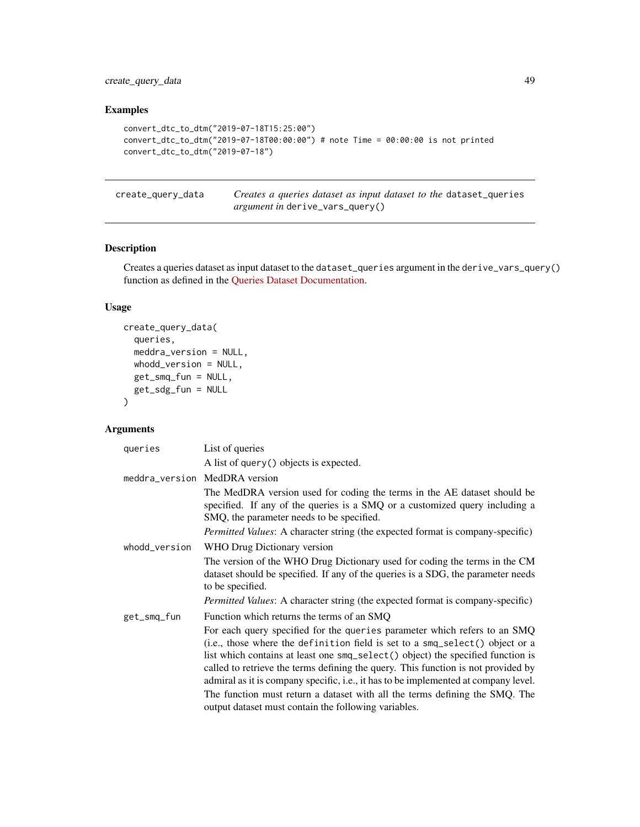create\_query\_data 49

# Examples

```
convert_dtc_to_dtm("2019-07-18T15:25:00")
convert_dtc_to_dtm("2019-07-18T00:00:00") # note Time = 00:00:00 is not printed
convert_dtc_to_dtm("2019-07-18")
```
create\_query\_data *Creates a queries dataset as input dataset to the* dataset\_queries *argument in* derive\_vars\_query()

# Description

Creates a queries dataset as input dataset to the dataset\_queries argument in the derive\_vars\_query() function as defined in the [Queries Dataset Documentation.](../articles/queries_dataset.html)

# Usage

```
create_query_data(
  queries,
  meddra_version = NULL,
  whodd_version = NULL,
  get_smq_fun = NULL,
  get_sdg_fun = NULL
\mathcal{L}
```
# Arguments

| queries       | List of queries                                                                                                                                                                                                                                                                                                                                                                                                                                                                                         |
|---------------|---------------------------------------------------------------------------------------------------------------------------------------------------------------------------------------------------------------------------------------------------------------------------------------------------------------------------------------------------------------------------------------------------------------------------------------------------------------------------------------------------------|
|               | A list of query () objects is expected.                                                                                                                                                                                                                                                                                                                                                                                                                                                                 |
|               | meddra_version MedDRA version                                                                                                                                                                                                                                                                                                                                                                                                                                                                           |
|               | The MedDRA version used for coding the terms in the AE dataset should be<br>specified. If any of the queries is a SMQ or a customized query including a<br>SMQ, the parameter needs to be specified.                                                                                                                                                                                                                                                                                                    |
|               | Permitted Values: A character string (the expected format is company-specific)                                                                                                                                                                                                                                                                                                                                                                                                                          |
| whodd_version | WHO Drug Dictionary version                                                                                                                                                                                                                                                                                                                                                                                                                                                                             |
|               | The version of the WHO Drug Dictionary used for coding the terms in the CM<br>dataset should be specified. If any of the queries is a SDG, the parameter needs<br>to be specified.                                                                                                                                                                                                                                                                                                                      |
|               | <i>Permitted Values:</i> A character string (the expected format is company-specific)                                                                                                                                                                                                                                                                                                                                                                                                                   |
| get_smq_fun   | Function which returns the terms of an SMQ                                                                                                                                                                                                                                                                                                                                                                                                                                                              |
|               | For each query specified for the queries parameter which refers to an SMQ<br>(i.e., those where the definition field is set to a smq_select() object or a<br>list which contains at least one smq_select() object) the specified function is<br>called to retrieve the terms defining the query. This function is not provided by<br>admiral as it is company specific, i.e., it has to be implemented at company level.<br>The function must return a dataset with all the terms defining the SMQ. The |
|               | output dataset must contain the following variables.                                                                                                                                                                                                                                                                                                                                                                                                                                                    |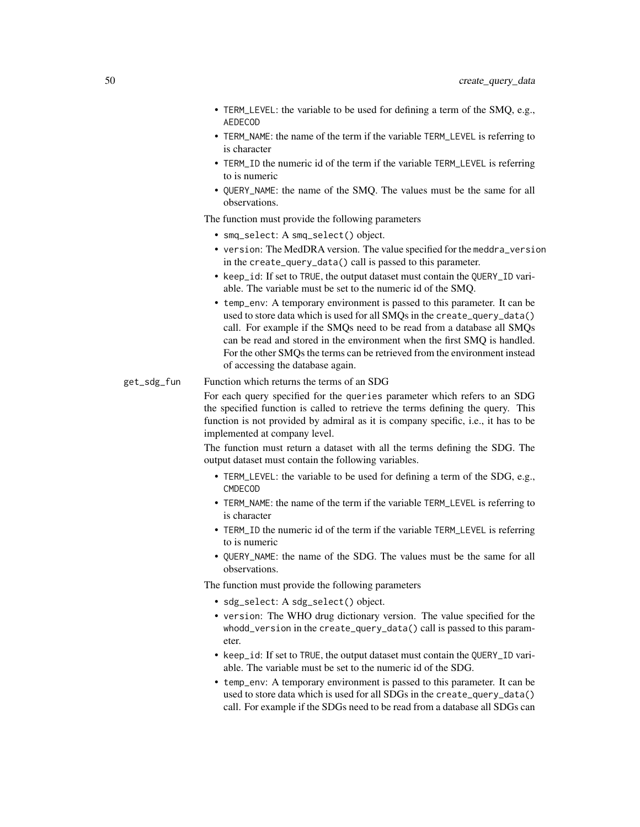- TERM\_LEVEL: the variable to be used for defining a term of the SMQ, e.g., AEDECOD
- TERM\_NAME: the name of the term if the variable TERM\_LEVEL is referring to is character
- TERM\_ID the numeric id of the term if the variable TERM\_LEVEL is referring to is numeric
- QUERY\_NAME: the name of the SMQ. The values must be the same for all observations.

The function must provide the following parameters

- smq\_select: A smq\_select() object.
- version: The MedDRA version. The value specified for the meddra\_version in the create\_query\_data() call is passed to this parameter.
- keep\_id: If set to TRUE, the output dataset must contain the QUERY\_ID variable. The variable must be set to the numeric id of the SMQ.
- temp\_env: A temporary environment is passed to this parameter. It can be used to store data which is used for all SMQs in the create\_query\_data() call. For example if the SMQs need to be read from a database all SMQs can be read and stored in the environment when the first SMQ is handled. For the other SMQs the terms can be retrieved from the environment instead of accessing the database again.

#### get\_sdg\_fun Function which returns the terms of an SDG

For each query specified for the queries parameter which refers to an SDG the specified function is called to retrieve the terms defining the query. This function is not provided by admiral as it is company specific, i.e., it has to be implemented at company level.

The function must return a dataset with all the terms defining the SDG. The output dataset must contain the following variables.

- TERM\_LEVEL: the variable to be used for defining a term of the SDG, e.g., CMDECOD
- TERM\_NAME: the name of the term if the variable TERM\_LEVEL is referring to is character
- TERM\_ID the numeric id of the term if the variable TERM\_LEVEL is referring to is numeric
- QUERY\_NAME: the name of the SDG. The values must be the same for all observations.

The function must provide the following parameters

- sdg\_select: A sdg\_select() object.
- version: The WHO drug dictionary version. The value specified for the whodd\_version in the create\_query\_data() call is passed to this parameter.
- keep\_id: If set to TRUE, the output dataset must contain the QUERY\_ID variable. The variable must be set to the numeric id of the SDG.
- temp\_env: A temporary environment is passed to this parameter. It can be used to store data which is used for all SDGs in the create\_query\_data() call. For example if the SDGs need to be read from a database all SDGs can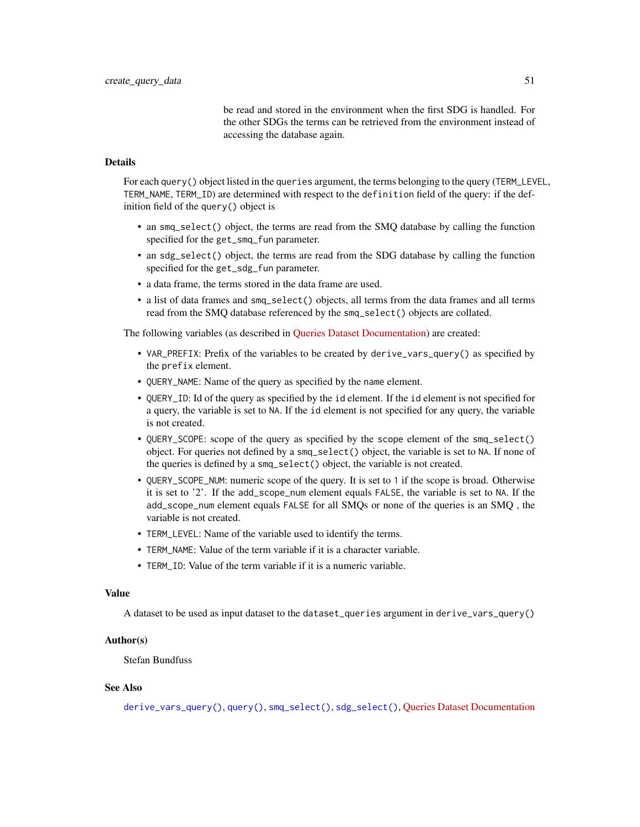be read and stored in the environment when the first SDG is handled. For the other SDGs the terms can be retrieved from the environment instead of accessing the database again.

# Details

For each query() object listed in the queries argument, the terms belonging to the query (TERM\_LEVEL, TERM\_NAME, TERM\_ID) are determined with respect to the definition field of the query: if the definition field of the query() object is

- an smq\_select() object, the terms are read from the SMQ database by calling the function specified for the get\_smq\_fun parameter.
- an sdg\_select() object, the terms are read from the SDG database by calling the function specified for the get\_sdg\_fun parameter.
- a data frame, the terms stored in the data frame are used.
- a list of data frames and smq\_select() objects, all terms from the data frames and all terms read from the SMQ database referenced by the smq\_select() objects are collated.

The following variables (as described in [Queries Dataset Documentation\)](../articles/queries_dataset.html) are created:

- VAR\_PREFIX: Prefix of the variables to be created by derive\_vars\_query() as specified by the prefix element.
- QUERY\_NAME: Name of the query as specified by the name element.
- QUERY\_ID: Id of the query as specified by the id element. If the id element is not specified for a query, the variable is set to NA. If the id element is not specified for any query, the variable is not created.
- QUERY\_SCOPE: scope of the query as specified by the scope element of the smq\_select() object. For queries not defined by a smq\_select() object, the variable is set to NA. If none of the queries is defined by a smq\_select() object, the variable is not created.
- QUERY\_SCOPE\_NUM: numeric scope of the query. It is set to 1 if the scope is broad. Otherwise it is set to '2'. If the add\_scope\_num element equals FALSE, the variable is set to NA. If the add\_scope\_num element equals FALSE for all SMQs or none of the queries is an SMQ , the variable is not created.
- TERM\_LEVEL: Name of the variable used to identify the terms.
- TERM\_NAME: Value of the term variable if it is a character variable.
- TERM ID: Value of the term variable if it is a numeric variable.

#### Value

A dataset to be used as input dataset to the dataset\_queries argument in derive\_vars\_query()

#### Author(s)

Stefan Bundfuss

# See Also

[derive\\_vars\\_query\(\)](#page-132-0), [query\(\)](#page-227-0), [smq\\_select\(\)](#page-234-0), [sdg\\_select\(\)](#page-231-0), [Queries Dataset Documentation](../articles/queries_dataset.html)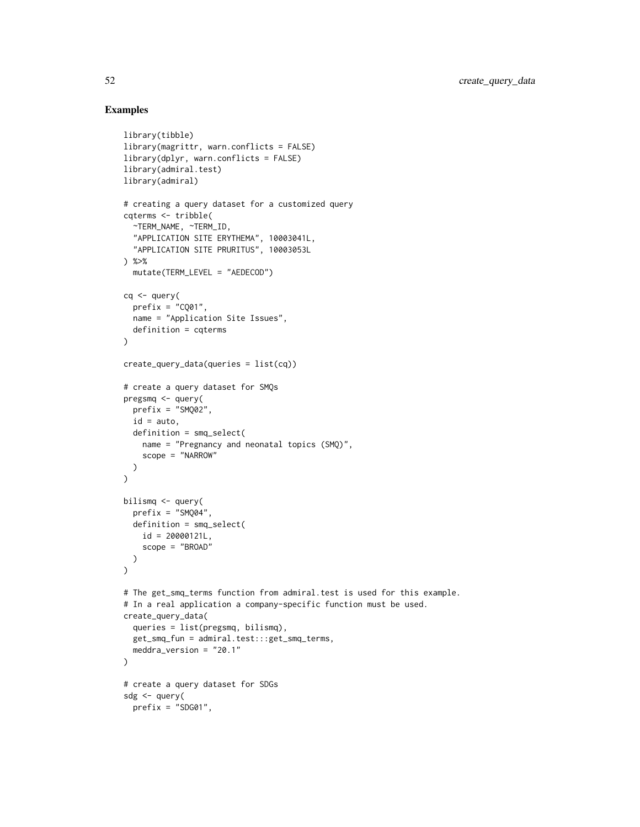## Examples

```
library(tibble)
library(magrittr, warn.conflicts = FALSE)
library(dplyr, warn.conflicts = FALSE)
library(admiral.test)
library(admiral)
# creating a query dataset for a customized query
cqterms <- tribble(
  ~TERM_NAME, ~TERM_ID,
  "APPLICATION SITE ERYTHEMA", 10003041L,
  "APPLICATION SITE PRURITUS", 10003053L
) %>%
  mutate(TERM_LEVEL = "AEDECOD")
cq <- query(
  prefix = "CQ01",name = "Application Site Issues",
  definition = cqterms
)
create_query_data(queries = list(cq))
# create a query dataset for SMQs
pregsmq <- query(
 prefix = "SMQ02",
 id = auto,
 definition = smq_select(
   name = "Pregnancy and neonatal topics (SMQ)",
   scope = "NARROW"
  \lambda\lambdabilismq <- query(
  prefix = "SMQ04",
  definition = smq_select(
   id = 20000121L,
    scope = "BROAD"
  )
\lambda# The get_smq_terms function from admiral.test is used for this example.
# In a real application a company-specific function must be used.
create_query_data(
  queries = list(pregsmq, bilismq),
  get_smq_fun = admiral.test:::get_smq_terms,
  meddra_version = "20.1"
)
# create a query dataset for SDGs
sdg <- query(
 prefix = "SDG01",
```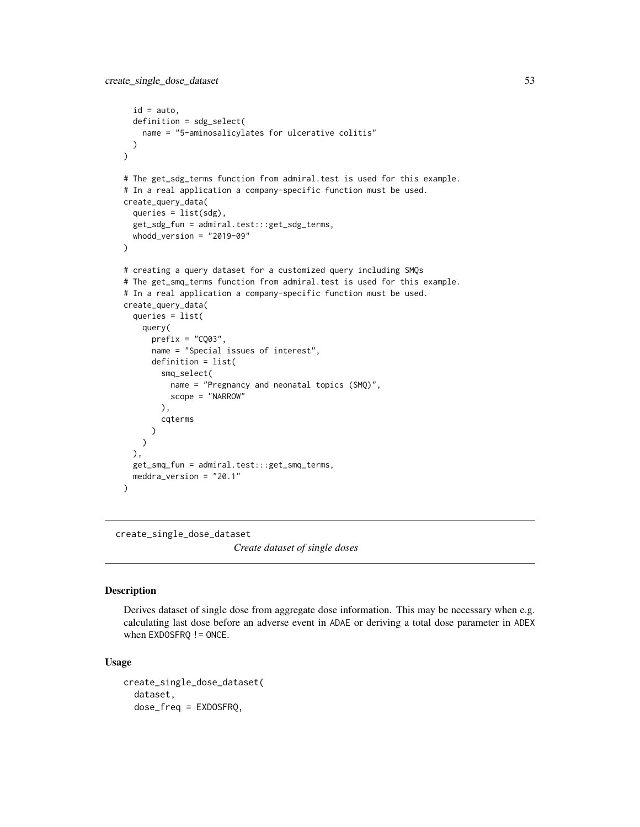```
id = auto,definition = sdg_select(
   name = "5-aminosalicylates for ulcerative colitis"
 )
\mathcal{L}# The get_sdg_terms function from admiral.test is used for this example.
# In a real application a company-specific function must be used.
create_query_data(
 queries = list(sdg),
 get_sdg_fun = admiral.test:::get_sdg_terms,
 whodd_version = "2019-09"
)
# creating a query dataset for a customized query including SMQs
# The get_smq_terms function from admiral.test is used for this example.
# In a real application a company-specific function must be used.
create_query_data(
 queries = list(
   query(
      prefix = "CQ03",name = "Special issues of interest",
      definition = list(
        smq_select(
         name = "Pregnancy and neonatal topics (SMQ)",
         scope = "NARROW"
       ),
       cqterms
     )
   )
 ),
 get_smq_fun = admiral.test:::get_smq_terms,
 meddra_version = "20.1"
)
```
create\_single\_dose\_dataset

*Create dataset of single doses*

#### Description

Derives dataset of single dose from aggregate dose information. This may be necessary when e.g. calculating last dose before an adverse event in ADAE or deriving a total dose parameter in ADEX when EXDOSFRQ != ONCE.

## Usage

```
create_single_dose_dataset(
  dataset,
  dose_freq = EXDOSFRQ,
```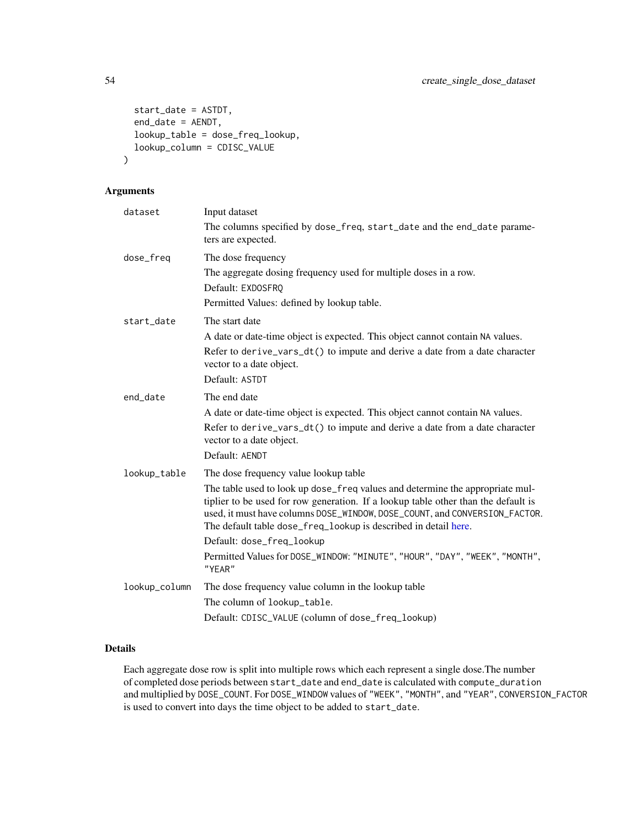```
start_date = ASTDT,
 end_date = AENDT,
 lookup_table = dose_freq_lookup,
  lookup_column = CDISC_VALUE
)
```
# Arguments

| dataset       | Input dataset                                                                                                                                                                                                                                                                                                        |
|---------------|----------------------------------------------------------------------------------------------------------------------------------------------------------------------------------------------------------------------------------------------------------------------------------------------------------------------|
|               | The columns specified by dose_freq, start_date and the end_date parame-<br>ters are expected.                                                                                                                                                                                                                        |
| dose_freq     | The dose frequency                                                                                                                                                                                                                                                                                                   |
|               | The aggregate dosing frequency used for multiple doses in a row.                                                                                                                                                                                                                                                     |
|               | Default: EXDOSFRQ                                                                                                                                                                                                                                                                                                    |
|               | Permitted Values: defined by lookup table.                                                                                                                                                                                                                                                                           |
| start_date    | The start date                                                                                                                                                                                                                                                                                                       |
|               | A date or date-time object is expected. This object cannot contain NA values.                                                                                                                                                                                                                                        |
|               | Refer to derive_vars_dt() to impute and derive a date from a date character<br>vector to a date object.                                                                                                                                                                                                              |
|               | Default: ASTDT                                                                                                                                                                                                                                                                                                       |
| end_date      | The end date                                                                                                                                                                                                                                                                                                         |
|               | A date or date-time object is expected. This object cannot contain NA values.                                                                                                                                                                                                                                        |
|               | Refer to derive_vars_dt() to impute and derive a date from a date character<br>vector to a date object.                                                                                                                                                                                                              |
|               | Default: AENDT                                                                                                                                                                                                                                                                                                       |
| lookup_table  | The dose frequency value lookup table                                                                                                                                                                                                                                                                                |
|               | The table used to look up dose_freq values and determine the appropriate mul-<br>tiplier to be used for row generation. If a lookup table other than the default is<br>used, it must have columns DOSE_WINDOW, DOSE_COUNT, and CONVERSION_FACTOR.<br>The default table dose_freq_lookup is described in detail here. |
|               | Default: dose_freq_lookup                                                                                                                                                                                                                                                                                            |
|               | Permitted Values for DOSE_WINDOW: "MINUTE", "HOUR", "DAY", "WEEK", "MONTH",<br>"YEAR"                                                                                                                                                                                                                                |
| lookup_column | The dose frequency value column in the lookup table                                                                                                                                                                                                                                                                  |
|               | The column of lookup_table.                                                                                                                                                                                                                                                                                          |
|               | Default: CDISC_VALUE (column of dose_freq_lookup)                                                                                                                                                                                                                                                                    |

# Details

Each aggregate dose row is split into multiple rows which each represent a single dose.The number of completed dose periods between start\_date and end\_date is calculated with compute\_duration and multiplied by DOSE\_COUNT. For DOSE\_WINDOW values of "WEEK", "MONTH", and "YEAR", CONVERSION\_FACTOR is used to convert into days the time object to be added to start\_date.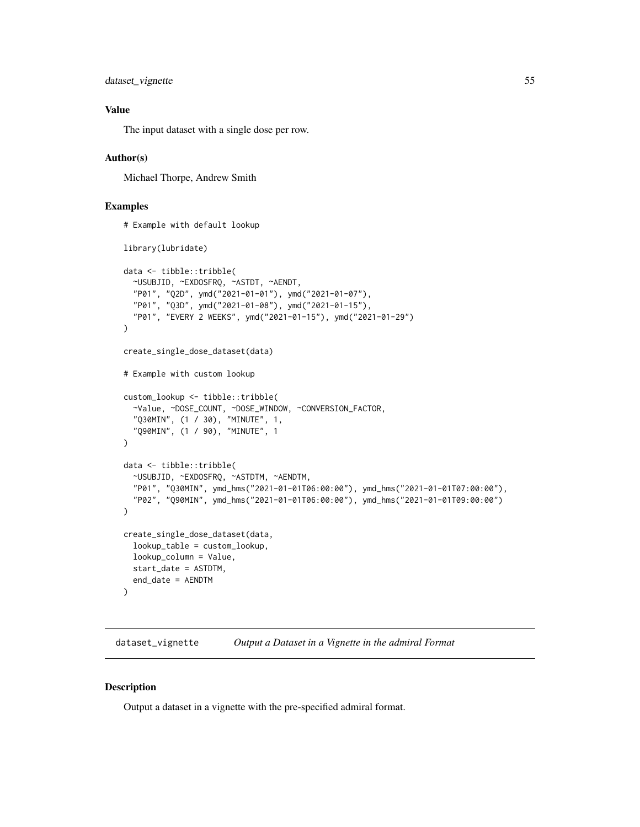```
dataset_vignette 55
```
# Value

The input dataset with a single dose per row.

# Author(s)

Michael Thorpe, Andrew Smith

## Examples

```
# Example with default lookup
library(lubridate)
data <- tibble::tribble(
  ~USUBJID, ~EXDOSFRQ, ~ASTDT, ~AENDT,
  "P01", "Q2D", ymd("2021-01-01"), ymd("2021-01-07"),
  "P01", "Q3D", ymd("2021-01-08"), ymd("2021-01-15"),
  "P01", "EVERY 2 WEEKS", ymd("2021-01-15"), ymd("2021-01-29")
\mathcal{L}create_single_dose_dataset(data)
# Example with custom lookup
custom_lookup <- tibble::tribble(
  ~Value, ~DOSE_COUNT, ~DOSE_WINDOW, ~CONVERSION_FACTOR,
  "Q30MIN", (1 / 30), "MINUTE", 1,
  "Q90MIN", (1 / 90), "MINUTE", 1
\mathcal{L}data <- tibble::tribble(
  ~USUBJID, ~EXDOSFRQ, ~ASTDTM, ~AENDTM,
  "P01", "Q30MIN", ymd_hms("2021-01-01T06:00:00"), ymd_hms("2021-01-01T07:00:00"),
  "P02", "Q90MIN", ymd_hms("2021-01-01T06:00:00"), ymd_hms("2021-01-01T09:00:00")
)
create_single_dose_dataset(data,
  lookup_table = custom_lookup,
  lookup_column = Value,
  start_date = ASTDTM,
  end_date = AENDTM
)
```
dataset\_vignette *Output a Dataset in a Vignette in the admiral Format*

## Description

Output a dataset in a vignette with the pre-specified admiral format.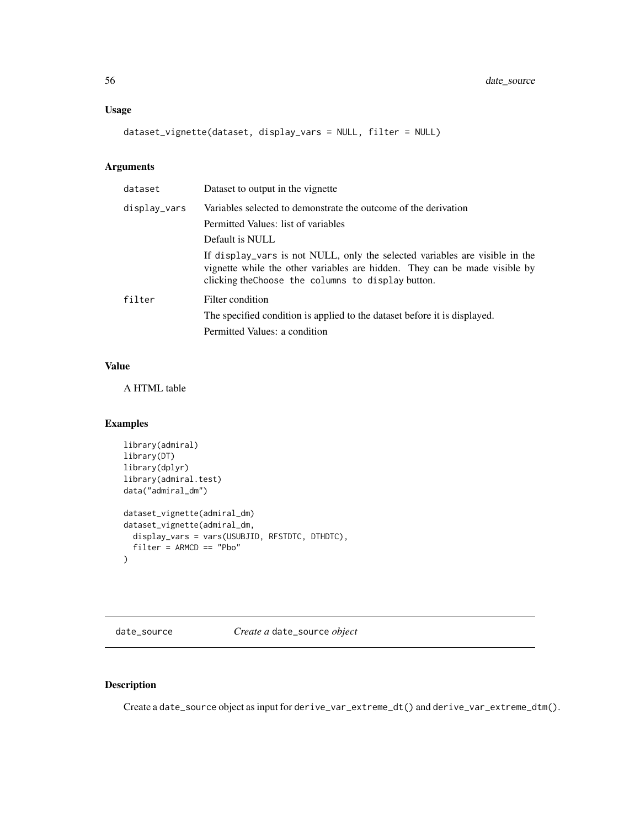## Usage

dataset\_vignette(dataset, display\_vars = NULL, filter = NULL)

# Arguments

| dataset      | Dataset to output in the vignette                                                                                                                                                                               |
|--------------|-----------------------------------------------------------------------------------------------------------------------------------------------------------------------------------------------------------------|
| display_vars | Variables selected to demonstrate the outcome of the derivation                                                                                                                                                 |
|              | Permitted Values: list of variables                                                                                                                                                                             |
|              | Default is NULL                                                                                                                                                                                                 |
|              | If display vars is not NULL, only the selected variables are visible in the<br>vignette while the other variables are hidden. They can be made visible by<br>clicking the Choose the columns to display button. |
| filter       | Filter condition                                                                                                                                                                                                |
|              | The specified condition is applied to the dataset before it is displayed.                                                                                                                                       |
|              | Permitted Values: a condition                                                                                                                                                                                   |

#### Value

A HTML table

# Examples

```
library(admiral)
library(DT)
library(dplyr)
library(admiral.test)
data("admiral_dm")
dataset_vignette(admiral_dm)
dataset_vignette(admiral_dm,
  display_vars = vars(USUBJID, RFSTDTC, DTHDTC),
  filter = ARMCD == "Pbo"
\lambda
```
date\_source *Create a* date\_source *object*

# Description

Create a date\_source object as input for derive\_var\_extreme\_dt() and derive\_var\_extreme\_dtm().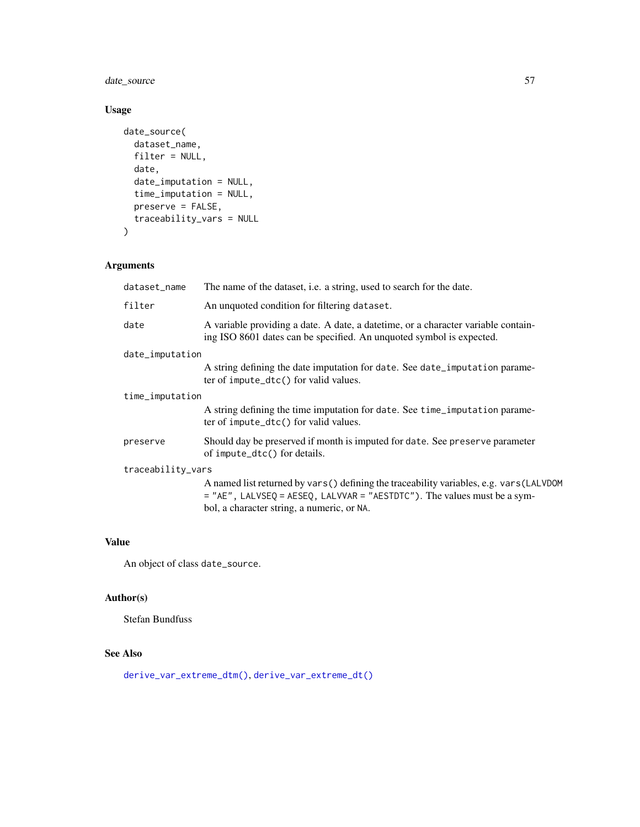date\_source 57

# Usage

```
date_source(
 dataset_name,
 filter = NULL,
 date,
 date_imputation = NULL,
 time_imputation = NULL,
 preserve = FALSE,
 traceability_vars = NULL
)
```
# Arguments

| dataset_name      | The name of the dataset, <i>i.e.</i> a string, used to search for the date.                                                                                                                                          |  |
|-------------------|----------------------------------------------------------------------------------------------------------------------------------------------------------------------------------------------------------------------|--|
| filter            | An unquoted condition for filtering dataset.                                                                                                                                                                         |  |
| date              | A variable providing a date. A date, a date time, or a character variable contain-<br>ing ISO 8601 dates can be specified. An unquoted symbol is expected.                                                           |  |
| date_imputation   |                                                                                                                                                                                                                      |  |
|                   | A string defining the date imputation for date. See date_imputation parame-<br>ter of impute_dtc() for valid values.                                                                                                 |  |
| time_imputation   |                                                                                                                                                                                                                      |  |
|                   | A string defining the time imputation for date. See time_imputation parame-<br>$ter$ of impute_dtc() for valid values.                                                                                               |  |
| preserve          | Should day be preserved if month is imputed for date. See preserve parameter<br>of impute_dtc() for details.                                                                                                         |  |
| traceability_vars |                                                                                                                                                                                                                      |  |
|                   | A named list returned by vars () defining the traceability variables, e.g. vars (LALVDOM<br>$=$ "AE", LALVSEQ = AESEQ, LALVVAR = "AESTDTC"). The values must be a sym-<br>bol, a character string, a numeric, or NA. |  |
|                   |                                                                                                                                                                                                                      |  |

## Value

An object of class date\_source.

# Author(s)

Stefan Bundfuss

# See Also

[derive\\_var\\_extreme\\_dtm\(\)](#page-159-0), [derive\\_var\\_extreme\\_dt\(\)](#page-156-0)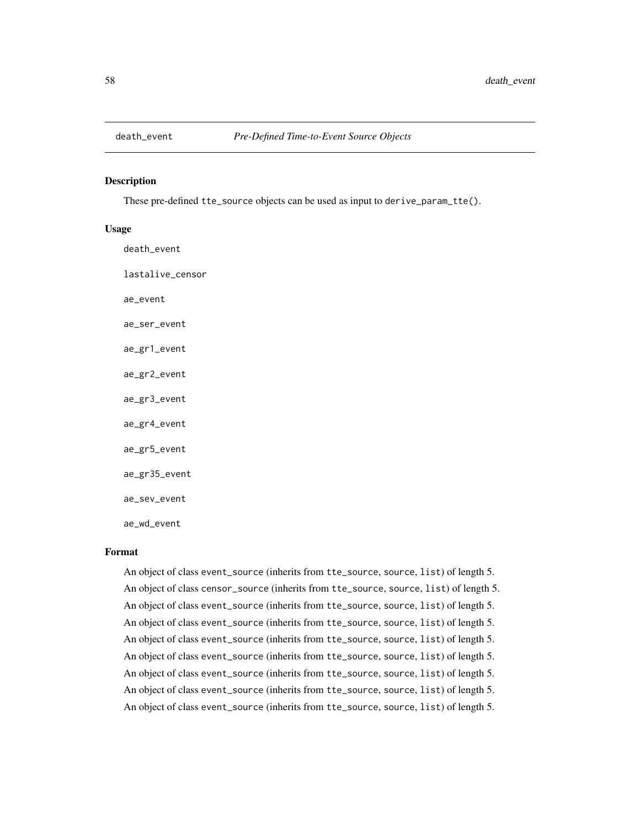## Description

These pre-defined tte\_source objects can be used as input to derive\_param\_tte().

# Usage

| death_event      |
|------------------|
| lastalive_censor |
| ae_event         |
| ae_ser_event     |
| ae_gr1_event     |
| ae_gr2_event     |
| ae_gr3_event     |
| ae_gr4_event     |
| ae_gr5_event     |
| ae_gr35_event    |
| ae_sev_event     |
| ae_wd_event      |

## Format

An object of class event\_source (inherits from tte\_source, source, list) of length 5. An object of class censor\_source (inherits from tte\_source, source, list) of length 5. An object of class event\_source (inherits from tte\_source, source, list) of length 5. An object of class event\_source (inherits from tte\_source, source, list) of length 5. An object of class event\_source (inherits from tte\_source, source, list) of length 5. An object of class event\_source (inherits from tte\_source, source, list) of length 5. An object of class event\_source (inherits from tte\_source, source, list) of length 5. An object of class event\_source (inherits from tte\_source, source, list) of length 5. An object of class event\_source (inherits from tte\_source, source, list) of length 5.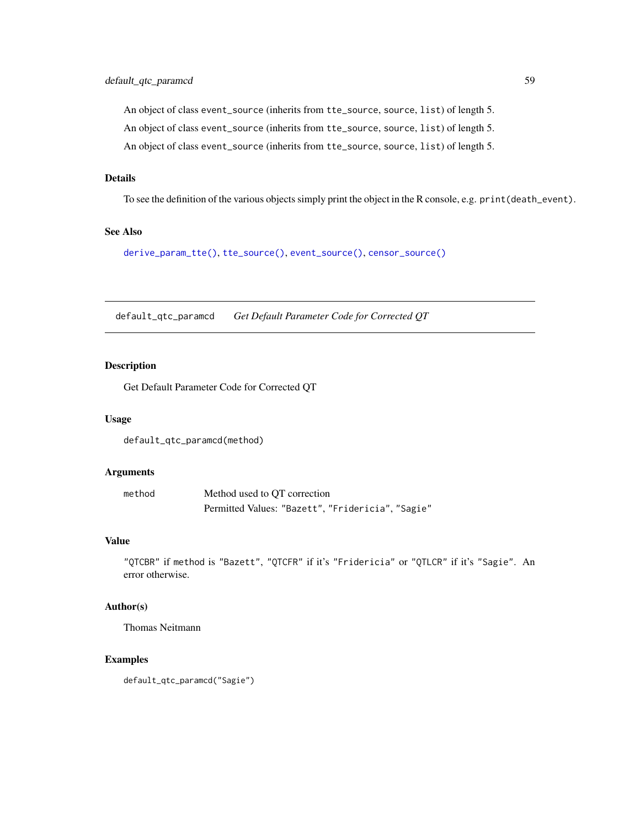An object of class event\_source (inherits from tte\_source, source, list) of length 5. An object of class event\_source (inherits from tte\_source, source, list) of length 5. An object of class event\_source (inherits from tte\_source, source, list) of length 5.

# Details

To see the definition of the various objects simply print the object in the R console, e.g. print(death\_event).

# See Also

[derive\\_param\\_tte\(\)](#page-90-0), [tte\\_source\(\)](#page-236-0), [event\\_source\(\)](#page-197-0), [censor\\_source\(\)](#page-31-0)

default\_qtc\_paramcd *Get Default Parameter Code for Corrected QT*

#### Description

Get Default Parameter Code for Corrected QT

# Usage

default\_qtc\_paramcd(method)

# Arguments

| method | Method used to OT correction                      |
|--------|---------------------------------------------------|
|        | Permitted Values: "Bazett", "Fridericia", "Sagie" |

# Value

"QTCBR" if method is "Bazett", "QTCFR" if it's "Fridericia" or "QTLCR" if it's "Sagie". An error otherwise.

## Author(s)

Thomas Neitmann

# Examples

default\_qtc\_paramcd("Sagie")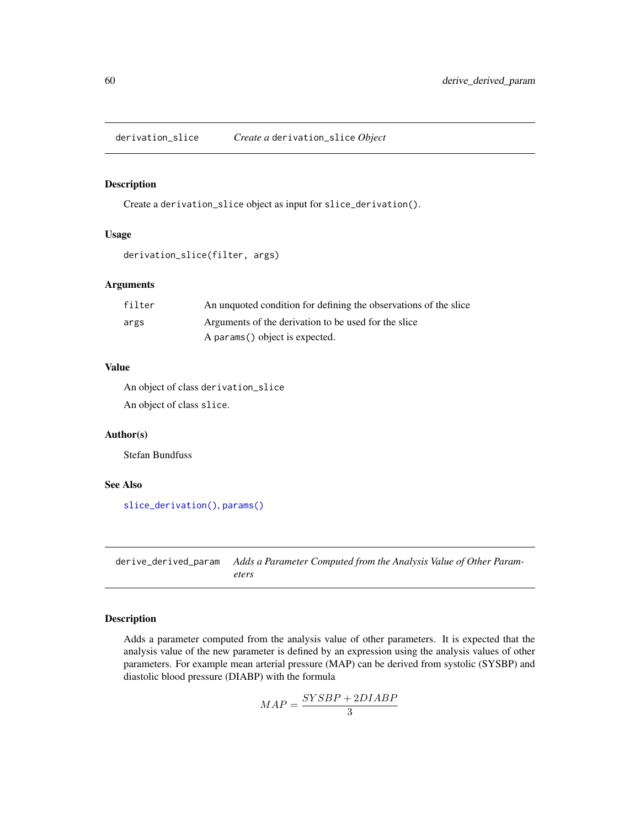derivation\_slice *Create a* derivation\_slice *Object*

# Description

Create a derivation\_slice object as input for slice\_derivation().

# Usage

```
derivation_slice(filter, args)
```
## Arguments

| filter | An unquoted condition for defining the observations of the slice |
|--------|------------------------------------------------------------------|
| args   | Arguments of the derivation to be used for the slice             |
|        | A params () object is expected.                                  |

# Value

An object of class derivation\_slice An object of class slice.

## Author(s)

Stefan Bundfuss

## See Also

[slice\\_derivation\(\)](#page-232-0), [params\(\)](#page-223-0)

derive\_derived\_param *Adds a Parameter Computed from the Analysis Value of Other Parameters*

# Description

Adds a parameter computed from the analysis value of other parameters. It is expected that the analysis value of the new parameter is defined by an expression using the analysis values of other parameters. For example mean arterial pressure (MAP) can be derived from systolic (SYSBP) and diastolic blood pressure (DIABP) with the formula

$$
MAP = \frac{SYSBP + 2DIABP}{3}
$$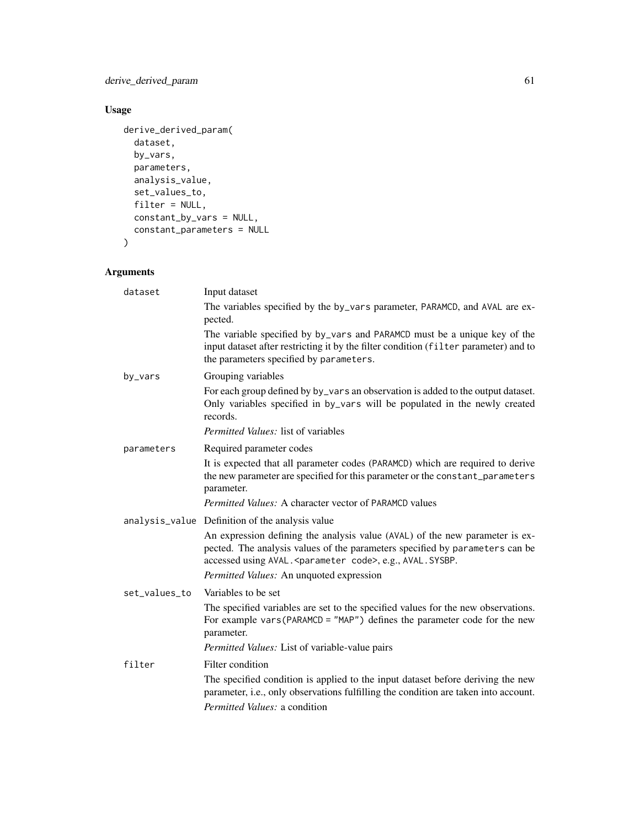derive\_derived\_param 61

# Usage

```
derive_derived_param(
  dataset,
  by_vars,
  parameters,
  analysis_value,
  set_values_to,
  filter = NULL,
  constant_by_vars = NULL,
  constant_parameters = NULL
\mathcal{L}
```
# Arguments

| dataset       | Input dataset                                                                                                                                                                                                              |
|---------------|----------------------------------------------------------------------------------------------------------------------------------------------------------------------------------------------------------------------------|
|               | The variables specified by the by_vars parameter, PARAMCD, and AVAL are ex-<br>pected.                                                                                                                                     |
|               | The variable specified by by_vars and PARAMCD must be a unique key of the<br>input dataset after restricting it by the filter condition (filter parameter) and to<br>the parameters specified by parameters.               |
| by_vars       | Grouping variables                                                                                                                                                                                                         |
|               | For each group defined by by_vars an observation is added to the output dataset.<br>Only variables specified in by_vars will be populated in the newly created<br>records.                                                 |
|               | <i>Permitted Values: list of variables</i>                                                                                                                                                                                 |
| parameters    | Required parameter codes                                                                                                                                                                                                   |
|               | It is expected that all parameter codes (PARAMCD) which are required to derive<br>the new parameter are specified for this parameter or the constant_parameters<br>parameter.                                              |
|               | <i>Permitted Values:</i> A character vector of PARAMCD values                                                                                                                                                              |
|               | analysis_value Definition of the analysis value                                                                                                                                                                            |
|               | An expression defining the analysis value (AVAL) of the new parameter is ex-<br>pected. The analysis values of the parameters specified by parameters can be<br>accessed using AVAL. < parameter code>, e.g., AVAL. SYSBP. |
|               | Permitted Values: An unquoted expression                                                                                                                                                                                   |
| set_values_to | Variables to be set                                                                                                                                                                                                        |
|               | The specified variables are set to the specified values for the new observations.<br>For example vars (PARAMCD = "MAP") defines the parameter code for the new<br>parameter.                                               |
|               | Permitted Values: List of variable-value pairs                                                                                                                                                                             |
| filter        | Filter condition                                                                                                                                                                                                           |
|               | The specified condition is applied to the input dataset before deriving the new<br>parameter, i.e., only observations fulfilling the condition are taken into account.                                                     |
|               | <i>Permitted Values: a condition</i>                                                                                                                                                                                       |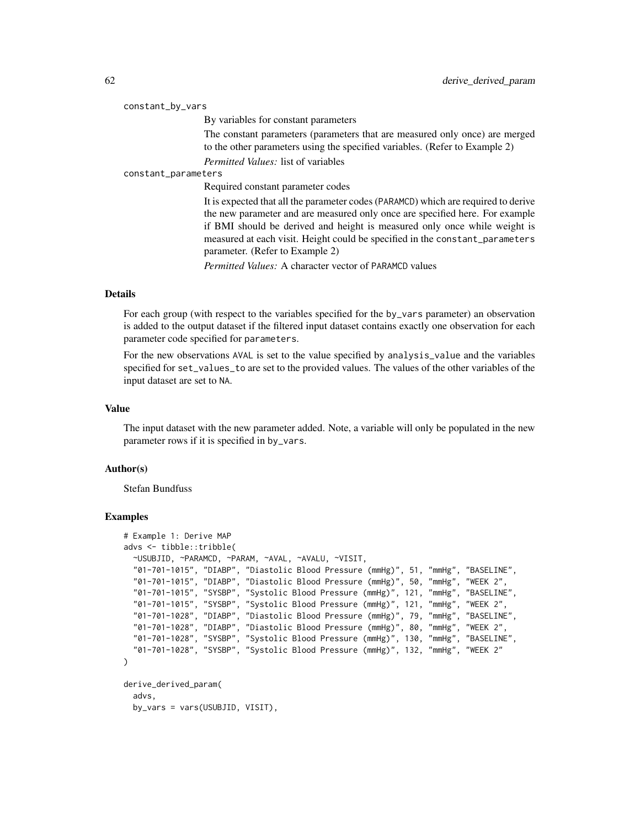|                     | constant_by_vars                                                                                                                                                                                                                                |
|---------------------|-------------------------------------------------------------------------------------------------------------------------------------------------------------------------------------------------------------------------------------------------|
|                     | By variables for constant parameters                                                                                                                                                                                                            |
|                     | The constant parameters (parameters that are measured only once) are merged<br>to the other parameters using the specified variables. (Refer to Example 2)                                                                                      |
|                     | <i>Permitted Values:</i> list of variables                                                                                                                                                                                                      |
| constant_parameters |                                                                                                                                                                                                                                                 |
|                     | Required constant parameter codes                                                                                                                                                                                                               |
|                     | It is expected that all the parameter codes (PARAMCD) which are required to derive<br>the new parameter and are measured only once are specified here. For example<br>if BMI should be derived and height is measured only once while weight is |
|                     | measured at each visit. Height could be specified in the constant_parameters                                                                                                                                                                    |

parameter. (Refer to Example 2)

*Permitted Values:* A character vector of PARAMCD values

# Details

For each group (with respect to the variables specified for the by\_vars parameter) an observation is added to the output dataset if the filtered input dataset contains exactly one observation for each parameter code specified for parameters.

For the new observations AVAL is set to the value specified by analysis\_value and the variables specified for set\_values\_to are set to the provided values. The values of the other variables of the input dataset are set to NA.

# Value

The input dataset with the new parameter added. Note, a variable will only be populated in the new parameter rows if it is specified in by\_vars.

# Author(s)

Stefan Bundfuss

# Examples

```
# Example 1: Derive MAP
advs <- tibble::tribble(
 ~USUBJID, ~PARAMCD, ~PARAM, ~AVAL, ~AVALU, ~VISIT,
 "01-701-1015", "DIABP", "Diastolic Blood Pressure (mmHg)", 51, "mmHg", "BASELINE",
 "01-701-1015", "DIABP", "Diastolic Blood Pressure (mmHg)", 50, "mmHg", "WEEK 2",
 "01-701-1015", "SYSBP", "Systolic Blood Pressure (mmHg)", 121, "mmHg", "BASELINE",
  "01-701-1015", "SYSBP", "Systolic Blood Pressure (mmHg)", 121, "mmHg", "WEEK 2",
  "01-701-1028", "DIABP", "Diastolic Blood Pressure (mmHg)", 79, "mmHg", "BASELINE",
  "01-701-1028", "DIABP", "Diastolic Blood Pressure (mmHg)", 80, "mmHg", "WEEK 2",
  "01-701-1028", "SYSBP", "Systolic Blood Pressure (mmHg)", 130, "mmHg", "BASELINE",
  "01-701-1028", "SYSBP", "Systolic Blood Pressure (mmHg)", 132, "mmHg", "WEEK 2"
)
derive_derived_param(
 advs,
 by_vars = vars(USUBJID, VISIT),
```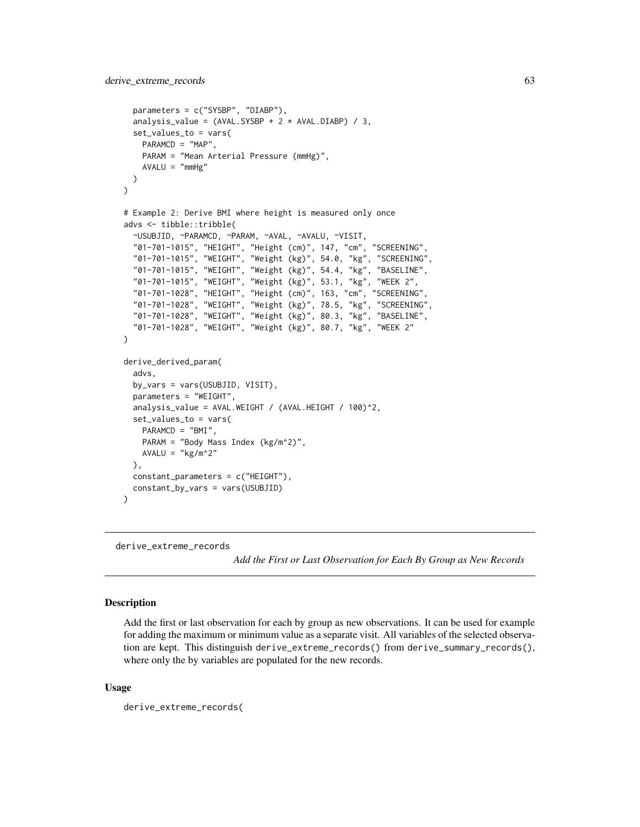```
parameters = c("SYSBP", "DIABP"),
 analysis_value = (AVAL.SYSBP + 2 * AVAL.DIABP) / 3,
 set_values_to = vars(
   PARAMCD = "MAP",
   PARAM = "Mean Arterial Pressure (mmHg)",
   AVALU = "mmHg")
)
# Example 2: Derive BMI where height is measured only once
advs <- tibble::tribble(
 ~USUBJID, ~PARAMCD, ~PARAM, ~AVAL, ~AVALU, ~VISIT,
  "01-701-1015", "HEIGHT", "Height (cm)", 147, "cm", "SCREENING",
  "01-701-1015", "WEIGHT", "Weight (kg)", 54.0, "kg", "SCREENING",
  "01-701-1015", "WEIGHT", "Weight (kg)", 54.4, "kg", "BASELINE",
  "01-701-1015", "WEIGHT", "Weight (kg)", 53.1, "kg", "WEEK 2",
  "01-701-1028", "HEIGHT", "Height (cm)", 163, "cm", "SCREENING",
 "01-701-1028", "WEIGHT", "Weight (kg)", 78.5, "kg", "SCREENING",
 "01-701-1028", "WEIGHT", "Weight (kg)", 80.3, "kg", "BASELINE",
  "01-701-1028", "WEIGHT", "Weight (kg)", 80.7, "kg", "WEEK 2"
)
derive_derived_param(
 advs,
 by_vars = vars(USUBJID, VISIT),
 parameters = "WEIGHT",
 analysis_value = AVAL.WEIGHT / (AVAL.HEIGHT / 100)^2,
 set_values_to = vars(
   PARAMCD = "BMI",
   PARAM = "Body Mass Index (kg/m^2)",
   AVALU = "kg/m^2"),
 constant_parameters = c("HEIGHT"),
 constant_by_vars = vars(USUBJID)
\mathcal{L}
```
derive\_extreme\_records

*Add the First or Last Observation for Each By Group as New Records*

# **Description**

Add the first or last observation for each by group as new observations. It can be used for example for adding the maximum or minimum value as a separate visit. All variables of the selected observation are kept. This distinguish derive\_extreme\_records() from derive\_summary\_records(), where only the by variables are populated for the new records.

# Usage

derive\_extreme\_records(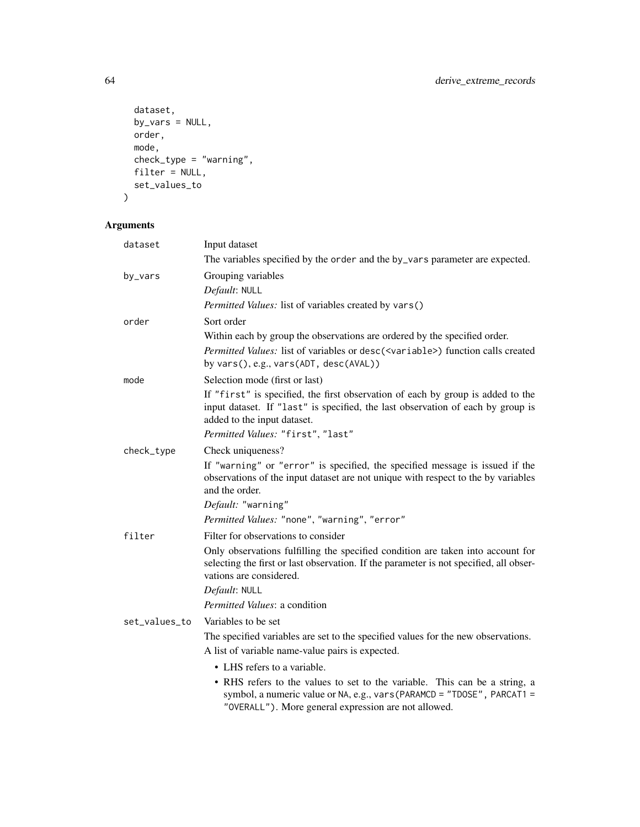```
dataset,
  by_vars = NULL,
  order,
  mode,
 check_type = "warning",
  filter = NULL,
 set_values_to
\mathcal{L}
```
# Arguments

| dataset       | Input dataset                                                                                                                                                                                                 |
|---------------|---------------------------------------------------------------------------------------------------------------------------------------------------------------------------------------------------------------|
|               | The variables specified by the order and the by_vars parameter are expected.                                                                                                                                  |
| by_vars       | Grouping variables                                                                                                                                                                                            |
|               | Default: NULL                                                                                                                                                                                                 |
|               | Permitted Values: list of variables created by vars()                                                                                                                                                         |
| order         | Sort order                                                                                                                                                                                                    |
|               | Within each by group the observations are ordered by the specified order.                                                                                                                                     |
|               | Permitted Values: list of variables or desc( <variable>) function calls created<br/>by vars(), e.g., vars(ADT, desc(AVAL))</variable>                                                                         |
| mode          | Selection mode (first or last)                                                                                                                                                                                |
|               | If "first" is specified, the first observation of each by group is added to the<br>input dataset. If "last" is specified, the last observation of each by group is<br>added to the input dataset.             |
|               | Permitted Values: "first", "last"                                                                                                                                                                             |
| check_type    | Check uniqueness?                                                                                                                                                                                             |
|               | If "warning" or "error" is specified, the specified message is issued if the<br>observations of the input dataset are not unique with respect to the by variables<br>and the order.                           |
|               | Default: "warning"                                                                                                                                                                                            |
|               | Permitted Values: "none", "warning", "error"                                                                                                                                                                  |
| filter        | Filter for observations to consider                                                                                                                                                                           |
|               | Only observations fulfilling the specified condition are taken into account for<br>selecting the first or last observation. If the parameter is not specified, all obser-<br>vations are considered.          |
|               | Default: NULL                                                                                                                                                                                                 |
|               | <i>Permitted Values: a condition</i>                                                                                                                                                                          |
| set_values_to | Variables to be set                                                                                                                                                                                           |
|               | The specified variables are set to the specified values for the new observations.                                                                                                                             |
|               | A list of variable name-value pairs is expected.                                                                                                                                                              |
|               | • LHS refers to a variable.                                                                                                                                                                                   |
|               | • RHS refers to the values to set to the variable. This can be a string, a<br>symbol, a numeric value or NA, e.g., vars (PARAMCD = "TDOSE", PARCAT1 =<br>"OVERALL"). More general expression are not allowed. |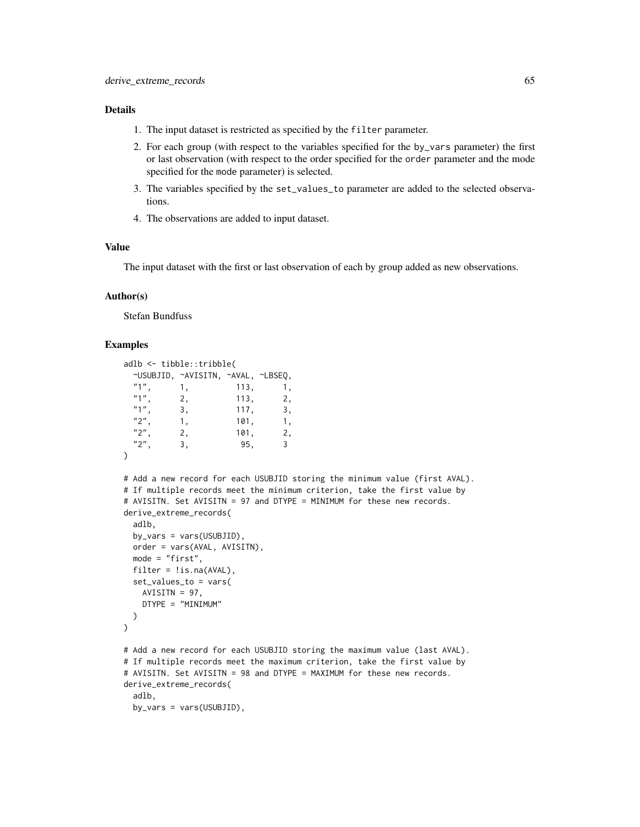# Details

- 1. The input dataset is restricted as specified by the filter parameter.
- 2. For each group (with respect to the variables specified for the by\_vars parameter) the first or last observation (with respect to the order specified for the order parameter and the mode specified for the mode parameter) is selected.
- 3. The variables specified by the set\_values\_to parameter are added to the selected observations.
- 4. The observations are added to input dataset.

## Value

The input dataset with the first or last observation of each by group added as new observations.

#### Author(s)

Stefan Bundfuss

## Examples

```
adlb <- tibble::tribble(
 ~USUBJID, ~AVISITN, ~AVAL, ~LBSEQ,
 "1", 1, 113, 1,<br>
"1". 2, 113, 2,
 "1", 2, 113, 2,<br>"1", 3, 117, 3,
 "1", \t3, \t117, \t3, \t2". \t1, \t101, \t1,"2", 1, 101, 1,<br>
"2". 2, 101, 2,
          2, 101, 2,
 "2", 3, 95, 3
\lambda# Add a new record for each USUBJID storing the minimum value (first AVAL).
# If multiple records meet the minimum criterion, take the first value by
# AVISITN. Set AVISITN = 97 and DTYPE = MINIMUM for these new records.
derive_extreme_records(
 adlb,
 by_vars = vars(USUBJID),
 order = vars(AVAL, AVISITN),
 mode = "first",
 filter = !is.na(AVAL),
 set_values_to = vars(
   AVISITN = 97,
   DTYPE = "MINIMUM"
 )
\mathcal{L}# Add a new record for each USUBJID storing the maximum value (last AVAL).
# If multiple records meet the maximum criterion, take the first value by
# AVISITN. Set AVISITN = 98 and DTYPE = MAXIMUM for these new records.
derive_extreme_records(
 adlb,
 by_vars = vars(USUBJID),
```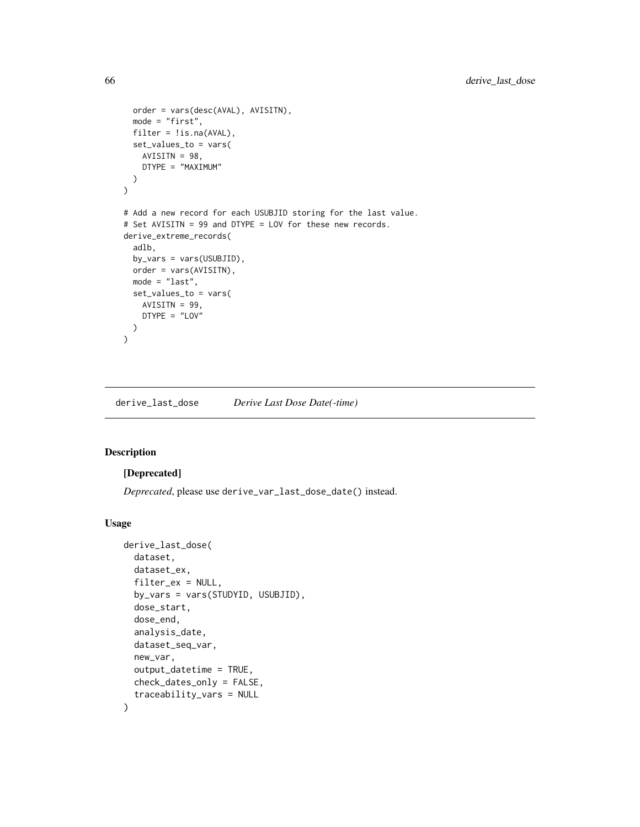```
order = vars(desc(AVAL), AVISITN),
  mode = "first",
  filter = !is.na(AVAL),
  set_values_to = vars(
    AVISITN = 98,
    DTYPE = "MAXIMUM"
  )
\mathcal{L}# Add a new record for each USUBJID storing for the last value.
# Set AVISITN = 99 and DTYPE = LOV for these new records.
derive_extreme_records(
  adlb,
  by_vars = vars(USUBJID),
  order = vars(AVISITN),
  mode = "last",
  set_values_to = vars(
    AVISITN = 99,
    DTYPE = "LOV"
  )
)
```
derive\_last\_dose *Derive Last Dose Date(-time)*

# Description

## [Deprecated]

*Deprecated*, please use derive\_var\_last\_dose\_date() instead.

#### Usage

```
derive_last_dose(
 dataset,
  dataset_ex,
  filter_ex = NULL,
  by_vars = vars(STUDYID, USUBJID),
  dose_start,
  dose_end,
  analysis_date,
  dataset_seq_var,
 new_var,
 output_datetime = TRUE,
 check_dates_only = FALSE,
  traceability_vars = NULL
)
```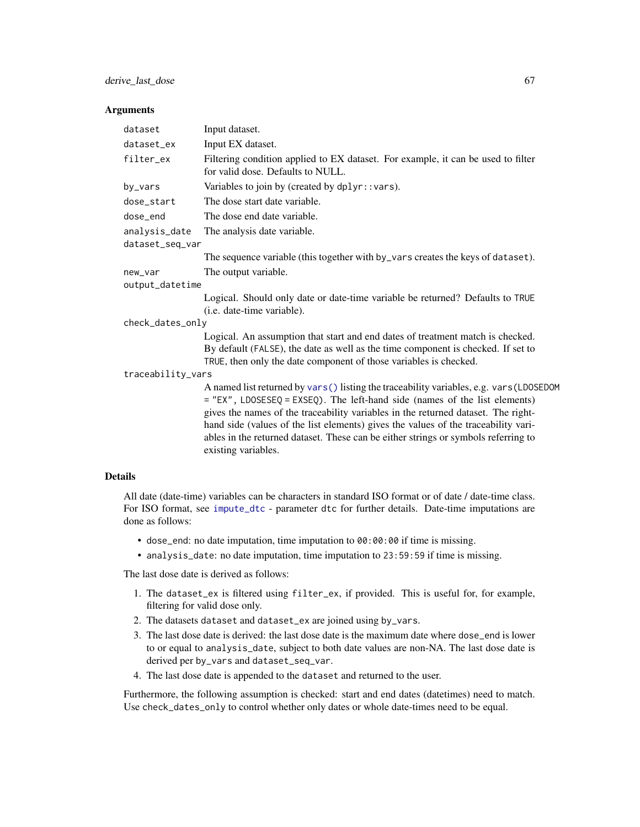#### **Arguments**

| dataset           | Input dataset.                                                                                                                                                                                                                                                                                                                                                                                                                                                   |
|-------------------|------------------------------------------------------------------------------------------------------------------------------------------------------------------------------------------------------------------------------------------------------------------------------------------------------------------------------------------------------------------------------------------------------------------------------------------------------------------|
| dataset_ex        | Input EX dataset.                                                                                                                                                                                                                                                                                                                                                                                                                                                |
| filter_ex         | Filtering condition applied to EX dataset. For example, it can be used to filter<br>for valid dose. Defaults to NULL.                                                                                                                                                                                                                                                                                                                                            |
| by_vars           | Variables to join by (created by dplyr::vars).                                                                                                                                                                                                                                                                                                                                                                                                                   |
| dose_start        | The dose start date variable.                                                                                                                                                                                                                                                                                                                                                                                                                                    |
| dose_end          | The dose end date variable.                                                                                                                                                                                                                                                                                                                                                                                                                                      |
| analysis_date     | The analysis date variable.                                                                                                                                                                                                                                                                                                                                                                                                                                      |
| dataset_seq_var   |                                                                                                                                                                                                                                                                                                                                                                                                                                                                  |
|                   | The sequence variable (this together with by_vars creates the keys of dataset).                                                                                                                                                                                                                                                                                                                                                                                  |
| new_var           | The output variable.                                                                                                                                                                                                                                                                                                                                                                                                                                             |
| output_datetime   |                                                                                                                                                                                                                                                                                                                                                                                                                                                                  |
|                   | Logical. Should only date or date-time variable be returned? Defaults to TRUE<br>(i.e. date-time variable).                                                                                                                                                                                                                                                                                                                                                      |
| check_dates_only  |                                                                                                                                                                                                                                                                                                                                                                                                                                                                  |
|                   | Logical. An assumption that start and end dates of treatment match is checked.<br>By default (FALSE), the date as well as the time component is checked. If set to<br>TRUE, then only the date component of those variables is checked.                                                                                                                                                                                                                          |
| traceability_vars |                                                                                                                                                                                                                                                                                                                                                                                                                                                                  |
|                   | A named list returned by vars () listing the traceability variables, e.g. vars (LDOSEDOM<br>$=$ "EX", LDOSESEQ = EXSEQ). The left-hand side (names of the list elements)<br>gives the names of the traceability variables in the returned dataset. The right-<br>hand side (values of the list elements) gives the values of the traceability vari-<br>ables in the returned dataset. These can be either strings or symbols referring to<br>existing variables. |
| <b>Details</b>    |                                                                                                                                                                                                                                                                                                                                                                                                                                                                  |

All date (date-time) variables can be characters in standard ISO format or of date / date-time class. For ISO format, see [impute\\_dtc](#page-217-0) - parameter dtc for further details. Date-time imputations are

- dose\_end: no date imputation, time imputation to 00:00:00 if time is missing.
	- analysis\_date: no date imputation, time imputation to 23:59:59 if time is missing.

The last dose date is derived as follows:

done as follows:

- 1. The dataset\_ex is filtered using filter\_ex, if provided. This is useful for, for example, filtering for valid dose only.
- 2. The datasets dataset and dataset\_ex are joined using by\_vars.
- 3. The last dose date is derived: the last dose date is the maximum date where dose\_end is lower to or equal to analysis\_date, subject to both date values are non-NA. The last dose date is derived per by\_vars and dataset\_seq\_var.
- 4. The last dose date is appended to the dataset and returned to the user.

Furthermore, the following assumption is checked: start and end dates (datetimes) need to match. Use check\_dates\_only to control whether only dates or whole date-times need to be equal.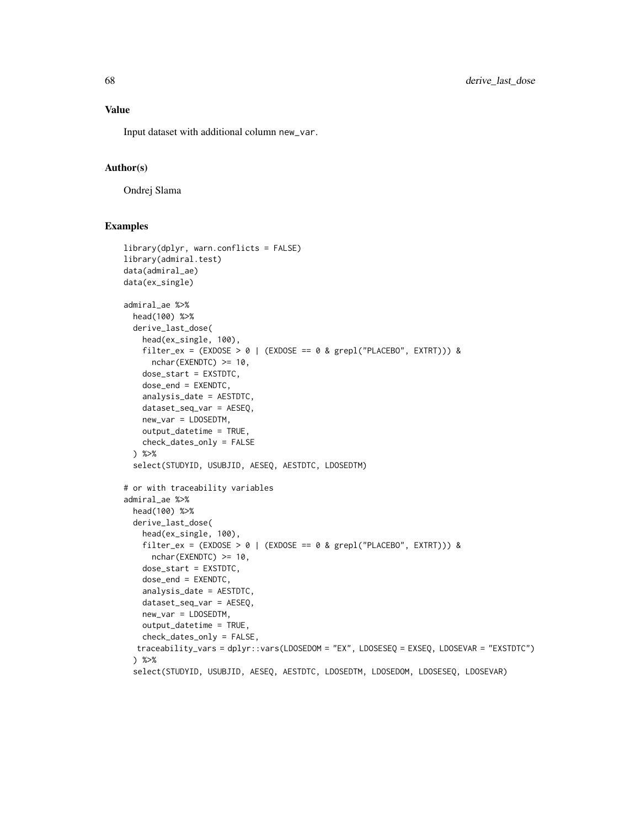Input dataset with additional column new\_var.

## Author(s)

Ondrej Slama

#### Examples

```
library(dplyr, warn.conflicts = FALSE)
library(admiral.test)
data(admiral_ae)
data(ex_single)
admiral_ae %>%
 head(100) %>%
 derive_last_dose(
   head(ex_single, 100),
   filter_ex = (EXDOSE > 0 | (EXDOSE == 0 & grepl("PLACEBO", EXTRT))) &
     nchar(EXENDTC) >= 10,
   dose_start = EXSTDTC,
   dose_end = EXENDTC,
   analysis_date = AESTDTC,
   dataset_seq_var = AESEQ,
   new_var = LDOSEDTM,
   output_datetime = TRUE,
   check_dates_only = FALSE
 ) %>%
 select(STUDYID, USUBJID, AESEQ, AESTDTC, LDOSEDTM)
# or with traceability variables
admiral_ae %>%
 head(100) %>%
 derive_last_dose(
   head(ex_single, 100),
   filter_ex = (EXDOSE > 0 | (EXDOSE == 0 & grepl("PLACEBO", EXTRT))) &
     nchar(EXENDTC) >= 10,
   dose_start = EXSTDTC,
   dose_end = EXENDTC,
   analysis_date = AESTDTC,
   dataset_seq_var = AESEQ,
   new_var = LDOSEDTM,
   output_datetime = TRUE,
   check_dates_only = FALSE,
  traceability_vars = dplyr::vars(LDOSEDOM = "EX", LDOSESEQ = EXSEQ, LDOSEVAR = "EXSTDTC")
 ) %>%
 select(STUDYID, USUBJID, AESEQ, AESTDTC, LDOSEDTM, LDOSEDOM, LDOSESEQ, LDOSEVAR)
```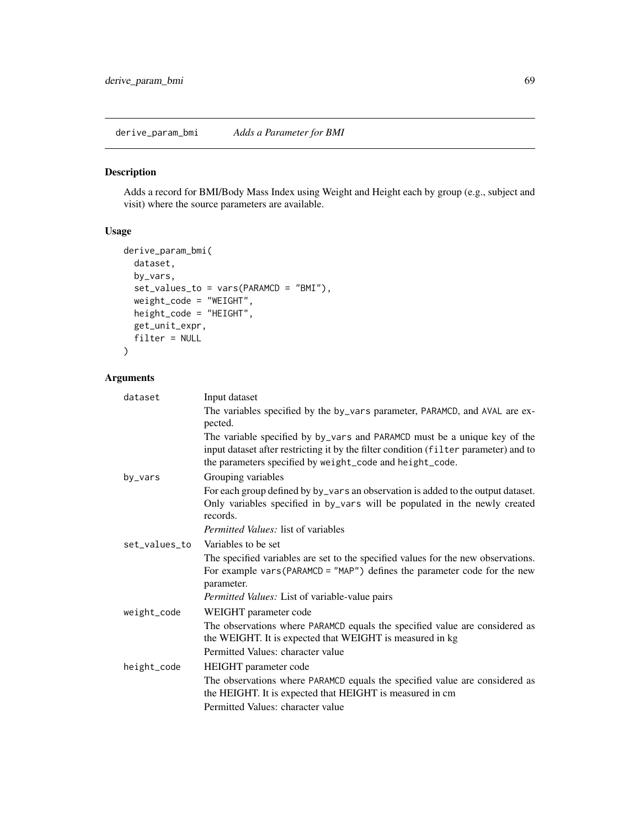derive\_param\_bmi *Adds a Parameter for BMI*

# Description

Adds a record for BMI/Body Mass Index using Weight and Height each by group (e.g., subject and visit) where the source parameters are available.

# Usage

```
derive_param_bmi(
 dataset,
 by_vars,
  set_values_to = vars(PARAMCD = "BMI"),
 weight_code = "WEIGHT",
 height_code = "HEIGHT",
  get_unit_expr,
 filter = NULL
\mathcal{L}
```
# Arguments

| dataset       | Input dataset                                                                                                                                                                                                                 |
|---------------|-------------------------------------------------------------------------------------------------------------------------------------------------------------------------------------------------------------------------------|
|               | The variables specified by the by_vars parameter, PARAMCD, and AVAL are ex-<br>pected.                                                                                                                                        |
|               | The variable specified by by_vars and PARAMCD must be a unique key of the<br>input dataset after restricting it by the filter condition (filter parameter) and to<br>the parameters specified by weight_code and height_code. |
| by_vars       | Grouping variables                                                                                                                                                                                                            |
|               | For each group defined by by_vars an observation is added to the output dataset.<br>Only variables specified in by_vars will be populated in the newly created<br>records.                                                    |
|               | <i>Permitted Values: list of variables</i>                                                                                                                                                                                    |
| set_values_to | Variables to be set                                                                                                                                                                                                           |
|               | The specified variables are set to the specified values for the new observations.<br>For example vars (PARAMCD = $"MAP"$ ) defines the parameter code for the new<br>parameter.                                               |
|               | Permitted Values: List of variable-value pairs                                                                                                                                                                                |
| weight_code   | WEIGHT parameter code                                                                                                                                                                                                         |
|               | The observations where PARAMCD equals the specified value are considered as<br>the WEIGHT. It is expected that WEIGHT is measured in kg                                                                                       |
|               | Permitted Values: character value                                                                                                                                                                                             |
| height_code   | HEIGHT parameter code                                                                                                                                                                                                         |
|               | The observations where PARAMCD equals the specified value are considered as<br>the HEIGHT. It is expected that HEIGHT is measured in cm                                                                                       |
|               | Permitted Values: character value                                                                                                                                                                                             |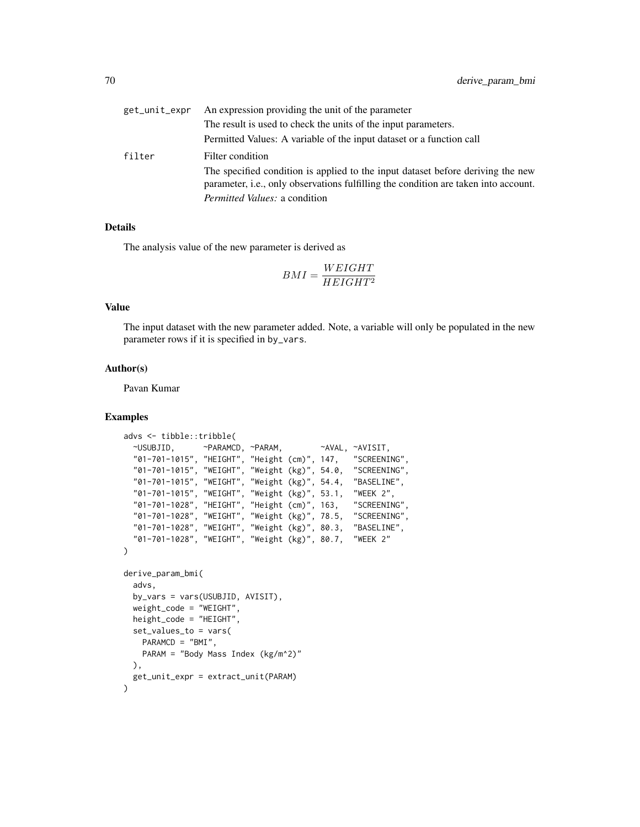| get_unit_expr | An expression providing the unit of the parameter                                                                                                                              |
|---------------|--------------------------------------------------------------------------------------------------------------------------------------------------------------------------------|
|               | The result is used to check the units of the input parameters.                                                                                                                 |
|               | Permitted Values: A variable of the input dataset or a function call                                                                                                           |
| filter        | Filter condition                                                                                                                                                               |
|               | The specified condition is applied to the input dataset before deriving the new<br>parameter, <i>i.e.</i> , only observations fulfilling the condition are taken into account. |
|               | <i>Permitted Values: a condition</i>                                                                                                                                           |

## Details

The analysis value of the new parameter is derived as

$$
BMI = \frac{WEIGHT}{HEIGHT^2}
$$

# Value

The input dataset with the new parameter added. Note, a variable will only be populated in the new parameter rows if it is specified in by\_vars.

## Author(s)

Pavan Kumar

## Examples

```
advs <- tibble::tribble(
                ~USUBJID, ~PARAMCD, ~PARAM, ~AVAL, ~AVISIT,
 "01-701-1015", "HEIGHT", "Height (cm)", 147,
 "01-701-1015", "WEIGHT", "Weight (kg)", 54.0, "SCREENING",
 "01-701-1015", "WEIGHT", "Weight (kg)", 54.4,
 "01-701-1015", "WEIGHT", "Weight (kg)", 53.1, "WEEK 2",
 "01-701-1028", "HEIGHT", "Height (cm)", 163, "SCREENING",
 "01-701-1028", "WEIGHT", "Weight (kg)", 78.5,
  "01-701-1028", "WEIGHT", "Weight (kg)", 80.3, "BASELINE",
  "01-701-1028", "WEIGHT", "Weight (kg)", 80.7, "WEEK 2"
\mathcal{L}derive_param_bmi(
 advs,
 by_vars = vars(USUBJID, AVISIT),
 weight_code = "WEIGHT",
 height_code = "HEIGHT",
 set_values_to = vars(
   PARAMCD = "BMI",
   PARAM = "Body Mass Index (kg/m^2)"
 ),
 get_unit_expr = extract_unit(PARAM)
\mathcal{L}
```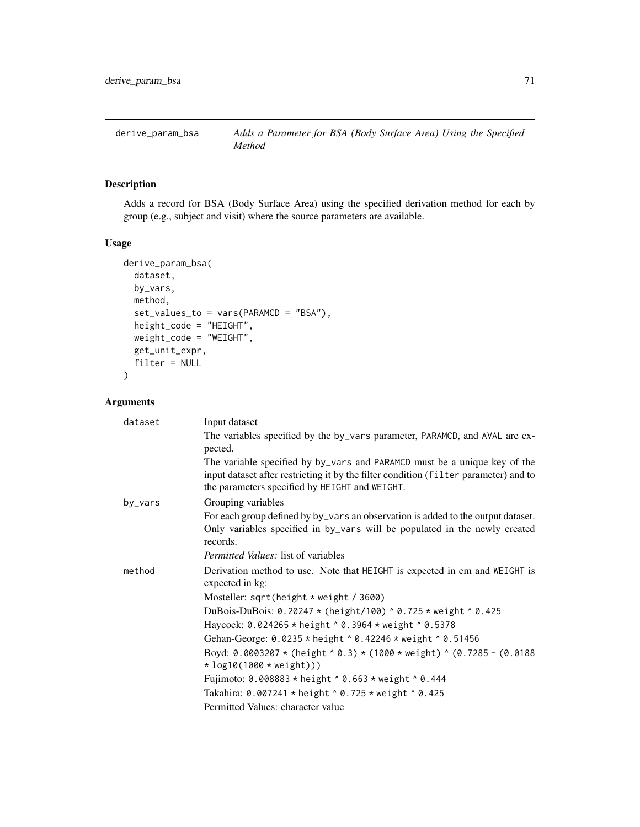# Description

Adds a record for BSA (Body Surface Area) using the specified derivation method for each by group (e.g., subject and visit) where the source parameters are available.

# Usage

```
derive_param_bsa(
  dataset,
 by_vars,
 method,
  set_values_to = vars(PARAMCD = "BSA"),
  height_code = "HEIGHT",
 weight_code = "WEIGHT",
 get_unit_expr,
  filter = NULL
)
```
# Arguments

| dataset | Input dataset                                                                                                                                                                                                       |
|---------|---------------------------------------------------------------------------------------------------------------------------------------------------------------------------------------------------------------------|
|         | The variables specified by the by_vars parameter, PARAMCD, and AVAL are ex-<br>pected.                                                                                                                              |
|         | The variable specified by by_vars and PARAMCD must be a unique key of the<br>input dataset after restricting it by the filter condition (filter parameter) and to<br>the parameters specified by HEIGHT and WEIGHT. |
| by_vars | Grouping variables                                                                                                                                                                                                  |
|         | For each group defined by by_vars an observation is added to the output dataset.<br>Only variables specified in by_vars will be populated in the newly created<br>records.                                          |
|         | <i>Permitted Values:</i> list of variables                                                                                                                                                                          |
| method  | Derivation method to use. Note that HEIGHT is expected in cm and WEIGHT is<br>expected in kg:                                                                                                                       |
|         | Mosteller: sqrt(height $*$ weight / 3600)                                                                                                                                                                           |
|         | DuBois-DuBois: 0.20247 $*$ (height/100) ^ 0.725 $*$ weight ^ 0.425                                                                                                                                                  |
|         | Haycock: 0.024265 * height ^ 0.3964 * weight ^ 0.5378                                                                                                                                                               |
|         | Gehan-George: 0.0235 * height ^ 0.42246 * weight ^ 0.51456                                                                                                                                                          |
|         | Boyd: 0.0003207 * (height ^ 0.3) * (1000 * weight) ^ (0.7285 - (0.0188<br>$*$ log10(1000 $*$ weight)))                                                                                                              |
|         | Fujimoto: 0.008883 * height ^ 0.663 * weight ^ 0.444                                                                                                                                                                |
|         | Takahira: 0.007241 * height ^ 0.725 * weight ^ 0.425                                                                                                                                                                |
|         | Permitted Values: character value                                                                                                                                                                                   |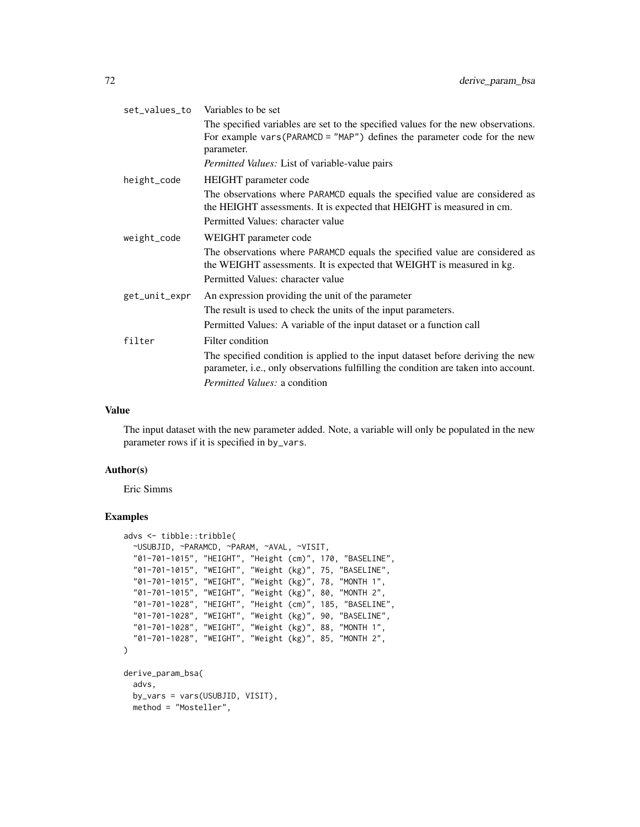| set_values_to | Variables to be set                                                                                                                                                             |
|---------------|---------------------------------------------------------------------------------------------------------------------------------------------------------------------------------|
|               | The specified variables are set to the specified values for the new observations.<br>For example vars (PARAMCD = $"MAP"$ ) defines the parameter code for the new<br>parameter. |
|               | Permitted Values: List of variable-value pairs                                                                                                                                  |
| height_code   | HEIGHT parameter code                                                                                                                                                           |
|               | The observations where PARAMCD equals the specified value are considered as<br>the HEIGHT assessments. It is expected that HEIGHT is measured in cm.                            |
|               | Permitted Values: character value                                                                                                                                               |
| weight_code   | WEIGHT parameter code                                                                                                                                                           |
|               | The observations where PARAMCD equals the specified value are considered as<br>the WEIGHT assessments. It is expected that WEIGHT is measured in kg.                            |
|               | Permitted Values: character value                                                                                                                                               |
| get_unit_expr | An expression providing the unit of the parameter                                                                                                                               |
|               | The result is used to check the units of the input parameters.                                                                                                                  |
|               | Permitted Values: A variable of the input dataset or a function call                                                                                                            |
| filter        | Filter condition                                                                                                                                                                |
|               | The specified condition is applied to the input dataset before deriving the new<br>parameter, i.e., only observations fulfilling the condition are taken into account.          |
|               | <i>Permitted Values: a condition</i>                                                                                                                                            |

#### Value

The input dataset with the new parameter added. Note, a variable will only be populated in the new parameter rows if it is specified in by\_vars.

# Author(s)

Eric Simms

# Examples

```
advs <- tibble::tribble(
  ~USUBJID, ~PARAMCD, ~PARAM, ~AVAL, ~VISIT,
  "01-701-1015", "HEIGHT", "Height (cm)", 170, "BASELINE",
  "01-701-1015", "WEIGHT", "Weight (kg)", 75, "BASELINE",
  "01-701-1015", "WEIGHT", "Weight (kg)", 78, "MONTH 1",
  "01-701-1015", "WEIGHT", "Weight (kg)", 80, "MONTH 2",
  "01-701-1028", "HEIGHT", "Height (cm)", 185, "BASELINE",
  "01-701-1028", "WEIGHT", "Weight (kg)", 90, "BASELINE",
  "01-701-1028", "WEIGHT", "Weight (kg)", 88, "MONTH 1",
  "01-701-1028", "WEIGHT", "Weight (kg)", 85, "MONTH 2",
)
derive_param_bsa(
  advs,
  by_vars = vars(USUBJID, VISIT),
 method = "Mosteller",
```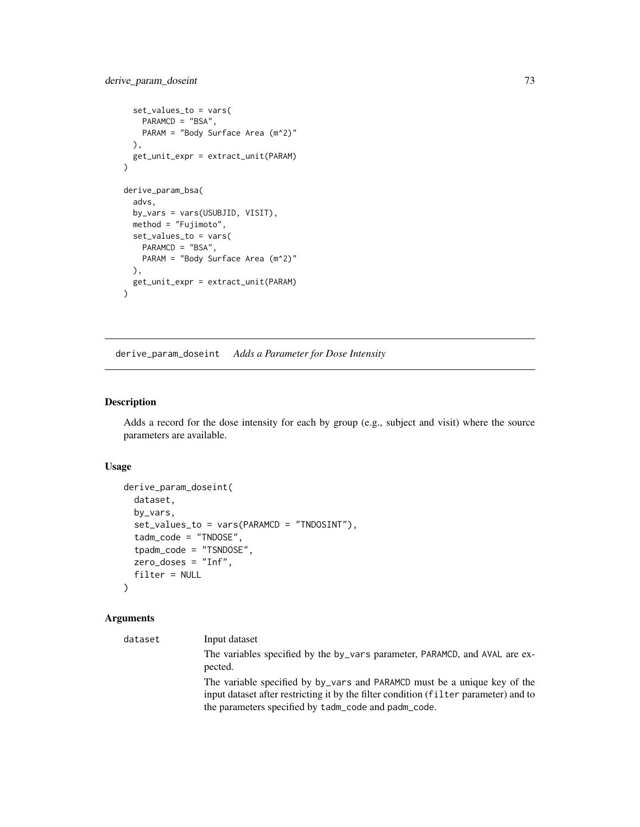## derive\_param\_doseint 73

```
set_values_to = vars(
   PARAMCD = "BSA",
    PARAM = "Body Surface Area (m^2)"
 ),
  get_unit_expr = extract_unit(PARAM)
\overline{\phantom{a}}derive_param_bsa(
  advs,
  by_vars = vars(USUBJID, VISIT),
  method = "Fujimoto",
  set_values_to = vars(
    PARAMCD = "BSA",
    PARAM = "Body Surface Area (m^2)"
  ),
 get_unit_expr = extract_unit(PARAM)
\mathcal{L}
```
derive\_param\_doseint *Adds a Parameter for Dose Intensity*

## Description

Adds a record for the dose intensity for each by group (e.g., subject and visit) where the source parameters are available.

## Usage

```
derive_param_doseint(
 dataset,
 by_vars,
 set_values_to = vars(PARAMCD = "TNDOSINT"),
  tadm_code = "TNDOSE",
  tpadm_code = "TSNDOSE",
  zero_doses = "Inf",
  filter = NULL
\lambda
```

| dataset | Input dataset                                                                                                                                                                                                             |
|---------|---------------------------------------------------------------------------------------------------------------------------------------------------------------------------------------------------------------------------|
|         | The variables specified by the by_vars parameter, PARAMCD, and AVAL are ex-<br>pected.                                                                                                                                    |
|         | The variable specified by by vars and PARAMCD must be a unique key of the<br>input dataset after restricting it by the filter condition (filter parameter) and to<br>the parameters specified by tadm_code and padm_code. |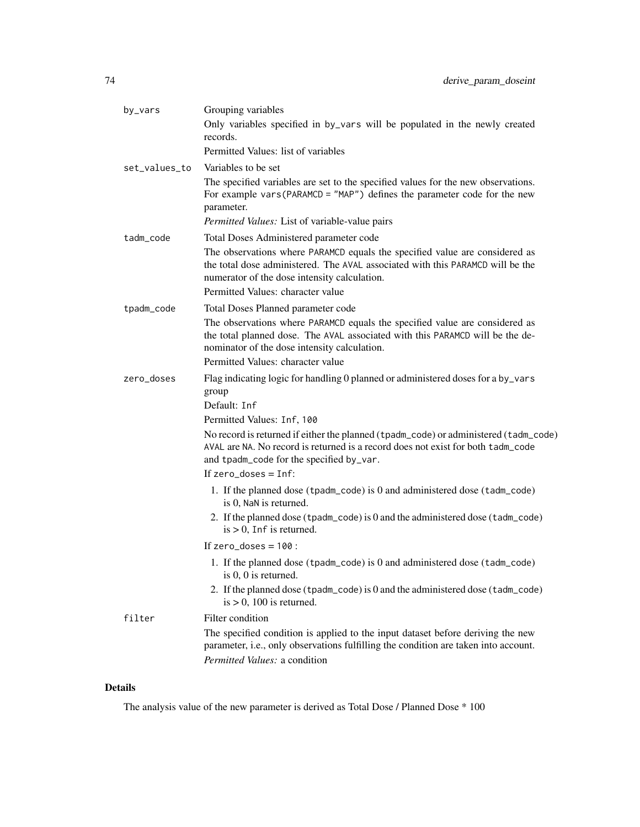| by_vars       | Grouping variables                                                                                                                                                                                                   |
|---------------|----------------------------------------------------------------------------------------------------------------------------------------------------------------------------------------------------------------------|
|               | Only variables specified in by_vars will be populated in the newly created<br>records.                                                                                                                               |
|               | Permitted Values: list of variables                                                                                                                                                                                  |
| set_values_to | Variables to be set                                                                                                                                                                                                  |
|               | The specified variables are set to the specified values for the new observations.<br>For example vars (PARAMCD = $"MAP"$ ) defines the parameter code for the new<br>parameter.                                      |
|               | Permitted Values: List of variable-value pairs                                                                                                                                                                       |
| tadm_code     | Total Doses Administered parameter code                                                                                                                                                                              |
|               | The observations where PARAMCD equals the specified value are considered as<br>the total dose administered. The AVAL associated with this PARAMCD will be the<br>numerator of the dose intensity calculation.        |
|               | Permitted Values: character value                                                                                                                                                                                    |
| tpadm_code    | Total Doses Planned parameter code                                                                                                                                                                                   |
|               | The observations where PARAMCD equals the specified value are considered as<br>the total planned dose. The AVAL associated with this PARAMCD will be the de-<br>nominator of the dose intensity calculation.         |
|               | Permitted Values: character value                                                                                                                                                                                    |
| zero_doses    | Flag indicating logic for handling 0 planned or administered doses for a by_vars<br>group                                                                                                                            |
|               | Default: Inf                                                                                                                                                                                                         |
|               | Permitted Values: Inf, 100                                                                                                                                                                                           |
|               | No record is returned if either the planned (tpadm_code) or administered (tadm_code)<br>AVAL are NA. No record is returned is a record does not exist for both tadm_code<br>and tpadm_code for the specified by_var. |
|               | If $zero\_does = Inf$ :                                                                                                                                                                                              |
|               | 1. If the planned dose (tpadm_code) is $0$ and administered dose (tadm_code)<br>is 0, NaN is returned.                                                                                                               |
|               | 2. If the planned dose (tpadm_code) is 0 and the administered dose (tadm_code)<br>$is > 0$ , Inf is returned.                                                                                                        |
|               | If $zero\_does = 100$ :                                                                                                                                                                                              |
|               | 1. If the planned dose (tpadm_code) is 0 and administered dose (tadm_code)<br>is $0, 0$ is returned.                                                                                                                 |
|               | 2. If the planned dose (tpadm_code) is 0 and the administered dose (tadm_code)<br>$is > 0$ , 100 is returned.                                                                                                        |
| filter        | Filter condition                                                                                                                                                                                                     |
|               | The specified condition is applied to the input dataset before deriving the new<br>parameter, i.e., only observations fulfilling the condition are taken into account.<br>Permitted Values: a condition              |

The analysis value of the new parameter is derived as Total Dose / Planned Dose \* 100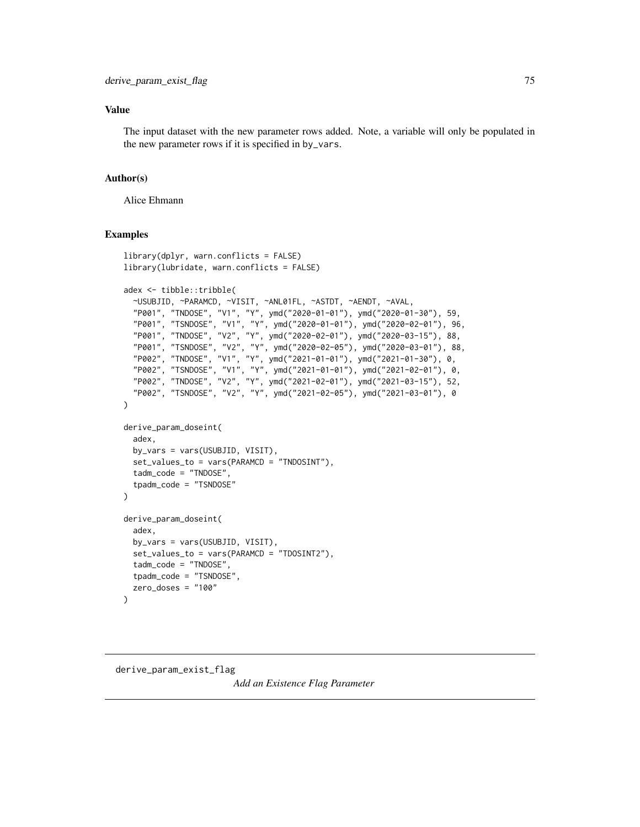### Value

The input dataset with the new parameter rows added. Note, a variable will only be populated in the new parameter rows if it is specified in by\_vars.

#### Author(s)

Alice Ehmann

### Examples

```
library(dplyr, warn.conflicts = FALSE)
library(lubridate, warn.conflicts = FALSE)
adex <- tibble::tribble(
  ~USUBJID, ~PARAMCD, ~VISIT, ~ANL01FL, ~ASTDT, ~AENDT, ~AVAL,
  "P001", "TNDOSE", "V1", "Y", ymd("2020-01-01"), ymd("2020-01-30"), 59,
  "P001", "TSNDOSE", "V1", "Y", ymd("2020-01-01"), ymd("2020-02-01"), 96,
  "P001", "TNDOSE", "V2", "Y", ymd("2020-02-01"), ymd("2020-03-15"), 88,
  "P001", "TSNDOSE", "V2", "Y", ymd("2020-02-05"), ymd("2020-03-01"), 88,
  "P002", "TNDOSE", "V1", "Y", ymd("2021-01-01"), ymd("2021-01-30"), 0,
  "P002", "TSNDOSE", "V1", "Y", ymd("2021-01-01"), ymd("2021-02-01"), 0,
  "P002", "TNDOSE", "V2", "Y", ymd("2021-02-01"), ymd("2021-03-15"), 52,
  "P002", "TSNDOSE", "V2", "Y", ymd("2021-02-05"), ymd("2021-03-01"), 0
)
derive_param_doseint(
  adex,
  by_vars = vars(USUBJID, VISIT),
  set_values_to = vars(PARAMCD = "TNDOSINT"),
  tadm_code = "TNDOSE",
  tpadm_code = "TSNDOSE"
)
derive_param_doseint(
  adex,
  by_vars = vars(USUBJID, VISIT),
  set_values_to = vars(PARAMCD = "TDOSINT2"),
  tadm_code = "TNDOSE",
  tpadm_code = "TSNDOSE",
  zero_doses = "100"
\mathcal{L}
```

```
derive_param_exist_flag
```
*Add an Existence Flag Parameter*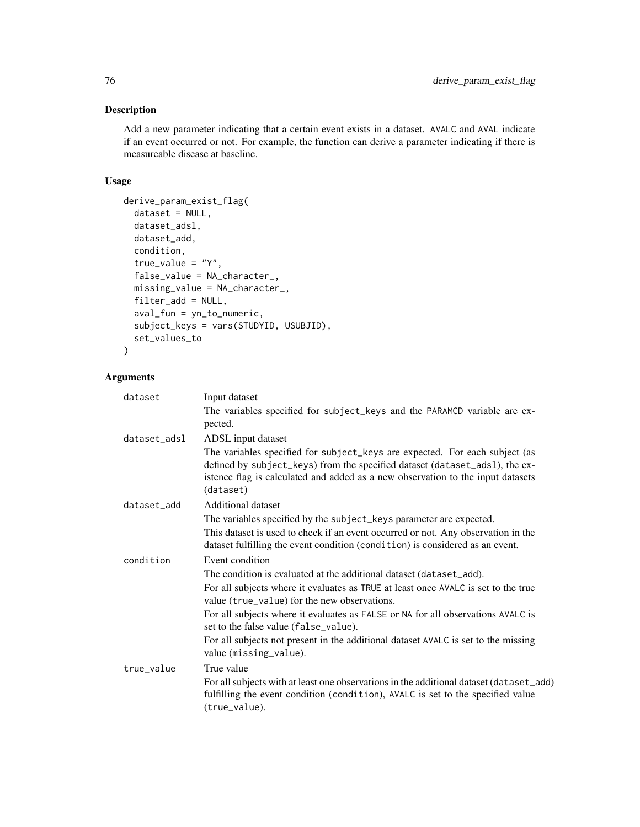## Description

Add a new parameter indicating that a certain event exists in a dataset. AVALC and AVAL indicate if an event occurred or not. For example, the function can derive a parameter indicating if there is measureable disease at baseline.

#### Usage

```
derive_param_exist_flag(
  dataset = NULL,
  dataset_adsl,
  dataset_add,
  condition,
  true_value = "Y",
  false_value = NA_character_,
  missing_value = NA_character_,
  filter_add = NULL,
  aval_fun = yn_to_numeric,
  subject_keys = vars(STUDYID, USUBJID),
  set_values_to
\mathcal{L}
```

| dataset      | Input dataset                                                                                                                                                                                                                                              |
|--------------|------------------------------------------------------------------------------------------------------------------------------------------------------------------------------------------------------------------------------------------------------------|
|              | The variables specified for subject_keys and the PARAMCD variable are ex-<br>pected.                                                                                                                                                                       |
| dataset_adsl | ADSL input dataset                                                                                                                                                                                                                                         |
|              | The variables specified for subject_keys are expected. For each subject (as<br>defined by subject_keys) from the specified dataset (dataset_ads1), the ex-<br>istence flag is calculated and added as a new observation to the input datasets<br>(dataset) |
| dataset_add  | Additional dataset                                                                                                                                                                                                                                         |
|              | The variables specified by the subject_keys parameter are expected.                                                                                                                                                                                        |
|              | This dataset is used to check if an event occurred or not. Any observation in the<br>dataset fulfilling the event condition (condition) is considered as an event.                                                                                         |
| condition    | Event condition                                                                                                                                                                                                                                            |
|              | The condition is evaluated at the additional dataset (dataset_add).                                                                                                                                                                                        |
|              | For all subjects where it evaluates as TRUE at least once AVALC is set to the true<br>value (true_value) for the new observations.                                                                                                                         |
|              | For all subjects where it evaluates as FALSE or NA for all observations AVALC is<br>set to the false value (false_value).                                                                                                                                  |
|              | For all subjects not present in the additional dataset AVALC is set to the missing<br>value (missing_value).                                                                                                                                               |
| true value   | True value                                                                                                                                                                                                                                                 |
|              | For all subjects with at least one observations in the additional dataset (dataset_add)<br>fulfilling the event condition (condition), AVALC is set to the specified value<br>(true_value).                                                                |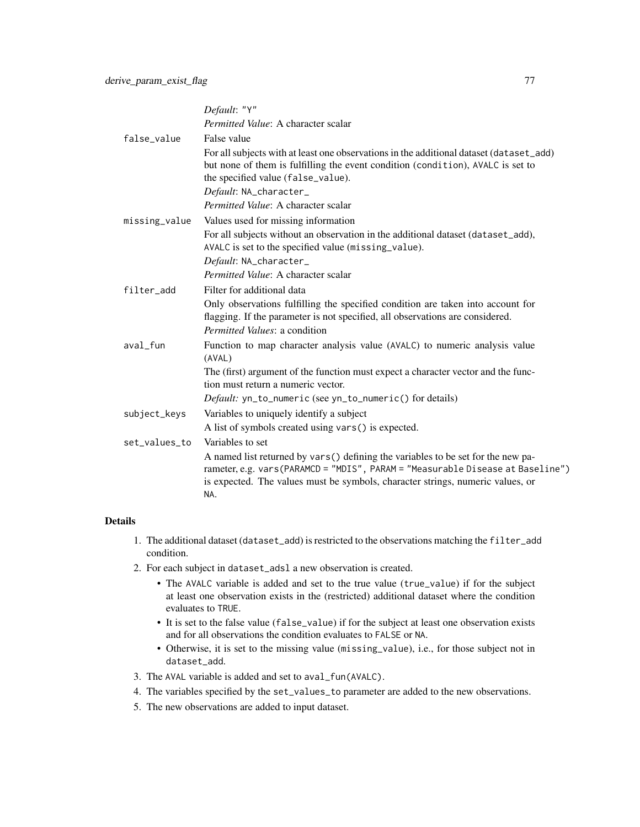|               | Default: "Y"                                                                                                                                                                                                                                                 |
|---------------|--------------------------------------------------------------------------------------------------------------------------------------------------------------------------------------------------------------------------------------------------------------|
|               | Permitted Value: A character scalar                                                                                                                                                                                                                          |
| false_value   | False value                                                                                                                                                                                                                                                  |
|               | For all subjects with at least one observations in the additional dataset (dataset_add)<br>but none of them is fulfilling the event condition (condition), AVALC is set to<br>the specified value (false_value).                                             |
|               | Default: NA_character_                                                                                                                                                                                                                                       |
|               | Permitted Value: A character scalar                                                                                                                                                                                                                          |
| missing_value | Values used for missing information                                                                                                                                                                                                                          |
|               | For all subjects without an observation in the additional dataset (dataset_add),<br>AVALC is set to the specified value (missing_value).                                                                                                                     |
|               | Default: NA_character_                                                                                                                                                                                                                                       |
|               | Permitted Value: A character scalar                                                                                                                                                                                                                          |
| filter_add    | Filter for additional data                                                                                                                                                                                                                                   |
|               | Only observations fulfilling the specified condition are taken into account for<br>flagging. If the parameter is not specified, all observations are considered.<br><i>Permitted Values: a condition</i>                                                     |
| aval fun      | Function to map character analysis value (AVALC) to numeric analysis value<br>(AVAL)                                                                                                                                                                         |
|               | The (first) argument of the function must expect a character vector and the func-<br>tion must return a numeric vector.                                                                                                                                      |
|               | Default: yn_to_numeric (see yn_to_numeric() for details)                                                                                                                                                                                                     |
| subject_keys  | Variables to uniquely identify a subject                                                                                                                                                                                                                     |
|               | A list of symbols created using vars() is expected.                                                                                                                                                                                                          |
| set_values_to | Variables to set                                                                                                                                                                                                                                             |
|               | A named list returned by vars() defining the variables to be set for the new pa-<br>rameter, e.g. vars (PARAMCD = "MDIS", PARAM = "Measurable Disease at Baseline")<br>is expected. The values must be symbols, character strings, numeric values, or<br>NA. |

- 1. The additional dataset (dataset\_add) is restricted to the observations matching the filter\_add condition.
- 2. For each subject in dataset\_adsl a new observation is created.
	- The AVALC variable is added and set to the true value (true\_value) if for the subject at least one observation exists in the (restricted) additional dataset where the condition evaluates to TRUE.
	- It is set to the false value (false\_value) if for the subject at least one observation exists and for all observations the condition evaluates to FALSE or NA.
	- Otherwise, it is set to the missing value (missing\_value), i.e., for those subject not in dataset\_add.
- 3. The AVAL variable is added and set to aval\_fun(AVALC).
- 4. The variables specified by the set\_values\_to parameter are added to the new observations.
- 5. The new observations are added to input dataset.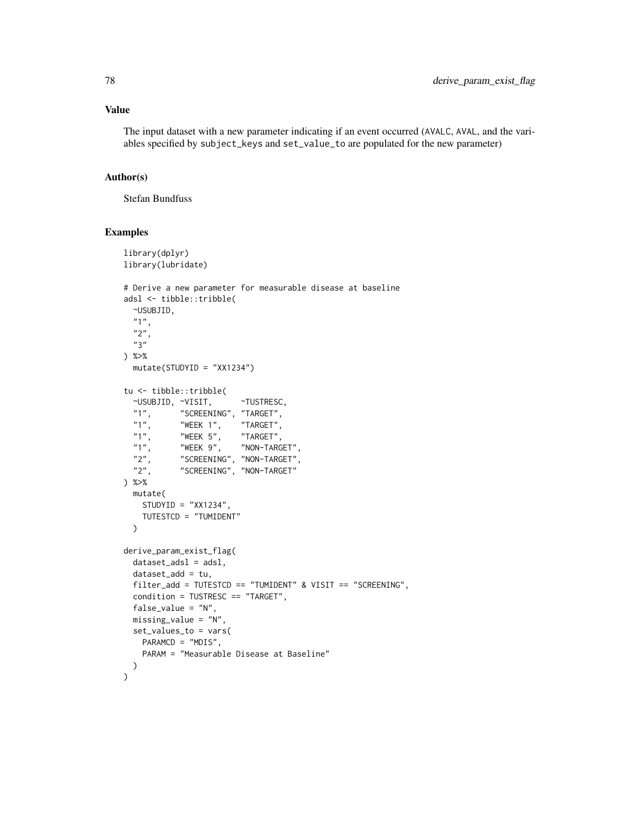### Value

The input dataset with a new parameter indicating if an event occurred (AVALC, AVAL, and the variables specified by subject\_keys and set\_value\_to are populated for the new parameter)

## Author(s)

Stefan Bundfuss

```
library(dplyr)
library(lubridate)
# Derive a new parameter for measurable disease at baseline
adsl <- tibble::tribble(
  ~USUBJID,
  "1",
  "2",
  "3"
) %>%
  mutate(STUDYID = "XX1234")
tu <- tibble::tribble(
  ~USUBJID, ~VISIT, ~TUSTRESC,
  "1", "SCREENING", "TARGET",
  "1", "WEEK 1",<br>"1", "WEEK 5",
  "1", "WEEK 5", "TARGET",<br>"1", "WEEK 9", "NON-TARG"
  "1", "WEEK 9", "NON-TARGET",<br>"2". "SCREENING", "NON-TARGET",
            "SCREENING", "NON-TARGET",
  "2", "SCREENING", "NON-TARGET"
) %>%
  mutate(
    STUDYID = "XX1234",TUTESTCD = "TUMIDENT"
  )
derive_param_exist_flag(
  dataset\_ads1 = ads1,
  dataset\_add = tu,
  filter_add = TUTESTCD == "TUMIDENT" & VISIT == "SCREENING",
  condition = TUSTRESC == "TARGET",
  false_value = "N",
  missing_value = "N",
  set_values_to = vars(
    PARAMCD = "MDIS",
    PARAM = "Measurable Disease at Baseline"
  \lambda)
```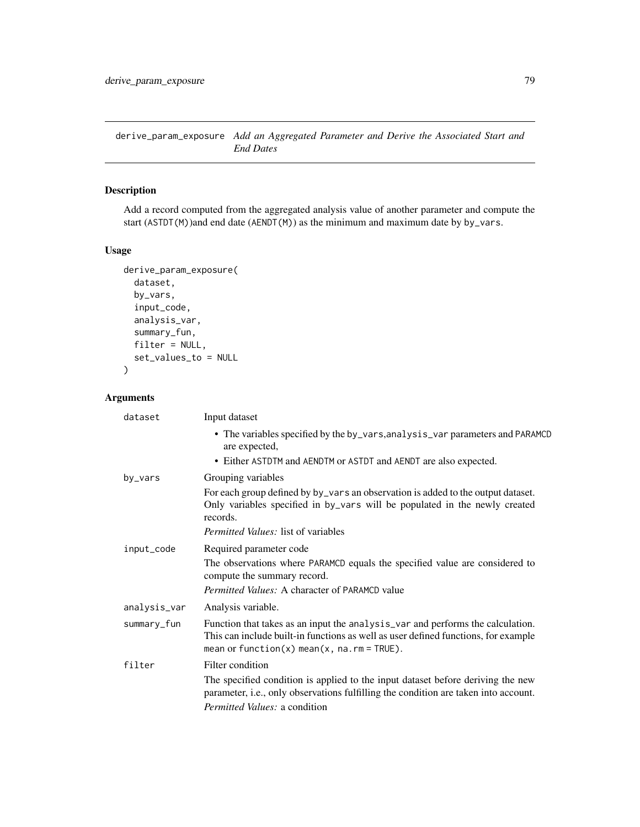derive\_param\_exposure *Add an Aggregated Parameter and Derive the Associated Start and End Dates*

## Description

Add a record computed from the aggregated analysis value of another parameter and compute the start (ASTDT(M))and end date (AENDT(M)) as the minimum and maximum date by by\_vars.

### Usage

```
derive_param_exposure(
  dataset,
  by_vars,
  input_code,
  analysis_var,
  summary_fun,
  filter = NULL,
  set_values_to = NULL
\mathcal{L}
```

| dataset      | Input dataset                                                                                                                                                                                                             |
|--------------|---------------------------------------------------------------------------------------------------------------------------------------------------------------------------------------------------------------------------|
|              | • The variables specified by the by_vars, analysis_var parameters and PARAMCD<br>are expected,                                                                                                                            |
|              | • Either ASTDTM and AENDTM or ASTDT and AENDT are also expected.                                                                                                                                                          |
| by_vars      | Grouping variables                                                                                                                                                                                                        |
|              | For each group defined by by_vars an observation is added to the output dataset.<br>Only variables specified in by_vars will be populated in the newly created<br>records.                                                |
|              | <i>Permitted Values:</i> list of variables                                                                                                                                                                                |
| input_code   | Required parameter code                                                                                                                                                                                                   |
|              | The observations where PARAMCD equals the specified value are considered to<br>compute the summary record.                                                                                                                |
|              | <i>Permitted Values:</i> A character of PARAMCD value                                                                                                                                                                     |
| analysis_var | Analysis variable.                                                                                                                                                                                                        |
| summary_fun  | Function that takes as an input the analysis_var and performs the calculation.<br>This can include built-in functions as well as user defined functions, for example<br>mean or function(x) mean(x, $na$ . $rm = TRUE$ ). |
| filter       | Filter condition                                                                                                                                                                                                          |
|              | The specified condition is applied to the input dataset before deriving the new<br>parameter, i.e., only observations fulfilling the condition are taken into account.                                                    |
|              | Permitted Values: a condition                                                                                                                                                                                             |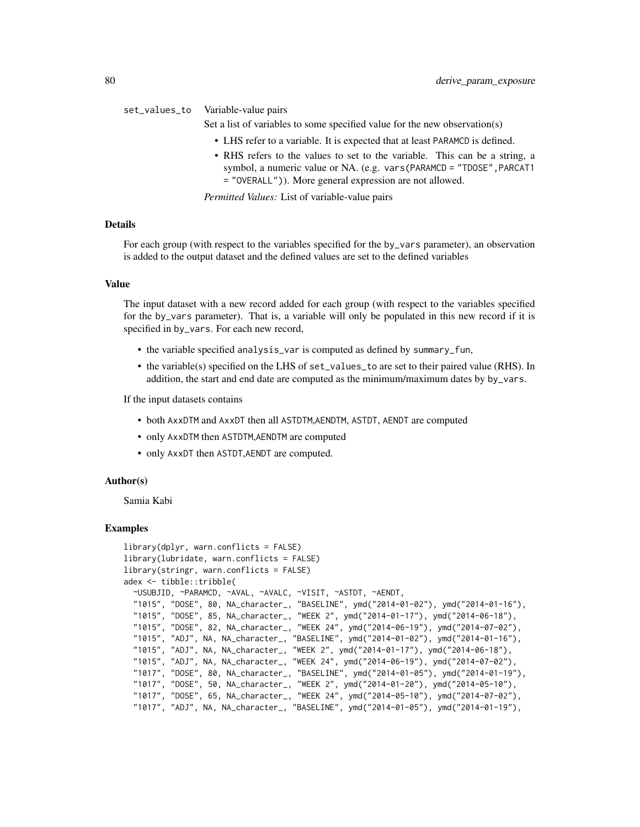#### set\_values\_to Variable-value pairs

Set a list of variables to some specified value for the new observation(s)

- LHS refer to a variable. It is expected that at least PARAMCD is defined.
- RHS refers to the values to set to the variable. This can be a string, a symbol, a numeric value or NA. (e.g. vars(PARAMCD = "TDOSE",PARCAT1 = "OVERALL")). More general expression are not allowed.

*Permitted Values:* List of variable-value pairs

#### Details

For each group (with respect to the variables specified for the by\_vars parameter), an observation is added to the output dataset and the defined values are set to the defined variables

#### Value

The input dataset with a new record added for each group (with respect to the variables specified for the by\_vars parameter). That is, a variable will only be populated in this new record if it is specified in by\_vars. For each new record,

- the variable specified analysis\_var is computed as defined by summary\_fun,
- the variable(s) specified on the LHS of set\_values\_to are set to their paired value (RHS). In addition, the start and end date are computed as the minimum/maximum dates by by\_vars.

If the input datasets contains

- both AxxDTM and AxxDT then all ASTDTM,AENDTM, ASTDT, AENDT are computed
- only AxxDTM then ASTDTM,AENDTM are computed
- only AxxDT then ASTDT,AENDT are computed.

#### Author(s)

Samia Kabi

```
library(dplyr, warn.conflicts = FALSE)
library(lubridate, warn.conflicts = FALSE)
library(stringr, warn.conflicts = FALSE)
adex <- tibble::tribble(
 ~USUBJID, ~PARAMCD, ~AVAL, ~AVALC, ~VISIT, ~ASTDT, ~AENDT,
 "1015", "DOSE", 80, NA_character_, "BASELINE", ymd("2014-01-02"), ymd("2014-01-16"),
 "1015", "DOSE", 85, NA_character_, "WEEK 2", ymd("2014-01-17"), ymd("2014-06-18"),
  "1015", "DOSE", 82, NA_character_, "WEEK 24", ymd("2014-06-19"), ymd("2014-07-02"),
  "1015", "ADJ", NA, NA_character_, "BASELINE", ymd("2014-01-02"), ymd("2014-01-16"),
 "1015", "ADJ", NA, NA_character_, "WEEK 2", ymd("2014-01-17"), ymd("2014-06-18"),
  "1015", "ADJ", NA, NA_character_, "WEEK 24", ymd("2014-06-19"), ymd("2014-07-02"),
  "1017", "DOSE", 80, NA_character_, "BASELINE", ymd("2014-01-05"), ymd("2014-01-19"),
 "1017", "DOSE", 50, NA_character_, "WEEK 2", ymd("2014-01-20"), ymd("2014-05-10"),
  "1017", "DOSE", 65, NA_character_, "WEEK 24", ymd("2014-05-10"), ymd("2014-07-02"),
  "1017", "ADJ", NA, NA_character_, "BASELINE", ymd("2014-01-05"), ymd("2014-01-19"),
```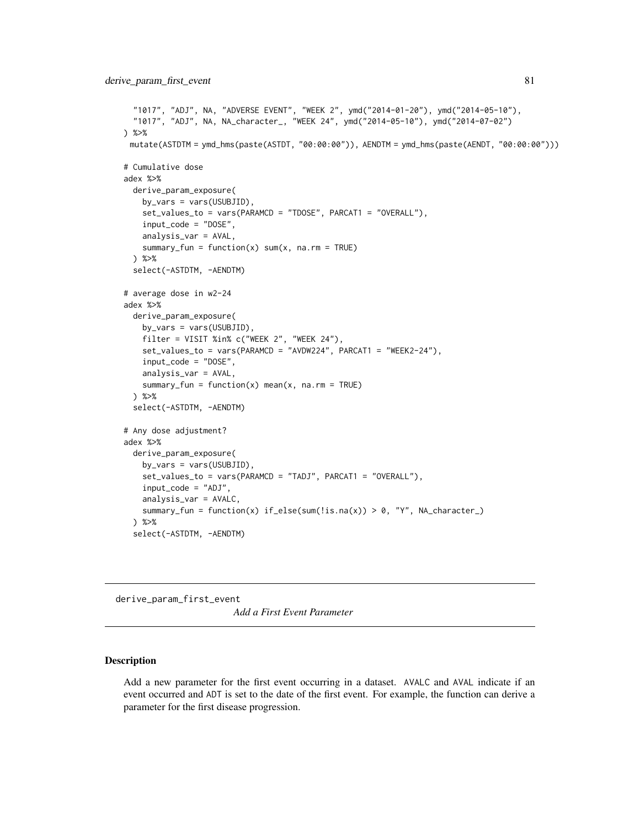```
"1017", "ADJ", NA, "ADVERSE EVENT", "WEEK 2", ymd("2014-01-20"), ymd("2014-05-10"),
  "1017", "ADJ", NA, NA_character_, "WEEK 24", ymd("2014-05-10"), ymd("2014-07-02")
) %>%
 mutate(ASTDTM = ymd_hms(paste(ASTDT, "00:00:00")), AENDTM = ymd_hms(paste(AENDT, "00:00:00")))
# Cumulative dose
adex %>%
 derive_param_exposure(
   by_vars = vars(USUBJID),
   set_values_to = vars(PARAMCD = "TDOSE", PARCAT1 = "OVERALL"),
   input_code = "DOSE",
   analysis_var = AVAL,
    summary_fun = function(x) sum(x, na.rm = TRUE)) %>%
 select(-ASTDTM, -AENDTM)
# average dose in w2-24
adex %>%
 derive_param_exposure(
   by_vars = vars(USUBJID),
   filter = VISIT %in% c("WEEK 2", "WEEK 24"),
   set_values_to = vars(PARAMCD = "AVDW224", PARCAT1 = "WEEK2-24"),
   input_code = "DOSE",
   analysis_var = AVAL,
   summary_fun = function(x) mean(x, na.rm = TRUE)
 ) %>%
 select(-ASTDTM, -AENDTM)
# Any dose adjustment?
adex %>%
 derive_param_exposure(
   by_vars = vars(USUBJID),
   set_values_to = vars(PARAMCD = "TADJ", PARCAT1 = "OVERALL"),
   input_code = "ADJ",
   analysis_var = AVALC,
   summary_fun = function(x) if_else(sum(!is.na(x)) > 0, "Y", NA_character_)
 ) %>%
 select(-ASTDTM, -AENDTM)
```
derive\_param\_first\_event

*Add a First Event Parameter*

#### Description

Add a new parameter for the first event occurring in a dataset. AVALC and AVAL indicate if an event occurred and ADT is set to the date of the first event. For example, the function can derive a parameter for the first disease progression.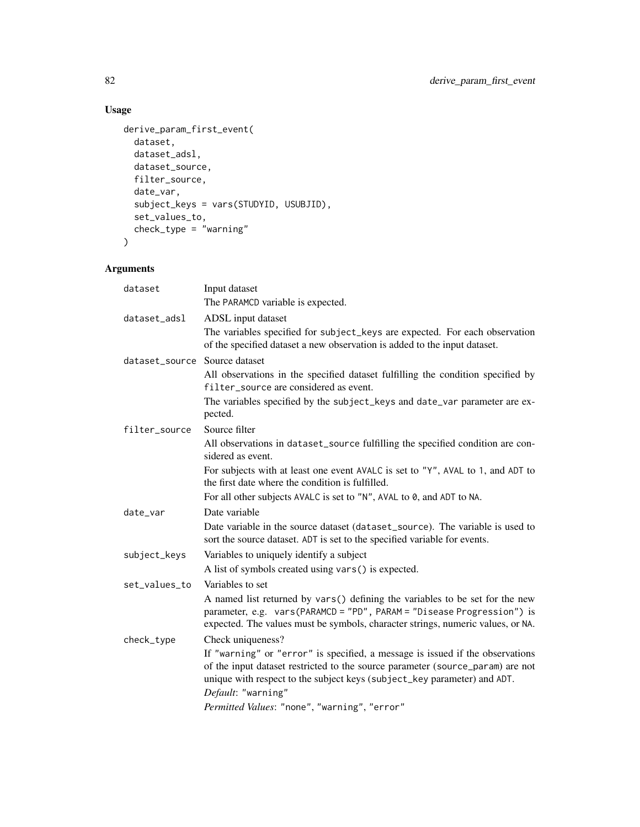## Usage

```
derive_param_first_event(
  dataset,
  dataset_adsl,
  dataset_source,
  filter_source,
  date_var,
  subject_keys = vars(STUDYID, USUBJID),
  set_values_to,
 check_type = "warning"
\mathcal{L}
```

| dataset                       | Input dataset                                                                                                                                                                                                                                                     |
|-------------------------------|-------------------------------------------------------------------------------------------------------------------------------------------------------------------------------------------------------------------------------------------------------------------|
|                               | The PARAMCD variable is expected.                                                                                                                                                                                                                                 |
| dataset_adsl                  | ADSL input dataset                                                                                                                                                                                                                                                |
|                               | The variables specified for subject_keys are expected. For each observation<br>of the specified dataset a new observation is added to the input dataset.                                                                                                          |
| dataset_source Source dataset |                                                                                                                                                                                                                                                                   |
|                               | All observations in the specified dataset fulfilling the condition specified by<br>filter_source are considered as event.                                                                                                                                         |
|                               | The variables specified by the subject_keys and date_var parameter are ex-<br>pected.                                                                                                                                                                             |
| filter_source                 | Source filter                                                                                                                                                                                                                                                     |
|                               | All observations in dataset_source fulfilling the specified condition are con-<br>sidered as event.                                                                                                                                                               |
|                               | For subjects with at least one event AVALC is set to "Y", AVAL to 1, and ADT to<br>the first date where the condition is fulfilled.                                                                                                                               |
|                               | For all other subjects AVALC is set to "N", AVAL to 0, and ADT to NA.                                                                                                                                                                                             |
| date_var                      | Date variable                                                                                                                                                                                                                                                     |
|                               | Date variable in the source dataset (dataset_source). The variable is used to<br>sort the source dataset. ADT is set to the specified variable for events.                                                                                                        |
| subject_keys                  | Variables to uniquely identify a subject                                                                                                                                                                                                                          |
|                               | A list of symbols created using vars() is expected.                                                                                                                                                                                                               |
| set_values_to                 | Variables to set                                                                                                                                                                                                                                                  |
|                               | A named list returned by vars() defining the variables to be set for the new<br>parameter, e.g. vars(PARAMCD = "PD", PARAM = "Disease Progression") is<br>expected. The values must be symbols, character strings, numeric values, or NA.                         |
| check_type                    | Check uniqueness?                                                                                                                                                                                                                                                 |
|                               | If "warning" or "error" is specified, a message is issued if the observations<br>of the input dataset restricted to the source parameter (source_param) are not<br>unique with respect to the subject keys (subject_key parameter) and ADT.<br>Default: "warning" |
|                               | Permitted Values: "none", "warning", "error"                                                                                                                                                                                                                      |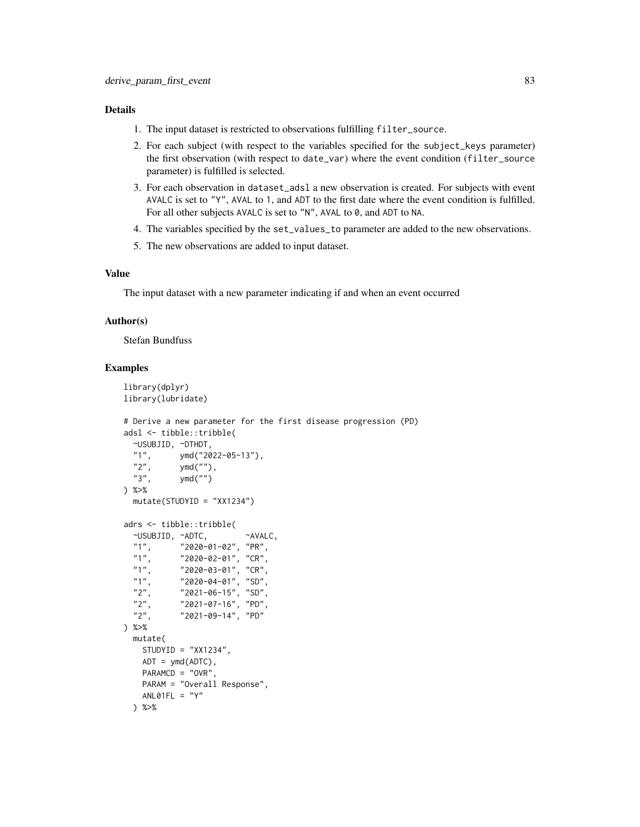- 1. The input dataset is restricted to observations fulfilling filter\_source.
- 2. For each subject (with respect to the variables specified for the subject\_keys parameter) the first observation (with respect to date\_var) where the event condition (filter\_source parameter) is fulfilled is selected.
- 3. For each observation in dataset\_adsl a new observation is created. For subjects with event AVALC is set to "Y", AVAL to 1, and ADT to the first date where the event condition is fulfilled. For all other subjects AVALC is set to "N", AVAL to 0, and ADT to NA.
- 4. The variables specified by the set\_values\_to parameter are added to the new observations.
- 5. The new observations are added to input dataset.

## Value

The input dataset with a new parameter indicating if and when an event occurred

## Author(s)

Stefan Bundfuss

```
library(dplyr)
library(lubridate)
# Derive a new parameter for the first disease progression (PD)
adsl <- tibble::tribble(
  ~USUBJID, ~DTHDT,
  "1", ymd("2022-05-13"),<br>"2", ymd(""),
             ymd(""),
  "3", ymd("")
) %>%
  mutate(STUDYID = "XX1234")
adrs <- tibble::tribble(
  ~USUBJID, ~ADTC, ~AVALC,
  "1", "2020-01-02", "PR",<br>"1", "2020-02-01", "CR",
  "1", "2020-02-01", "CR",<br>"1", "2020-03-01", "CR",
  "1", "2020-03-01", "CR",<br>"1", "2020-04-01", "SD",
             "2020-04-01", "SD",
  "2", "2021-06-15", "SD",<br>"2", "2021-07-16", "PD",
  "2", "2021-07-16", "PD",<br>"2", "2021-09-14", "PD"
              "2021-09-14", "PD"
) %>%
  mutate(
    STUDYID = "XX1234",
    ADT = ymd(ADTC),
    PARAMCD = "OVR",
    PARAM = "Overall Response",
    ANLØ1FL = "Y") %>%
```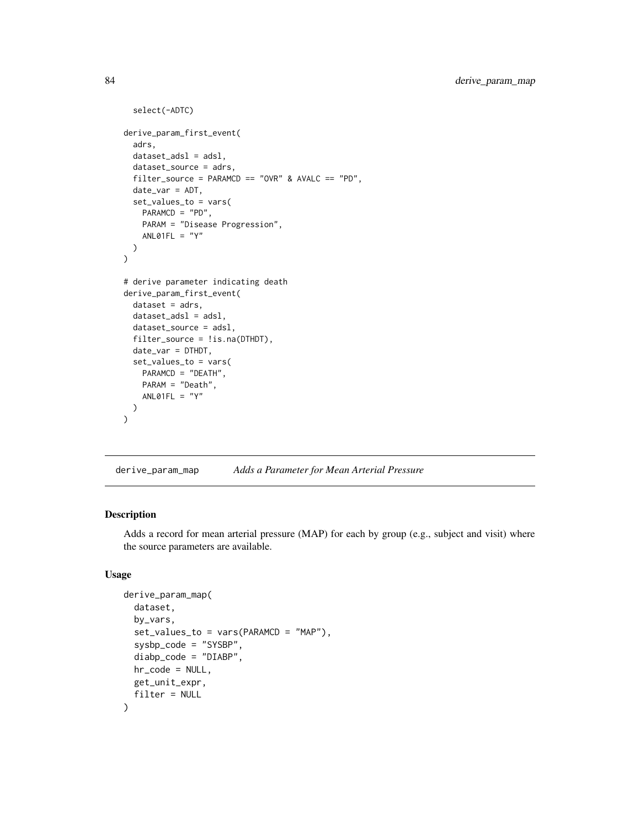```
select(-ADTC)
derive_param_first_event(
  adrs,
  dataset_adsl = adsl,
  dataset_source = adrs,
  filter_source = PARAMCD == "OVR" & AVALC == "PD",
  date_var = ADT,
  set_values_to = vars(
    PARAMCD = "PD",
    PARAM = "Disease Progression",
    ANLO1FL = "Y")
\mathcal{L}# derive parameter indicating death
derive_param_first_event(
  dataset = adrs,
  dataset_adsl = adsl,
 dataset_source = adsl,
  filter_source = !is.na(DTHDT),
  date_var = DTHDT,
  set_values_to = vars(
    PARAMCD = "DEATH",
    PARAM = "Death",
    ANLO1FL = "Y")
\mathcal{L}
```
derive\_param\_map *Adds a Parameter for Mean Arterial Pressure*

## Description

Adds a record for mean arterial pressure (MAP) for each by group (e.g., subject and visit) where the source parameters are available.

## Usage

```
derive_param_map(
  dataset,
 by_vars,
  set_values_to = vars(PARAMCD = "MAP"),
  sysbp_code = "SYSBP",
  diabp_code = "DIABP",
 hr_code = NULL,
 get_unit_expr,
  filter = NULL
)
```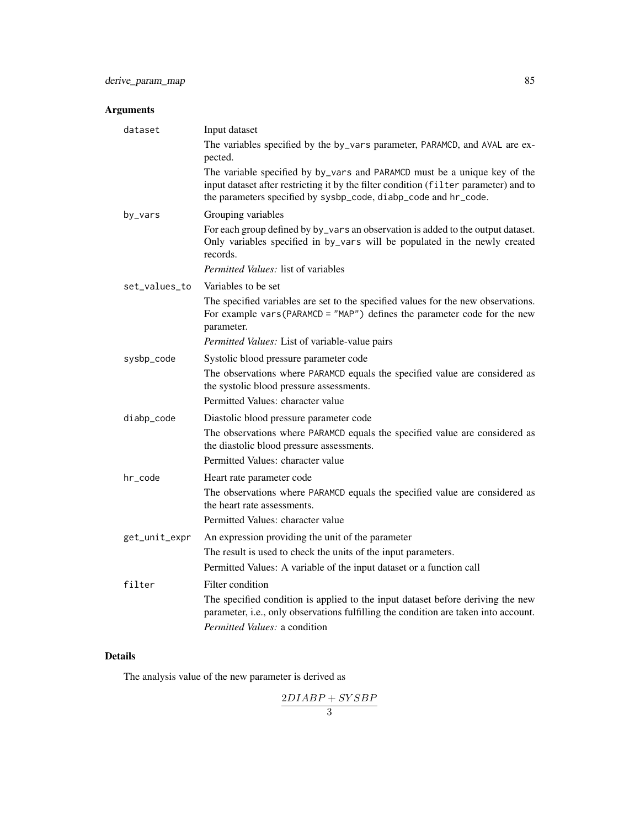# Arguments

| dataset       | Input dataset                                                                                                                                                                                                                        |
|---------------|--------------------------------------------------------------------------------------------------------------------------------------------------------------------------------------------------------------------------------------|
|               | The variables specified by the by_vars parameter, PARAMCD, and AVAL are ex-<br>pected.                                                                                                                                               |
|               | The variable specified by by_vars and PARAMCD must be a unique key of the<br>input dataset after restricting it by the filter condition (filter parameter) and to<br>the parameters specified by sysbp_code, diabp_code and hr_code. |
| by_vars       | Grouping variables                                                                                                                                                                                                                   |
|               | For each group defined by by_vars an observation is added to the output dataset.<br>Only variables specified in by_vars will be populated in the newly created<br>records.                                                           |
|               | <i>Permitted Values:</i> list of variables                                                                                                                                                                                           |
| set_values_to | Variables to be set                                                                                                                                                                                                                  |
|               | The specified variables are set to the specified values for the new observations.<br>For example vars(PARAMCD = "MAP") defines the parameter code for the new<br>parameter.                                                          |
|               | Permitted Values: List of variable-value pairs                                                                                                                                                                                       |
| sysbp_code    | Systolic blood pressure parameter code                                                                                                                                                                                               |
|               | The observations where PARAMCD equals the specified value are considered as<br>the systolic blood pressure assessments.                                                                                                              |
|               | Permitted Values: character value                                                                                                                                                                                                    |
| diabp_code    | Diastolic blood pressure parameter code<br>The observations where PARAMCD equals the specified value are considered as                                                                                                               |
|               | the diastolic blood pressure assessments.<br>Permitted Values: character value                                                                                                                                                       |
| hr_code       | Heart rate parameter code                                                                                                                                                                                                            |
|               | The observations where PARAMCD equals the specified value are considered as<br>the heart rate assessments.                                                                                                                           |
|               | Permitted Values: character value                                                                                                                                                                                                    |
| get_unit_expr | An expression providing the unit of the parameter                                                                                                                                                                                    |
|               | The result is used to check the units of the input parameters.<br>Permitted Values: A variable of the input dataset or a function call                                                                                               |
|               | Filter condition                                                                                                                                                                                                                     |
| filter        | The specified condition is applied to the input dataset before deriving the new                                                                                                                                                      |
|               | parameter, i.e., only observations fulfilling the condition are taken into account.                                                                                                                                                  |
|               | Permitted Values: a condition                                                                                                                                                                                                        |

# Details

The analysis value of the new parameter is derived as

 $2DIABP + SYSBP$ 3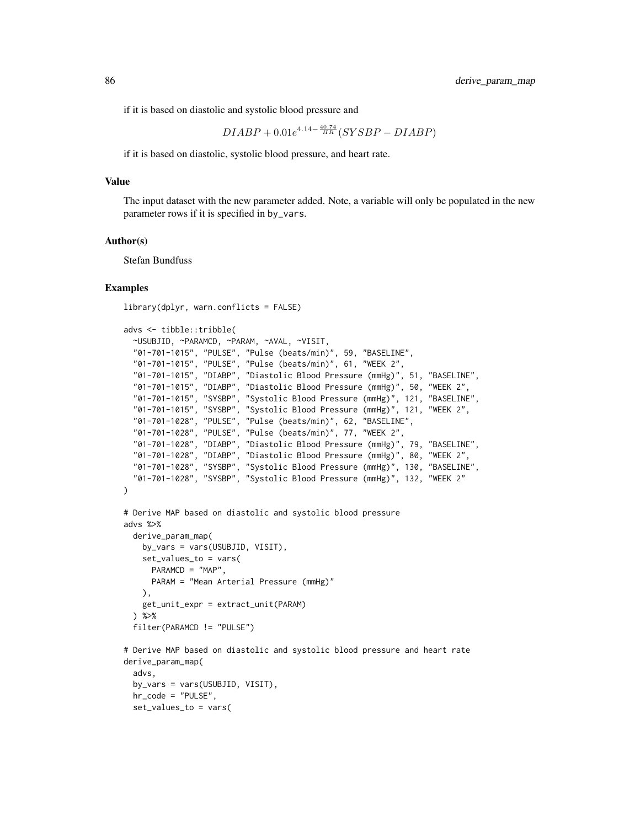if it is based on diastolic and systolic blood pressure and

$$
DIABP + 0.01e^{4.14 - \frac{40.74}{HR}} (SYSBP - DIABP)
$$

if it is based on diastolic, systolic blood pressure, and heart rate.

#### Value

The input dataset with the new parameter added. Note, a variable will only be populated in the new parameter rows if it is specified in by\_vars.

#### Author(s)

Stefan Bundfuss

#### Examples

library(dplyr, warn.conflicts = FALSE)

```
advs <- tibble::tribble(
```
set\_values\_to = vars(

```
~USUBJID, ~PARAMCD, ~PARAM, ~AVAL, ~VISIT,
  "01-701-1015", "PULSE", "Pulse (beats/min)", 59, "BASELINE",
  "01-701-1015", "PULSE", "Pulse (beats/min)", 61, "WEEK 2",
  "01-701-1015", "DIABP", "Diastolic Blood Pressure (mmHg)", 51, "BASELINE",
 "01-701-1015", "DIABP", "Diastolic Blood Pressure (mmHg)", 50, "WEEK 2",
 "01-701-1015", "SYSBP", "Systolic Blood Pressure (mmHg)", 121, "BASELINE",
 "01-701-1015", "SYSBP", "Systolic Blood Pressure (mmHg)", 121, "WEEK 2",
 "01-701-1028", "PULSE", "Pulse (beats/min)", 62, "BASELINE",
 "01-701-1028", "PULSE", "Pulse (beats/min)", 77, "WEEK 2",
 "01-701-1028", "DIABP", "Diastolic Blood Pressure (mmHg)", 79, "BASELINE",
 "01-701-1028", "DIABP", "Diastolic Blood Pressure (mmHg)", 80, "WEEK 2",
 "01-701-1028", "SYSBP", "Systolic Blood Pressure (mmHg)", 130, "BASELINE",
  "01-701-1028", "SYSBP", "Systolic Blood Pressure (mmHg)", 132, "WEEK 2"
\mathcal{L}# Derive MAP based on diastolic and systolic blood pressure
advs %>%
 derive_param_map(
   by_vars = vars(USUBJID, VISIT),
   set_values_to = vars(
     PARAMCD = "MAP",
     PARAM = "Mean Arterial Pressure (mmHg)"
   ),
   get_unit_expr = extract_unit(PARAM)
 ) %>%
 filter(PARAMCD != "PULSE")
```
# Derive MAP based on diastolic and systolic blood pressure and heart rate derive\_param\_map( advs, by\_vars = vars(USUBJID, VISIT), hr\_code = "PULSE",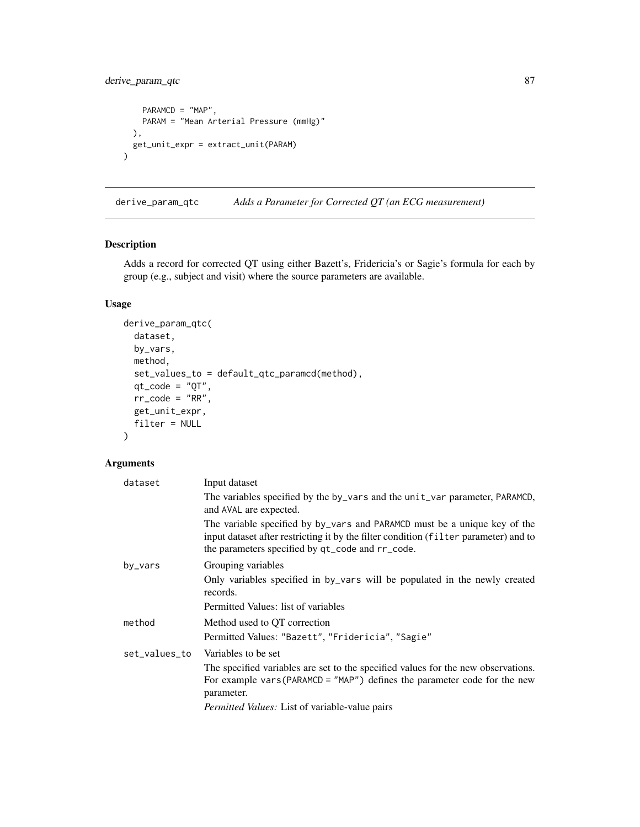derive\_param\_qtc 87

```
PARAMCD = "MAP",
    PARAM = "Mean Arterial Pressure (mmHg)"
  ),
  get_unit_expr = extract_unit(PARAM)
\mathcal{L}
```
derive\_param\_qtc *Adds a Parameter for Corrected QT (an ECG measurement)*

### Description

Adds a record for corrected QT using either Bazett's, Fridericia's or Sagie's formula for each by group (e.g., subject and visit) where the source parameters are available.

## Usage

```
derive_param_qtc(
  dataset,
 by_vars,
 method,
  set_values_to = default_qtc_paramcd(method),
  qt\_code = "QT",rr\_code = "RR",get_unit_expr,
  filter = NULL
)
```

| dataset       | Input dataset                                                                                                                                                                                                         |
|---------------|-----------------------------------------------------------------------------------------------------------------------------------------------------------------------------------------------------------------------|
|               | The variables specified by the by_vars and the unit_var parameter, PARAMCD,<br>and AVAL are expected.                                                                                                                 |
|               | The variable specified by by vars and PARAMCD must be a unique key of the<br>input dataset after restricting it by the filter condition (filter parameter) and to<br>the parameters specified by qt_code and rr_code. |
| by_vars       | Grouping variables                                                                                                                                                                                                    |
|               | Only variables specified in by vars will be populated in the newly created<br>records.                                                                                                                                |
|               | Permitted Values: list of variables                                                                                                                                                                                   |
| method        | Method used to QT correction                                                                                                                                                                                          |
|               | Permitted Values: "Bazett", "Fridericia", "Sagie"                                                                                                                                                                     |
| set_values_to | Variables to be set                                                                                                                                                                                                   |
|               | The specified variables are set to the specified values for the new observations.<br>For example vars (PARAMCD = $"MAP"$ ) defines the parameter code for the new<br>parameter.                                       |
|               | Permitted Values: List of variable-value pairs                                                                                                                                                                        |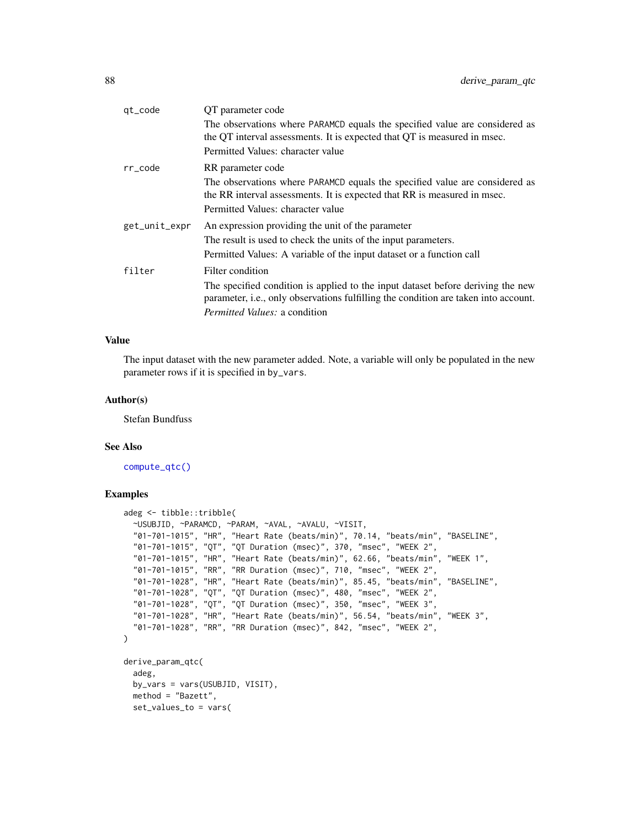| QT parameter code                                                                                                                                                                            |
|----------------------------------------------------------------------------------------------------------------------------------------------------------------------------------------------|
| The observations where PARAMCD equals the specified value are considered as<br>the QT interval assessments. It is expected that QT is measured in msec.                                      |
| Permitted Values: character value                                                                                                                                                            |
| RR parameter code                                                                                                                                                                            |
| The observations where PARAMCD equals the specified value are considered as<br>the RR interval assessments. It is expected that RR is measured in msec.<br>Permitted Values: character value |
| An expression providing the unit of the parameter                                                                                                                                            |
| The result is used to check the units of the input parameters.                                                                                                                               |
| Permitted Values: A variable of the input dataset or a function call                                                                                                                         |
| Filter condition                                                                                                                                                                             |
| The specified condition is applied to the input dataset before deriving the new<br>parameter, i.e., only observations fulfilling the condition are taken into account.                       |
| <i>Permitted Values: a condition</i>                                                                                                                                                         |
|                                                                                                                                                                                              |

## Value

The input dataset with the new parameter added. Note, a variable will only be populated in the new parameter rows if it is specified in by\_vars.

#### Author(s)

Stefan Bundfuss

#### See Also

[compute\\_qtc\(\)](#page-38-0)

```
adeg <- tibble::tribble(
 ~USUBJID, ~PARAMCD, ~PARAM, ~AVAL, ~AVALU, ~VISIT,
 "01-701-1015", "HR", "Heart Rate (beats/min)", 70.14, "beats/min", "BASELINE",
  "01-701-1015", "QT", "QT Duration (msec)", 370, "msec", "WEEK 2",
  "01-701-1015", "HR", "Heart Rate (beats/min)", 62.66, "beats/min", "WEEK 1",
 "01-701-1015", "RR", "RR Duration (msec)", 710, "msec", "WEEK 2",
 "01-701-1028", "HR", "Heart Rate (beats/min)", 85.45, "beats/min", "BASELINE",
 "01-701-1028", "QT", "QT Duration (msec)", 480, "msec", "WEEK 2",
  "01-701-1028", "QT", "QT Duration (msec)", 350, "msec", "WEEK 3",
  "01-701-1028", "HR", "Heart Rate (beats/min)", 56.54, "beats/min", "WEEK 3",
 "01-701-1028", "RR", "RR Duration (msec)", 842, "msec", "WEEK 2",
\mathcal{L}derive_param_qtc(
 adeg,
 by_vars = vars(USUBJID, VISIT),
 method = "Bazett",
 set_values_to = vars(
```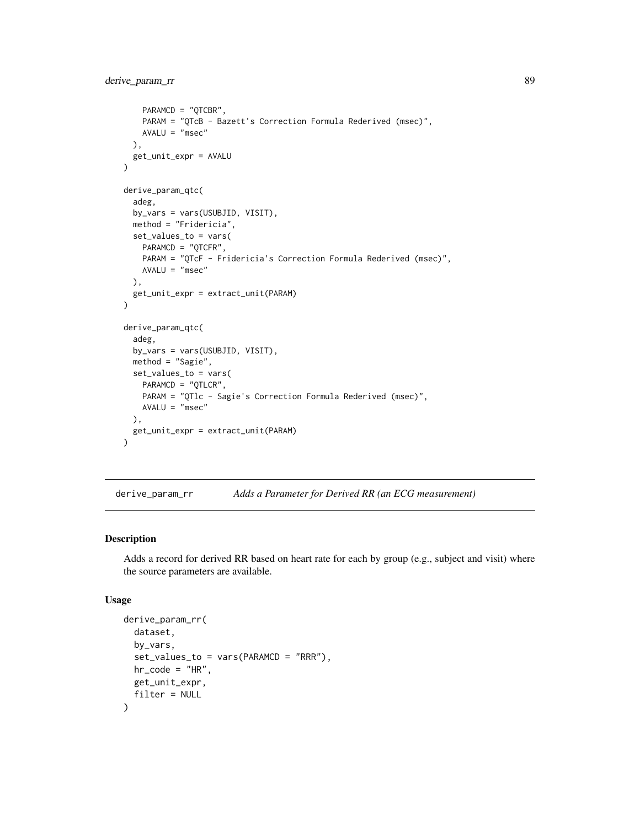```
PARAMCD = "QTCBR",
   PARAM = "QTcB - Bazett's Correction Formula Rederived (msec)",
   AVALU = "msec"),
 get_unit_expr = AVALU
\mathcal{L}derive_param_qtc(
 adeg,
 by_vars = vars(USUBJID, VISIT),
 method = "Fridericia",
 set_values_to = vars(
   PARAMCD = "QTCFR",
   PARAM = "QTcF - Fridericia's Correction Formula Rederived (msec)",
   AVALU = "msec"),
 get_unit_expr = extract_unit(PARAM)
)
derive_param_qtc(
 adeg,
 by_vars = vars(USUBJID, VISIT),
 method = "Sagie",
 set_values_to = vars(
   PARAMCD = "QTLCR",
   PARAM = "QTlc - Sagie's Correction Formula Rederived (msec)",
   AVALU = "msec"),
 get_unit_expr = extract_unit(PARAM)
\mathcal{L}
```
derive\_param\_rr *Adds a Parameter for Derived RR (an ECG measurement)*

#### Description

Adds a record for derived RR based on heart rate for each by group (e.g., subject and visit) where the source parameters are available.

#### Usage

```
derive_param_rr(
 dataset,
 by_vars,
 set_values_to = vars(PARAMCD = "RRR"),
 hr\_code = "HR".get_unit_expr,
 filter = NULL
)
```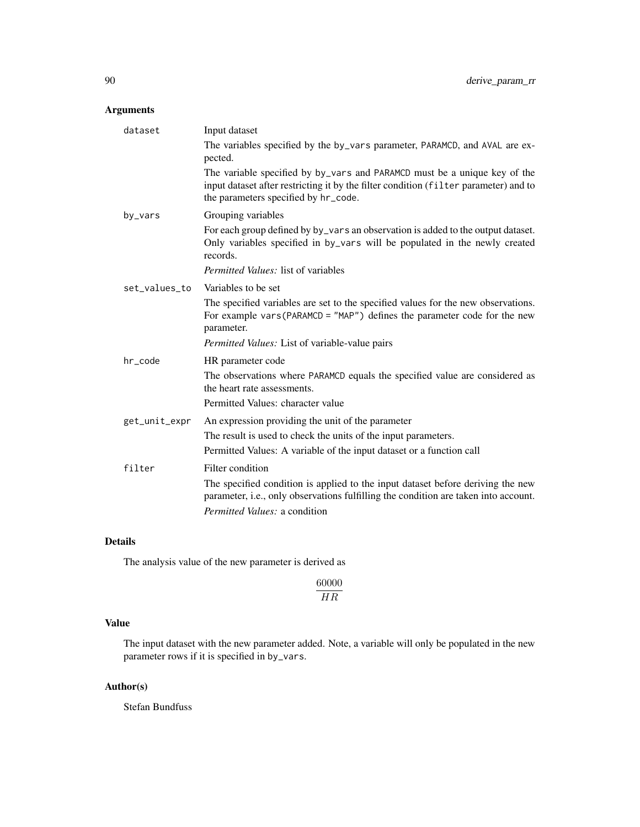## Arguments

| dataset       | Input dataset                                                                                                                                                                                             |
|---------------|-----------------------------------------------------------------------------------------------------------------------------------------------------------------------------------------------------------|
|               | The variables specified by the by_vars parameter, PARAMCD, and AVAL are ex-<br>pected.                                                                                                                    |
|               | The variable specified by by_vars and PARAMCD must be a unique key of the<br>input dataset after restricting it by the filter condition (filter parameter) and to<br>the parameters specified by hr_code. |
| by_vars       | Grouping variables                                                                                                                                                                                        |
|               | For each group defined by by_vars an observation is added to the output dataset.<br>Only variables specified in by_vars will be populated in the newly created<br>records.                                |
|               | Permitted Values: list of variables                                                                                                                                                                       |
| set_values_to | Variables to be set                                                                                                                                                                                       |
|               | The specified variables are set to the specified values for the new observations.<br>For example vars (PARAMCD = $"MAP"$ ) defines the parameter code for the new<br>parameter.                           |
|               | Permitted Values: List of variable-value pairs                                                                                                                                                            |
| hr_code       | HR parameter code                                                                                                                                                                                         |
|               | The observations where PARAMCD equals the specified value are considered as<br>the heart rate assessments.                                                                                                |
|               | Permitted Values: character value                                                                                                                                                                         |
| get_unit_expr | An expression providing the unit of the parameter                                                                                                                                                         |
|               | The result is used to check the units of the input parameters.                                                                                                                                            |
|               | Permitted Values: A variable of the input dataset or a function call                                                                                                                                      |
| filter        | Filter condition                                                                                                                                                                                          |
|               | The specified condition is applied to the input dataset before deriving the new<br>parameter, i.e., only observations fulfilling the condition are taken into account.                                    |
|               | <i>Permitted Values: a condition</i>                                                                                                                                                                      |

## Details

The analysis value of the new parameter is derived as

60000 HR

## Value

The input dataset with the new parameter added. Note, a variable will only be populated in the new parameter rows if it is specified in by\_vars.

## Author(s)

Stefan Bundfuss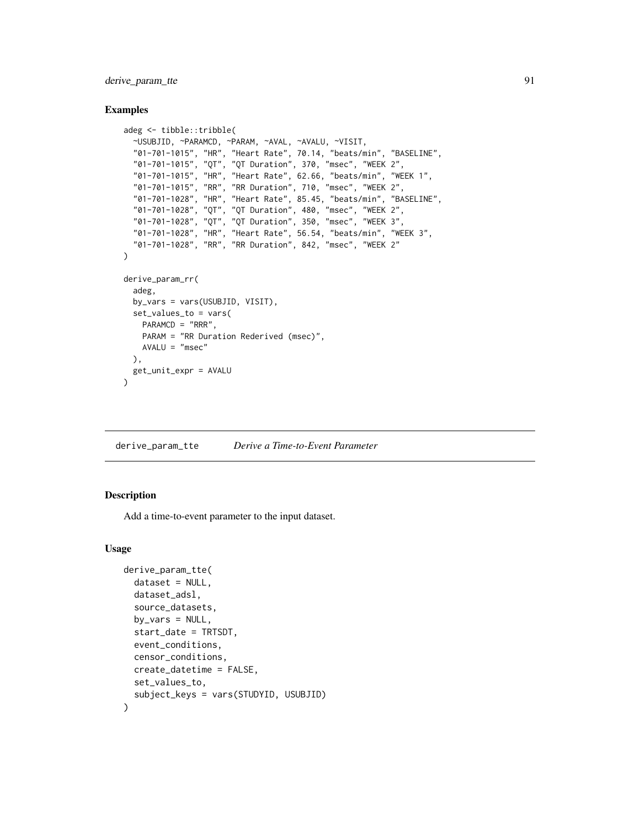derive\_param\_tte 91

#### Examples

```
adeg <- tibble::tribble(
 ~USUBJID, ~PARAMCD, ~PARAM, ~AVAL, ~AVALU, ~VISIT,
  "01-701-1015", "HR", "Heart Rate", 70.14, "beats/min", "BASELINE",
  "01-701-1015", "QT", "QT Duration", 370, "msec", "WEEK 2",
  "01-701-1015", "HR", "Heart Rate", 62.66, "beats/min", "WEEK 1",
  "01-701-1015", "RR", "RR Duration", 710, "msec", "WEEK 2",
  "01-701-1028", "HR", "Heart Rate", 85.45, "beats/min", "BASELINE",
  "01-701-1028", "QT", "QT Duration", 480, "msec", "WEEK 2",
  "01-701-1028", "QT", "QT Duration", 350, "msec", "WEEK 3",
 "01-701-1028", "HR", "Heart Rate", 56.54, "beats/min", "WEEK 3",
  "01-701-1028", "RR", "RR Duration", 842, "msec", "WEEK 2"
\lambdaderive_param_rr(
 adeg,
 by_vars = vars(USUBJID, VISIT),
 set_values_to = vars(
   PARAMCD = "RRR",
   PARAM = "RR Duration Rederived (msec)",
   AVALU = "msec"),
 get_unit_expr = AVALU
)
```
derive\_param\_tte *Derive a Time-to-Event Parameter*

#### Description

Add a time-to-event parameter to the input dataset.

#### Usage

```
derive_param_tte(
  dataset = NULL,
  dataset_adsl,
  source_datasets,
  by_vars = NULL,start_date = TRTSDT,
  event_conditions,
  censor_conditions,
  create_datetime = FALSE,
  set_values_to,
  subject_keys = vars(STUDYID, USUBJID)
)
```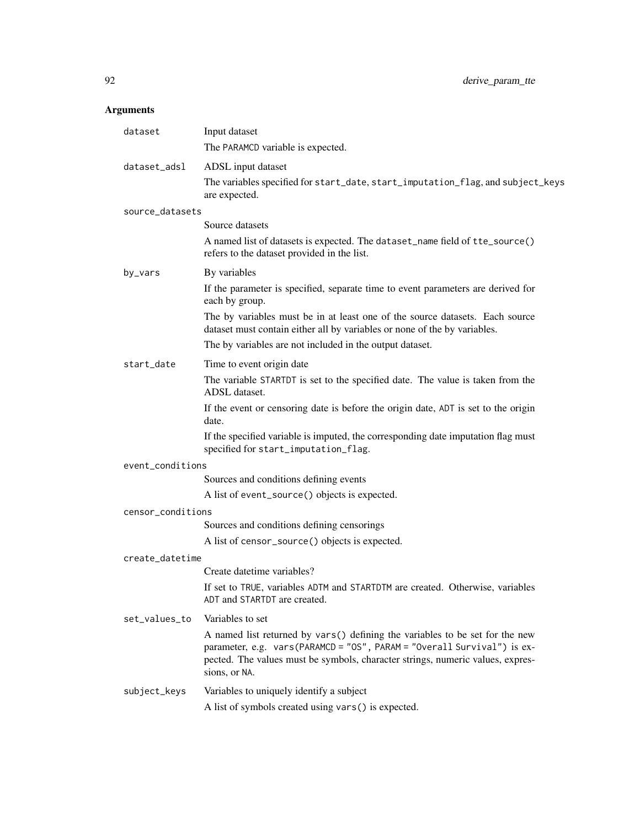| dataset           | Input dataset<br>The PARAMCD variable is expected.                                                                                                                                                                                                         |
|-------------------|------------------------------------------------------------------------------------------------------------------------------------------------------------------------------------------------------------------------------------------------------------|
| dataset_adsl      | ADSL input dataset<br>The variables specified for start_date, start_imputation_flag, and subject_keys<br>are expected.                                                                                                                                     |
| source_datasets   |                                                                                                                                                                                                                                                            |
|                   | Source datasets                                                                                                                                                                                                                                            |
|                   | A named list of datasets is expected. The dataset_name field of tte_source()<br>refers to the dataset provided in the list.                                                                                                                                |
| by_vars           | By variables                                                                                                                                                                                                                                               |
|                   | If the parameter is specified, separate time to event parameters are derived for<br>each by group.                                                                                                                                                         |
|                   | The by variables must be in at least one of the source datasets. Each source<br>dataset must contain either all by variables or none of the by variables.                                                                                                  |
|                   | The by variables are not included in the output dataset.                                                                                                                                                                                                   |
| start_date        | Time to event origin date                                                                                                                                                                                                                                  |
|                   | The variable STARTDT is set to the specified date. The value is taken from the<br>ADSL dataset.                                                                                                                                                            |
|                   | If the event or censoring date is before the origin date, ADT is set to the origin<br>date.                                                                                                                                                                |
|                   | If the specified variable is imputed, the corresponding date imputation flag must<br>specified for start_imputation_flag.                                                                                                                                  |
| event_conditions  |                                                                                                                                                                                                                                                            |
|                   | Sources and conditions defining events                                                                                                                                                                                                                     |
|                   | A list of event_source() objects is expected.                                                                                                                                                                                                              |
| censor_conditions |                                                                                                                                                                                                                                                            |
|                   | Sources and conditions defining censorings                                                                                                                                                                                                                 |
|                   | A list of censor_source() objects is expected.                                                                                                                                                                                                             |
| create datetime   |                                                                                                                                                                                                                                                            |
|                   | Create datetime variables?                                                                                                                                                                                                                                 |
|                   | If set to TRUE, variables ADTM and STARTDTM are created. Otherwise, variables<br>ADT and STARTDT are created.                                                                                                                                              |
| set_values_to     | Variables to set                                                                                                                                                                                                                                           |
|                   | A named list returned by vars() defining the variables to be set for the new<br>parameter, e.g. vars(PARAMCD = "OS", PARAM = "Overall Survival") is ex-<br>pected. The values must be symbols, character strings, numeric values, expres-<br>sions, or NA. |
| subject_keys      | Variables to uniquely identify a subject                                                                                                                                                                                                                   |
|                   | A list of symbols created using vars() is expected.                                                                                                                                                                                                        |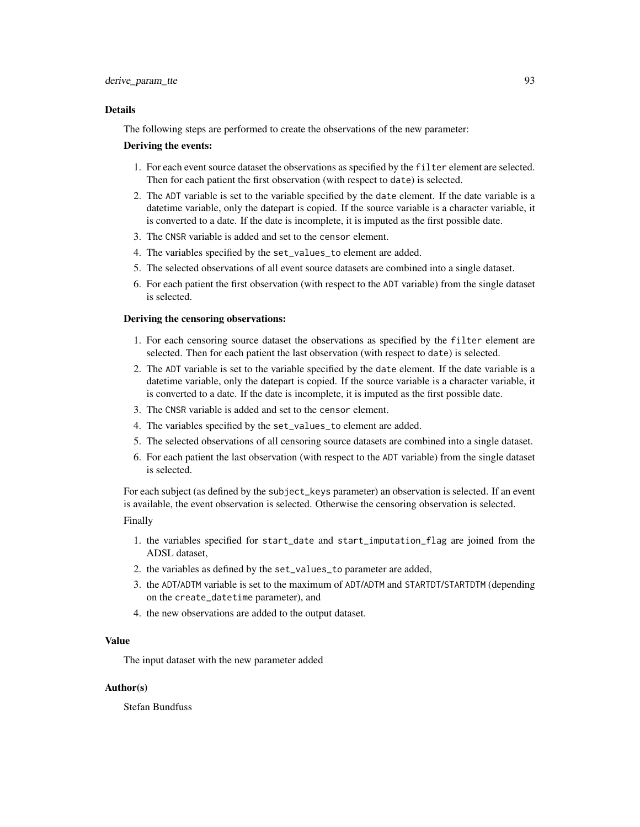The following steps are performed to create the observations of the new parameter:

#### Deriving the events:

- 1. For each event source dataset the observations as specified by the filter element are selected. Then for each patient the first observation (with respect to date) is selected.
- 2. The ADT variable is set to the variable specified by the date element. If the date variable is a datetime variable, only the datepart is copied. If the source variable is a character variable, it is converted to a date. If the date is incomplete, it is imputed as the first possible date.
- 3. The CNSR variable is added and set to the censor element.
- 4. The variables specified by the set\_values\_to element are added.
- 5. The selected observations of all event source datasets are combined into a single dataset.
- 6. For each patient the first observation (with respect to the ADT variable) from the single dataset is selected.

## Deriving the censoring observations:

- 1. For each censoring source dataset the observations as specified by the filter element are selected. Then for each patient the last observation (with respect to date) is selected.
- 2. The ADT variable is set to the variable specified by the date element. If the date variable is a datetime variable, only the datepart is copied. If the source variable is a character variable, it is converted to a date. If the date is incomplete, it is imputed as the first possible date.
- 3. The CNSR variable is added and set to the censor element.
- 4. The variables specified by the set\_values\_to element are added.
- 5. The selected observations of all censoring source datasets are combined into a single dataset.
- 6. For each patient the last observation (with respect to the ADT variable) from the single dataset is selected.

For each subject (as defined by the subject\_keys parameter) an observation is selected. If an event is available, the event observation is selected. Otherwise the censoring observation is selected.

#### Finally

- 1. the variables specified for start\_date and start\_imputation\_flag are joined from the ADSL dataset,
- 2. the variables as defined by the set\_values\_to parameter are added,
- 3. the ADT/ADTM variable is set to the maximum of ADT/ADTM and STARTDT/STARTDTM (depending on the create\_datetime parameter), and
- 4. the new observations are added to the output dataset.

### Value

The input dataset with the new parameter added

### Author(s)

Stefan Bundfuss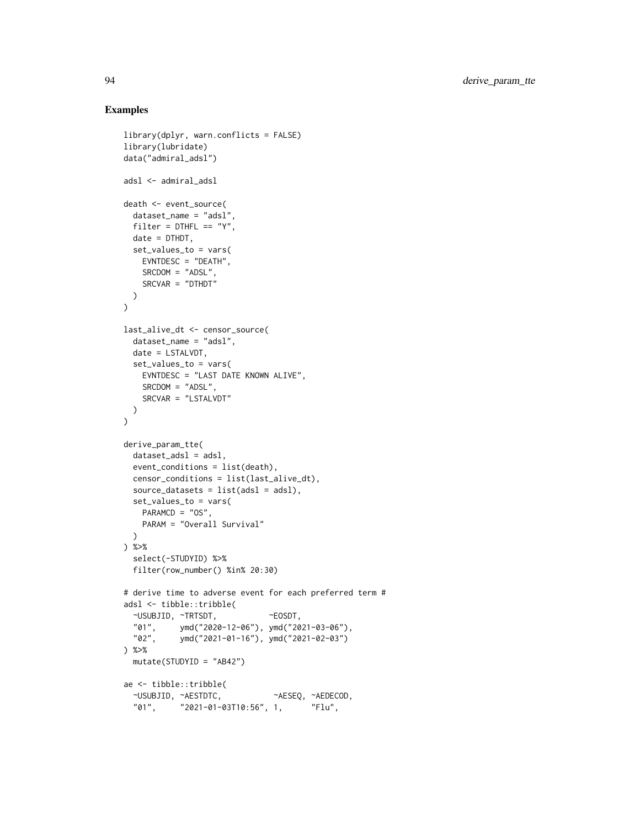```
library(dplyr, warn.conflicts = FALSE)
library(lubridate)
data("admiral_adsl")
adsl <- admiral_adsl
death <- event_source(
  dataset_name = "adsl",
  filter = DTHFL == "Y",date = DTHDT,
  set_values_to = vars(
   EVNTDESC = "DEATH",
   SRCDOM = "ADSL",
   SRCVAR = "DTHDT"
 \lambda\lambdalast_alive_dt <- censor_source(
  dataset_name = "adsl",
  date = LSTALVDT,
  set_values_to = vars(
   EVNTDESC = "LAST DATE KNOWN ALIVE",
   SRCDOM = "ADSL",
   SRCVAR = "LSTALVDT"
 \rightarrow)
derive_param_tte(
  dataset_adsl = adsl,
  event_conditions = list(death),
  censor_conditions = list(last_alive_dt),
  source_datasets = list(adsl = adsl),
  set_values_to = vars(
   PARAMCD = "OS",
   PARAM = "Overall Survival"
  )
) %>%
  select(-STUDYID) %>%
  filter(row_number() %in% 20:30)
# derive time to adverse event for each preferred term #
adsl <- tibble::tribble(
  ~USUBJID, ~TRTSDT, ~EOSDT,
  "01", ymd("2020-12-06"), ymd("2021-03-06"),
            ymd("2021-01-16"), ymd("2021-02-03")
) %>%
  mutate(STUDYID = "AB42")
ae <- tibble::tribble(
  ~USUBJID, ~AESTDTC, ~AESEQ, ~AEDECOD,
          "01", "2021-01-03T10:56", 1, "Flu",
```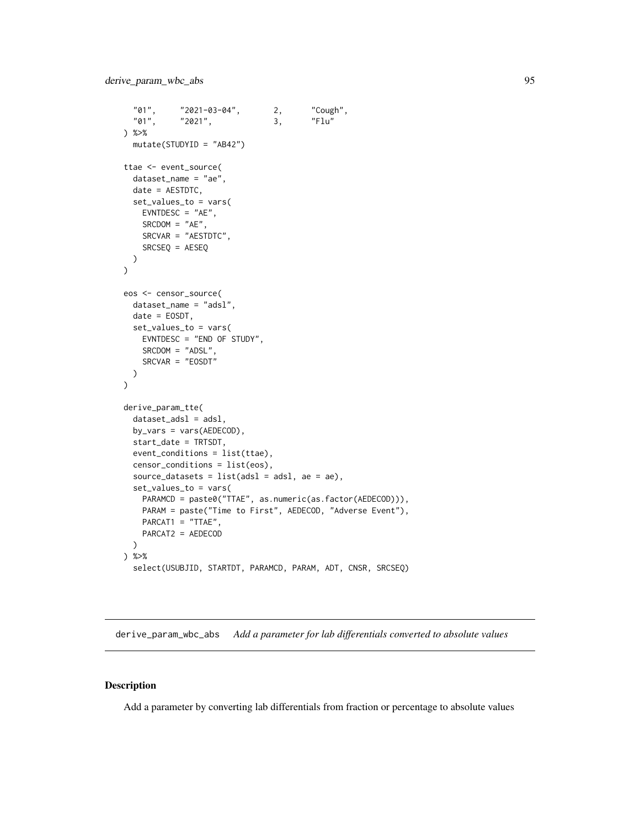```
"01", "2021-03-04", 2, "Cough",
  "01", \t"2021", \t3,) %>%
  mutate(STUDYID = "AB42")
ttae <- event_source(
  dataset_name = "ae",
  date = AESTDTC,
  set_values_to = vars(
   EVNTDESC = "AE",
   SRCDOM = "AE",SRCVAR = "AESTDTC",
   SRCSEQ = AESEQ
 )
\mathcal{L}eos <- censor_source(
  dataset_name = "adsl",
  date = EOSDT,
  set_values_to = vars(
   EVNTDESC = "END OF STUDY",
   SRCDOM = "ADSL".SRCVAR = "EOSDT"
  )
\mathcal{L}derive_param_tte(
  dataset_adsl = adsl,
  by_vars = vars(AEDECOD),
  start_date = TRTSDT,
  event_conditions = list(ttae),
  censor_conditions = list(eos),
  source_datasets = list(adsl = adsl, ae = ae),
  set_values_to = vars(
   PARAMCD = paste0("TTAE", as.numeric(as.factor(AEDECOD))),
   PARAM = paste("Time to First", AEDECOD, "Adverse Event"),
   PARCAT1 = "TTAE",
   PARCAT2 = AEDECOD
  )
) %>%
  select(USUBJID, STARTDT, PARAMCD, PARAM, ADT, CNSR, SRCSEQ)
```
derive\_param\_wbc\_abs *Add a parameter for lab differentials converted to absolute values*

#### Description

Add a parameter by converting lab differentials from fraction or percentage to absolute values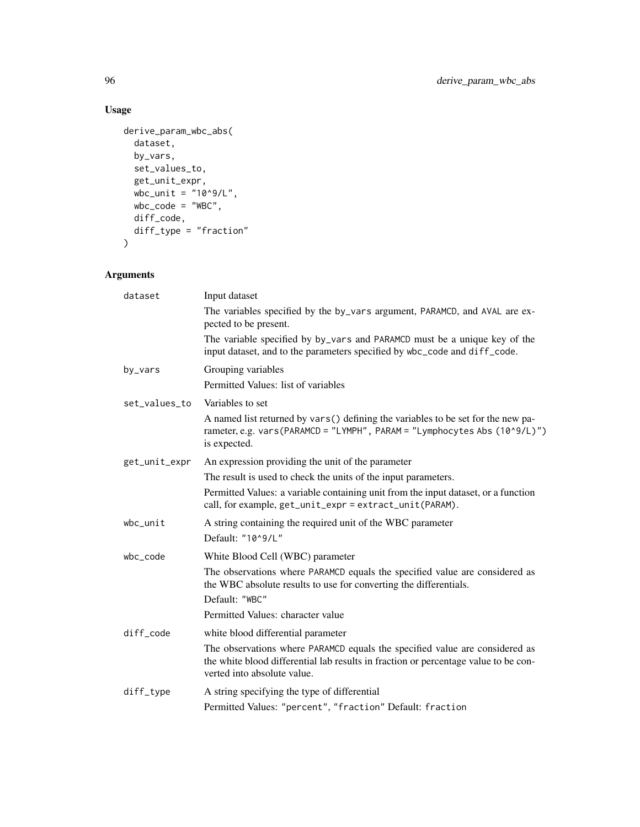## Usage

```
derive_param_wbc_abs(
  dataset,
  by_vars,
  set_values_to,
  get_unit_expr,
 wbc_unit = "10^09/L",wbc\_code = "WBC",diff_code,
 diff_type = "fraction"
\mathcal{L}
```

| dataset       | Input dataset                                                                                                                                                                                     |
|---------------|---------------------------------------------------------------------------------------------------------------------------------------------------------------------------------------------------|
|               | The variables specified by the by_vars argument, PARAMCD, and AVAL are ex-<br>pected to be present.                                                                                               |
|               | The variable specified by by_vars and PARAMCD must be a unique key of the<br>input dataset, and to the parameters specified by wbc_code and diff_code.                                            |
| by_vars       | Grouping variables                                                                                                                                                                                |
|               | Permitted Values: list of variables                                                                                                                                                               |
| set_values_to | Variables to set                                                                                                                                                                                  |
|               | A named list returned by vars() defining the variables to be set for the new pa-<br>rameter, e.g. vars(PARAMCD = "LYMPH", PARAM = "Lymphocytes Abs (10^9/L)")<br>is expected.                     |
| get_unit_expr | An expression providing the unit of the parameter                                                                                                                                                 |
|               | The result is used to check the units of the input parameters.                                                                                                                                    |
|               | Permitted Values: a variable containing unit from the input dataset, or a function<br>call, for example, get_unit_expr = extract_unit(PARAM).                                                     |
| $wbc\_unit$   | A string containing the required unit of the WBC parameter                                                                                                                                        |
|               | Default: "10^9/L"                                                                                                                                                                                 |
| wbc_code      | White Blood Cell (WBC) parameter                                                                                                                                                                  |
|               | The observations where PARAMCD equals the specified value are considered as<br>the WBC absolute results to use for converting the differentials.                                                  |
|               | Default: "WBC"                                                                                                                                                                                    |
|               | Permitted Values: character value                                                                                                                                                                 |
| diff_code     | white blood differential parameter                                                                                                                                                                |
|               | The observations where PARAMCD equals the specified value are considered as<br>the white blood differential lab results in fraction or percentage value to be con-<br>verted into absolute value. |
| diff_type     | A string specifying the type of differential                                                                                                                                                      |
|               | Permitted Values: "percent", "fraction" Default: fraction                                                                                                                                         |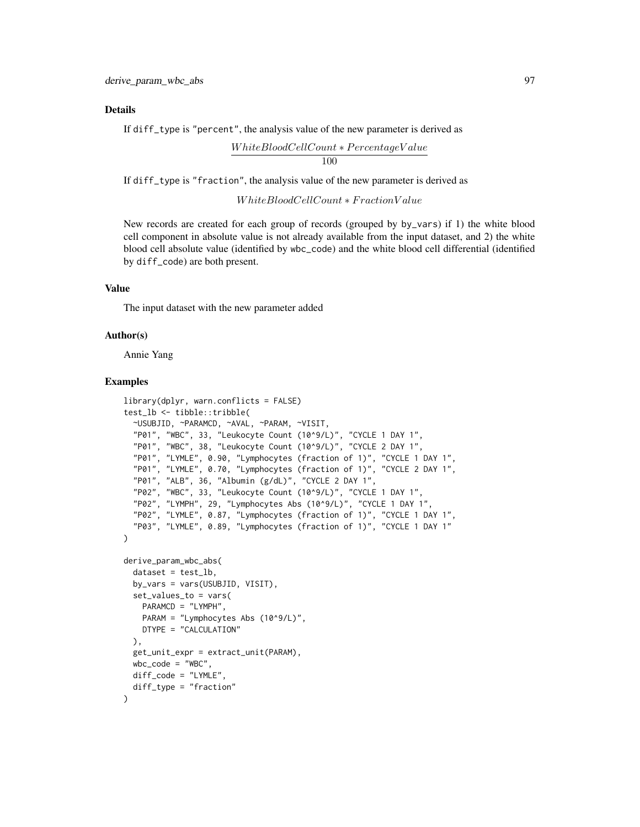If diff\_type is "percent", the analysis value of the new parameter is derived as

 $White BloodCellCount * PercentageValue$ 100

If diff\_type is "fraction", the analysis value of the new parameter is derived as

W hiteBloodCellCount ∗ F ractionV alue

New records are created for each group of records (grouped by by\_vars) if 1) the white blood cell component in absolute value is not already available from the input dataset, and 2) the white blood cell absolute value (identified by wbc\_code) and the white blood cell differential (identified by diff\_code) are both present.

#### Value

The input dataset with the new parameter added

#### Author(s)

Annie Yang

```
library(dplyr, warn.conflicts = FALSE)
test_lb <- tibble::tribble(
 ~USUBJID, ~PARAMCD, ~AVAL, ~PARAM, ~VISIT,
  "P01", "WBC", 33, "Leukocyte Count (10^9/L)", "CYCLE 1 DAY 1",
  "P01", "WBC", 38, "Leukocyte Count (10^9/L)", "CYCLE 2 DAY 1",
  "P01", "LYMLE", 0.90, "Lymphocytes (fraction of 1)", "CYCLE 1 DAY 1",
  "P01", "LYMLE", 0.70, "Lymphocytes (fraction of 1)", "CYCLE 2 DAY 1",
  "P01", "ALB", 36, "Albumin (g/dL)", "CYCLE 2 DAY 1",
  "P02", "WBC", 33, "Leukocyte Count (10^9/L)", "CYCLE 1 DAY 1",
 "P02", "LYMPH", 29, "Lymphocytes Abs (10^9/L)", "CYCLE 1 DAY 1",
 "P02", "LYMLE", 0.87, "Lymphocytes (fraction of 1)", "CYCLE 1 DAY 1",
  "P03", "LYMLE", 0.89, "Lymphocytes (fraction of 1)", "CYCLE 1 DAY 1"
\lambdaderive_param_wbc_abs(
 dataset = test_l.
 by_vars = vars(USUBJID, VISIT),
 set_values_to = vars(
   PARAMCD = "LYMPH",
   PARAM = "Lymphocytes Abs (10^9/L)",
   DTYPE = "CALCULATION"
 ),
 get_unit_expr = extract_unit(PARAM),
 wbc\_code = "WBC",diff_code = "LYMLE",
 diff_type = "fraction"
)
```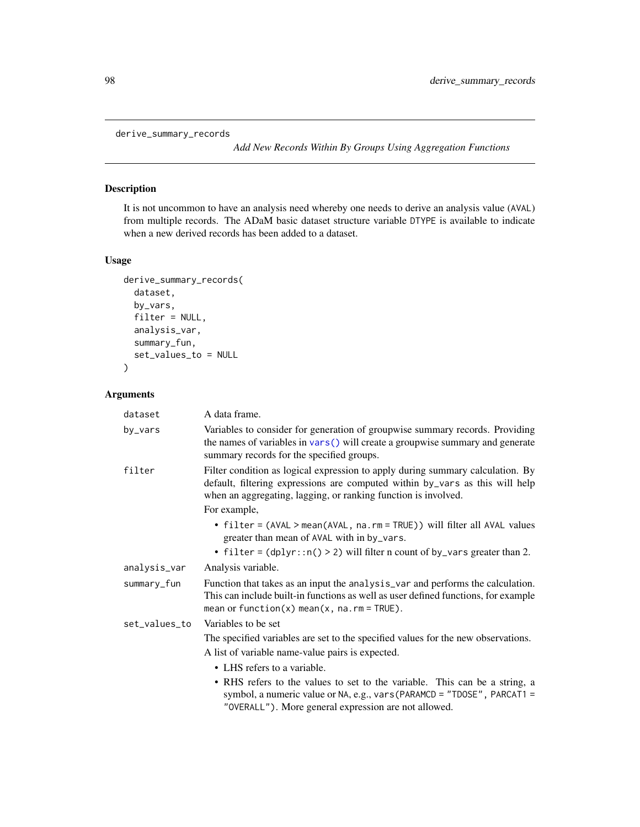```
derive_summary_records
```
*Add New Records Within By Groups Using Aggregation Functions*

## Description

It is not uncommon to have an analysis need whereby one needs to derive an analysis value (AVAL) from multiple records. The ADaM basic dataset structure variable DTYPE is available to indicate when a new derived records has been added to a dataset.

## Usage

```
derive_summary_records(
  dataset,
  by_vars,
  filter = NULL,
  analysis_var,
  summary_fun,
  set_values_to = NULL
\mathcal{L}
```

| dataset       | A data frame.                                                                                                                                                                                                                                    |
|---------------|--------------------------------------------------------------------------------------------------------------------------------------------------------------------------------------------------------------------------------------------------|
| by_vars       | Variables to consider for generation of groupwise summary records. Providing<br>the names of variables in $vars()$ will create a groupwise summary and generate<br>summary records for the specified groups.                                     |
| filter        | Filter condition as logical expression to apply during summary calculation. By<br>default, filtering expressions are computed within by_vars as this will help<br>when an aggregating, lagging, or ranking function is involved.<br>For example, |
|               | • filter = (AVAL > mean(AVAL, na.rm = TRUE)) will filter all AVAL values<br>greater than mean of AVAL with in by_vars.                                                                                                                           |
|               | • filter = $(dplyr::n() > 2)$ will filter n count of by_vars greater than 2.                                                                                                                                                                     |
| analysis_var  | Analysis variable.                                                                                                                                                                                                                               |
| summary_fun   | Function that takes as an input the analysis var and performs the calculation.<br>This can include built-in functions as well as user defined functions, for example<br>mean or function(x) mean(x, $na$ . $rm = TRUE$ ).                        |
| set_values_to | Variables to be set                                                                                                                                                                                                                              |
|               | The specified variables are set to the specified values for the new observations.                                                                                                                                                                |
|               | A list of variable name-value pairs is expected.                                                                                                                                                                                                 |
|               | • LHS refers to a variable.                                                                                                                                                                                                                      |
|               | • RHS refers to the values to set to the variable. This can be a string, a<br>symbol, a numeric value or NA, e.g., vars (PARAMCD = "TDOSE", PARCAT1 =<br>"OVERALL"). More general expression are not allowed.                                    |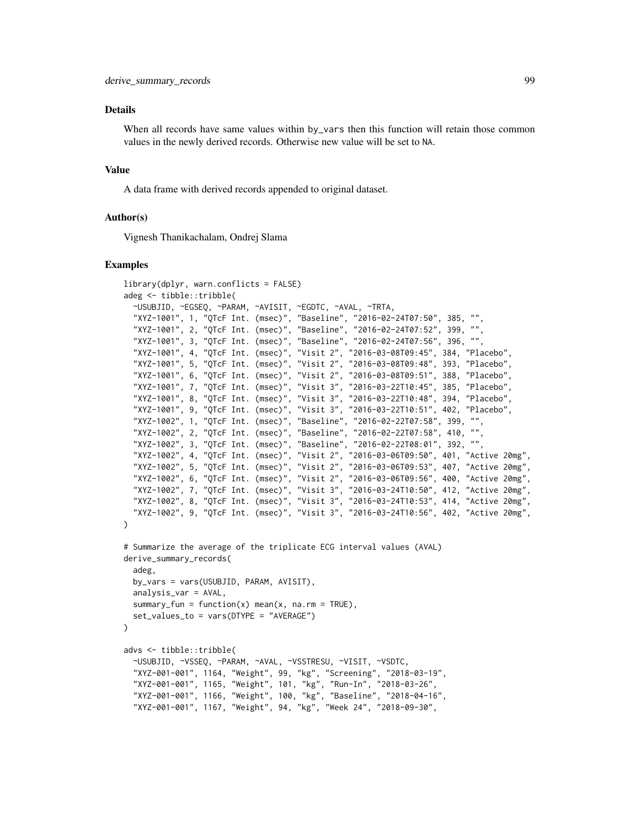When all records have same values within by\_vars then this function will retain those common values in the newly derived records. Otherwise new value will be set to NA.

#### Value

A data frame with derived records appended to original dataset.

### Author(s)

Vignesh Thanikachalam, Ondrej Slama

```
library(dplyr, warn.conflicts = FALSE)
adeg <- tibble::tribble(
 ~USUBJID, ~EGSEQ, ~PARAM, ~AVISIT, ~EGDTC, ~AVAL, ~TRTA,
  "XYZ-1001", 1, "QTcF Int. (msec)", "Baseline", "2016-02-24T07:50", 385, "",
  "XYZ-1001", 2, "QTcF Int. (msec)", "Baseline", "2016-02-24T07:52", 399, "
  "XYZ-1001", 3, "QTcF Int. (msec)", "Baseline", "2016-02-24T07:56", 396, "",
  "XYZ-1001", 4, "QTcF Int. (msec)", "Visit 2", "2016-03-08T09:45", 384, "Placebo",
  "XYZ-1001", 5, "QTcF Int. (msec)", "Visit 2", "2016-03-08T09:48", 393, "Placebo",
  "XYZ-1001", 6, "QTcF Int. (msec)", "Visit 2", "2016-03-08T09:51", 388, "Placebo",
  "XYZ-1001", 7, "QTcF Int. (msec)", "Visit 3", "2016-03-22T10:45", 385, "Placebo",
  "XYZ-1001", 8, "QTcF Int. (msec)", "Visit 3", "2016-03-22T10:48", 394, "Placebo",
  "XYZ-1001", 9, "QTcF Int. (msec)", "Visit 3", "2016-03-22T10:51", 402, "Placebo",
  "XYZ-1002", 1, "QTcF Int. (msec)", "Baseline", "2016-02-22T07:58", 399, "",
  "XYZ-1002", 2, "QTcF Int. (msec)", "Baseline", "2016-02-22T07:58", 410, "",
  "XYZ-1002", 3, "QTcF Int. (msec)", "Baseline", "2016-02-22T08:01", 392, "",
  "XYZ-1002", 4, "QTcF Int. (msec)", "Visit 2", "2016-03-06T09:50", 401, "Active 20mg",
  "XYZ-1002", 5, "QTcF Int. (msec)", "Visit 2", "2016-03-06T09:53", 407, "Active 20mg",
  "XYZ-1002", 6, "QTcF Int. (msec)", "Visit 2", "2016-03-06T09:56", 400, "Active 20mg",
  "XYZ-1002", 7, "QTcF Int. (msec)", "Visit 3", "2016-03-24T10:50", 412, "Active 20mg",
 "XYZ-1002", 8, "QTcF Int. (msec)", "Visit 3", "2016-03-24T10:53", 414, "Active 20mg",
  "XYZ-1002", 9, "QTcF Int. (msec)", "Visit 3", "2016-03-24T10:56", 402, "Active 20mg",
\lambda# Summarize the average of the triplicate ECG interval values (AVAL)
derive_summary_records(
 adeg,
 by_vars = vars(USUBJID, PARAM, AVISIT),
 analysis_var = AVAL,
 summary_fun = function(x) mean(x, na.rm = TRUE),
 set_values_to = vars(DTYPE = "AVERAGE")
)
advs <- tibble::tribble(
  ~USUBJID, ~VSSEQ, ~PARAM, ~AVAL, ~VSSTRESU, ~VISIT, ~VSDTC,
  "XYZ-001-001", 1164, "Weight", 99, "kg", "Screening", "2018-03-19",
  "XYZ-001-001", 1165, "Weight", 101, "kg", "Run-In", "2018-03-26",
  "XYZ-001-001", 1166, "Weight", 100, "kg", "Baseline", "2018-04-16",
  "XYZ-001-001", 1167, "Weight", 94, "kg", "Week 24", "2018-09-30",
```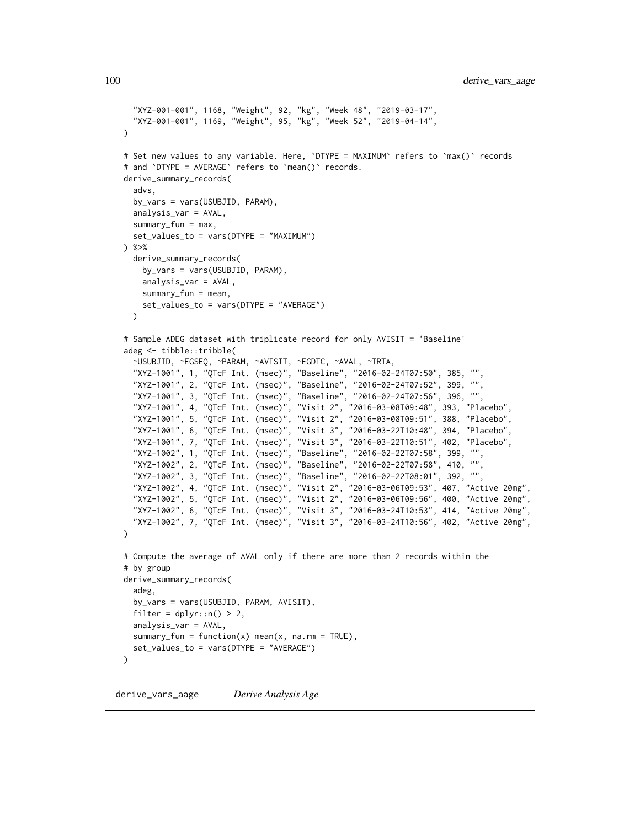```
"XYZ-001-001", 1168, "Weight", 92, "kg", "Week 48", "2019-03-17",
  "XYZ-001-001", 1169, "Weight", 95, "kg", "Week 52", "2019-04-14",
\mathcal{L}# Set new values to any variable. Here, `DTYPE = MAXIMUM` refers to `max()` records
# and `DTYPE = AVERAGE` refers to `mean()` records.
derive_summary_records(
  advs,
  by_vars = vars(USUBJID, PARAM),
  analysis_var = AVAL,
  summary_fun = max,
  set_values_to = vars(DTYPE = "MAXIMUM")
) %>%
  derive_summary_records(
   by_vars = vars(USUBJID, PARAM),
   analysis_var = AVAL,
   summary_fun = mean,
   set_values_to = vars(DTYPE = "AVERAGE")
  \lambda# Sample ADEG dataset with triplicate record for only AVISIT = 'Baseline'
adeg <- tibble::tribble(
  ~USUBJID, ~EGSEQ, ~PARAM, ~AVISIT, ~EGDTC, ~AVAL, ~TRTA,
  "XYZ-1001", 1, "QTcF Int. (msec)", "Baseline", "2016-02-24T07:50", 385, "",
  "XYZ-1001", 2, "QTcF Int. (msec)", "Baseline", "2016-02-24T07:52", 399, "",
  "XYZ-1001", 3, "QTcF Int. (msec)", "Baseline", "2016-02-24T07:56", 396, "",
  "XYZ-1001", 4, "QTcF Int. (msec)", "Visit 2", "2016-03-08T09:48", 393, "Placebo",
  "XYZ-1001", 5, "QTcF Int. (msec)", "Visit 2", "2016-03-08T09:51", 388, "Placebo",
  "XYZ-1001", 6, "QTcF Int. (msec)", "Visit 3", "2016-03-22T10:48", 394, "Placebo",
  "XYZ-1001", 7, "QTcF Int. (msec)", "Visit 3", "2016-03-22T10:51", 402, "Placebo",
  "XYZ-1002", 1, "QTcF Int. (msec)", "Baseline", "2016-02-22T07:58", 399, "",
  "XYZ-1002", 2, "QTcF Int. (msec)", "Baseline", "2016-02-22T07:58", 410, "",
  "XYZ-1002", 3, "QTcF Int. (msec)", "Baseline", "2016-02-22T08:01", 392, "",
  "XYZ-1002", 4, "QTcF Int. (msec)", "Visit 2", "2016-03-06T09:53", 407, "Active 20mg",
  "XYZ-1002", 5, "QTcF Int. (msec)", "Visit 2", "2016-03-06T09:56", 400, "Active 20mg",
  "XYZ-1002", 6, "QTcF Int. (msec)", "Visit 3", "2016-03-24T10:53", 414, "Active 20mg",
  "XYZ-1002", 7, "QTcF Int. (msec)", "Visit 3", "2016-03-24T10:56", 402, "Active 20mg",
\lambda# Compute the average of AVAL only if there are more than 2 records within the
# by group
derive_summary_records(
  adeg,
  by_vars = vars(USUBJID, PARAM, AVISIT),
  filter = dplyr::n() > 2,
  analysis_var = AVAL,
  summary_fun = function(x) mean(x, na.rm = TRUE),
  set_values_to = vars(DTYPE = "AVERAGE")
\lambda
```

```
derive_vars_aage Derive Analysis Age
```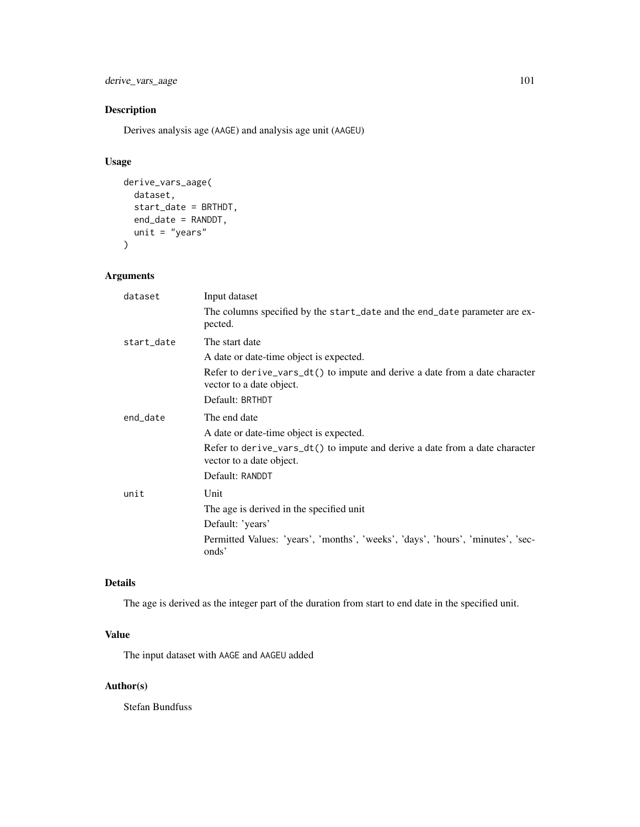derive\_vars\_aage 101

## Description

Derives analysis age (AAGE) and analysis age unit (AAGEU)

## Usage

```
derive_vars_aage(
 dataset,
 start_date = BRTHDT,
 end_date = RANDDT,
 unit = "years"
)
```
## Arguments

| dataset    | Input dataset                                                                                           |
|------------|---------------------------------------------------------------------------------------------------------|
|            | The columns specified by the start_date and the end_date parameter are ex-<br>pected.                   |
| start_date | The start date                                                                                          |
|            | A date or date-time object is expected.                                                                 |
|            | Refer to derive_vars_dt() to impute and derive a date from a date character<br>vector to a date object. |
|            | Default: BRTHDT                                                                                         |
| end_date   | The end date                                                                                            |
|            | A date or date-time object is expected.                                                                 |
|            | Refer to derive_vars_dt() to impute and derive a date from a date character<br>vector to a date object. |
|            | Default: RANDDT                                                                                         |
| unit       | Unit                                                                                                    |
|            | The age is derived in the specified unit                                                                |
|            | Default: 'years'                                                                                        |
|            | Permitted Values: 'years', 'months', 'weeks', 'days', 'hours', 'minutes', 'sec-<br>onds'                |

## Details

The age is derived as the integer part of the duration from start to end date in the specified unit.

## Value

The input dataset with AAGE and AAGEU added

## Author(s)

Stefan Bundfuss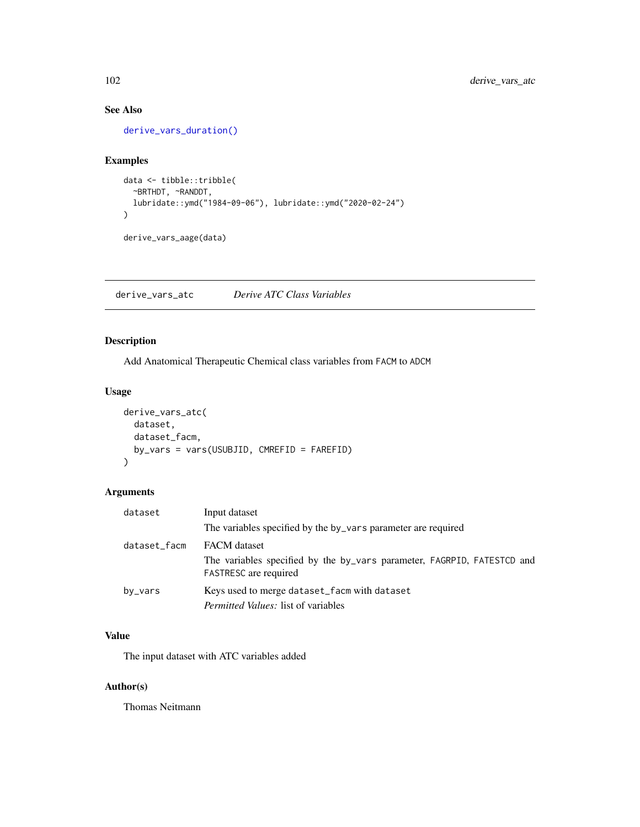## See Also

[derive\\_vars\\_duration\(\)](#page-115-0)

## Examples

```
data <- tibble::tribble(
  ~BRTHDT, ~RANDDT,
  lubridate::ymd("1984-09-06"), lubridate::ymd("2020-02-24")
\mathcal{L}derive_vars_aage(data)
```
derive\_vars\_atc *Derive ATC Class Variables*

## Description

Add Anatomical Therapeutic Chemical class variables from FACM to ADCM

### Usage

```
derive_vars_atc(
 dataset,
 dataset_facm,
 by_vars = vars(USUBJID, CMREFID = FAREFID)
)
```
## Arguments

| dataset      | Input dataset                                                                                           |
|--------------|---------------------------------------------------------------------------------------------------------|
|              | The variables specified by the by_vars parameter are required                                           |
| dataset_facm | <b>FACM</b> dataset                                                                                     |
|              | The variables specified by the by_vars parameter, FAGRPID, FATESTCD and<br><b>FASTRESC</b> are required |
| by_vars      | Keys used to merge dataset_facm with dataset                                                            |
|              | <i>Permitted Values:</i> list of variables                                                              |

## Value

The input dataset with ATC variables added

## Author(s)

Thomas Neitmann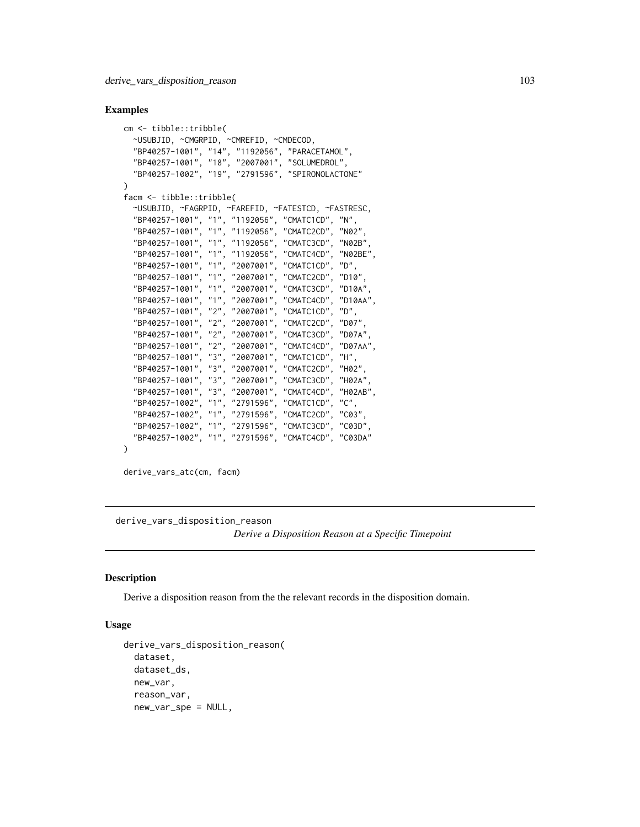#### Examples

```
cm <- tibble::tribble(
 ~USUBJID, ~CMGRPID, ~CMREFID, ~CMDECOD,
 "BP40257-1001", "14", "1192056", "PARACETAMOL",
 "BP40257-1001", "18", "2007001", "SOLUMEDROL",
  "BP40257-1002", "19", "2791596", "SPIRONOLACTONE"
\mathcal{L}facm <- tibble::tribble(
 ~USUBJID, ~FAGRPID, ~FAREFID, ~FATESTCD, ~FASTRESC,
  "BP40257-1001", "1", "1192056", "CMATC1CD", "N",
  "BP40257-1001", "1", "1192056", "CMATC2CD", "N02",
  "BP40257-1001", "1", "1192056", "CMATC3CD", "N02B",
  "BP40257-1001", "1", "1192056", "CMATC4CD", "N02BE",
  "BP40257-1001", "1", "2007001", "CMATC1CD", "D",
  "BP40257-1001", "1", "2007001", "CMATC2CD", "D10",
  "BP40257-1001", "1", "2007001", "CMATC3CD", "D10A",
  "BP40257-1001", "1", "2007001", "CMATC4CD", "D10AA",
  "BP40257-1001", "2", "2007001", "CMATC1CD", "D",
  "BP40257-1001", "2", "2007001", "CMATC2CD", "D07",
  "BP40257-1001", "2", "2007001", "CMATC3CD", "D07A",
  "BP40257-1001", "2", "2007001", "CMATC4CD", "D07AA",
  "BP40257-1001", "3", "2007001", "CMATC1CD", "H",
  "BP40257-1001", "3", "2007001", "CMATC2CD", "H02",
  "BP40257-1001", "3", "2007001", "CMATC3CD", "H02A",
  "BP40257-1001", "3", "2007001", "CMATC4CD", "H02AB",
  "BP40257-1002", "1", "2791596", "CMATC1CD", "C",
  "BP40257-1002", "1", "2791596", "CMATC2CD", "C03",
  "BP40257-1002", "1", "2791596", "CMATC3CD", "C03D",
  "BP40257-1002", "1", "2791596", "CMATC4CD", "C03DA"
)
```
derive\_vars\_atc(cm, facm)

derive\_vars\_disposition\_reason

*Derive a Disposition Reason at a Specific Timepoint*

#### **Description**

Derive a disposition reason from the the relevant records in the disposition domain.

### Usage

```
derive_vars_disposition_reason(
 dataset,
 dataset_ds,
 new_var,
  reason_var,
 new_var_spe = NULL,
```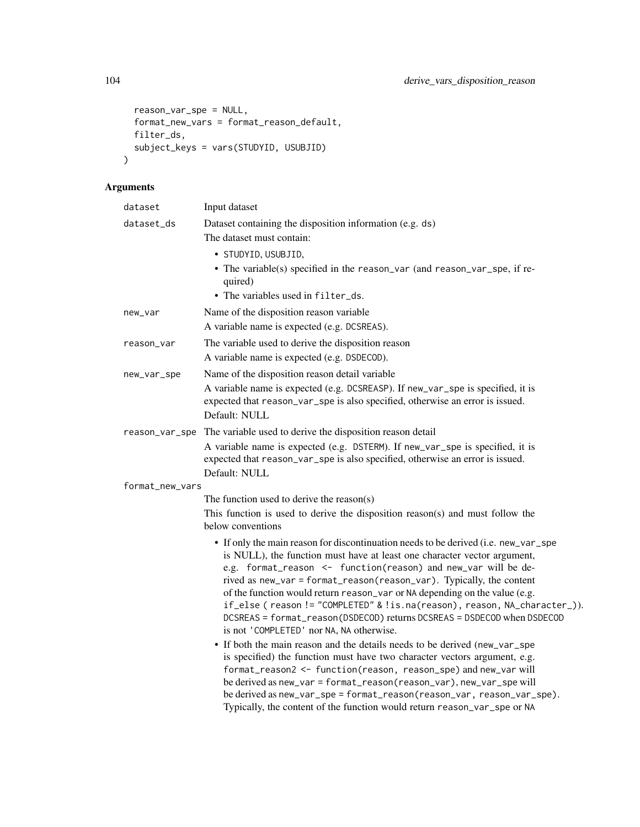```
reason_var_spe = NULL,
 format_new_vars = format_reason_default,
 filter_ds,
 subject_keys = vars(STUDYID, USUBJID)
\mathcal{L}
```

| dataset         | Input dataset                                                                                                                                                                                                                                                                                                                                                                                                                                                                                                                                                                                                                                                             |
|-----------------|---------------------------------------------------------------------------------------------------------------------------------------------------------------------------------------------------------------------------------------------------------------------------------------------------------------------------------------------------------------------------------------------------------------------------------------------------------------------------------------------------------------------------------------------------------------------------------------------------------------------------------------------------------------------------|
| dataset_ds      | Dataset containing the disposition information (e.g. ds)                                                                                                                                                                                                                                                                                                                                                                                                                                                                                                                                                                                                                  |
|                 | The dataset must contain:                                                                                                                                                                                                                                                                                                                                                                                                                                                                                                                                                                                                                                                 |
|                 | · STUDYID, USUBJID,                                                                                                                                                                                                                                                                                                                                                                                                                                                                                                                                                                                                                                                       |
|                 | • The variable(s) specified in the reason_var (and reason_var_spe, if re-<br>quired)                                                                                                                                                                                                                                                                                                                                                                                                                                                                                                                                                                                      |
|                 | • The variables used in filter_ds.                                                                                                                                                                                                                                                                                                                                                                                                                                                                                                                                                                                                                                        |
| new_var         | Name of the disposition reason variable                                                                                                                                                                                                                                                                                                                                                                                                                                                                                                                                                                                                                                   |
|                 | A variable name is expected (e.g. DCSREAS).                                                                                                                                                                                                                                                                                                                                                                                                                                                                                                                                                                                                                               |
| reason_var      | The variable used to derive the disposition reason                                                                                                                                                                                                                                                                                                                                                                                                                                                                                                                                                                                                                        |
|                 | A variable name is expected (e.g. DSDECOD).                                                                                                                                                                                                                                                                                                                                                                                                                                                                                                                                                                                                                               |
| new_var_spe     | Name of the disposition reason detail variable                                                                                                                                                                                                                                                                                                                                                                                                                                                                                                                                                                                                                            |
|                 | A variable name is expected (e.g. DCSREASP). If new_var_spe is specified, it is<br>expected that reason_var_spe is also specified, otherwise an error is issued.<br>Default: NULL                                                                                                                                                                                                                                                                                                                                                                                                                                                                                         |
| reason_var_spe  | The variable used to derive the disposition reason detail                                                                                                                                                                                                                                                                                                                                                                                                                                                                                                                                                                                                                 |
|                 | A variable name is expected (e.g. DSTERM). If new_var_spe is specified, it is<br>expected that reason_var_spe is also specified, otherwise an error is issued.<br>Default: NULL                                                                                                                                                                                                                                                                                                                                                                                                                                                                                           |
| format_new_vars |                                                                                                                                                                                                                                                                                                                                                                                                                                                                                                                                                                                                                                                                           |
|                 | The function used to derive the reason(s)                                                                                                                                                                                                                                                                                                                                                                                                                                                                                                                                                                                                                                 |
|                 | This function is used to derive the disposition reason(s) and must follow the<br>below conventions                                                                                                                                                                                                                                                                                                                                                                                                                                                                                                                                                                        |
|                 | • If only the main reason for discontinuation needs to be derived (i.e. new_var_spe<br>is NULL), the function must have at least one character vector argument,<br>e.g. format_reason <- function(reason) and new_var will be de-<br>rived as new_var = format_reason(reason_var). Typically, the content<br>of the function would return reason_var or NA depending on the value (e.g.<br>if_else (reason != "COMPLETED" & !is.na(reason), reason, NA_character_)).<br>DCSREAS = format_reason(DSDECOD) returns DCSREAS = DSDECOD when DSDECOD<br>is not 'COMPLETED' nor NA, NA otherwise.<br>• If both the main reason and the details needs to be derived (new_var_spe |
|                 | is specified) the function must have two character vectors argument, e.g.<br>format_reason2 <- function(reason, reason_spe) and new_var will<br>be derived as new_var = format_reason(reason_var), new_var_spe will<br>be derived as new_var_spe = format_reason(reason_var, reason_var_spe).<br>Typically, the content of the function would return reason_var_spe or NA                                                                                                                                                                                                                                                                                                 |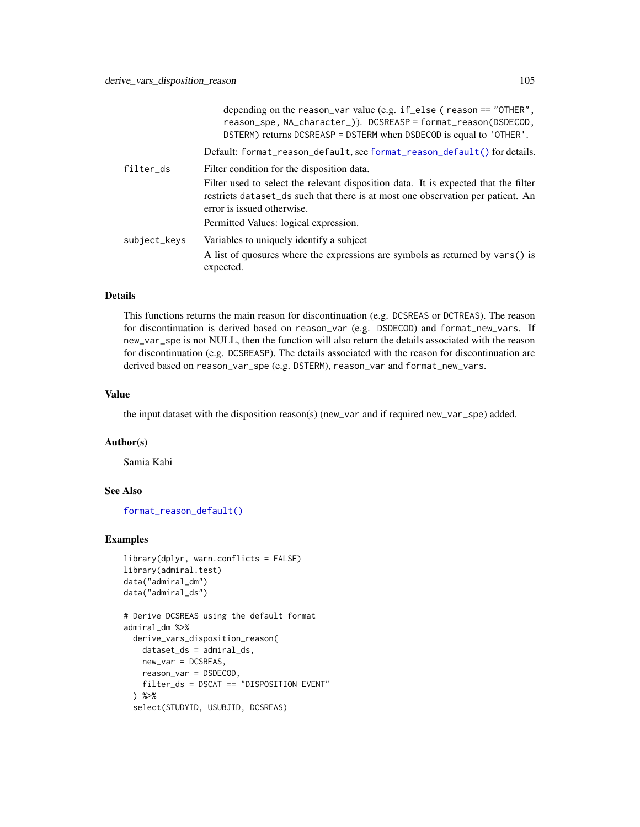|              | depending on the reason_var value (e.g. $if$ _else (reason == "OTHER",<br>reason_spe, NA_character_)). DCSREASP = format_reason(DSDECOD,<br>DSTERM) returns DCSREASP = DSTERM when DSDECOD is equal to 'OTHER'. |
|--------------|-----------------------------------------------------------------------------------------------------------------------------------------------------------------------------------------------------------------|
|              | Default: format_reason_default, see format_reason_default() for details.                                                                                                                                        |
| filter_ds    | Filter condition for the disposition data.                                                                                                                                                                      |
|              | Filter used to select the relevant disposition data. It is expected that the filter<br>restricts dataset ds such that there is at most one observation per patient. An<br>error is issued otherwise.            |
|              | Permitted Values: logical expression.                                                                                                                                                                           |
| subject_keys | Variables to uniquely identify a subject<br>A list of quosures where the expressions are symbols as returned by vars() is<br>expected.                                                                          |

This functions returns the main reason for discontinuation (e.g. DCSREAS or DCTREAS). The reason for discontinuation is derived based on reason\_var (e.g. DSDECOD) and format\_new\_vars. If new\_var\_spe is not NULL, then the function will also return the details associated with the reason for discontinuation (e.g. DCSREASP). The details associated with the reason for discontinuation are derived based on reason\_var\_spe (e.g. DSTERM), reason\_var and format\_new\_vars.

#### Value

the input dataset with the disposition reason(s) (new\_var and if required new\_var\_spe) added.

#### Author(s)

Samia Kabi

### See Also

[format\\_reason\\_default\(\)](#page-212-0)

```
library(dplyr, warn.conflicts = FALSE)
library(admiral.test)
data("admiral_dm")
data("admiral_ds")
```

```
# Derive DCSREAS using the default format
admiral_dm %>%
 derive_vars_disposition_reason(
   dataset_ds = admiral_ds,
   new_var = DCSREAS,
   reason_var = DSDECOD,
   filter_ds = DSCAT == "DISPOSITION EVENT"
 ) %>%
 select(STUDYID, USUBJID, DCSREAS)
```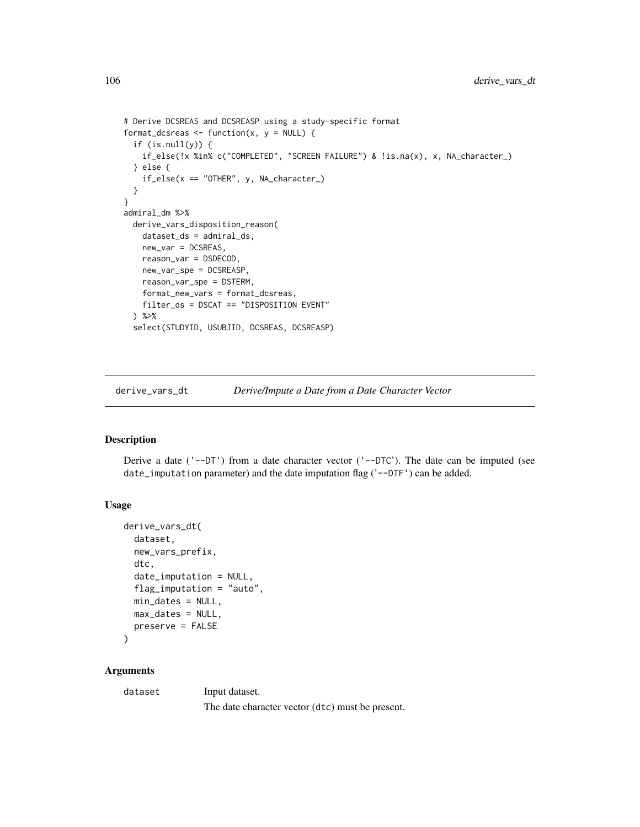```
# Derive DCSREAS and DCSREASP using a study-specific format
format_dcsreas <- function(x, y = NULL) {
 if (is.null(y)) {
   if_else(!x %in% c("COMPLETED", "SCREEN FAILURE") & !is.na(x), x, NA_character_)
 } else {
   if_else(x == "OTHER", y, NA_character_)
 }
}
admiral_dm %>%
 derive_vars_disposition_reason(
   dataset_ds = admiral_ds,
   new_var = DCSREAS,
   reason_var = DSDECOD,
   new_var_spe = DCSREASP,
   reason_var_spe = DSTERM,
   format_new_vars = format_dcsreas,
   filter_ds = DSCAT == "DISPOSITION EVENT"
 ) %>%
 select(STUDYID, USUBJID, DCSREAS, DCSREASP)
```
derive\_vars\_dt *Derive/Impute a Date from a Date Character Vector*

### Description

Derive a date  $($ '--DT') from a date character vector  $($ '--DTC'). The date can be imputed (see date\_imputation parameter) and the date imputation flag  $('--DTF')$  can be added.

## Usage

```
derive_vars_dt(
  dataset,
  new_vars_prefix,
  dtc,
  date_imputation = NULL,
  flag_imputation = "auto",
  min_dates = NULL,
 max_dates = NULL,
 preserve = FALSE
)
```
## Arguments

dataset Input dataset.

The date character vector (dtc) must be present.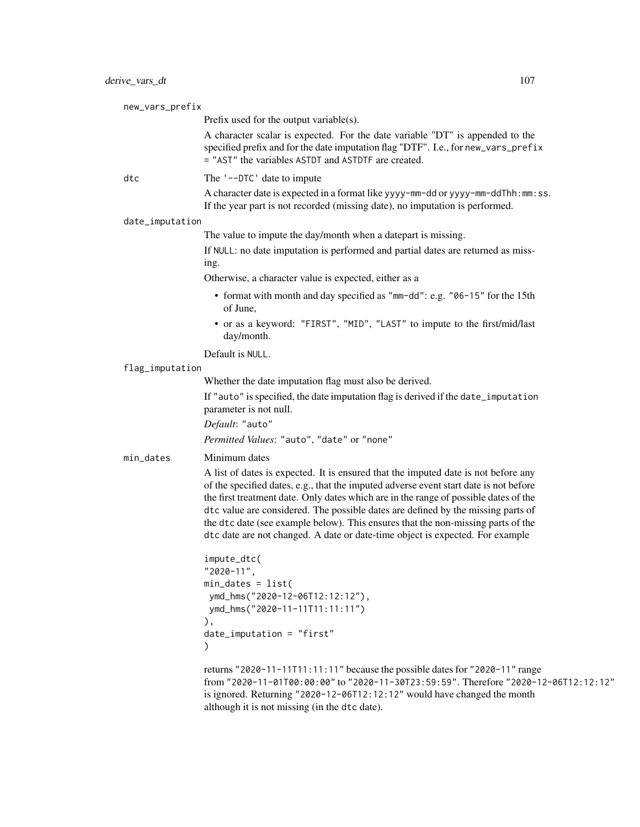| new_vars_prefix |                                                                                                                                                                                                                                                                                                                                                                                                                                                                                                                              |
|-----------------|------------------------------------------------------------------------------------------------------------------------------------------------------------------------------------------------------------------------------------------------------------------------------------------------------------------------------------------------------------------------------------------------------------------------------------------------------------------------------------------------------------------------------|
|                 | Prefix used for the output variable(s).                                                                                                                                                                                                                                                                                                                                                                                                                                                                                      |
|                 | A character scalar is expected. For the date variable "DT" is appended to the<br>specified prefix and for the date imputation flag "DTF". I.e., for new_vars_prefix<br>= "AST" the variables ASTDT and ASTDTF are created.                                                                                                                                                                                                                                                                                                   |
| dtc             | The '--DTC' date to impute                                                                                                                                                                                                                                                                                                                                                                                                                                                                                                   |
|                 | A character date is expected in a format like yyyy-mm-dd or yyyy-mm-ddThh:mm:ss.<br>If the year part is not recorded (missing date), no imputation is performed.                                                                                                                                                                                                                                                                                                                                                             |
| date_imputation |                                                                                                                                                                                                                                                                                                                                                                                                                                                                                                                              |
|                 | The value to impute the day/month when a datepart is missing.                                                                                                                                                                                                                                                                                                                                                                                                                                                                |
|                 | If NULL: no date imputation is performed and partial dates are returned as miss-<br>ing.                                                                                                                                                                                                                                                                                                                                                                                                                                     |
|                 | Otherwise, a character value is expected, either as a                                                                                                                                                                                                                                                                                                                                                                                                                                                                        |
|                 | • format with month and day specified as "mm-dd": e.g. "06-15" for the 15th<br>of June,                                                                                                                                                                                                                                                                                                                                                                                                                                      |
|                 | • or as a keyword: "FIRST", "MID", "LAST" to impute to the first/mid/last<br>day/month.                                                                                                                                                                                                                                                                                                                                                                                                                                      |
|                 | Default is NULL.                                                                                                                                                                                                                                                                                                                                                                                                                                                                                                             |
| flag_imputation |                                                                                                                                                                                                                                                                                                                                                                                                                                                                                                                              |
|                 | Whether the date imputation flag must also be derived.                                                                                                                                                                                                                                                                                                                                                                                                                                                                       |
|                 | If "auto" is specified, the date imputation flag is derived if the date_imputation<br>parameter is not null.                                                                                                                                                                                                                                                                                                                                                                                                                 |
|                 | Default: "auto"                                                                                                                                                                                                                                                                                                                                                                                                                                                                                                              |
|                 | Permitted Values: "auto", "date" or "none"                                                                                                                                                                                                                                                                                                                                                                                                                                                                                   |
| min_dates       | Minimum dates                                                                                                                                                                                                                                                                                                                                                                                                                                                                                                                |
|                 | A list of dates is expected. It is ensured that the imputed date is not before any<br>of the specified dates, e.g., that the imputed adverse event start date is not before<br>the first treatment date. Only dates which are in the range of possible dates of the<br>dtc value are considered. The possible dates are defined by the missing parts of<br>the dtc date (see example below). This ensures that the non-missing parts of the<br>dtc date are not changed. A date or date-time object is expected. For example |
|                 | impute_dtc(<br>"2020-11",<br>$min\_dates = list($<br>ymd_hms("2020-12-06T12:12:12"),<br>ymd_hms("2020-11-11T11:11:11")<br>),<br>$date_i$ mputation = "first"<br>$\mathcal{L}$                                                                                                                                                                                                                                                                                                                                                |
|                 | returns "2020-11-11T11:11:11" because the possible dates for "2020-11" range<br>from "2020-11-01T00:00:00" to "2020-11-30T23:59:59". Therefore "2020-12-06T12:12:12"<br>is ignored. Returning "2020-12-06T12:12:12" would have changed the month<br>although it is not missing (in the dtc date).                                                                                                                                                                                                                            |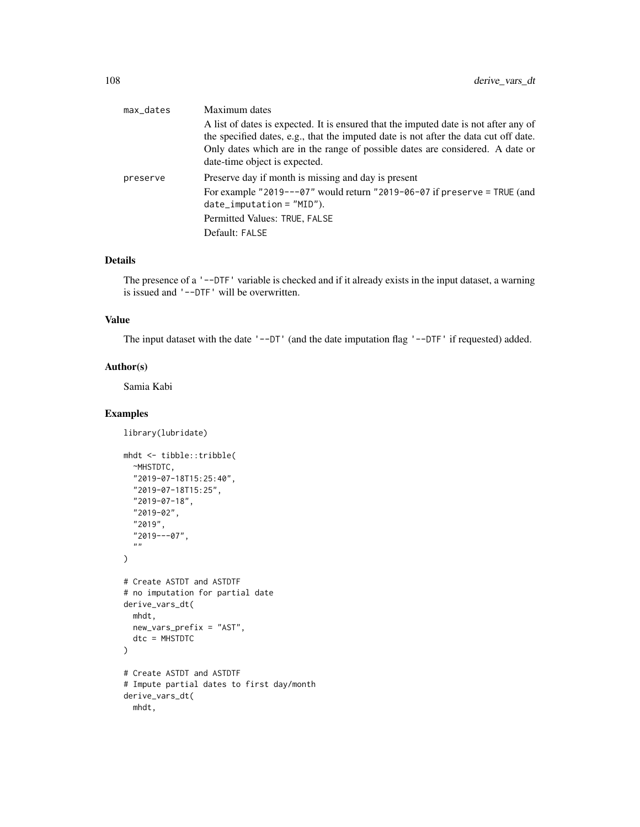| max_dates | Maximum dates                                                                        |
|-----------|--------------------------------------------------------------------------------------|
|           | A list of dates is expected. It is ensured that the imputed date is not after any of |
|           | the specified dates, e.g., that the imputed date is not after the data cut off date. |
|           | Only dates which are in the range of possible dates are considered. A date or        |
|           | date-time object is expected.                                                        |
| preserve  | Preserve day if month is missing and day is present                                  |
|           | For example "2019---07" would return "2019-06-07 if preserve = TRUE (and             |
|           | $date_i$ mputation = $"MID"$ ).                                                      |
|           | Permitted Values: TRUE, FALSE                                                        |
|           | Default: FALSE                                                                       |

The presence of a '--DTF' variable is checked and if it already exists in the input dataset, a warning is issued and '--DTF' will be overwritten.

#### Value

The input dataset with the date '--DT' (and the date imputation flag '--DTF' if requested) added.

## Author(s)

Samia Kabi

```
library(lubridate)
```

```
mhdt <- tibble::tribble(
 ~MHSTDTC,
  "2019-07-18T15:25:40",
  "2019-07-18T15:25",
  "2019-07-18",
  "2019-02",
  "2019",
  "2019---07",
  ^{\prime\prime\prime} "
)
# Create ASTDT and ASTDTF
# no imputation for partial date
derive_vars_dt(
 mhdt,
 new_vars_prefix = "AST",
  dtc = MHSTDTC
)
# Create ASTDT and ASTDTF
# Impute partial dates to first day/month
derive_vars_dt(
 mhdt,
```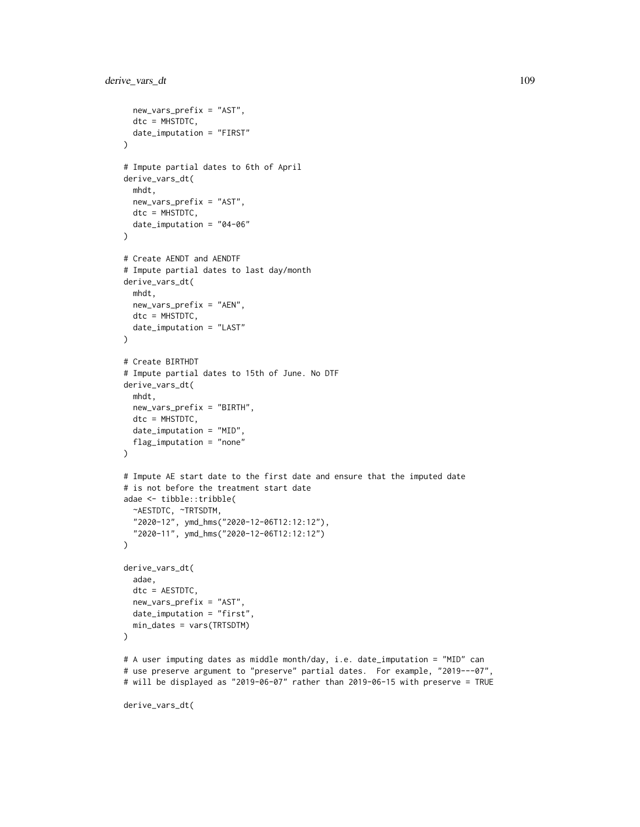```
new_vars_prefix = "AST",
  dtc = MHSTDTC,
  date_imputation = "FIRST"
)
# Impute partial dates to 6th of April
derive_vars_dt(
  mhdt,
 new_vars_prefix = "AST",
  dtc = MHSTDTC,
  date_imputation = "04-06"
\mathcal{L}# Create AENDT and AENDTF
# Impute partial dates to last day/month
derive_vars_dt(
 mhdt,
 new_vars_prefix = "AEN",
 dtc = MHSTDTC,
  date_imputation = "LAST"
\mathcal{L}# Create BIRTHDT
# Impute partial dates to 15th of June. No DTF
derive_vars_dt(
  mhdt,
  new_vars_prefix = "BIRTH",
  dtc = MHSTDTC,
  date_imputation = "MID",
  flag_imputation = "none"
)
# Impute AE start date to the first date and ensure that the imputed date
# is not before the treatment start date
adae <- tibble::tribble(
  ~AESTDTC, ~TRTSDTM,
  "2020-12", ymd_hms("2020-12-06T12:12:12"),
  "2020-11", ymd_hms("2020-12-06T12:12:12")
\mathcal{L}derive_vars_dt(
  adae,
  dtc = AESTDTC,
  new_vars_prefix = "AST",
  date_imputation = "first",
  min_dates = vars(TRTSDTM)
\mathcal{L}# A user imputing dates as middle month/day, i.e. date_imputation = "MID" can
# use preserve argument to "preserve" partial dates. For example, "2019---07",
```
# will be displayed as "2019-06-07" rather than 2019-06-15 with preserve = TRUE

```
derive_vars_dt(
```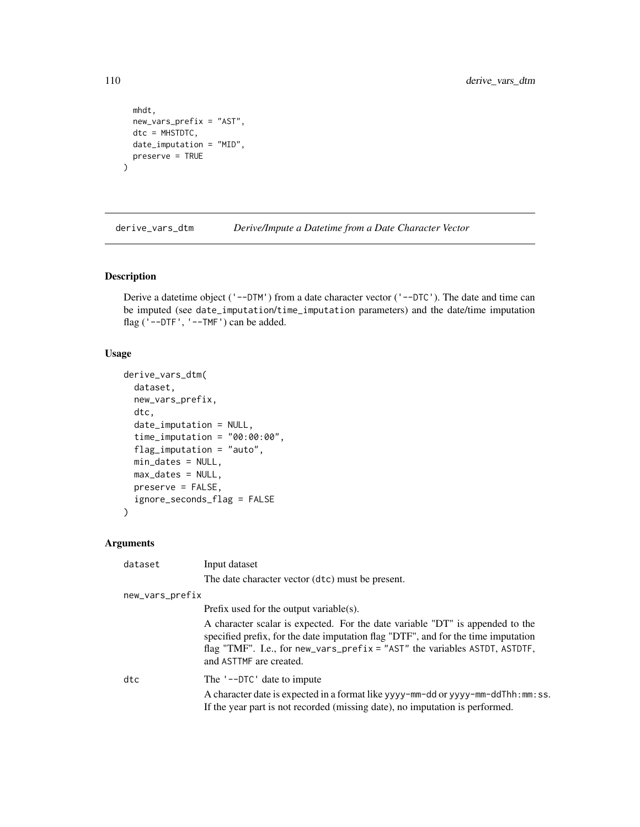```
mhdt,
  new_vars_prefix = "AST",
  dtc = MHSTDTC,
  date_imputation = "MID",
  preserve = TRUE
\overline{\phantom{a}}
```
derive\_vars\_dtm *Derive/Impute a Datetime from a Date Character Vector*

# Description

Derive a datetime object ('--DTM') from a date character vector ('--DTC'). The date and time can be imputed (see date\_imputation/time\_imputation parameters) and the date/time imputation flag ('--DTF', '--TMF') can be added.

# Usage

```
derive_vars_dtm(
  dataset,
  new_vars_prefix,
  dtc,
  date_imputation = NULL,
  time_imputation = "00:00:00",flag_imputation = "auto",
 min_dates = NULL,
 max_dates = NULL,
 preserve = FALSE,
  ignore_seconds_flag = FALSE
\mathcal{E}
```

| dataset         | Input dataset                                                                                                                                                                                                                                                                  |
|-----------------|--------------------------------------------------------------------------------------------------------------------------------------------------------------------------------------------------------------------------------------------------------------------------------|
|                 | The date character vector (dtc) must be present.                                                                                                                                                                                                                               |
| new_vars_prefix |                                                                                                                                                                                                                                                                                |
|                 | Prefix used for the output variable(s).                                                                                                                                                                                                                                        |
|                 | A character scalar is expected. For the date variable "DT" is appended to the<br>specified prefix, for the date imputation flag "DTF", and for the time imputation<br>flag "TMF". I.e., for new_vars_prefix = " $AST"$ the variables ASTDT, ASTDTF,<br>and ASTTMF are created. |
| dtc             | The '--DTC' date to impute                                                                                                                                                                                                                                                     |
|                 | A character date is expected in a format like yyyy-mm-dd or yyyy-mm-ddThh: mm: ss.<br>If the year part is not recorded (missing date), no imputation is performed.                                                                                                             |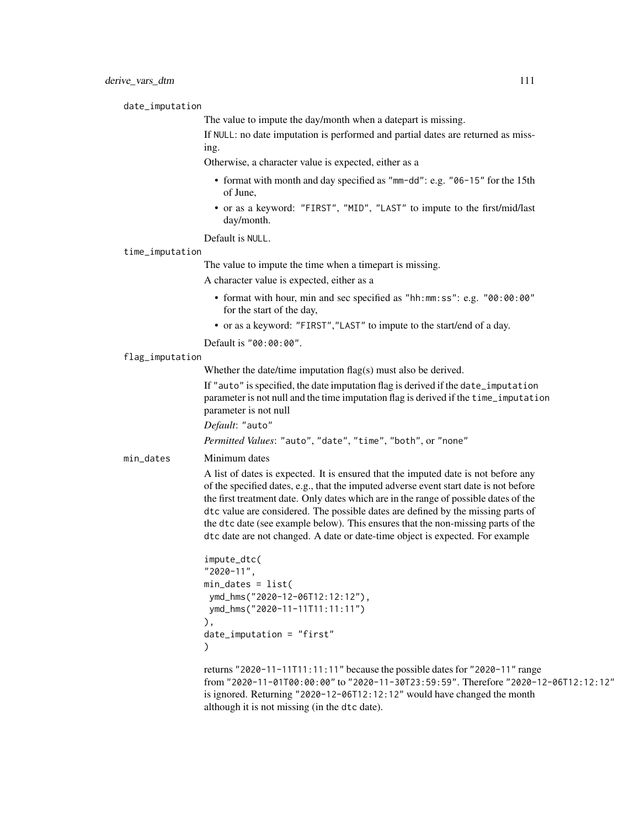date\_imputation

The value to impute the day/month when a datepart is missing.

If NULL: no date imputation is performed and partial dates are returned as missing.

Otherwise, a character value is expected, either as a

- format with month and day specified as "mm-dd": e.g. "06-15" for the 15th of June,
- or as a keyword: "FIRST", "MID", "LAST" to impute to the first/mid/last day/month.

Default is NULL.

time\_imputation

The value to impute the time when a timepart is missing.

A character value is expected, either as a

- format with hour, min and sec specified as "hh:mm:ss": e.g. "00:00:00" for the start of the day,
- or as a keyword: "FIRST","LAST" to impute to the start/end of a day.
- Default is "00:00:00".

#### flag\_imputation

Whether the date/time imputation flag(s) must also be derived.

If "auto" is specified, the date imputation flag is derived if the date\_imputation parameter is not null and the time imputation flag is derived if the time\_imputation parameter is not null

*Default*: "auto"

*Permitted Values*: "auto", "date", "time", "both", or "none"

min\_dates Minimum dates

A list of dates is expected. It is ensured that the imputed date is not before any of the specified dates, e.g., that the imputed adverse event start date is not before the first treatment date. Only dates which are in the range of possible dates of the dtc value are considered. The possible dates are defined by the missing parts of the dtc date (see example below). This ensures that the non-missing parts of the dtc date are not changed. A date or date-time object is expected. For example

```
impute_dtc(
"2020-11",
min_dates = list(
ymd_hms("2020-12-06T12:12:12"),
ymd_hms("2020-11-11T11:11:11")
),
date_imputation = "first"
)
```
returns "2020-11-11T11:11:11" because the possible dates for "2020-11" range from "2020-11-01T00:00:00" to "2020-11-30T23:59:59". Therefore "2020-12-06T12:12:12" is ignored. Returning "2020-12-06T12:12:12" would have changed the month although it is not missing (in the dtc date).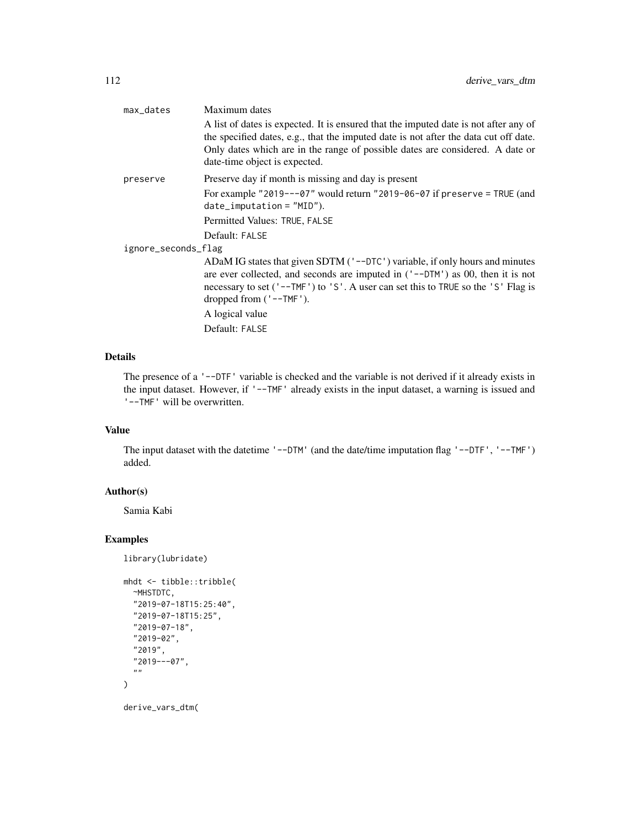| max_dates           | Maximum dates<br>A list of dates is expected. It is ensured that the imputed date is not after any of<br>the specified dates, e.g., that the imputed date is not after the data cut off date.<br>Only dates which are in the range of possible dates are considered. A date or<br>date-time object is expected. |
|---------------------|-----------------------------------------------------------------------------------------------------------------------------------------------------------------------------------------------------------------------------------------------------------------------------------------------------------------|
| preserve            | Preserve day if month is missing and day is present                                                                                                                                                                                                                                                             |
|                     | For example "2019---07" would return "2019-06-07 if preserve = TRUE (and<br>$date_i$ mputation = $"MD"$ ).                                                                                                                                                                                                      |
|                     | Permitted Values: TRUE, FALSE                                                                                                                                                                                                                                                                                   |
|                     | Default: FALSE                                                                                                                                                                                                                                                                                                  |
| ignore_seconds_flag |                                                                                                                                                                                                                                                                                                                 |
|                     | ADaM IG states that given SDTM ('--DTC') variable, if only hours and minutes<br>are ever collected, and seconds are imputed in $('--DTM')$ as 00, then it is not<br>necessary to set ('--TMF') to 'S'. A user can set this to TRUE so the 'S' Flag is<br>dropped from $('--TMF')$ .                             |
|                     | A logical value                                                                                                                                                                                                                                                                                                 |
|                     | Default: FALSE                                                                                                                                                                                                                                                                                                  |

The presence of a '--DTF' variable is checked and the variable is not derived if it already exists in the input dataset. However, if '--TMF' already exists in the input dataset, a warning is issued and '--TMF' will be overwritten.

# Value

The input dataset with the datetime '--DTM' (and the date/time imputation flag '--DTF', '--TMF') added.

# Author(s)

Samia Kabi

```
library(lubridate)
```

```
mhdt <- tibble::tribble(
  ~MHSTDTC,
  "2019-07-18T15:25:40",
  "2019-07-18T15:25",
  "2019-07-18",
  "2019-02",
  "2019",
  "2019---07",
  "''"\mathcal{L}derive_vars_dtm(
```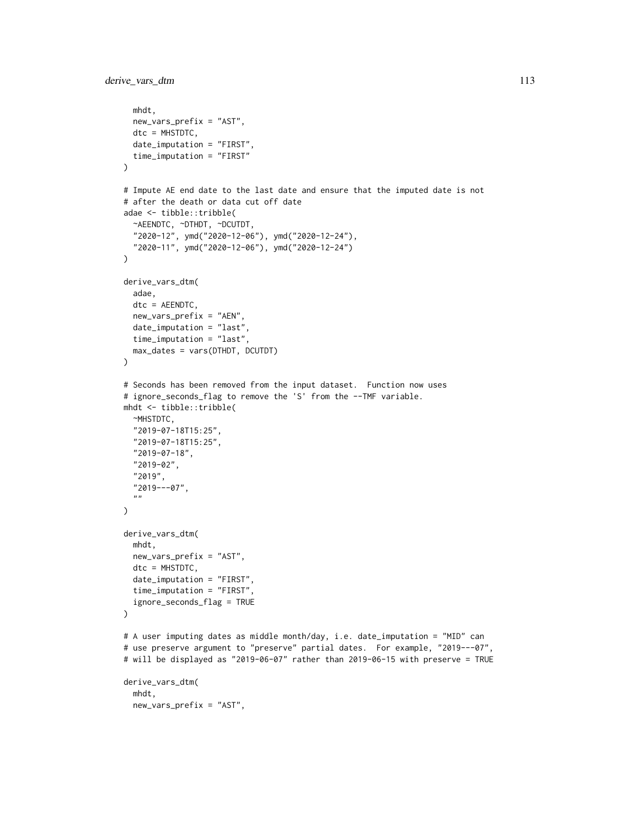```
mhdt,
  new_vars_prefix = "AST",
  dtc = MHSTDTC,
  date_imputation = "FIRST",
  time_imputation = "FIRST"
\lambda# Impute AE end date to the last date and ensure that the imputed date is not
# after the death or data cut off date
adae <- tibble::tribble(
  ~AEENDTC, ~DTHDT, ~DCUTDT,
  "2020-12", ymd("2020-12-06"), ymd("2020-12-24"),
  "2020-11", ymd("2020-12-06"), ymd("2020-12-24")
)
derive_vars_dtm(
  adae,
  dtc = AEENDTC,
 new_vars_prefix = "AEN",
  date_imputation = "last",
  time_imputation = "last",
  max_dates = vars(DTHDT, DCUTDT)
\lambda# Seconds has been removed from the input dataset. Function now uses
# ignore_seconds_flag to remove the 'S' from the --TMF variable.
mhdt <- tibble::tribble(
  ~MHSTDTC,
  "2019-07-18T15:25",
  "2019-07-18T15:25",
  "2019-07-18",
  "2019-02",
  "2019",
  "2019---07",
  "\lambdaderive_vars_dtm(
  mhdt,
  new_vars_prefix = "AST",
  dtc = MHSTDTC,
  date_imputation = "FIRST",
  time_imputation = "FIRST",
  ignore_seconds_flag = TRUE
)
# A user imputing dates as middle month/day, i.e. date_imputation = "MID" can
# use preserve argument to "preserve" partial dates. For example, "2019---07",
# will be displayed as "2019-06-07" rather than 2019-06-15 with preserve = TRUE
derive_vars_dtm(
  mhdt,
  new_vars_prefix = "AST",
```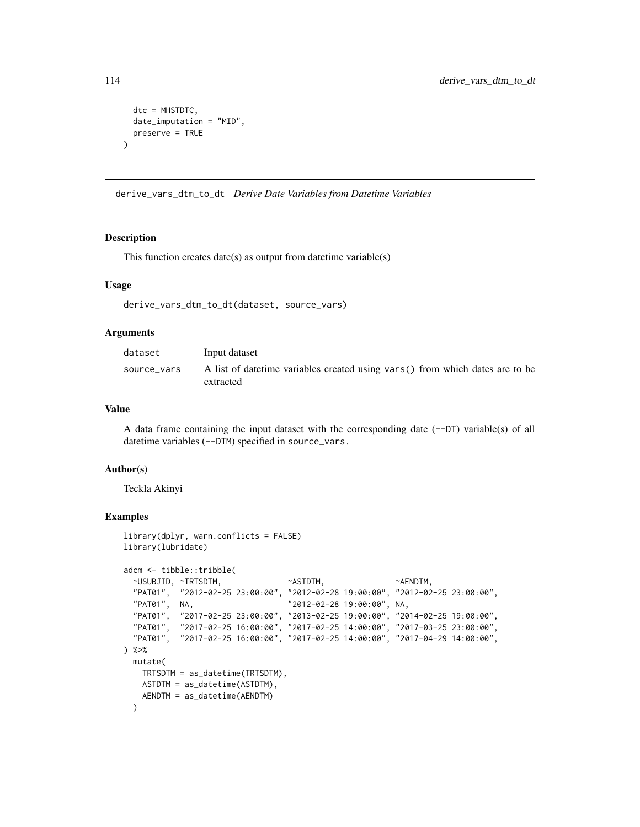```
dtc = MHSTDTC,
 date_imputation = "MID",
 preserve = TRUE
)
```
derive\_vars\_dtm\_to\_dt *Derive Date Variables from Datetime Variables*

#### Description

This function creates date(s) as output from datetime variable(s)

#### Usage

```
derive_vars_dtm_to_dt(dataset, source_vars)
```
#### Arguments

| dataset     | Input dataset                                                                              |
|-------------|--------------------------------------------------------------------------------------------|
| source vars | A list of date time variables created using vars() from which dates are to be<br>extracted |

# Value

A data frame containing the input dataset with the corresponding date  $(-DT)$  variable(s) of all datetime variables (--DTM) specified in source\_vars.

#### Author(s)

Teckla Akinyi

```
library(dplyr, warn.conflicts = FALSE)
library(lubridate)
adcm <- tibble::tribble(
 ~USUBJID, ~TRTSDTM, ~ASTDTM, ~AENDTM,
 "PAT01", "2012-02-25 23:00:00", "2012-02-28 19:00:00", "2012-02-25 23:00:00",
 "PAT01", NA, "2012-02-28 19:00:00", NA,
 "PAT01", "2017-02-25 23:00:00", "2013-02-25 19:00:00", "2014-02-25 19:00:00",
 "PAT01", "2017-02-25 16:00:00", "2017-02-25 14:00:00", "2017-03-25 23:00:00",
  "PAT01", "2017-02-25 16:00:00", "2017-02-25 14:00:00", "2017-04-29 14:00:00",
) %>%
 mutate(
   TRTSDTM = as_datetime(TRTSDTM),
   ASTDTM = as_datetime(ASTDTM),
   AENDTM = as_datetime(AENDTM)
 )
```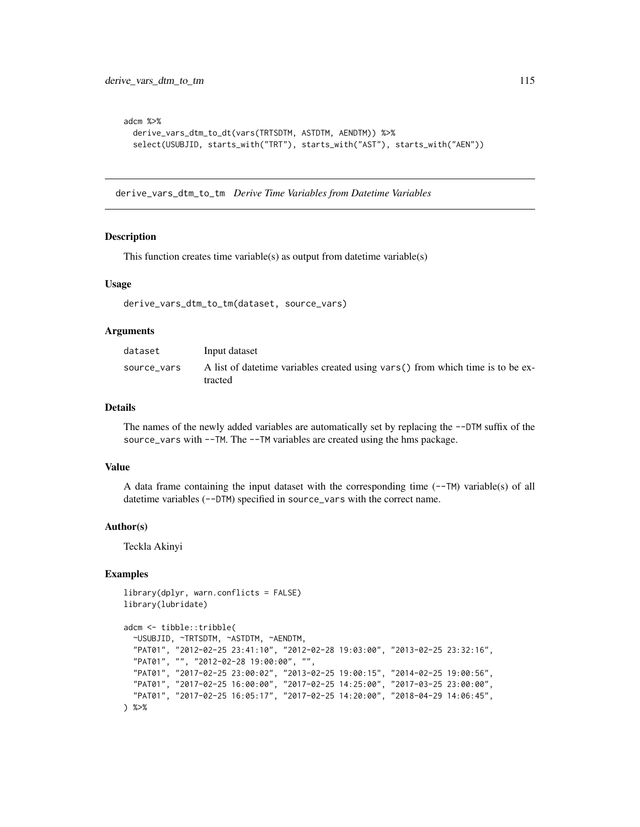```
adcm %>%
 derive_vars_dtm_to_dt(vars(TRTSDTM, ASTDTM, AENDTM)) %>%
 select(USUBJID, starts_with("TRT"), starts_with("AST"), starts_with("AEN"))
```
derive\_vars\_dtm\_to\_tm *Derive Time Variables from Datetime Variables*

#### Description

This function creates time variable(s) as output from datetime variable(s)

#### Usage

```
derive_vars_dtm_to_tm(dataset, source_vars)
```
#### Arguments

| dataset     | Input dataset                                                                               |
|-------------|---------------------------------------------------------------------------------------------|
| source vars | A list of date time variables created using vars () from which time is to be ex-<br>tracted |

# Details

The names of the newly added variables are automatically set by replacing the --DTM suffix of the source\_vars with --TM. The --TM variables are created using the hms package.

#### Value

A data frame containing the input dataset with the corresponding time  $(-TM)$  variable(s) of all datetime variables (--DTM) specified in source\_vars with the correct name.

#### Author(s)

Teckla Akinyi

```
library(dplyr, warn.conflicts = FALSE)
library(lubridate)
```

```
adcm <- tibble::tribble(
 ~USUBJID, ~TRTSDTM, ~ASTDTM, ~AENDTM,
  "PAT01", "2012-02-25 23:41:10", "2012-02-28 19:03:00", "2013-02-25 23:32:16",
  "PAT01", "", "2012-02-28 19:00:00", "",
  "PAT01", "2017-02-25 23:00:02", "2013-02-25 19:00:15", "2014-02-25 19:00:56",
  "PAT01", "2017-02-25 16:00:00", "2017-02-25 14:25:00", "2017-03-25 23:00:00",
  "PAT01", "2017-02-25 16:05:17", "2017-02-25 14:20:00", "2018-04-29 14:06:45",
) %>%
```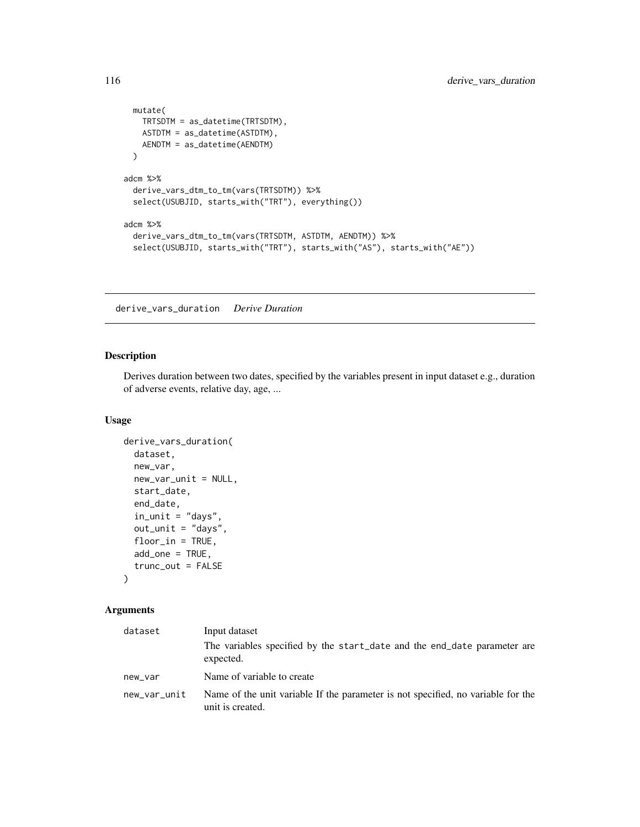```
mutate(
   TRTSDTM = as_datetime(TRTSDTM),
   ASTDTM = as_datetime(ASTDTM),
   AENDTM = as_datetime(AENDTM)
 )
adcm %>%
 derive_vars_dtm_to_tm(vars(TRTSDTM)) %>%
 select(USUBJID, starts_with("TRT"), everything())
adcm %>%
 derive_vars_dtm_to_tm(vars(TRTSDTM, ASTDTM, AENDTM)) %>%
 select(USUBJID, starts_with("TRT"), starts_with("AS"), starts_with("AE"))
```
derive\_vars\_duration *Derive Duration*

# **Description**

Derives duration between two dates, specified by the variables present in input dataset e.g., duration of adverse events, relative day, age, ...

## Usage

```
derive_vars_duration(
  dataset,
 new_var,
  new_var_unit = NULL,
  start_date,
  end_date,
  in\_unit = "days",out_unit = "days",
  floor_in = TRUE,
  add\_one = TRUE,trunc_out = FALSE
)
```

| dataset      | Input dataset                                                                                        |
|--------------|------------------------------------------------------------------------------------------------------|
|              | The variables specified by the start_date and the end_date parameter are<br>expected.                |
| new_var      | Name of variable to create                                                                           |
| new_var_unit | Name of the unit variable If the parameter is not specified, no variable for the<br>unit is created. |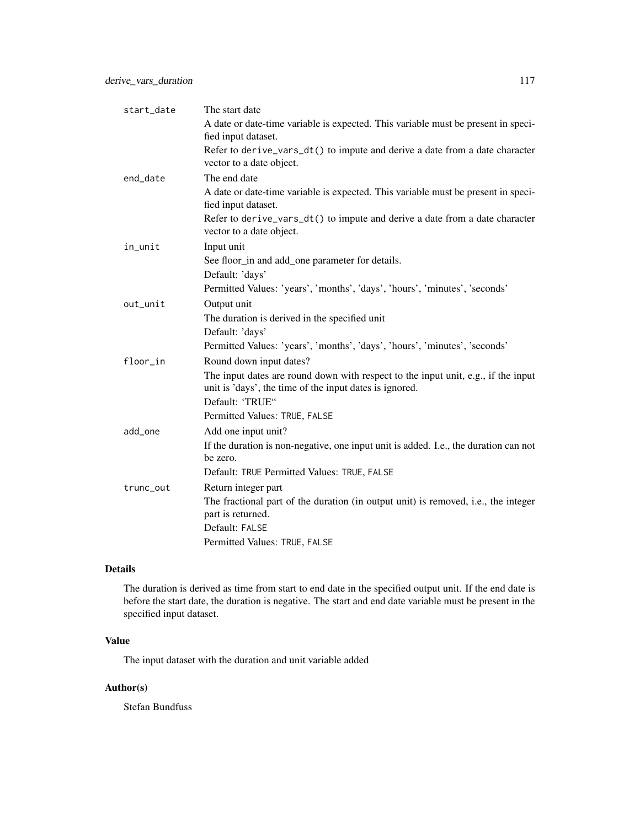| start_date | The start date                                                                                                                                                  |
|------------|-----------------------------------------------------------------------------------------------------------------------------------------------------------------|
|            | A date or date-time variable is expected. This variable must be present in speci-<br>fied input dataset.                                                        |
|            | Refer to derive_vars_dt() to impute and derive a date from a date character<br>vector to a date object.                                                         |
| end_date   | The end date                                                                                                                                                    |
|            | A date or date-time variable is expected. This variable must be present in speci-<br>fied input dataset.                                                        |
|            | Refer to derive_vars_dt() to impute and derive a date from a date character<br>vector to a date object.                                                         |
| in_unit    | Input unit                                                                                                                                                      |
|            | See floor_in and add_one parameter for details.                                                                                                                 |
|            | Default: 'days'                                                                                                                                                 |
|            | Permitted Values: 'years', 'months', 'days', 'hours', 'minutes', 'seconds'                                                                                      |
| out_unit   | Output unit                                                                                                                                                     |
|            | The duration is derived in the specified unit                                                                                                                   |
|            | Default: 'days'                                                                                                                                                 |
|            | Permitted Values: 'years', 'months', 'days', 'hours', 'minutes', 'seconds'                                                                                      |
| floor_in   | Round down input dates?                                                                                                                                         |
|            | The input dates are round down with respect to the input unit, e.g., if the input<br>unit is 'days', the time of the input dates is ignored.<br>Default: 'TRUE" |
|            | Permitted Values: TRUE, FALSE                                                                                                                                   |
| add_one    | Add one input unit?                                                                                                                                             |
|            | If the duration is non-negative, one input unit is added. I.e., the duration can not<br>be zero.                                                                |
|            | Default: TRUE Permitted Values: TRUE, FALSE                                                                                                                     |
| trunc_out  | Return integer part                                                                                                                                             |
|            | The fractional part of the duration (in output unit) is removed, i.e., the integer<br>part is returned.                                                         |
|            | Default: FALSE                                                                                                                                                  |
|            | Permitted Values: TRUE, FALSE                                                                                                                                   |

The duration is derived as time from start to end date in the specified output unit. If the end date is before the start date, the duration is negative. The start and end date variable must be present in the specified input dataset.

# Value

The input dataset with the duration and unit variable added

# Author(s)

Stefan Bundfuss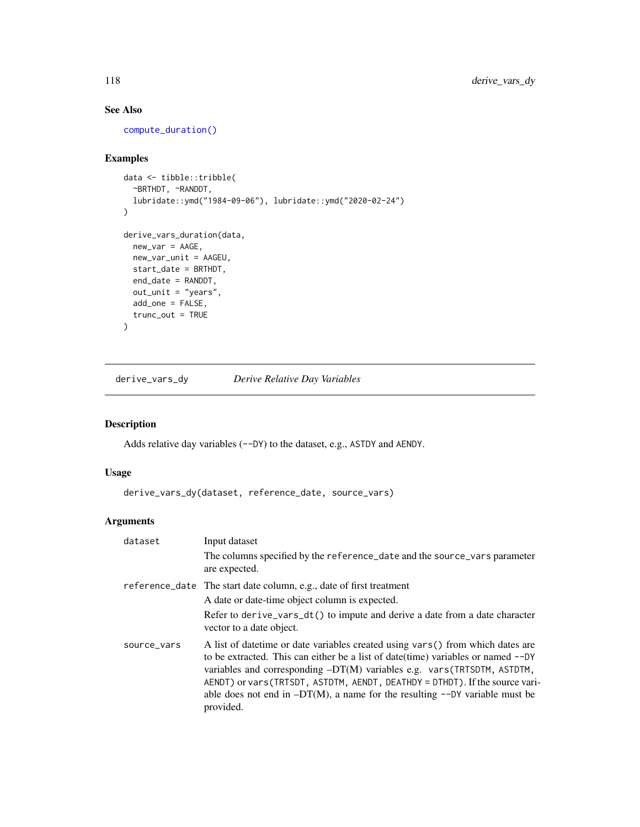# See Also

[compute\\_duration\(\)](#page-35-0)

# Examples

```
data <- tibble::tribble(
 ~BRTHDT, ~RANDDT,
  lubridate::ymd("1984-09-06"), lubridate::ymd("2020-02-24")
\mathcal{L}derive_vars_duration(data,
 new_var = AAGE,
 new_var_unit = AAGEU,
 start_date = BRTHDT,
  end_date = RANDDT,
 out_unit = "years",
  add_one = FALSE,
  trunc_out = TRUE
)
```
derive\_vars\_dy *Derive Relative Day Variables*

# Description

Adds relative day variables (--DY) to the dataset, e.g., ASTDY and AENDY.

# Usage

```
derive_vars_dy(dataset, reference_date, source_vars)
```

| dataset     | Input dataset                                                                                                                                                                                                                                                                                                                                                                                                                     |
|-------------|-----------------------------------------------------------------------------------------------------------------------------------------------------------------------------------------------------------------------------------------------------------------------------------------------------------------------------------------------------------------------------------------------------------------------------------|
|             | The columns specified by the reference_date and the source_vars parameter<br>are expected.                                                                                                                                                                                                                                                                                                                                        |
|             | reference_date The start date column, e.g., date of first treatment                                                                                                                                                                                                                                                                                                                                                               |
|             | A date or date-time object column is expected.                                                                                                                                                                                                                                                                                                                                                                                    |
|             | Refer to derive_vars_dt() to impute and derive a date from a date character<br>vector to a date object.                                                                                                                                                                                                                                                                                                                           |
| source_vars | A list of date time or date variables created using vars () from which dates are<br>to be extracted. This can either be a list of date(time) variables or named --DY<br>variables and corresponding -DT(M) variables e.g. vars (TRTSDTM, ASTDTM,<br>AENDT) or vars (TRTSDT, ASTDTM, AENDT, DEATHDY = DTHDT). If the source vari-<br>able does not end in $-DT(M)$ , a name for the resulting $--DY$ variable must be<br>provided. |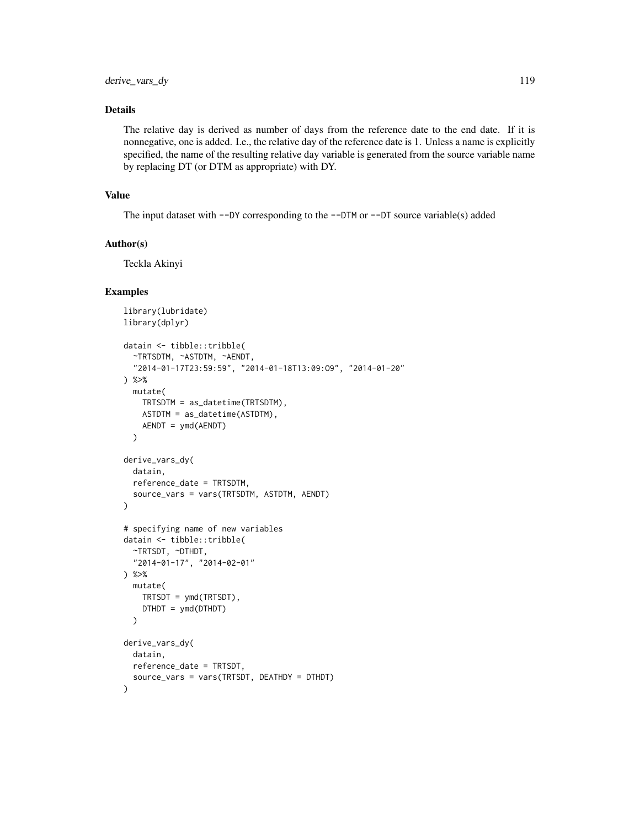The relative day is derived as number of days from the reference date to the end date. If it is nonnegative, one is added. I.e., the relative day of the reference date is 1. Unless a name is explicitly specified, the name of the resulting relative day variable is generated from the source variable name by replacing DT (or DTM as appropriate) with DY.

#### Value

The input dataset with  $-\text{DY}$  corresponding to the  $-\text{DTM}$  or  $-\text{DT}$  source variable(s) added

#### Author(s)

Teckla Akinyi

```
library(lubridate)
library(dplyr)
datain <- tibble::tribble(
  ~TRTSDTM, ~ASTDTM, ~AENDT,
  "2014-01-17T23:59:59", "2014-01-18T13:09:O9", "2014-01-20"
) %>%
  mutate(
   TRTSDTM = as_datetime(TRTSDTM),
   ASTDTM = as_datetime(ASTDTM),
   AENDT = ymd(AENDT)
  )
derive_vars_dy(
  datain,
  reference_date = TRTSDTM,
  source_vars = vars(TRTSDTM, ASTDTM, AENDT)
)
# specifying name of new variables
datain <- tibble::tribble(
  ~TRTSDT, ~DTHDT,
  "2014-01-17", "2014-02-01"
) %>%
  mutate(
   TRTSDT = ymd(TRTSDT),
    DTHDT = ymd(DTHDT)
  )
derive_vars_dy(
  datain,
  reference_date = TRTSDT,
  source_vars = vars(TRTSDT, DEATHDY = DTHDT)
\lambda
```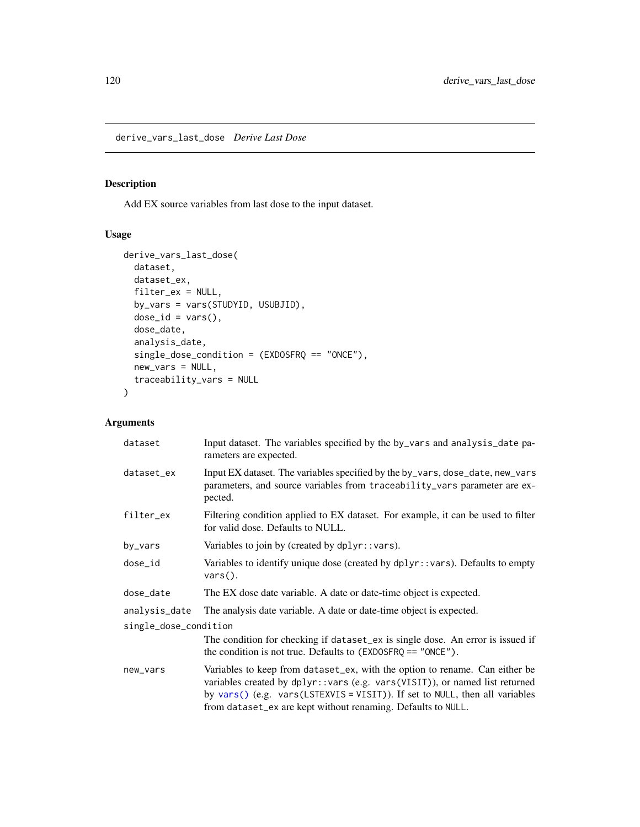derive\_vars\_last\_dose *Derive Last Dose*

# Description

Add EX source variables from last dose to the input dataset.

# Usage

```
derive_vars_last_dose(
 dataset,
 dataset_ex,
 filter_ex = NULL,
 by_vars = vars(STUDYID, USUBJID),
 dose_id = vars(),
 dose_date,
  analysis_date,
  single_dose_condition = (EXDOSFRQ == "ONCE"),
 new_vars = NULL,
  traceability_vars = NULL
\mathcal{L}
```

| dataset               | Input dataset. The variables specified by the by_vars and analysis_date pa-<br>rameters are expected.                                                                                                                                                                                                       |
|-----------------------|-------------------------------------------------------------------------------------------------------------------------------------------------------------------------------------------------------------------------------------------------------------------------------------------------------------|
| dataset_ex            | Input EX dataset. The variables specified by the by_vars, dose_date, new_vars<br>parameters, and source variables from traceability_vars parameter are ex-<br>pected.                                                                                                                                       |
| filter_ex             | Filtering condition applied to EX dataset. For example, it can be used to filter<br>for valid dose. Defaults to NULL.                                                                                                                                                                                       |
| by_vars               | Variables to join by (created by dplyr::vars).                                                                                                                                                                                                                                                              |
| dose_id               | Variables to identify unique dose (created by dplyr::vars). Defaults to empty<br>$vars()$ .                                                                                                                                                                                                                 |
| dose_date             | The EX dose date variable. A date or date-time object is expected.                                                                                                                                                                                                                                          |
| analysis_date         | The analysis date variable. A date or date-time object is expected.                                                                                                                                                                                                                                         |
| single_dose_condition |                                                                                                                                                                                                                                                                                                             |
|                       | The condition for checking if dataset_ex is single dose. An error is issued if<br>the condition is not true. Defaults to $(EXDOSFRQ == "ONCE")$ .                                                                                                                                                           |
| new_vars              | Variables to keep from dataset_ex, with the option to rename. Can either be<br>variables created by dplyr:: vars (e.g. vars (VISIT)), or named list returned<br>by vars() (e.g. vars(LSTEXVIS = VISIT)). If set to NULL, then all variables<br>from dataset_ex are kept without renaming. Defaults to NULL. |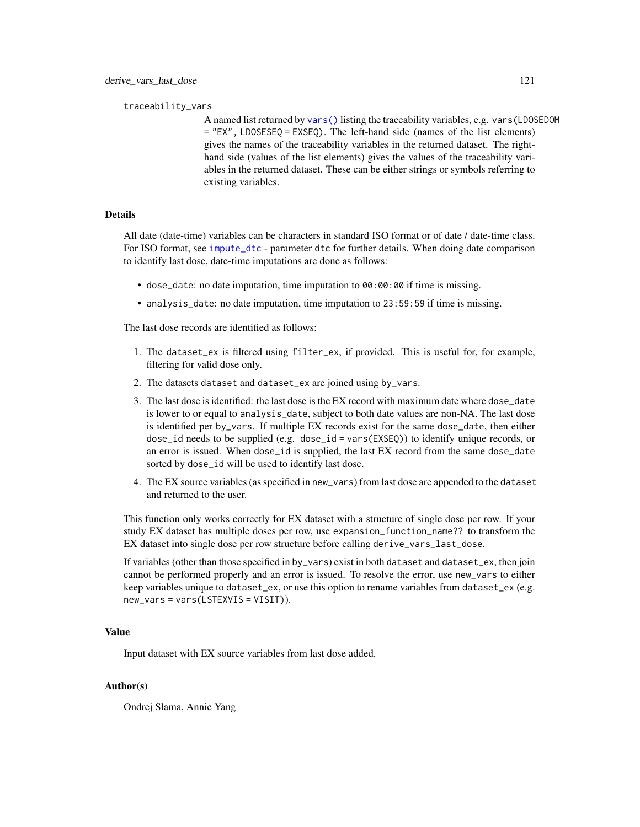traceability\_vars

A named list returned by [vars\(\)](#page-0-0) listing the traceability variables, e.g. vars(LDOSEDOM = "EX", LDOSESEQ = EXSEQ). The left-hand side (names of the list elements) gives the names of the traceability variables in the returned dataset. The righthand side (values of the list elements) gives the values of the traceability variables in the returned dataset. These can be either strings or symbols referring to existing variables.

#### Details

All date (date-time) variables can be characters in standard ISO format or of date / date-time class. For ISO format, see [impute\\_dtc](#page-217-0) - parameter dtc for further details. When doing date comparison to identify last dose, date-time imputations are done as follows:

- dose\_date: no date imputation, time imputation to 00:00:00 if time is missing.
- analysis\_date: no date imputation, time imputation to 23:59:59 if time is missing.

The last dose records are identified as follows:

- 1. The dataset\_ex is filtered using filter\_ex, if provided. This is useful for, for example, filtering for valid dose only.
- 2. The datasets dataset and dataset\_ex are joined using by\_vars.
- 3. The last dose is identified: the last dose is the EX record with maximum date where dose\_date is lower to or equal to analysis\_date, subject to both date values are non-NA. The last dose is identified per by\_vars. If multiple EX records exist for the same dose\_date, then either dose\_id needs to be supplied (e.g. dose\_id = vars(EXSEQ)) to identify unique records, or an error is issued. When dose\_id is supplied, the last EX record from the same dose\_date sorted by dose\_id will be used to identify last dose.
- 4. The EX source variables (as specified in new\_vars) from last dose are appended to the dataset and returned to the user.

This function only works correctly for EX dataset with a structure of single dose per row. If your study EX dataset has multiple doses per row, use expansion\_function\_name?? to transform the EX dataset into single dose per row structure before calling derive\_vars\_last\_dose.

If variables (other than those specified in by\_vars) exist in both dataset and dataset\_ex, then join cannot be performed properly and an error is issued. To resolve the error, use new\_vars to either keep variables unique to dataset\_ex, or use this option to rename variables from dataset\_ex (e.g. new\_vars = vars(LSTEXVIS = VISIT)).

# Value

Input dataset with EX source variables from last dose added.

#### Author(s)

Ondrej Slama, Annie Yang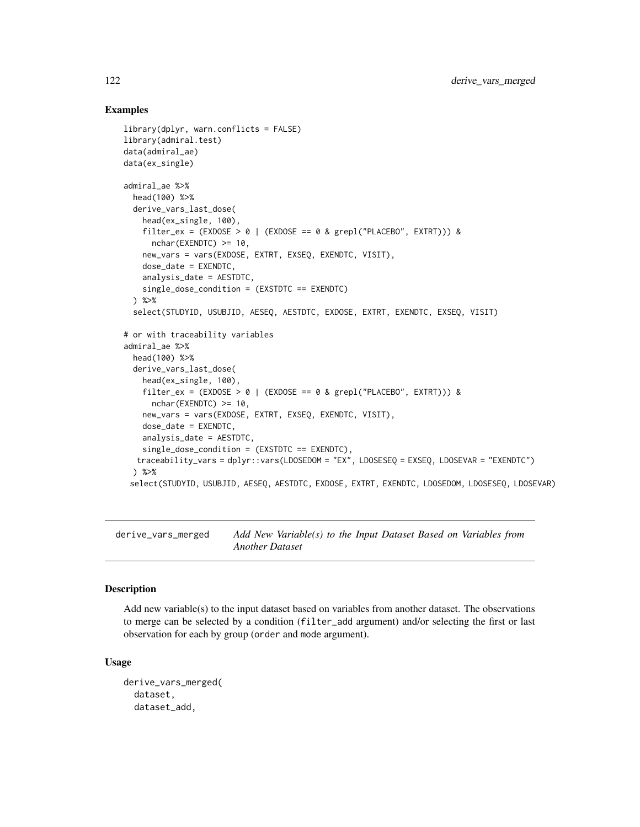#### Examples

```
library(dplyr, warn.conflicts = FALSE)
library(admiral.test)
data(admiral_ae)
data(ex_single)
admiral_ae %>%
  head(100) %>%
  derive_vars_last_dose(
   head(ex_single, 100),
   filter_ex = (EXDOSE > 0 | (EXDOSE == 0 & grepl("PLACEBO", EXTRT))) &
     nchar(EXENDTC) >= 10,
   new_vars = vars(EXDOSE, EXTRT, EXSEQ, EXENDTC, VISIT),
   dose_date = EXENDTC,
   analysis_date = AESTDTC,
   single_dose_condition = (EXSTDTC == EXENDTC)
  ) %>%
  select(STUDYID, USUBJID, AESEQ, AESTDTC, EXDOSE, EXTRT, EXENDTC, EXSEQ, VISIT)
# or with traceability variables
admiral_ae %>%
  head(100) %>%
  derive_vars_last_dose(
    head(ex_single, 100),
    filter_ex = (EXDOSE > 0 | (EXDOSE == 0 & grepl("PLACEBO", EXTRT))) &
      nchar(EXENDTC) >= 10,
   new_vars = vars(EXDOSE, EXTRT, EXSEQ, EXENDTC, VISIT),
   dose_date = EXENDTC,
    analysis_date = AESTDTC,
    single_dose_condition = (EXSTDTC == EXENDTC),
  traceability_vars = dplyr::vars(LDOSEDOM = "EX", LDOSESEQ = EXSEQ, LDOSEVAR = "EXENDTC")
  ) %>%
 select(STUDYID, USUBJID, AESEQ, AESTDTC, EXDOSE, EXTRT, EXENDTC, LDOSEDOM, LDOSESEQ, LDOSEVAR)
```
derive\_vars\_merged *Add New Variable(s) to the Input Dataset Based on Variables from Another Dataset*

# Description

Add new variable(s) to the input dataset based on variables from another dataset. The observations to merge can be selected by a condition (filter\_add argument) and/or selecting the first or last observation for each by group (order and mode argument).

#### Usage

```
derive_vars_merged(
  dataset,
  dataset_add,
```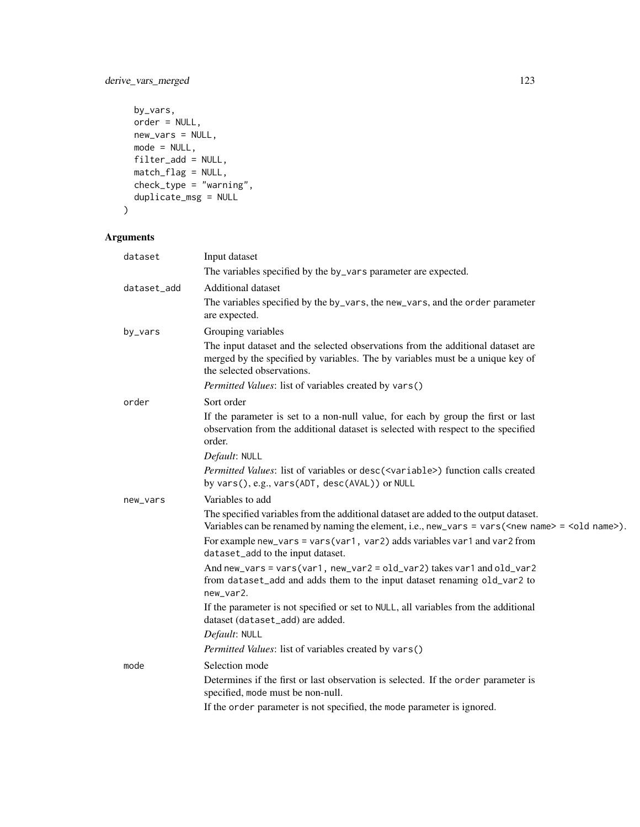```
by_vars,
 order = NULL,
 new_vars = NULL,
 mode = NULL,filter\_add = NULL,match_flag = NULL,
 check_type = "warning",duplicate_msg = NULL
\mathcal{L}
```

| dataset     | Input dataset                                                                                                                                                                                              |
|-------------|------------------------------------------------------------------------------------------------------------------------------------------------------------------------------------------------------------|
|             | The variables specified by the by_vars parameter are expected.                                                                                                                                             |
| dataset_add | <b>Additional dataset</b>                                                                                                                                                                                  |
|             | The variables specified by the by_vars, the new_vars, and the order parameter<br>are expected.                                                                                                             |
| by_vars     | Grouping variables                                                                                                                                                                                         |
|             | The input dataset and the selected observations from the additional dataset are<br>merged by the specified by variables. The by variables must be a unique key of<br>the selected observations.            |
|             | Permitted Values: list of variables created by vars()                                                                                                                                                      |
| order       | Sort order                                                                                                                                                                                                 |
|             | If the parameter is set to a non-null value, for each by group the first or last<br>observation from the additional dataset is selected with respect to the specified<br>order.                            |
|             | Default: NULL                                                                                                                                                                                              |
|             | Permitted Values: list of variables or desc( <variable>) function calls created<br/>by vars(), e.g., vars(ADT, desc(AVAL)) or NULL</variable>                                                              |
| new_vars    | Variables to add                                                                                                                                                                                           |
|             | The specified variables from the additional dataset are added to the output dataset.<br>Variables can be renamed by naming the element, i.e., new_vars = vars( <new name=""> = <old name="">).</old></new> |
|             | For example new_vars = vars(var1, var2) adds variables var1 and var2 from<br>dataset_add to the input dataset.                                                                                             |
|             | And new_vars = vars(var1, new_var2 = old_var2) takes var1 and old_var2<br>from dataset_add and adds them to the input dataset renaming old_var2 to<br>new_var2.                                            |
|             | If the parameter is not specified or set to NULL, all variables from the additional<br>dataset (dataset_add) are added.                                                                                    |
|             | Default: NULL                                                                                                                                                                                              |
|             | Permitted Values: list of variables created by vars()                                                                                                                                                      |
| mode        | Selection mode                                                                                                                                                                                             |
|             | Determines if the first or last observation is selected. If the order parameter is<br>specified, mode must be non-null.                                                                                    |
|             | If the order parameter is not specified, the mode parameter is ignored.                                                                                                                                    |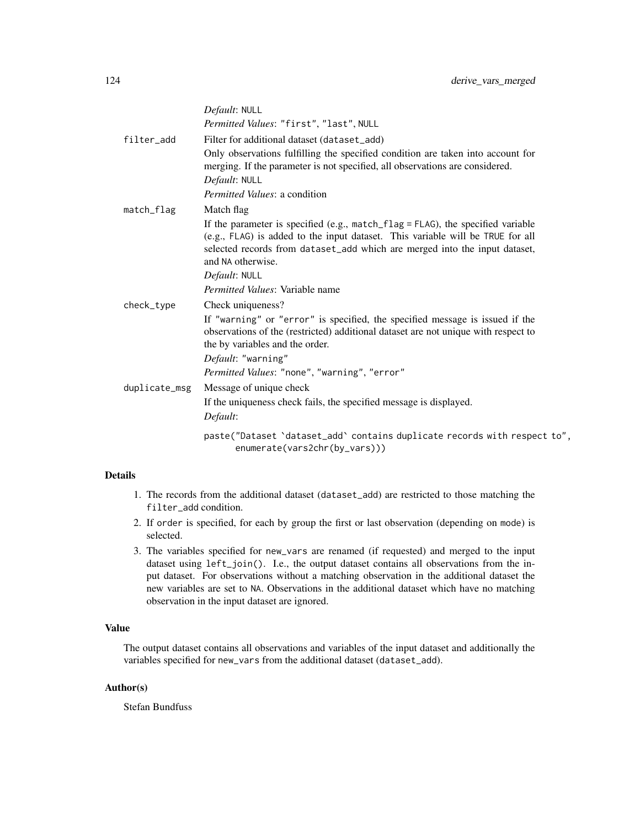|               | Default: NULL                                                                                                                                                                                                                                                                                       |
|---------------|-----------------------------------------------------------------------------------------------------------------------------------------------------------------------------------------------------------------------------------------------------------------------------------------------------|
|               | Permitted Values: "first", "last", NULL                                                                                                                                                                                                                                                             |
| filter_add    | Filter for additional dataset (dataset_add)                                                                                                                                                                                                                                                         |
|               | Only observations fulfilling the specified condition are taken into account for<br>merging. If the parameter is not specified, all observations are considered.                                                                                                                                     |
|               | Default: NULL<br>Permitted Values: a condition                                                                                                                                                                                                                                                      |
|               |                                                                                                                                                                                                                                                                                                     |
| match_flag    | Match flag<br>If the parameter is specified (e.g., match_flag = FLAG), the specified variable<br>(e.g., FLAG) is added to the input dataset. This variable will be TRUE for all<br>selected records from dataset_add which are merged into the input dataset,<br>and NA otherwise.<br>Default: NULL |
|               | Permitted Values: Variable name                                                                                                                                                                                                                                                                     |
| check_type    | Check uniqueness?                                                                                                                                                                                                                                                                                   |
|               | If "warning" or "error" is specified, the specified message is issued if the<br>observations of the (restricted) additional dataset are not unique with respect to<br>the by variables and the order.                                                                                               |
|               | Default: "warning"                                                                                                                                                                                                                                                                                  |
|               | Permitted Values: "none", "warning", "error"                                                                                                                                                                                                                                                        |
| duplicate_msg | Message of unique check<br>If the uniqueness check fails, the specified message is displayed.<br>Default:                                                                                                                                                                                           |
|               | paste("Dataset 'dataset_add' contains duplicate records with respect to",<br>enumerate(vars2chr(by_vars)))                                                                                                                                                                                          |
|               |                                                                                                                                                                                                                                                                                                     |

- 1. The records from the additional dataset (dataset\_add) are restricted to those matching the filter\_add condition.
- 2. If order is specified, for each by group the first or last observation (depending on mode) is selected.
- 3. The variables specified for new\_vars are renamed (if requested) and merged to the input dataset using left\_join(). I.e., the output dataset contains all observations from the input dataset. For observations without a matching observation in the additional dataset the new variables are set to NA. Observations in the additional dataset which have no matching observation in the input dataset are ignored.

#### Value

The output dataset contains all observations and variables of the input dataset and additionally the variables specified for new\_vars from the additional dataset (dataset\_add).

# Author(s)

Stefan Bundfuss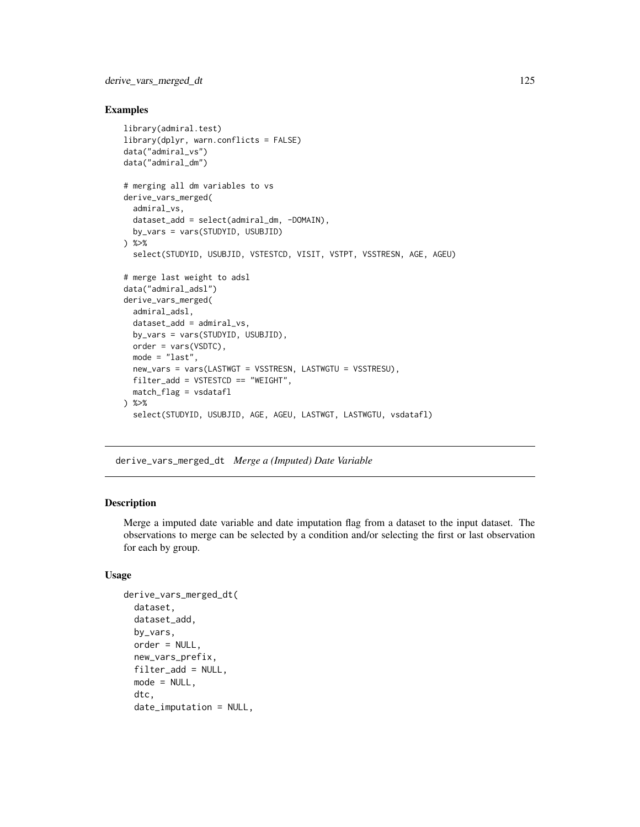#### Examples

```
library(admiral.test)
library(dplyr, warn.conflicts = FALSE)
data("admiral_vs")
data("admiral_dm")
# merging all dm variables to vs
derive_vars_merged(
  admiral_vs,
  dataset_add = select(admiral_dm, -DOMAIN),
  by_vars = vars(STUDYID, USUBJID)
) %>%
  select(STUDYID, USUBJID, VSTESTCD, VISIT, VSTPT, VSSTRESN, AGE, AGEU)
# merge last weight to adsl
data("admiral_adsl")
derive_vars_merged(
  admiral_adsl,
  dataset_add = admiral_vs,
  by_vars = vars(STUDYID, USUBJID),
  order = vars(VSDTC),
  mode = "last",
  new_vars = vars(LASTWGT = VSSTRESN, LASTWGTU = VSSTRESU),
  filter_add = VSTESTCD == "WEIGHT",
  match_flag = vsdatafl
) %>%
  select(STUDYID, USUBJID, AGE, AGEU, LASTWGT, LASTWGTU, vsdatafl)
```
derive\_vars\_merged\_dt *Merge a (Imputed) Date Variable*

#### Description

Merge a imputed date variable and date imputation flag from a dataset to the input dataset. The observations to merge can be selected by a condition and/or selecting the first or last observation for each by group.

#### Usage

```
derive_vars_merged_dt(
  dataset,
  dataset_add,
 by_vars,
  order = NULL,
 new_vars_prefix,
  filter_add = NULL,
 mode = NULL,
  dtc,
  date_imputation = NULL,
```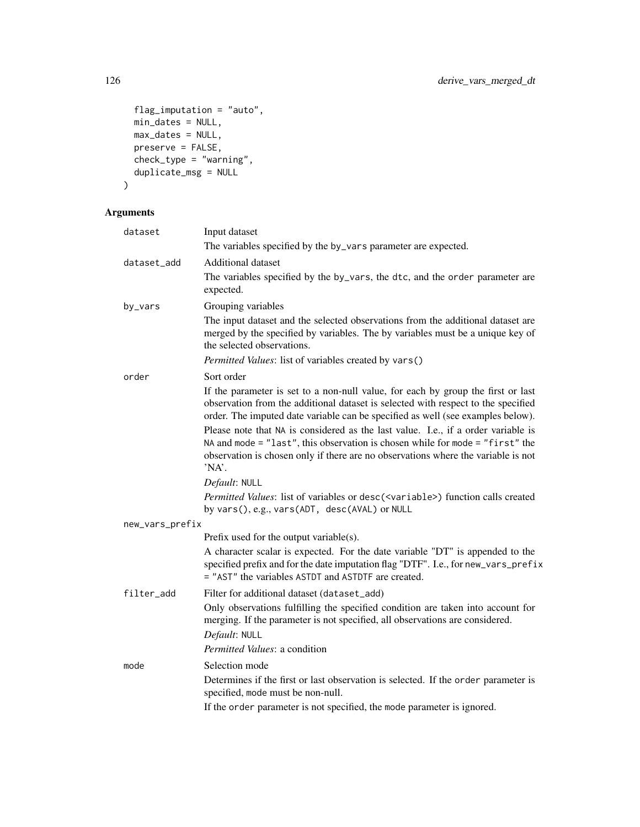```
flag_imputation = "auto",
 min_dates = NULL,
 max\_dates = NULL,preserve = FALSE,
 check_type = "waring",duplicate_msg = NULL
\mathcal{L}
```

| dataset         | Input dataset                                                                                                                                                                                                                                                      |
|-----------------|--------------------------------------------------------------------------------------------------------------------------------------------------------------------------------------------------------------------------------------------------------------------|
|                 | The variables specified by the by_vars parameter are expected.                                                                                                                                                                                                     |
| dataset_add     | <b>Additional dataset</b>                                                                                                                                                                                                                                          |
|                 | The variables specified by the by_vars, the dtc, and the order parameter are<br>expected.                                                                                                                                                                          |
| by_vars         | Grouping variables                                                                                                                                                                                                                                                 |
|                 | The input dataset and the selected observations from the additional dataset are<br>merged by the specified by variables. The by variables must be a unique key of<br>the selected observations.                                                                    |
|                 | Permitted Values: list of variables created by vars()                                                                                                                                                                                                              |
| order           | Sort order                                                                                                                                                                                                                                                         |
|                 | If the parameter is set to a non-null value, for each by group the first or last<br>observation from the additional dataset is selected with respect to the specified<br>order. The imputed date variable can be specified as well (see examples below).           |
|                 | Please note that NA is considered as the last value. I.e., if a order variable is<br>NA and mode = $"last", this observation is chosen while for mode = "first" the$<br>observation is chosen only if there are no observations where the variable is not<br>'NA'. |
|                 | Default: NULL                                                                                                                                                                                                                                                      |
|                 | Permitted Values: list of variables or desc( <variable>) function calls created<br/>by vars(), e.g., vars(ADT, desc(AVAL) or NULL</variable>                                                                                                                       |
| new_vars_prefix |                                                                                                                                                                                                                                                                    |
|                 | Prefix used for the output variable(s).                                                                                                                                                                                                                            |
|                 | A character scalar is expected. For the date variable "DT" is appended to the<br>specified prefix and for the date imputation flag "DTF". I.e., for new_vars_prefix<br>= "AST" the variables ASTDT and ASTDTF are created.                                         |
| filter_add      | Filter for additional dataset (dataset_add)                                                                                                                                                                                                                        |
|                 | Only observations fulfilling the specified condition are taken into account for<br>merging. If the parameter is not specified, all observations are considered.                                                                                                    |
|                 | Default: NULL                                                                                                                                                                                                                                                      |
|                 | Permitted Values: a condition                                                                                                                                                                                                                                      |
| mode            | Selection mode                                                                                                                                                                                                                                                     |
|                 | Determines if the first or last observation is selected. If the order parameter is<br>specified, mode must be non-null.                                                                                                                                            |
|                 | If the order parameter is not specified, the mode parameter is ignored.                                                                                                                                                                                            |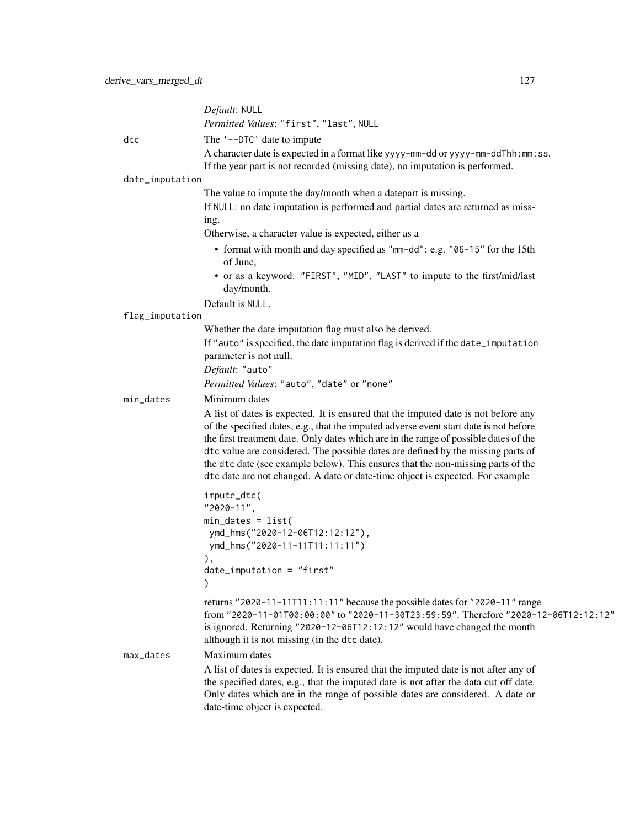|                 | Default: NULL                                                                                                                                                                                                                                                                                                                                                                                                                                                                                                                                 |
|-----------------|-----------------------------------------------------------------------------------------------------------------------------------------------------------------------------------------------------------------------------------------------------------------------------------------------------------------------------------------------------------------------------------------------------------------------------------------------------------------------------------------------------------------------------------------------|
|                 | Permitted Values: "first", "last", NULL                                                                                                                                                                                                                                                                                                                                                                                                                                                                                                       |
| dtc             | The '--DTC' date to impute                                                                                                                                                                                                                                                                                                                                                                                                                                                                                                                    |
|                 | A character date is expected in a format like yyyy-mm-dd or yyyy-mm-ddThh:mm:ss.<br>If the year part is not recorded (missing date), no imputation is performed.                                                                                                                                                                                                                                                                                                                                                                              |
| date_imputation |                                                                                                                                                                                                                                                                                                                                                                                                                                                                                                                                               |
|                 | The value to impute the day/month when a datepart is missing.                                                                                                                                                                                                                                                                                                                                                                                                                                                                                 |
|                 | If NULL: no date imputation is performed and partial dates are returned as miss-<br>ing.                                                                                                                                                                                                                                                                                                                                                                                                                                                      |
|                 | Otherwise, a character value is expected, either as a                                                                                                                                                                                                                                                                                                                                                                                                                                                                                         |
|                 | • format with month and day specified as "mm-dd": e.g. "06-15" for the 15th<br>of June,                                                                                                                                                                                                                                                                                                                                                                                                                                                       |
|                 | • or as a keyword: "FIRST", "MID", "LAST" to impute to the first/mid/last<br>day/month.                                                                                                                                                                                                                                                                                                                                                                                                                                                       |
|                 | Default is NULL.                                                                                                                                                                                                                                                                                                                                                                                                                                                                                                                              |
| flag_imputation |                                                                                                                                                                                                                                                                                                                                                                                                                                                                                                                                               |
|                 | Whether the date imputation flag must also be derived.                                                                                                                                                                                                                                                                                                                                                                                                                                                                                        |
|                 | If "auto" is specified, the date imputation flag is derived if the date_imputation<br>parameter is not null.                                                                                                                                                                                                                                                                                                                                                                                                                                  |
|                 | Default: "auto"                                                                                                                                                                                                                                                                                                                                                                                                                                                                                                                               |
|                 | Permitted Values: "auto", "date" or "none"                                                                                                                                                                                                                                                                                                                                                                                                                                                                                                    |
| min_dates       | Minimum dates<br>A list of dates is expected. It is ensured that the imputed date is not before any<br>of the specified dates, e.g., that the imputed adverse event start date is not before<br>the first treatment date. Only dates which are in the range of possible dates of the<br>dtc value are considered. The possible dates are defined by the missing parts of<br>the dtc date (see example below). This ensures that the non-missing parts of the<br>dtc date are not changed. A date or date-time object is expected. For example |
|                 | impute_dtc(                                                                                                                                                                                                                                                                                                                                                                                                                                                                                                                                   |
|                 | "2020-11",                                                                                                                                                                                                                                                                                                                                                                                                                                                                                                                                    |
|                 | $min\_dates = list($<br>ymd_hms("2020-12-06T12:12:12"),                                                                                                                                                                                                                                                                                                                                                                                                                                                                                       |
|                 | ymd_hms("2020-11-11T11:11:11")                                                                                                                                                                                                                                                                                                                                                                                                                                                                                                                |
|                 | ),                                                                                                                                                                                                                                                                                                                                                                                                                                                                                                                                            |
|                 | $date_i$ mputation = "first"<br>$\mathcal{C}$                                                                                                                                                                                                                                                                                                                                                                                                                                                                                                 |
|                 | returns "2020-11-11T11:11:11" because the possible dates for "2020-11" range<br>from "2020-11-01T00:00:00" to "2020-11-30T23:59:59". Therefore "2020-12-06T12:12:12"<br>is ignored. Returning "2020-12-06T12:12:12" would have changed the month<br>although it is not missing (in the dtc date).                                                                                                                                                                                                                                             |
| max_dates       | Maximum dates                                                                                                                                                                                                                                                                                                                                                                                                                                                                                                                                 |
|                 | A list of dates is expected. It is ensured that the imputed date is not after any of<br>the specified dates, e.g., that the imputed date is not after the data cut off date.<br>Only dates which are in the range of possible dates are considered. A date or<br>date-time object is expected.                                                                                                                                                                                                                                                |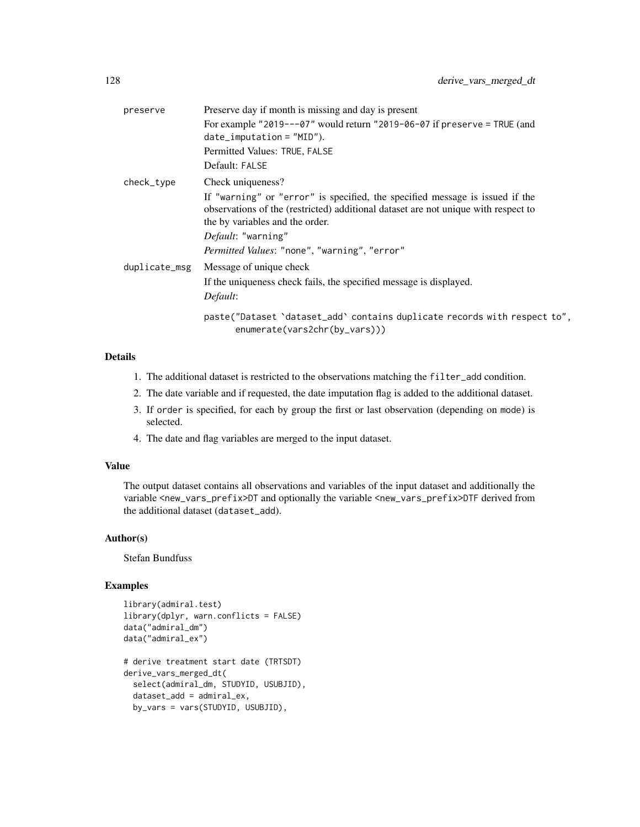| preserve      | Preserve day if month is missing and day is present                                                                                                                                                                                                                         |
|---------------|-----------------------------------------------------------------------------------------------------------------------------------------------------------------------------------------------------------------------------------------------------------------------------|
|               | For example "2019---07" would return "2019-06-07 if preserve = TRUE (and<br>$date_i$ mputation = $"MID"$ ).                                                                                                                                                                 |
|               | Permitted Values: TRUE, FALSE                                                                                                                                                                                                                                               |
|               | Default: FALSE                                                                                                                                                                                                                                                              |
| check_type    | Check uniqueness?                                                                                                                                                                                                                                                           |
|               | If "warning" or "error" is specified, the specified message is issued if the<br>observations of the (restricted) additional dataset are not unique with respect to<br>the by variables and the order.<br>Default: "warning"<br>Permitted Values: "none", "warning", "error" |
| duplicate_msg | Message of unique check<br>If the uniqueness check fails, the specified message is displayed.<br>Default:                                                                                                                                                                   |
|               | paste("Dataset 'dataset_add' contains duplicate records with respect to",<br>enumerate(vars2chr(by_vars)))                                                                                                                                                                  |

- 1. The additional dataset is restricted to the observations matching the filter\_add condition.
- 2. The date variable and if requested, the date imputation flag is added to the additional dataset.
- 3. If order is specified, for each by group the first or last observation (depending on mode) is selected.
- 4. The date and flag variables are merged to the input dataset.

#### Value

The output dataset contains all observations and variables of the input dataset and additionally the variable <new\_vars\_prefix>DT and optionally the variable <new\_vars\_prefix>DTF derived from the additional dataset (dataset\_add).

# Author(s)

Stefan Bundfuss

```
library(admiral.test)
library(dplyr, warn.conflicts = FALSE)
data("admiral_dm")
data("admiral_ex")
# derive treatment start date (TRTSDT)
derive_vars_merged_dt(
 select(admiral_dm, STUDYID, USUBJID),
 dataset_add = admiral_ex,
 by_vars = vars(STUDYID, USUBJID),
```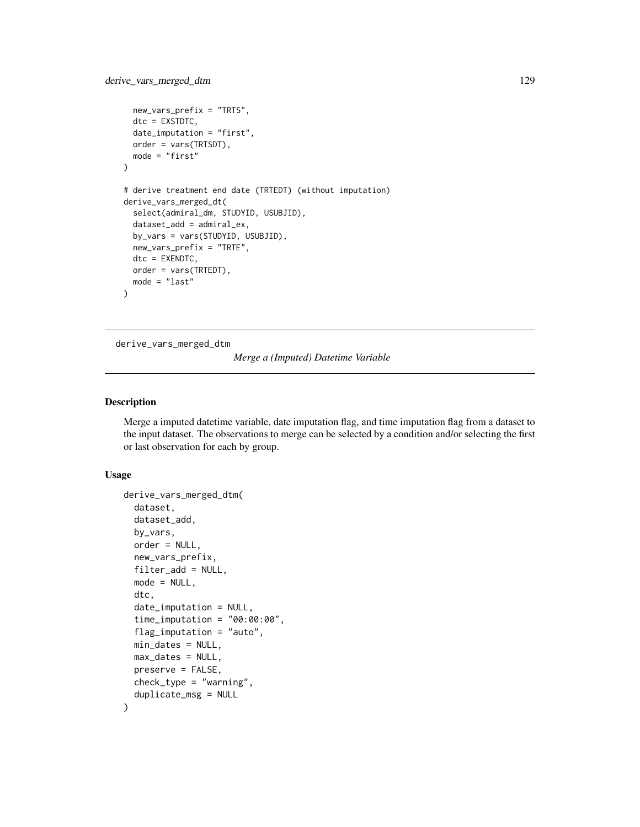```
new_vars_prefix = "TRTS",
 dtc = EXSTDTC,
 date_imputation = "first",
 order = vars(TRTSDT),
 mode = "first"
)
# derive treatment end date (TRTEDT) (without imputation)
derive_vars_merged_dt(
 select(admiral_dm, STUDYID, USUBJID),
 dataset_add = admiral_ex,
 by_vars = vars(STUDYID, USUBJID),
 new_vars_prefix = "TRTE",
 dtc = EXENDTC,
 order = vars(TRTEDT),
 mode = "last"
)
```
derive\_vars\_merged\_dtm

*Merge a (Imputed) Datetime Variable*

# Description

Merge a imputed datetime variable, date imputation flag, and time imputation flag from a dataset to the input dataset. The observations to merge can be selected by a condition and/or selecting the first or last observation for each by group.

#### Usage

```
derive_vars_merged_dtm(
  dataset,
  dataset_add,
 by_vars,
  order = NULL,
  new_vars_prefix,
  filter_add = NULL,
 mode = NULL,
  dtc,
  date_imputation = NULL,
  time_imputation = "00:00:00",
  flag_imputation = "auto",
 min_dates = NULL,
 max_dates = NULL,
 preserve = FALSE,
 check_type = "warning",
  duplicate_msg = NULL
)
```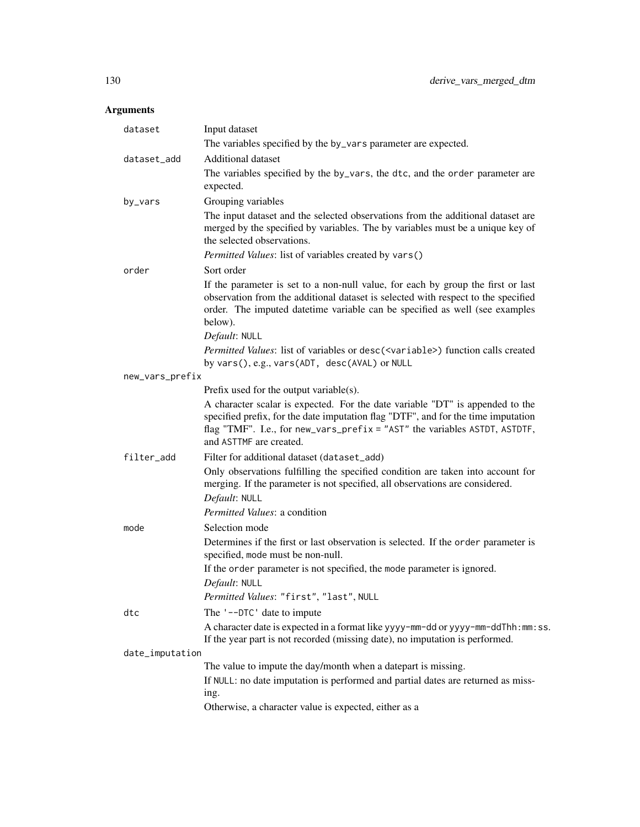| dataset         | Input dataset<br>The variables specified by the by_vars parameter are expected.                                                                                                                                                                                             |
|-----------------|-----------------------------------------------------------------------------------------------------------------------------------------------------------------------------------------------------------------------------------------------------------------------------|
| dataset_add     | Additional dataset                                                                                                                                                                                                                                                          |
|                 | The variables specified by the by_vars, the dtc, and the order parameter are<br>expected.                                                                                                                                                                                   |
| by_vars         | Grouping variables                                                                                                                                                                                                                                                          |
|                 | The input dataset and the selected observations from the additional dataset are<br>merged by the specified by variables. The by variables must be a unique key of<br>the selected observations.                                                                             |
|                 | Permitted Values: list of variables created by vars()                                                                                                                                                                                                                       |
| order           | Sort order                                                                                                                                                                                                                                                                  |
|                 | If the parameter is set to a non-null value, for each by group the first or last<br>observation from the additional dataset is selected with respect to the specified<br>order. The imputed datetime variable can be specified as well (see examples<br>below).             |
|                 | Default: NULL                                                                                                                                                                                                                                                               |
|                 | Permitted Values: list of variables or desc( <variable>) function calls created<br/>by vars(), e.g., vars(ADT, desc(AVAL) or NULL</variable>                                                                                                                                |
| new_vars_prefix |                                                                                                                                                                                                                                                                             |
|                 | Prefix used for the output variable(s).                                                                                                                                                                                                                                     |
|                 | A character scalar is expected. For the date variable "DT" is appended to the<br>specified prefix, for the date imputation flag "DTF", and for the time imputation<br>flag "TMF". I.e., for new_vars_prefix = "AST" the variables ASTDT, ASTDTF,<br>and ASTTMF are created. |
| filter_add      | Filter for additional dataset (dataset_add)                                                                                                                                                                                                                                 |
|                 | Only observations fulfilling the specified condition are taken into account for<br>merging. If the parameter is not specified, all observations are considered.<br>Default: NULL                                                                                            |
|                 | Permitted Values: a condition                                                                                                                                                                                                                                               |
| mode            | Selection mode                                                                                                                                                                                                                                                              |
|                 | Determines if the first or last observation is selected. If the order parameter is<br>specified, mode must be non-null.                                                                                                                                                     |
|                 | If the order parameter is not specified, the mode parameter is ignored.<br>Default: NULL                                                                                                                                                                                    |
|                 | Permitted Values: "first", "last", NULL                                                                                                                                                                                                                                     |
| dtc             | The '--DTC' date to impute                                                                                                                                                                                                                                                  |
|                 | A character date is expected in a format like yyyy-mm-dd or yyyy-mm-ddThh:mm:ss.<br>If the year part is not recorded (missing date), no imputation is performed.                                                                                                            |
| date_imputation |                                                                                                                                                                                                                                                                             |
|                 | The value to impute the day/month when a datepart is missing.                                                                                                                                                                                                               |
|                 | If NULL: no date imputation is performed and partial dates are returned as miss-<br>ing.                                                                                                                                                                                    |
|                 | Otherwise, a character value is expected, either as a                                                                                                                                                                                                                       |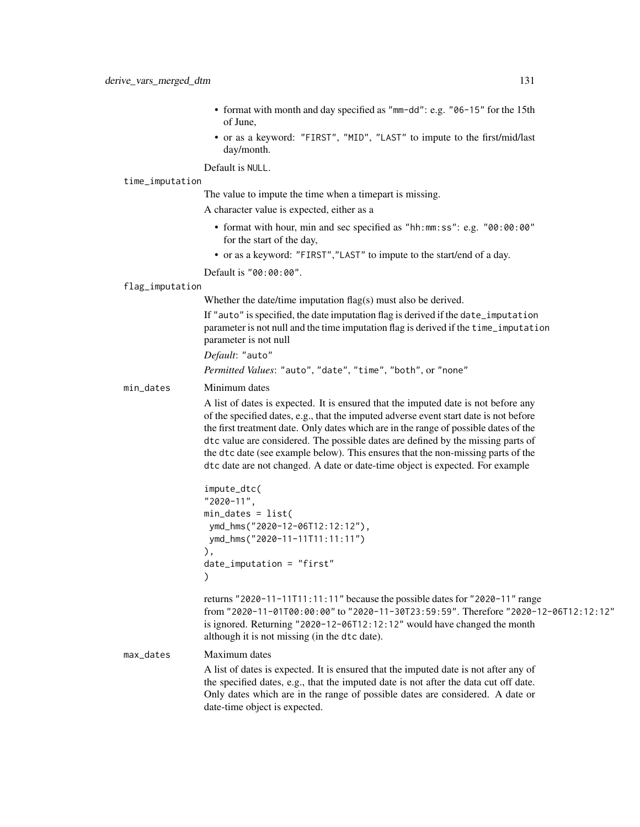- format with month and day specified as "mm-dd": e.g. "06-15" for the 15th of June,
- or as a keyword: "FIRST", "MID", "LAST" to impute to the first/mid/last day/month.

Default is NULL.

#### time\_imputation

The value to impute the time when a timepart is missing.

A character value is expected, either as a

- format with hour, min and sec specified as "hh:mm:ss": e.g. "00:00:00" for the start of the day,
- or as a keyword: "FIRST","LAST" to impute to the start/end of a day.

Default is "00:00:00".

#### flag\_imputation

Whether the date/time imputation flag(s) must also be derived.

If "auto" is specified, the date imputation flag is derived if the date\_imputation parameter is not null and the time imputation flag is derived if the time\_imputation parameter is not null

*Default*: "auto"

*Permitted Values*: "auto", "date", "time", "both", or "none"

#### min\_dates Minimum dates

A list of dates is expected. It is ensured that the imputed date is not before any of the specified dates, e.g., that the imputed adverse event start date is not before the first treatment date. Only dates which are in the range of possible dates of the dtc value are considered. The possible dates are defined by the missing parts of the dtc date (see example below). This ensures that the non-missing parts of the dtc date are not changed. A date or date-time object is expected. For example

```
impute_dtc(
"2020-11",
min_dates = list(
ymd_hms("2020-12-06T12:12:12"),
ymd_hms("2020-11-11T11:11:11")
),
date_imputation = "first"
)
```
returns "2020-11-11T11:11:11" because the possible dates for "2020-11" range from "2020-11-01T00:00:00" to "2020-11-30T23:59:59". Therefore "2020-12-06T12:12:12" is ignored. Returning "2020-12-06T12:12:12" would have changed the month although it is not missing (in the dtc date).

max\_dates Maximum dates A list of dates is expected. It is ensured that the imputed date is not after any of the specified dates, e.g., that the imputed date is not after the data cut off date. Only dates which are in the range of possible dates are considered. A date or date-time object is expected.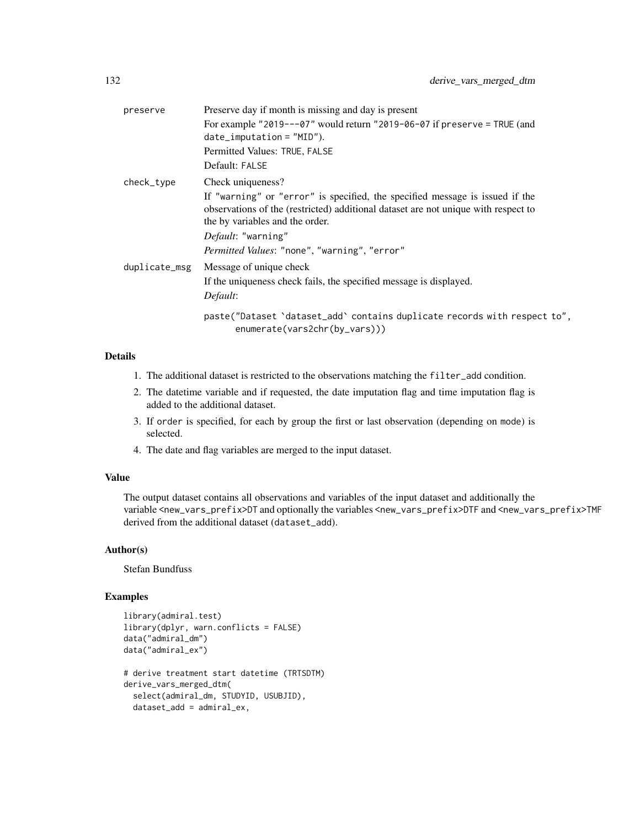| preserve      | Preserve day if month is missing and day is present                                                                                                                                                                                                                                |
|---------------|------------------------------------------------------------------------------------------------------------------------------------------------------------------------------------------------------------------------------------------------------------------------------------|
|               | For example "2019---07" would return "2019-06-07 if preserve = TRUE (and<br>$date_i$ mputation = $"MID"$ ).                                                                                                                                                                        |
|               | Permitted Values: TRUE, FALSE                                                                                                                                                                                                                                                      |
|               | Default: FALSE                                                                                                                                                                                                                                                                     |
| check_type    | Check uniqueness?                                                                                                                                                                                                                                                                  |
|               | If "warning" or "error" is specified, the specified message is issued if the<br>observations of the (restricted) additional dataset are not unique with respect to<br>the by variables and the order.<br>Default: "warning"<br><i>Permitted Values:</i> "none", "warning", "error" |
| duplicate_msg | Message of unique check<br>If the uniqueness check fails, the specified message is displayed.<br>Default:                                                                                                                                                                          |
|               | paste("Dataset 'dataset_add' contains duplicate records with respect to",<br>enumerate(vars2chr(by_vars)))                                                                                                                                                                         |
|               |                                                                                                                                                                                                                                                                                    |

- 1. The additional dataset is restricted to the observations matching the filter\_add condition.
- 2. The datetime variable and if requested, the date imputation flag and time imputation flag is added to the additional dataset.
- 3. If order is specified, for each by group the first or last observation (depending on mode) is selected.
- 4. The date and flag variables are merged to the input dataset.

# Value

The output dataset contains all observations and variables of the input dataset and additionally the variable <new\_vars\_prefix>DT and optionally the variables <new\_vars\_prefix>DTF and <new\_vars\_prefix>TMF derived from the additional dataset (dataset\_add).

#### Author(s)

Stefan Bundfuss

```
library(admiral.test)
library(dplyr, warn.conflicts = FALSE)
data("admiral_dm")
data("admiral_ex")
# derive treatment start datetime (TRTSDTM)
derive_vars_merged_dtm(
 select(admiral_dm, STUDYID, USUBJID),
 dataset_add = admiral_ex,
```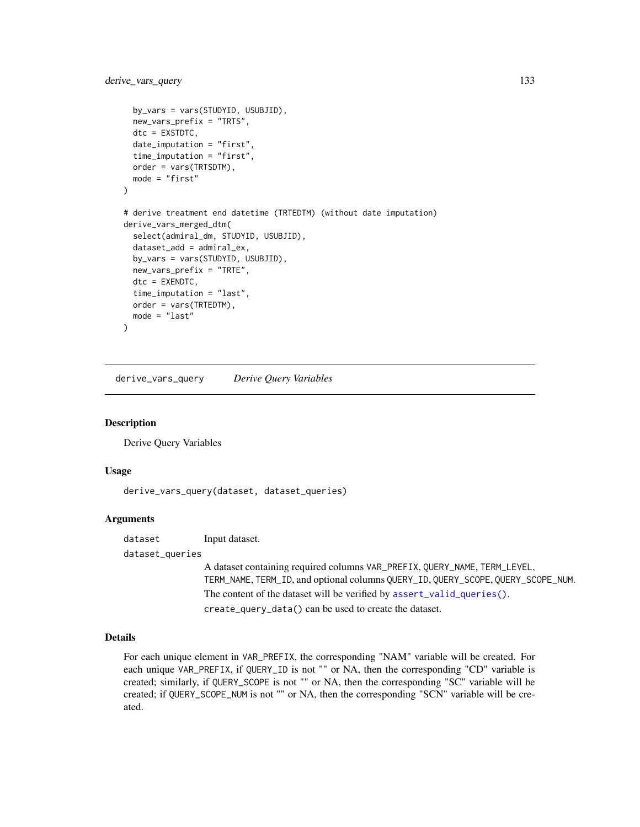```
by_vars = vars(STUDYID, USUBJID),
 new_vars_prefix = "TRTS",
 dtc = EXSTDTC,
 date_imputation = "first",
 time_imputation = "first",
 order = vars(TRTSDTM),
 mode = "first"
)
# derive treatment end datetime (TRTEDTM) (without date imputation)
derive_vars_merged_dtm(
 select(admiral_dm, STUDYID, USUBJID),
 dataset_add = admiral_ex,
 by_vars = vars(STUDYID, USUBJID),
 new_vars_prefix = "TRTE",
 dtc = EXENDTC,
 time_imputation = "last",
 order = vars(TRTEDTM),
 mode = "last"
)
```
derive\_vars\_query *Derive Query Variables*

#### Description

Derive Query Variables

#### Usage

derive\_vars\_query(dataset, dataset\_queries)

#### **Arguments**

dataset Input dataset. dataset\_queries

> A dataset containing required columns VAR\_PREFIX, QUERY\_NAME, TERM\_LEVEL, TERM\_NAME, TERM\_ID, and optional columns QUERY\_ID, QUERY\_SCOPE, QUERY\_SCOPE\_NUM. The content of the dataset will be verified by [assert\\_valid\\_queries\(\)](#page-26-0). create\_query\_data() can be used to create the dataset.

# Details

For each unique element in VAR\_PREFIX, the corresponding "NAM" variable will be created. For each unique VAR\_PREFIX, if QUERY\_ID is not "" or NA, then the corresponding "CD" variable is created; similarly, if QUERY\_SCOPE is not "" or NA, then the corresponding "SC" variable will be created; if QUERY\_SCOPE\_NUM is not "" or NA, then the corresponding "SCN" variable will be created.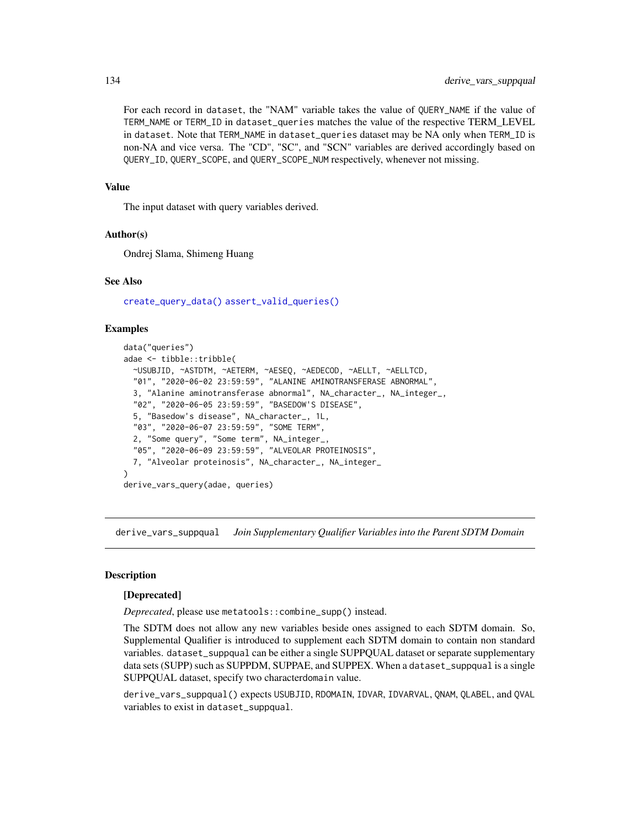For each record in dataset, the "NAM" variable takes the value of QUERY\_NAME if the value of TERM\_NAME or TERM\_ID in dataset\_queries matches the value of the respective TERM\_LEVEL in dataset. Note that TERM\_NAME in dataset\_queries dataset may be NA only when TERM\_ID is non-NA and vice versa. The "CD", "SC", and "SCN" variables are derived accordingly based on QUERY\_ID, QUERY\_SCOPE, and QUERY\_SCOPE\_NUM respectively, whenever not missing.

#### Value

The input dataset with query variables derived.

# Author(s)

Ondrej Slama, Shimeng Huang

#### See Also

[create\\_query\\_data\(\)](#page-48-0) [assert\\_valid\\_queries\(\)](#page-26-0)

#### Examples

```
data("queries")
adae <- tibble::tribble(
 ~USUBJID, ~ASTDTM, ~AETERM, ~AESEQ, ~AEDECOD, ~AELLT, ~AELLTCD,
  "01", "2020-06-02 23:59:59", "ALANINE AMINOTRANSFERASE ABNORMAL",
 3, "Alanine aminotransferase abnormal", NA_character_, NA_integer_,
 "02", "2020-06-05 23:59:59", "BASEDOW'S DISEASE",
 5, "Basedow's disease", NA_character_, 1L,
 "03", "2020-06-07 23:59:59", "SOME TERM",
 2, "Some query", "Some term", NA_integer_,
  "05", "2020-06-09 23:59:59", "ALVEOLAR PROTEINOSIS",
 7, "Alveolar proteinosis", NA_character_, NA_integer_
\lambdaderive_vars_query(adae, queries)
```
derive\_vars\_suppqual *Join Supplementary Qualifier Variables into the Parent SDTM Domain*

#### **Description**

#### [Deprecated]

*Deprecated*, please use metatools::combine\_supp() instead.

The SDTM does not allow any new variables beside ones assigned to each SDTM domain. So, Supplemental Qualifier is introduced to supplement each SDTM domain to contain non standard variables. dataset\_suppqual can be either a single SUPPQUAL dataset or separate supplementary data sets (SUPP) such as SUPPDM, SUPPAE, and SUPPEX. When a dataset\_suppqual is a single SUPPQUAL dataset, specify two characterdomain value.

derive\_vars\_suppqual() expects USUBJID, RDOMAIN, IDVAR, IDVARVAL, QNAM, QLABEL, and QVAL variables to exist in dataset\_suppqual.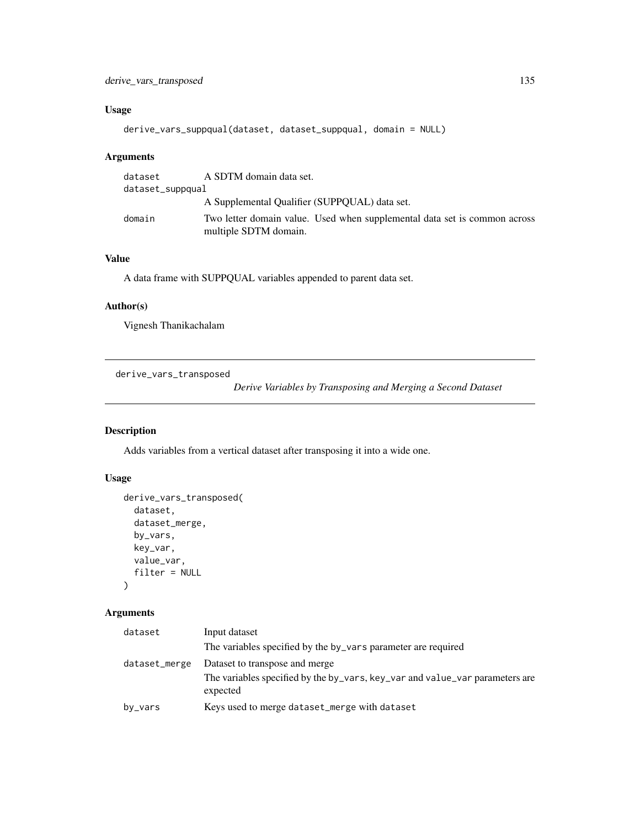# Usage

```
derive_vars_suppqual(dataset, dataset_suppqual, domain = NULL)
```
#### Arguments

| dataset          | A SDTM domain data set.                                                                            |
|------------------|----------------------------------------------------------------------------------------------------|
| dataset_suppqual |                                                                                                    |
|                  | A Supplemental Qualifier (SUPPOUAL) data set.                                                      |
| domain           | Two letter domain value. Used when supplemental data set is common across<br>multiple SDTM domain. |

# Value

A data frame with SUPPQUAL variables appended to parent data set.

# Author(s)

Vignesh Thanikachalam

derive\_vars\_transposed

*Derive Variables by Transposing and Merging a Second Dataset*

# Description

Adds variables from a vertical dataset after transposing it into a wide one.

# Usage

```
derive_vars_transposed(
  dataset,
  dataset_merge,
 by_vars,
  key_var,
  value_var,
  filter = NULL
\mathcal{L}
```
# Arguments

# dataset Input dataset The variables specified by the by\_vars parameter are required dataset\_merge Dataset to transpose and merge The variables specified by the by\_vars, key\_var and value\_var parameters are expected by\_vars Keys used to merge dataset\_merge with dataset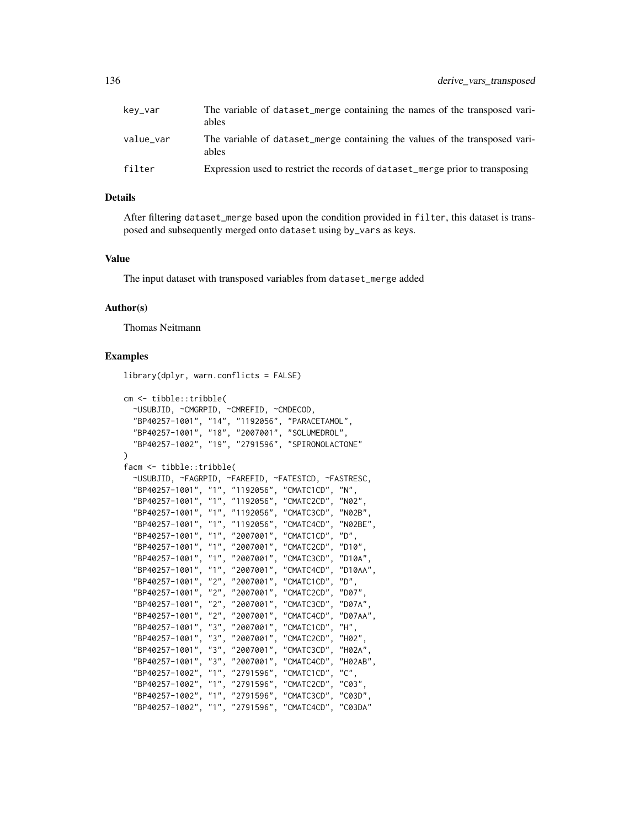| kev_var   | The variable of dataset_merge containing the names of the transposed vari-<br>ables  |
|-----------|--------------------------------------------------------------------------------------|
| value_var | The variable of dataset merge containing the values of the transposed vari-<br>ables |
| filter    | Expression used to restrict the records of dataset_merge prior to transposing        |

After filtering dataset\_merge based upon the condition provided in filter, this dataset is transposed and subsequently merged onto dataset using by\_vars as keys.

#### Value

The input dataset with transposed variables from dataset\_merge added

#### Author(s)

Thomas Neitmann

```
library(dplyr, warn.conflicts = FALSE)
cm <- tibble::tribble(
 ~USUBJID, ~CMGRPID, ~CMREFID, ~CMDECOD,
  "BP40257-1001", "14", "1192056", "PARACETAMOL",
  "BP40257-1001", "18", "2007001", "SOLUMEDROL",
  "BP40257-1002", "19", "2791596", "SPIRONOLACTONE"
\lambdafacm <- tibble::tribble(
 ~USUBJID, ~FAGRPID, ~FAREFID, ~FATESTCD, ~FASTRESC,
  "BP40257-1001", "1", "1192056", "CMATC1CD", "N",
  "BP40257-1001", "1", "1192056", "CMATC2CD", "N02",
  "BP40257-1001", "1", "1192056", "CMATC3CD", "N02B",
  "BP40257-1001", "1", "1192056", "CMATC4CD", "N02BE",
  "BP40257-1001", "1", "2007001", "CMATC1CD", "D",
  "BP40257-1001", "1", "2007001", "CMATC2CD", "D10",
  "BP40257-1001", "1", "2007001", "CMATC3CD", "D10A",
  "BP40257-1001", "1", "2007001", "CMATC4CD", "D10AA",
  "BP40257-1001", "2", "2007001", "CMATC1CD", "D",
  "BP40257-1001", "2", "2007001", "CMATC2CD", "D07",
  "BP40257-1001", "2", "2007001", "CMATC3CD", "D07A",
  "BP40257-1001", "2", "2007001", "CMATC4CD", "D07AA",
  "BP40257-1001", "3", "2007001", "CMATC1CD", "H",
  "BP40257-1001", "3", "2007001", "CMATC2CD", "H02",
  "BP40257-1001", "3", "2007001", "CMATC3CD", "H02A",
  "BP40257-1001", "3", "2007001", "CMATC4CD", "H02AB",
  "BP40257-1002", "1", "2791596", "CMATC1CD", "C",
  "BP40257-1002", "1", "2791596", "CMATC2CD", "C03",
  "BP40257-1002", "1", "2791596", "CMATC3CD", "C03D",
  "BP40257-1002", "1", "2791596", "CMATC4CD", "C03DA"
```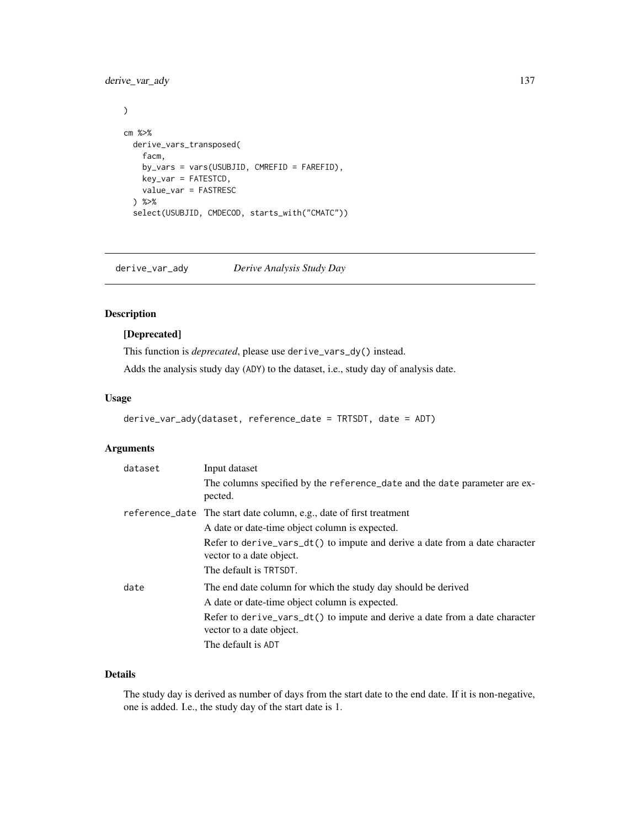derive\_var\_ady 137

```
\mathcal{L}cm %>%
  derive_vars_transposed(
    facm,
    by_vars = vars(USUBJID, CMREFID = FAREFID),
    key_var = FATESTCD,
    value_var = FASTRESC
  ) %>%
  select(USUBJID, CMDECOD, starts_with("CMATC"))
```
derive\_var\_ady *Derive Analysis Study Day*

# Description

#### [Deprecated]

This function is *deprecated*, please use derive\_vars\_dy() instead.

Adds the analysis study day (ADY) to the dataset, i.e., study day of analysis date.

# Usage

```
derive_var_ady(dataset, reference_date = TRTSDT, date = ADT)
```
# Arguments

| dataset | Input dataset                                                                                                                                                                                                                                    |
|---------|--------------------------------------------------------------------------------------------------------------------------------------------------------------------------------------------------------------------------------------------------|
|         | The columns specified by the reference_date and the date parameter are ex-<br>pected.                                                                                                                                                            |
|         | reference_date The start date column, e.g., date of first treatment                                                                                                                                                                              |
|         | A date or date-time object column is expected.                                                                                                                                                                                                   |
|         | Refer to derive_vars_dt() to impute and derive a date from a date character<br>vector to a date object.<br>The default is TRTSDT.                                                                                                                |
| date    | The end date column for which the study day should be derived<br>A date or date-time object column is expected.<br>Refer to derive_vars_dt() to impute and derive a date from a date character<br>vector to a date object.<br>The default is ADT |

# Details

The study day is derived as number of days from the start date to the end date. If it is non-negative, one is added. I.e., the study day of the start date is 1.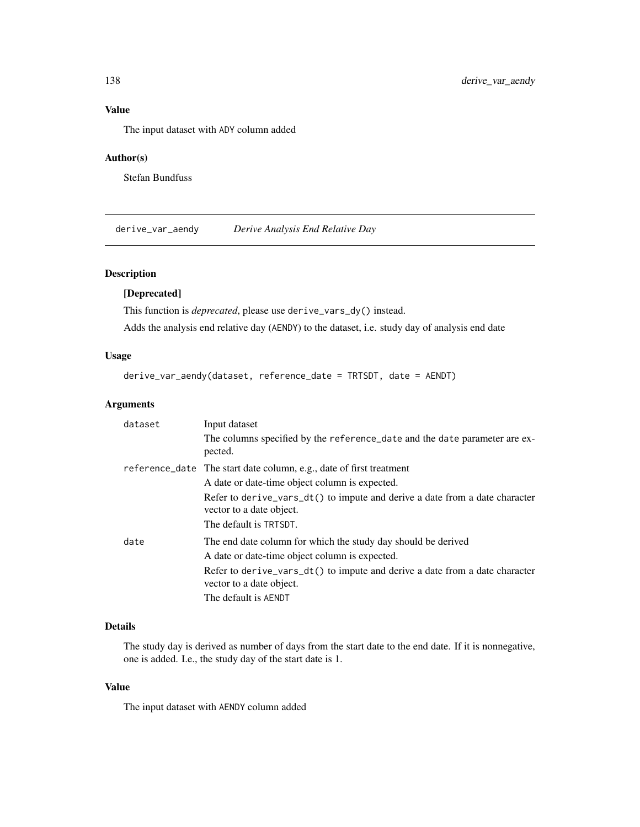# Value

The input dataset with ADY column added

# Author(s)

Stefan Bundfuss

derive\_var\_aendy *Derive Analysis End Relative Day*

# Description

# [Deprecated]

This function is *deprecated*, please use derive\_vars\_dy() instead.

Adds the analysis end relative day (AENDY) to the dataset, i.e. study day of analysis end date

# Usage

derive\_var\_aendy(dataset, reference\_date = TRTSDT, date = AENDT)

# Arguments

| Input dataset                                                                                                                                                                                                                                      |
|----------------------------------------------------------------------------------------------------------------------------------------------------------------------------------------------------------------------------------------------------|
| The columns specified by the reference_date and the date parameter are ex-<br>pected.                                                                                                                                                              |
| reference_date The start date column, e.g., date of first treatment                                                                                                                                                                                |
| A date or date-time object column is expected.                                                                                                                                                                                                     |
| Refer to derive_vars_dt() to impute and derive a date from a date character<br>vector to a date object.<br>The default is TRTSDT.                                                                                                                  |
| The end date column for which the study day should be derived<br>A date or date-time object column is expected.<br>Refer to derive_vars_dt() to impute and derive a date from a date character<br>vector to a date object.<br>The default is AENDT |
|                                                                                                                                                                                                                                                    |

# Details

The study day is derived as number of days from the start date to the end date. If it is nonnegative, one is added. I.e., the study day of the start date is 1.

# Value

The input dataset with AENDY column added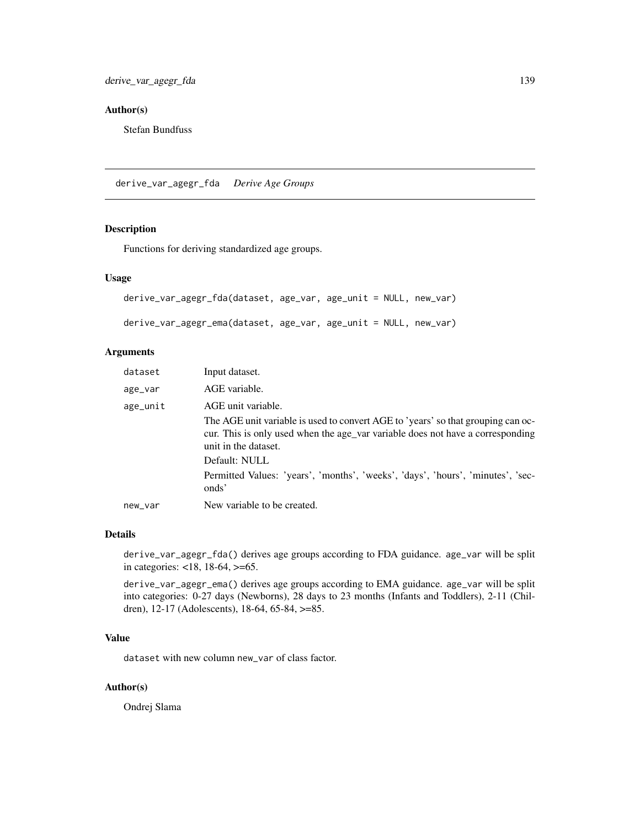# Author(s)

Stefan Bundfuss

derive\_var\_agegr\_fda *Derive Age Groups*

# Description

Functions for deriving standardized age groups.

#### Usage

```
derive_var_agegr_fda(dataset, age_var, age_unit = NULL, new_var)
derive_var_agegr_ema(dataset, age_var, age_unit = NULL, new_var)
```
#### Arguments

| dataset  | Input dataset.                                                                                                                                                                                          |
|----------|---------------------------------------------------------------------------------------------------------------------------------------------------------------------------------------------------------|
| age_var  | AGE variable.                                                                                                                                                                                           |
| age_unit | AGE unit variable.                                                                                                                                                                                      |
|          | The AGE unit variable is used to convert AGE to 'years' so that grouping can oc-<br>cur. This is only used when the age variable does not have a corresponding<br>unit in the dataset.<br>Default: NULL |
|          | Permitted Values: 'years', 'months', 'weeks', 'days', 'hours', 'minutes', 'sec-                                                                                                                         |
|          | onds'                                                                                                                                                                                                   |
| new_var  | New variable to be created.                                                                                                                                                                             |

#### Details

derive\_var\_agegr\_fda() derives age groups according to FDA guidance. age\_var will be split in categories: <18, 18-64, >=65.

derive\_var\_agegr\_ema() derives age groups according to EMA guidance. age\_var will be split into categories: 0-27 days (Newborns), 28 days to 23 months (Infants and Toddlers), 2-11 (Children), 12-17 (Adolescents), 18-64, 65-84, >=85.

# Value

dataset with new column new\_var of class factor.

#### Author(s)

Ondrej Slama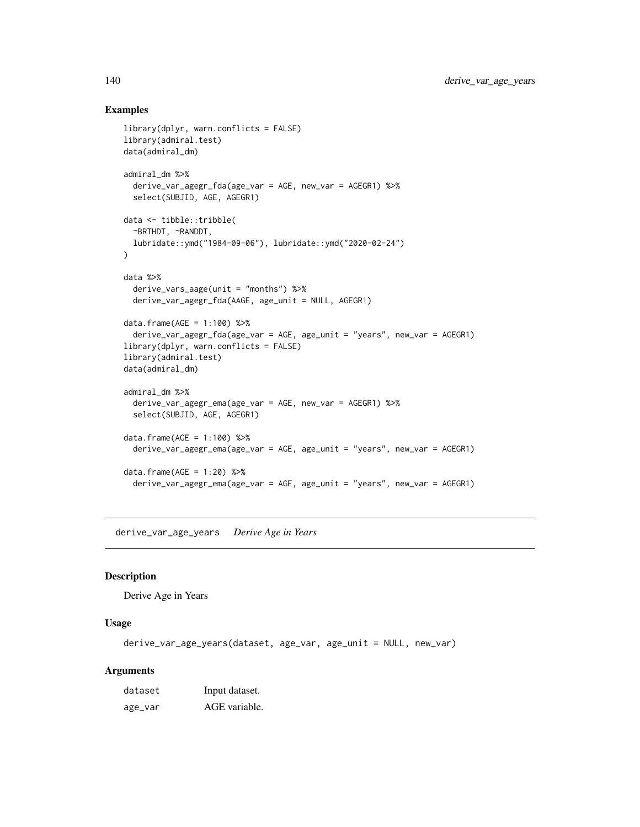## Examples

```
library(dplyr, warn.conflicts = FALSE)
library(admiral.test)
data(admiral_dm)
admiral_dm %>%
  derive_var_agegr_fda(age_var = AGE, new_var = AGEGR1) %>%
  select(SUBJID, AGE, AGEGR1)
data <- tibble::tribble(
  ~BRTHDT, ~RANDDT,
  lubridate::ymd("1984-09-06"), lubridate::ymd("2020-02-24")
)
data %>%
  derive_vars_aage(unit = "months") %>%
  derive_var_agegr_fda(AAGE, age_unit = NULL, AGEGR1)
data.frame(AGE = 1:100) %>%
  derive_var_agegr_fda(age_var = AGE, age_unit = "years", new_var = AGEGR1)
library(dplyr, warn.conflicts = FALSE)
library(admiral.test)
data(admiral_dm)
admiral_dm %>%
  derive_var_agegr_ema(age_var = AGE, new_var = AGEGR1) %>%
  select(SUBJID, AGE, AGEGR1)
data.frame(AGE = 1:100) %>%
  derive_var_agegr_ema(age_var = AGE, age_unit = "years", new_var = AGEGR1)
data.frame(AGE = 1:20) %>%
  derive_var_agegr_ema(age_var = AGE, age_unit = "years", new_var = AGEGR1)
```
derive\_var\_age\_years *Derive Age in Years*

#### Description

Derive Age in Years

#### Usage

derive\_var\_age\_years(dataset, age\_var, age\_unit = NULL, new\_var)

| dataset | Input dataset. |
|---------|----------------|
| age_var | AGE variable.  |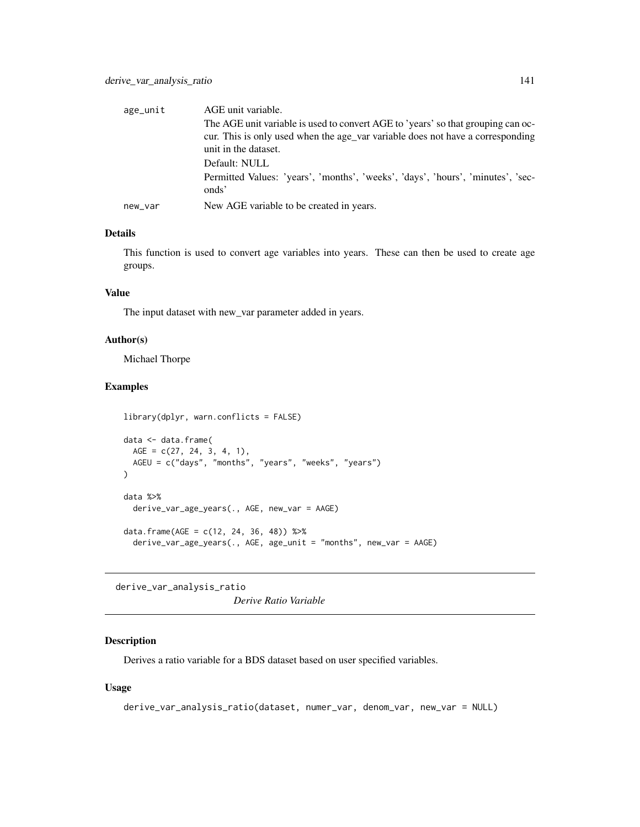| age_unit | AGE unit variable.                                                                                                                                             |
|----------|----------------------------------------------------------------------------------------------------------------------------------------------------------------|
|          | The AGE unit variable is used to convert AGE to 'years' so that grouping can oc-<br>cur. This is only used when the age variable does not have a corresponding |
|          | unit in the dataset.                                                                                                                                           |
|          | Default: NULL                                                                                                                                                  |
|          | Permitted Values: 'years', 'months', 'weeks', 'days', 'hours', 'minutes', 'sec-<br>onds'                                                                       |
| new_var  | New AGE variable to be created in years.                                                                                                                       |

This function is used to convert age variables into years. These can then be used to create age groups.

# Value

The input dataset with new\_var parameter added in years.

# Author(s)

Michael Thorpe

# Examples

```
library(dplyr, warn.conflicts = FALSE)
data <- data.frame(
 AGE = c(27, 24, 3, 4, 1),AGEU = c("days", "months", "years", "weeks", "years")
)
data %>%
  derive_var_age_years(., AGE, new_var = AAGE)
data.frame(AGE = c(12, 24, 36, 48)) %>%
  derive_var_age_years(., AGE, age_unit = "months", new_var = AAGE)
```
derive\_var\_analysis\_ratio *Derive Ratio Variable*

# Description

Derives a ratio variable for a BDS dataset based on user specified variables.

#### Usage

```
derive_var_analysis_ratio(dataset, numer_var, denom_var, new_var = NULL)
```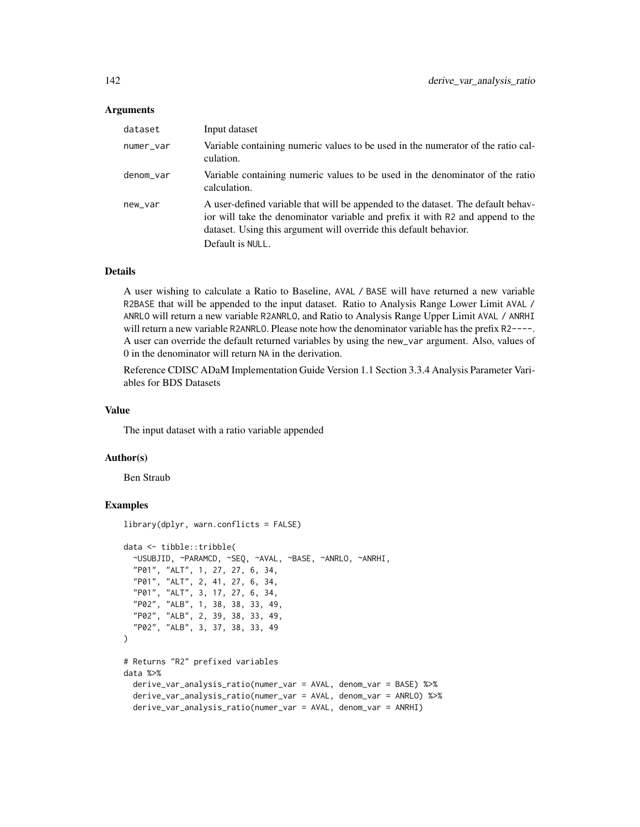#### Arguments

| dataset   | Input dataset                                                                                                                                                                                                                                               |
|-----------|-------------------------------------------------------------------------------------------------------------------------------------------------------------------------------------------------------------------------------------------------------------|
| numer_var | Variable containing numeric values to be used in the numerator of the ratio cal-<br>culation.                                                                                                                                                               |
| denom_var | Variable containing numeric values to be used in the denominator of the ratio<br>calculation.                                                                                                                                                               |
| new_var   | A user-defined variable that will be appended to the dataset. The default behav-<br>ior will take the denominator variable and prefix it with R2 and append to the<br>dataset. Using this argument will override this default behavior.<br>Default is NULL. |

# Details

A user wishing to calculate a Ratio to Baseline, AVAL / BASE will have returned a new variable R2BASE that will be appended to the input dataset. Ratio to Analysis Range Lower Limit AVAL / ANRLO will return a new variable R2ANRLO, and Ratio to Analysis Range Upper Limit AVAL / ANRHI will return a new variable R2ANRLO. Please note how the denominator variable has the prefix R2----. A user can override the default returned variables by using the new\_var argument. Also, values of 0 in the denominator will return NA in the derivation.

Reference CDISC ADaM Implementation Guide Version 1.1 Section 3.3.4 Analysis Parameter Variables for BDS Datasets

#### Value

The input dataset with a ratio variable appended

#### Author(s)

Ben Straub

```
library(dplyr, warn.conflicts = FALSE)
data <- tibble::tribble(
  ~USUBJID, ~PARAMCD, ~SEQ, ~AVAL, ~BASE, ~ANRLO, ~ANRHI,
  "P01", "ALT", 1, 27, 27, 6, 34,
  "P01", "ALT", 2, 41, 27, 6, 34,
  "P01", "ALT", 3, 17, 27, 6, 34,
  "P02", "ALB", 1, 38, 38, 33, 49,
  "P02", "ALB", 2, 39, 38, 33, 49,
  "P02", "ALB", 3, 37, 38, 33, 49
\mathcal{L}# Returns "R2" prefixed variables
data %>%
  derive_var_analysis_ratio(numer_var = AVAL, denom_var = BASE) %>%
  derive_var_analysis_ratio(numer_var = AVAL, denom_var = ANRLO) %>%
  derive_var_analysis_ratio(numer_var = AVAL, denom_var = ANRHI)
```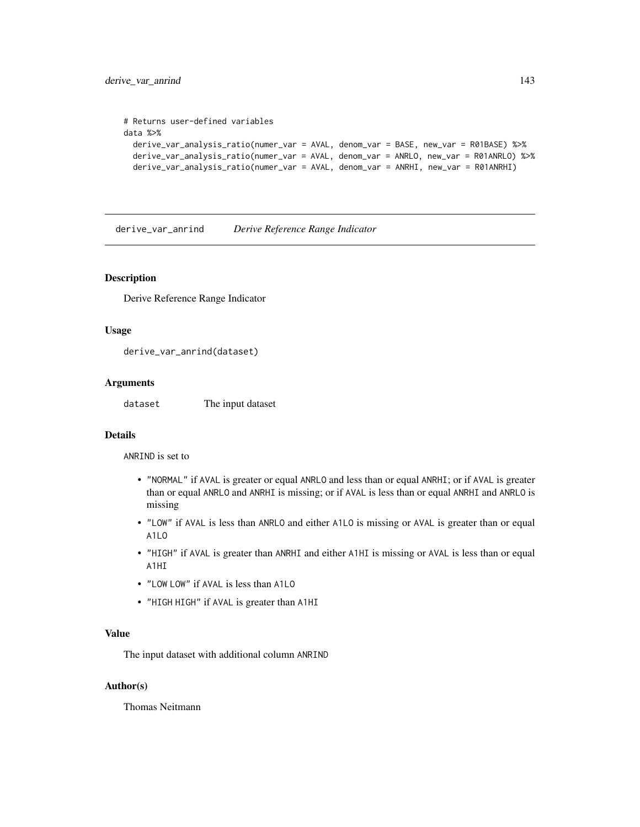```
# Returns user-defined variables
data %>%
 derive_var_analysis_ratio(numer_var = AVAL, denom_var = BASE, new_var = R01BASE) %>%
 derive_var_analysis_ratio(numer_var = AVAL, denom_var = ANRLO, new_var = R01ANRLO) %>%
 derive_var_analysis_ratio(numer_var = AVAL, denom_var = ANRHI, new_var = R01ANRHI)
```
derive\_var\_anrind *Derive Reference Range Indicator*

#### Description

Derive Reference Range Indicator

#### Usage

derive\_var\_anrind(dataset)

#### Arguments

dataset The input dataset

#### Details

ANRIND is set to

- "NORMAL" if AVAL is greater or equal ANRLO and less than or equal ANRHI; or if AVAL is greater than or equal ANRLO and ANRHI is missing; or if AVAL is less than or equal ANRHI and ANRLO is missing
- "LOW" if AVAL is less than ANRLO and either A1LO is missing or AVAL is greater than or equal A1LO
- "HIGH" if AVAL is greater than ANRHI and either A1HI is missing or AVAL is less than or equal A1HI
- "LOW LOW" if AVAL is less than A1LO
- "HIGH HIGH" if AVAL is greater than A1HI

#### Value

The input dataset with additional column ANRIND

#### Author(s)

Thomas Neitmann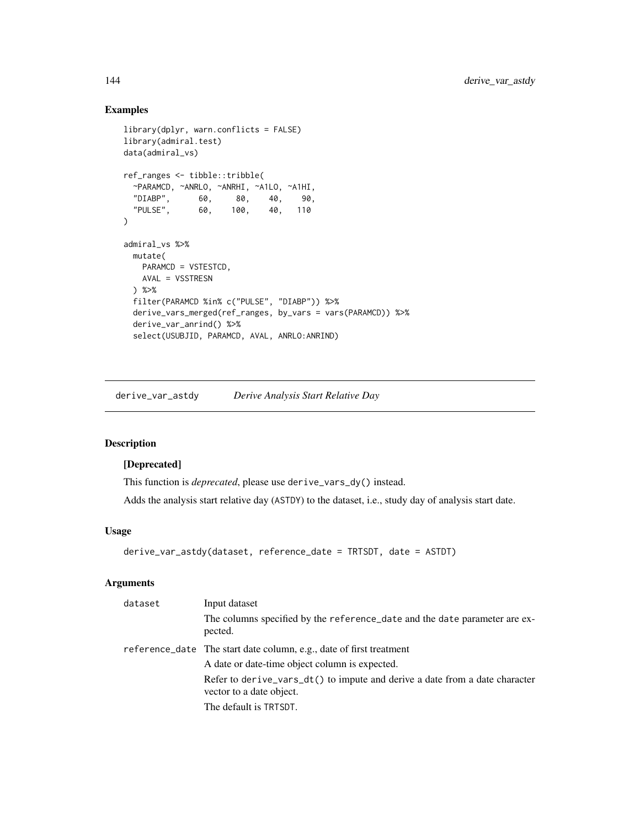# Examples

```
library(dplyr, warn.conflicts = FALSE)
library(admiral.test)
data(admiral_vs)
ref_ranges <- tibble::tribble(
 ~PARAMCD, ~ANRLO, ~ANRHI, ~A1LO, ~A1HI,
 "DIABP", 60, 80, 40, 90,
 "PULSE", 60, 100, 40, 110
\lambdaadmiral_vs %>%
 mutate(
   PARAMCD = VSTESTCD,
   AVAL = VSSTRESN
 ) %>%
 filter(PARAMCD %in% c("PULSE", "DIABP")) %>%
 derive_vars_merged(ref_ranges, by_vars = vars(PARAMCD)) %>%
 derive_var_anrind() %>%
 select(USUBJID, PARAMCD, AVAL, ANRLO:ANRIND)
```
derive\_var\_astdy *Derive Analysis Start Relative Day*

# Description

# [Deprecated]

This function is *deprecated*, please use derive\_vars\_dy() instead.

Adds the analysis start relative day (ASTDY) to the dataset, i.e., study day of analysis start date.

#### Usage

```
derive_var_astdy(dataset, reference_date = TRTSDT, date = ASTDT)
```

| dataset | Input dataset                                                                                           |
|---------|---------------------------------------------------------------------------------------------------------|
|         | The columns specified by the reference_date and the date parameter are ex-<br>pected.                   |
|         | reference_date The start date column, e.g., date of first treatment                                     |
|         | A date or date-time object column is expected.                                                          |
|         | Refer to derive_vars_dt() to impute and derive a date from a date character<br>vector to a date object. |
|         | The default is TRTSDT.                                                                                  |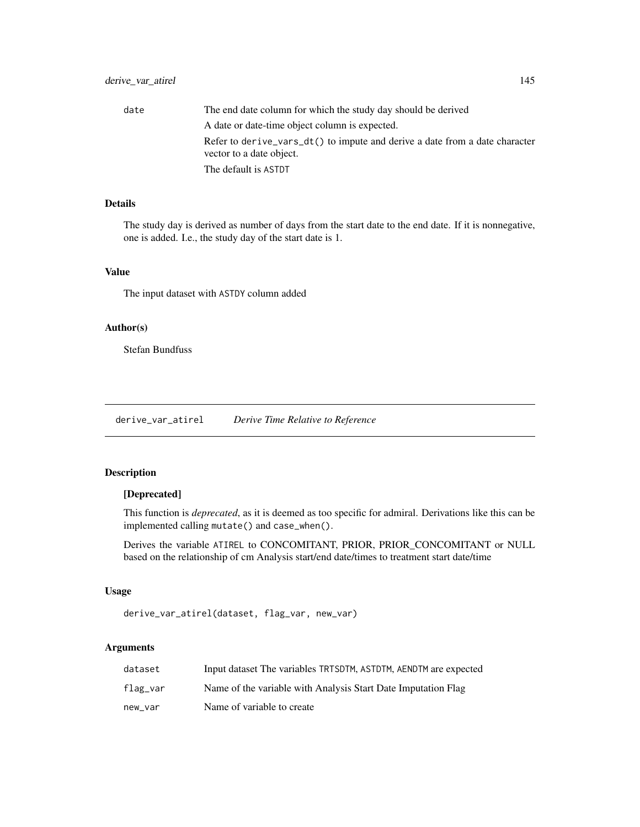# derive\_var\_atirel 145

| date | The end date column for which the study day should be derived                                           |
|------|---------------------------------------------------------------------------------------------------------|
|      | A date or date-time object column is expected.                                                          |
|      | Refer to derive vars dt() to impute and derive a date from a date character<br>vector to a date object. |
|      | The default is ASTDT                                                                                    |

# Details

The study day is derived as number of days from the start date to the end date. If it is nonnegative, one is added. I.e., the study day of the start date is 1.

# Value

The input dataset with ASTDY column added

# Author(s)

Stefan Bundfuss

derive\_var\_atirel *Derive Time Relative to Reference*

# Description

# [Deprecated]

This function is *deprecated*, as it is deemed as too specific for admiral. Derivations like this can be implemented calling mutate() and case\_when().

Derives the variable ATIREL to CONCOMITANT, PRIOR, PRIOR\_CONCOMITANT or NULL based on the relationship of cm Analysis start/end date/times to treatment start date/time

# Usage

```
derive_var_atirel(dataset, flag_var, new_var)
```

| dataset  | Input dataset The variables TRTSDTM, ASTDTM, AENDTM are expected |
|----------|------------------------------------------------------------------|
| flag_var | Name of the variable with Analysis Start Date Imputation Flag    |
| new var  | Name of variable to create                                       |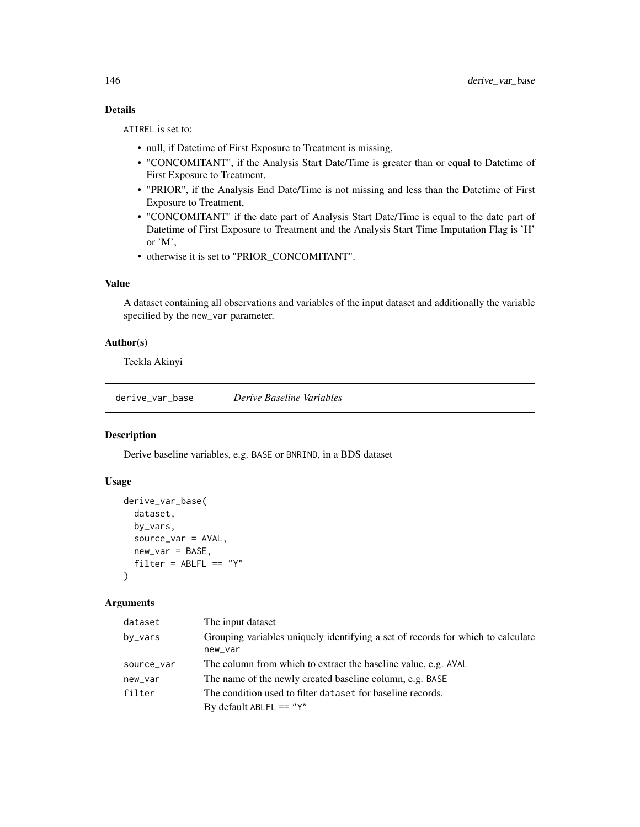# Details

ATIREL is set to:

- null, if Datetime of First Exposure to Treatment is missing,
- "CONCOMITANT", if the Analysis Start Date/Time is greater than or equal to Datetime of First Exposure to Treatment,
- "PRIOR", if the Analysis End Date/Time is not missing and less than the Datetime of First Exposure to Treatment,
- "CONCOMITANT" if the date part of Analysis Start Date/Time is equal to the date part of Datetime of First Exposure to Treatment and the Analysis Start Time Imputation Flag is 'H' or 'M',
- otherwise it is set to "PRIOR\_CONCOMITANT".

### Value

A dataset containing all observations and variables of the input dataset and additionally the variable specified by the new\_var parameter.

## Author(s)

Teckla Akinyi

derive\_var\_base *Derive Baseline Variables*

## Description

Derive baseline variables, e.g. BASE or BNRIND, in a BDS dataset

### Usage

```
derive_var_base(
  dataset,
  by_vars,
  source_var = AVAL,
  new\_var = BASE,filter = ABLFL == "Y"\mathcal{L}
```

| dataset    | The input dataset                                                               |
|------------|---------------------------------------------------------------------------------|
| by_vars    | Grouping variables uniquely identifying a set of records for which to calculate |
|            | new_var                                                                         |
| source_var | The column from which to extract the baseline value, e.g. AVAL                  |
| new_var    | The name of the newly created baseline column, e.g. BASE                        |
| filter     | The condition used to filter dataset for baseline records.                      |
|            | By default ABLFL == " $Y$ "                                                     |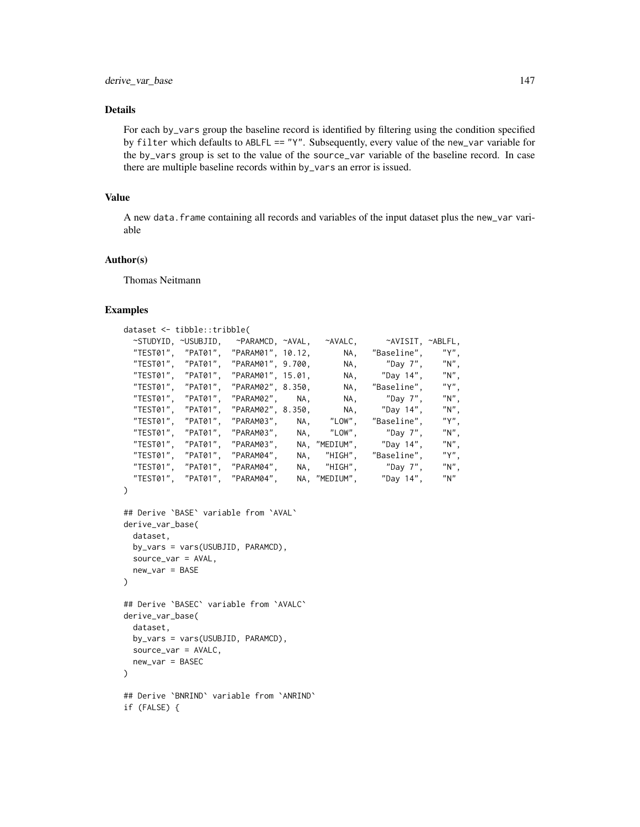### Details

For each by\_vars group the baseline record is identified by filtering using the condition specified by filter which defaults to ABLFL == "Y". Subsequently, every value of the new\_var variable for the by\_vars group is set to the value of the source\_var variable of the baseline record. In case there are multiple baseline records within by\_vars an error is issued.

### Value

A new data.frame containing all records and variables of the input dataset plus the new\_var variable

### Author(s)

Thomas Neitmann

```
dataset <- tibble::tribble(
 ~STUDYID, ~USUBJID, ~PARAMCD, ~AVAL, ~AVALC, ~AVISIT, ~ABLFL,<br>"TEST01", "PAT01", "PARAM01", 10.12,      NA, "Baseline", "Y",
  "TEST01", "PAT01", "PARAM01", 10.12, NA, "Baseline", "Y",
  "TEST01", "PAT01", "PARAM01", 9.700, NA, "Day 7", "N",
  "TEST01", "PAT01", "PARAM01", 15.01, NA, "Day 14", "N",
  "TEST01", "PAT01", "PARAM02", 8.350, NA, "Baseline", "Y",
  "TEST01", "PAT01", "PARAM02", NA, NA, "Day 7", "N",
  "TEST01", "PAT01", "PARAM02", 8.350, NA, "Day 14", "N",
 "TEST01", "PAT01", "PARAM03", NA, "LOW", "Baseline", "Y",
 "TEST01", "PAT01", "PARAM03", NA, "LOW", "Day 7", "N",<br>"TEST01". "PAT01". "PARAM03", NA, "MEDIUM", "Day 14", "N",
 "TEST01", "PAT01", "PARAM03", NA, "MEDIUM", "Day 14", "N",
 "TEST01", "PAT01", "PARAM04", NA, "HIGH", "Baseline", "Y",
 "TEST01", "PAT01", "PARAM04","TEST01", "PAT01", "PARAM04", NA, "MEDIUM", "Day 14", "N"
)
```

```
## Derive `BASE` variable from `AVAL`
derive_var_base(
 dataset,
 by_vars = vars(USUBJID, PARAMCD),
 source_var = AVAL,
 new_var = BASE
)
## Derive `BASEC` variable from `AVALC`
derive_var_base(
 dataset,
```

```
by_vars = vars(USUBJID, PARAMCD),
  source_var = AVALC,
  new_var = BASEC
\lambda
```

```
## Derive `BNRIND` variable from `ANRIND`
if (FALSE) {
```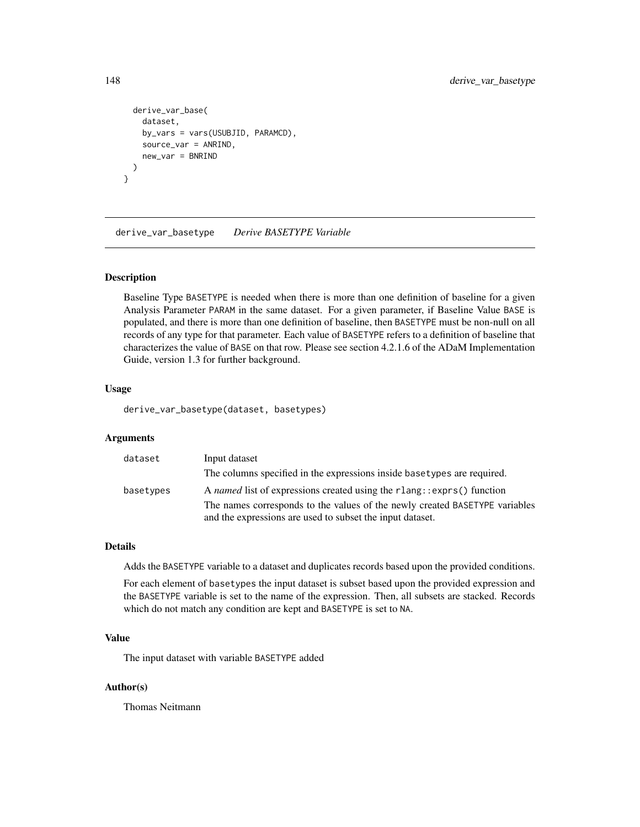```
derive_var_base(
    dataset,
   by_vars = vars(USUBJID, PARAMCD),
    source_var = ANRIND,
   new_var = BNRIND
 )
}
```
derive\_var\_basetype *Derive BASETYPE Variable*

### Description

Baseline Type BASETYPE is needed when there is more than one definition of baseline for a given Analysis Parameter PARAM in the same dataset. For a given parameter, if Baseline Value BASE is populated, and there is more than one definition of baseline, then BASETYPE must be non-null on all records of any type for that parameter. Each value of BASETYPE refers to a definition of baseline that characterizes the value of BASE on that row. Please see section 4.2.1.6 of the ADaM Implementation Guide, version 1.3 for further background.

### Usage

derive\_var\_basetype(dataset, basetypes)

## Arguments

| dataset   | Input dataset                                                               |
|-----------|-----------------------------------------------------------------------------|
|           | The columns specified in the expressions inside basetypes are required.     |
| basetypes | A named list of expressions created using the rlang: : exprs() function     |
|           | The names corresponds to the values of the newly created BASETYPE variables |
|           | and the expressions are used to subset the input dataset.                   |

# Details

Adds the BASETYPE variable to a dataset and duplicates records based upon the provided conditions.

For each element of basetypes the input dataset is subset based upon the provided expression and the BASETYPE variable is set to the name of the expression. Then, all subsets are stacked. Records which do not match any condition are kept and BASETYPE is set to NA.

# Value

The input dataset with variable BASETYPE added

## Author(s)

Thomas Neitmann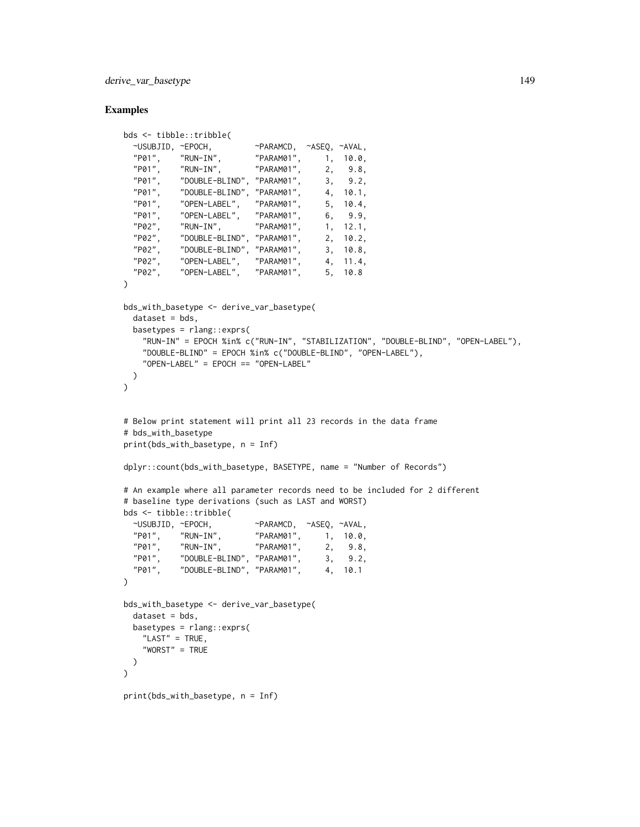derive\_var\_basetype 149

```
bds <- tibble::tribble(
  ~USUBJID, ~EPOCH, ~PARAMCD, ~ASEQ, ~AVAL,
  "P01", "RUN-IN", "PARAM01", 1, 10.0,
  "P01", "RUN-IN", "PARAM01", 2, 9.8,
  "P01", "DOUBLE-BLIND", "PARAM01", 3, 9.2,
  "P01", "DOUBLE-BLIND", "PARAM01", 4, 10.1,
  "P01", "OPEN-LABEL", "PARAM01",<br>"P01", "OPEN-LABEL", "PARAM01",
  "P01", "OPEN-LABEL", "PARAM01",<br>"P02". "RUN-IN", "PARAM01",
  "P01", "OPEN-LABEL", "PARAM01", 6, 9.9,<br>"P02", "RUN-IN", "PARAM01", 1, 12.1,<br>"P02". "DOUBLE-BLIND", "PARAM01", 2, 10.2,
  "P02", "DOUBLE-BLIND", "PARAM01", 2, 10.2,
  "P02", "DOUBLE-BLIND", "PARAM01", 3, 10.8,
            "P02", "OPEN-LABEL", "PARAM01", 4, 11.4,
  "P02", "OPEN-LABEL", "PARAM01", 5, 10.8
\lambdabds_with_basetype <- derive_var_basetype(
  dataset = bds,
  basetypes = rlang::exprs(
    "RUN-IN" = EPOCH %in% c("RUN-IN", "STABILIZATION", "DOUBLE-BLIND", "OPEN-LABEL"),
    "DOUBLE-BLIND" = EPOCH %in% c("DOUBLE-BLIND", "OPEN-LABEL"),
    "OPEN-LABEL" = EPOCH == "OPEN-LABEL"
  \lambda)
# Below print statement will print all 23 records in the data frame
# bds_with_basetype
print(bds_with_basetype, n = Inf)
dplyr::count(bds_with_basetype, BASETYPE, name = "Number of Records")
# An example where all parameter records need to be included for 2 different
# baseline type derivations (such as LAST and WORST)
bds <- tibble::tribble(
  ~USUBJID, ~EPOCH, ~PARAMCD, ~ASEQ, ~AVAL,
  "P01", "RUN-IN", "PARAM01", 1, 10.0,
  "P01", "RUN-IN", "PARAM01", 2, 9.8,
            "P01", "DOUBLE-BLIND", "PARAM01", 3, 9.2,
  "P01", "DOUBLE-BLIND", "PARAM01", 4, 10.1
\lambdabds_with_basetype <- derive_var_basetype(
  dataset = bds,
  basetypes = rlang::exprs(
    "LAST" = TRUE,"WORST" = TRUE
 )
\lambdaprint(bds_with_basetype, n = Inf)
```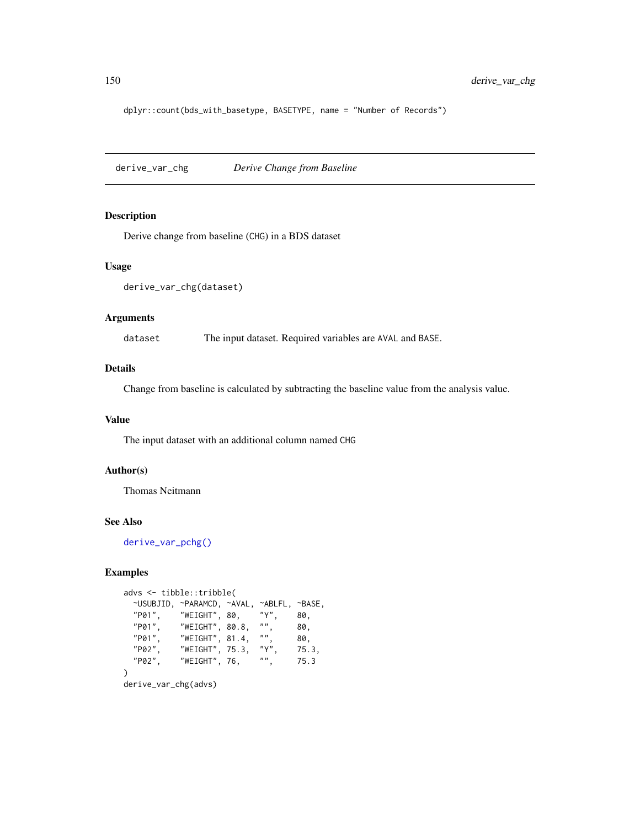dplyr::count(bds\_with\_basetype, BASETYPE, name = "Number of Records")

derive\_var\_chg *Derive Change from Baseline*

## Description

Derive change from baseline (CHG) in a BDS dataset

### Usage

```
derive_var_chg(dataset)
```
# Arguments

dataset The input dataset. Required variables are AVAL and BASE.

# Details

Change from baseline is calculated by subtracting the baseline value from the analysis value.

### Value

The input dataset with an additional column named CHG

# Author(s)

Thomas Neitmann

### See Also

[derive\\_var\\_pchg\(\)](#page-186-0)

```
advs <- tibble::tribble(
 ~USUBJID, ~PARAMCD, ~AVAL, ~ABLFL, ~BASE,<br>"P01". "WEIGHT", 80, "Y", 80,
 "P01", "WEIGHT", 80, "Y", 80,
  "P01", "WEIGHT", 80.8, "", 80,
  "P01", "WEIGHT", 81.4, "", 80,
 "P02", "WEIGHT", 75.3, "Y", 75.3,
           "WEIGHT", 76, "", 75.3
)
```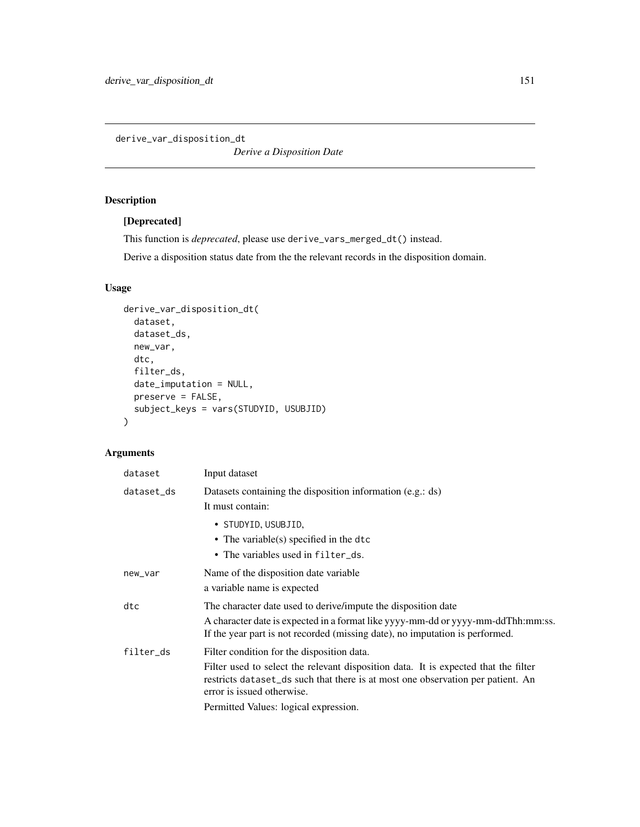derive\_var\_disposition\_dt

*Derive a Disposition Date*

# Description

# [Deprecated]

This function is *deprecated*, please use derive\_vars\_merged\_dt() instead.

Derive a disposition status date from the the relevant records in the disposition domain.

# Usage

```
derive_var_disposition_dt(
 dataset,
 dataset_ds,
 new_var,
 dtc,
 filter_ds,
 date_imputation = NULL,
 preserve = FALSE,
  subject_keys = vars(STUDYID, USUBJID)
\mathcal{L}
```

| dataset    | Input dataset                                                                                                                                                                                                                                      |
|------------|----------------------------------------------------------------------------------------------------------------------------------------------------------------------------------------------------------------------------------------------------|
| dataset_ds | Datasets containing the disposition information (e.g.: ds)<br>It must contain:                                                                                                                                                                     |
|            | • STUDYID, USUBJID,<br>• The variable(s) specified in the dtc<br>• The variables used in filter_ds.                                                                                                                                                |
| new_var    | Name of the disposition date variable<br>a variable name is expected                                                                                                                                                                               |
| dtc        | The character date used to derive/impute the disposition date<br>A character date is expected in a format like yyyy-mm-dd or yyyy-mm-ddThh:mm:ss.<br>If the year part is not recorded (missing date), no imputation is performed.                  |
| filter_ds  | Filter condition for the disposition data.<br>Filter used to select the relevant disposition data. It is expected that the filter<br>restricts dataset_ds such that there is at most one observation per patient. An<br>error is issued otherwise. |
|            | Permitted Values: logical expression.                                                                                                                                                                                                              |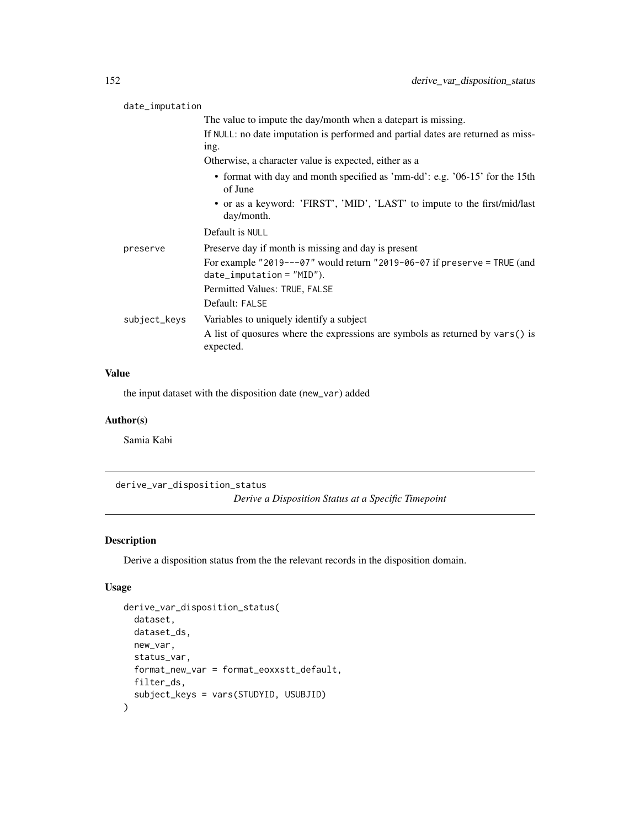| date_imputation |              |                                                                                                             |
|-----------------|--------------|-------------------------------------------------------------------------------------------------------------|
|                 |              | The value to impute the day/month when a datepart is missing.                                               |
|                 |              | If NULL: no date imputation is performed and partial dates are returned as miss-<br>ing.                    |
|                 |              | Otherwise, a character value is expected, either as a                                                       |
|                 |              | • format with day and month specified as 'mm-dd': e.g. '06-15' for the 15th<br>of June                      |
|                 |              | • or as a keyword: 'FIRST', 'MID', 'LAST' to impute to the first/mid/last<br>day/month.                     |
|                 |              | Default is NULL                                                                                             |
|                 | preserve     | Preserve day if month is missing and day is present                                                         |
|                 |              | For example "2019---07" would return "2019-06-07 if preserve = TRUE (and<br>$date_i$ mputation = $"MID"$ ). |
|                 |              | Permitted Values: TRUE, FALSE                                                                               |
|                 |              | Default: FALSE                                                                                              |
|                 | subject_keys | Variables to uniquely identify a subject                                                                    |
|                 |              | A list of quosures where the expressions are symbols as returned by vars() is<br>expected.                  |
|                 |              |                                                                                                             |

# Value

the input dataset with the disposition date (new\_var) added

# Author(s)

Samia Kabi

derive\_var\_disposition\_status

*Derive a Disposition Status at a Specific Timepoint*

# Description

Derive a disposition status from the the relevant records in the disposition domain.

# Usage

```
derive_var_disposition_status(
  dataset,
 dataset_ds,
 new_var,
  status_var,
  format_new_var = format_eoxxstt_default,
 filter_ds,
  subject_keys = vars(STUDYID, USUBJID)
\mathcal{E}
```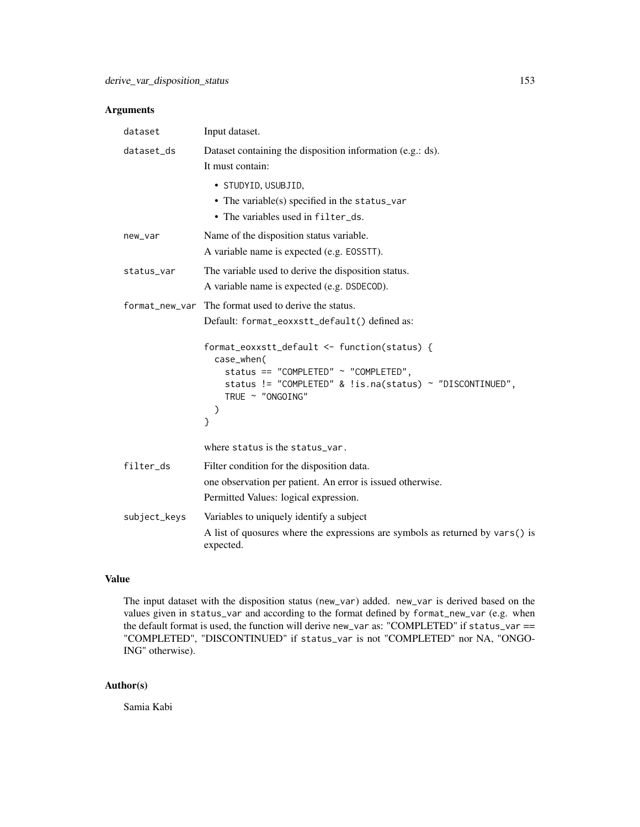# Arguments

| dataset      | Input dataset.                                                                                                                                                                                                                                                                                                         |
|--------------|------------------------------------------------------------------------------------------------------------------------------------------------------------------------------------------------------------------------------------------------------------------------------------------------------------------------|
| dataset_ds   | Dataset containing the disposition information (e.g.: ds).<br>It must contain:                                                                                                                                                                                                                                         |
|              | • STUDYID, USUBJID,<br>• The variable(s) specified in the status_var<br>• The variables used in filter_ds.                                                                                                                                                                                                             |
| new_var      | Name of the disposition status variable.<br>A variable name is expected (e.g. EOSSTT).                                                                                                                                                                                                                                 |
| status_var   | The variable used to derive the disposition status.<br>A variable name is expected (e.g. DSDECOD).                                                                                                                                                                                                                     |
|              | format_new_var The format used to derive the status.<br>Default: format_eoxxstt_default() defined as:<br>format_eoxxstt_default <- function(status) {<br>case_when(<br>status == "COMPLETED" $\sim$ "COMPLETED",<br>status != "COMPLETED" & !is.na(status) ~ "DISCONTINUED",<br>TRUE ~ "ONGOING"<br>$\mathcal{Y}$<br>} |
|              | where status is the status_var.                                                                                                                                                                                                                                                                                        |
| filter_ds    | Filter condition for the disposition data.<br>one observation per patient. An error is issued otherwise.<br>Permitted Values: logical expression.                                                                                                                                                                      |
| subject_keys | Variables to uniquely identify a subject<br>A list of quosures where the expressions are symbols as returned by vars() is<br>expected.                                                                                                                                                                                 |

# Value

The input dataset with the disposition status (new\_var) added. new\_var is derived based on the values given in status\_var and according to the format defined by format\_new\_var (e.g. when the default format is used, the function will derive new\_var as: "COMPLETED" if status\_var == "COMPLETED", "DISCONTINUED" if status\_var is not "COMPLETED" nor NA, "ONGO-ING" otherwise).

# Author(s)

Samia Kabi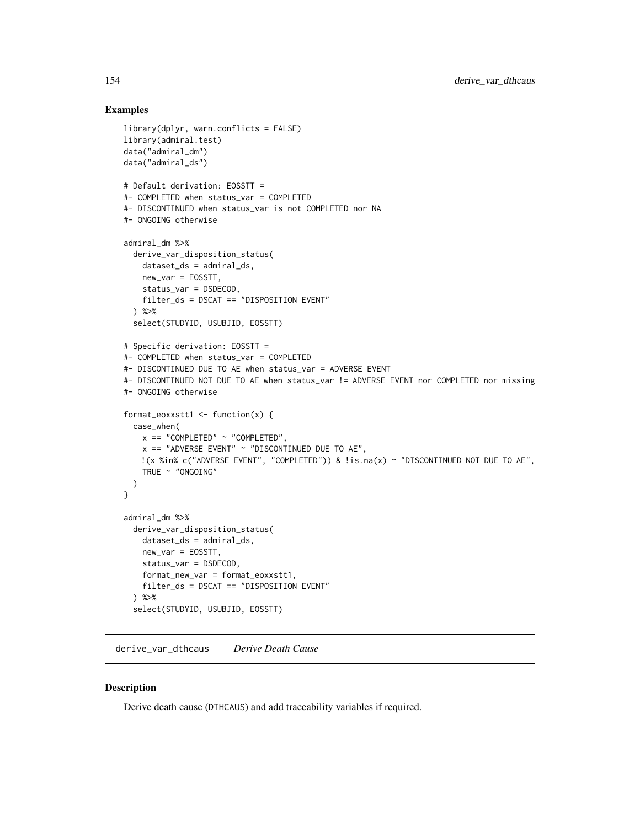## Examples

```
library(dplyr, warn.conflicts = FALSE)
library(admiral.test)
data("admiral_dm")
data("admiral_ds")
# Default derivation: EOSSTT =
#- COMPLETED when status_var = COMPLETED
#- DISCONTINUED when status_var is not COMPLETED nor NA
#- ONGOING otherwise
admiral_dm %>%
  derive_var_disposition_status(
   dataset_ds = admiral_ds,
   new_var = EOSSTT,
   status_var = DSDECOD,
   filter_ds = DSCAT == "DISPOSITION EVENT"
  ) %>%
  select(STUDYID, USUBJID, EOSSTT)
# Specific derivation: EOSSTT =
#- COMPLETED when status_var = COMPLETED
#- DISCONTINUED DUE TO AE when status_var = ADVERSE EVENT
#- DISCONTINUED NOT DUE TO AE when status_var != ADVERSE EVENT nor COMPLETED nor missing
#- ONGOING otherwise
format_eoxxstt1 <- function(x) {
  case_when(
   x == "COMPLETED" ~ "COMPLETED",x == "ADVERSE EVENT" ~ "DISCONTINUED DUE TO AE",
   !(x %in% c("ADVERSE EVENT", "COMPLETED")) & !is.na(x) ~ "DISCONTINUED NOT DUE TO AE",
   TRUE ~ "ONGOING"
  )
}
admiral_dm %>%
  derive_var_disposition_status(
   dataset_ds = admiral_ds,
   new_var = EOSSTT,
   status_var = DSDECOD,
   format_new_var = format_eoxxstt1,
   filter_ds = DSCAT == "DISPOSITION EVENT"
  ) %>%
  select(STUDYID, USUBJID, EOSSTT)
```
derive\_var\_dthcaus *Derive Death Cause*

### Description

Derive death cause (DTHCAUS) and add traceability variables if required.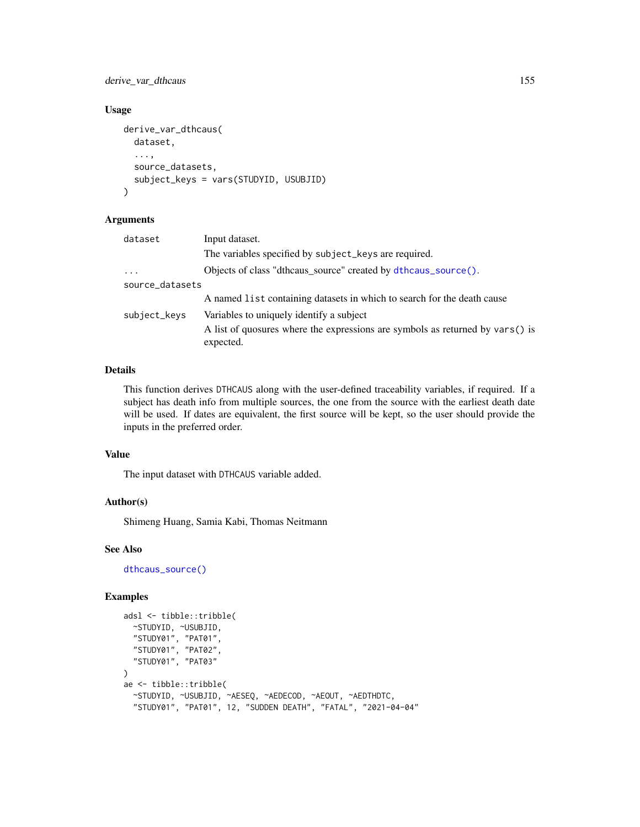derive\_var\_dthcaus 155

### Usage

```
derive_var_dthcaus(
  dataset,
  ...,
  source_datasets,
  subject_keys = vars(STUDYID, USUBJID)
)
```
### Arguments

| dataset         | Input dataset.                                                                             |
|-----------------|--------------------------------------------------------------------------------------------|
|                 | The variables specified by subject_keys are required.                                      |
| $\ddots$        | Objects of class "dthcaus_source" created by dthcaus_source().                             |
| source_datasets |                                                                                            |
|                 | A named list containing datasets in which to search for the death cause                    |
| subject_keys    | Variables to uniquely identify a subject                                                   |
|                 | A list of quosures where the expressions are symbols as returned by vars() is<br>expected. |

# Details

This function derives DTHCAUS along with the user-defined traceability variables, if required. If a subject has death info from multiple sources, the one from the source with the earliest death date will be used. If dates are equivalent, the first source will be kept, so the user should provide the inputs in the preferred order.

### Value

The input dataset with DTHCAUS variable added.

## Author(s)

Shimeng Huang, Samia Kabi, Thomas Neitmann

### See Also

[dthcaus\\_source\(\)](#page-196-0)

```
adsl <- tibble::tribble(
 ~STUDYID, ~USUBJID,
  "STUDY01", "PAT01",
  "STUDY01", "PAT02",
  "STUDY01", "PAT03"
)
ae <- tibble::tribble(
 ~STUDYID, ~USUBJID, ~AESEQ, ~AEDECOD, ~AEOUT, ~AEDTHDTC,
 "STUDY01", "PAT01", 12, "SUDDEN DEATH", "FATAL", "2021-04-04"
```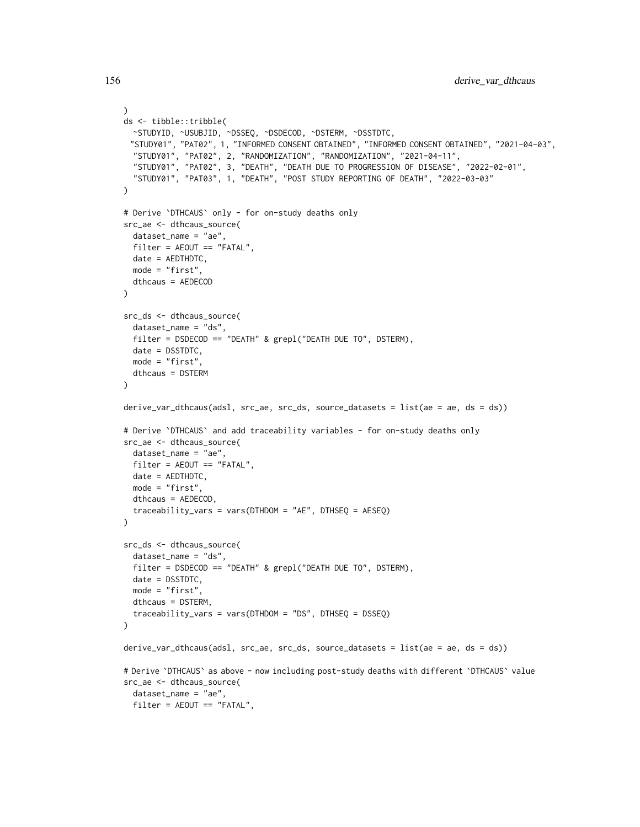```
\lambdads <- tibble::tribble(
  ~STUDYID, ~USUBJID, ~DSSEQ, ~DSDECOD, ~DSTERM, ~DSSTDTC,
 "STUDY01", "PAT02", 1, "INFORMED CONSENT OBTAINED", "INFORMED CONSENT OBTAINED", "2021-04-03",
  "STUDY01", "PAT02", 2, "RANDOMIZATION", "RANDOMIZATION", "2021-04-11",
  "STUDY01", "PAT02", 3, "DEATH", "DEATH DUE TO PROGRESSION OF DISEASE", "2022-02-01",
  "STUDY01", "PAT03", 1, "DEATH", "POST STUDY REPORTING OF DEATH", "2022-03-03"
\lambda# Derive `DTHCAUS` only - for on-study deaths only
src_ae <- dthcaus_source(
  dataset_name = "ae",
  filter = AEOUT == "FATAL",
  date = AEDTHDTC,
 mode = "first",
 dthcaus = AEDECOD
)
src_ds <- dthcaus_source(
  dataset_name = "ds",
  filter = DSDECOD == "DEATH" & grepl("DEATH DUE TO", DSTERM),
  date = DSSTDTC,
 mode = "first",
  dthcaus = DSTERM
\lambdaderive_var_dthcaus(adsl, src_ae, src_ds, source_datasets = list(ae = ae, ds = ds))
# Derive `DTHCAUS` and add traceability variables - for on-study deaths only
src_ae <- dthcaus_source(
  dataset_name = "ae",
  filter = AEOUT == "FATAL",
  date = AEDTHDTC,
 mode = "first",
  dthcaus = AEDECOD,
  traceability_vars = vars(DTHDOM = "AE", DTHSEQ = AESEQ)
\lambdasrc_ds <- dthcaus_source(
  dataset_name = "ds",
  filter = DSDECOD == "DEATH" & grepl("DEATH DUE TO", DSTERM),
  date = DSSTDTC,
  mode = "first",
  dthcaus = DSTERM,
  traceability_vars = vars(DTHDOM = "DS", DTHSEQ = DSSEQ)
\lambdaderive_var_dthcaus(adsl, src_ae, src_ds, source_datasets = list(ae = ae, ds = ds))
# Derive `DTHCAUS` as above - now including post-study deaths with different `DTHCAUS` value
src_ae <- dthcaus_source(
  dataset_name = "ae",
  filter = AEOUT == "FATAL",
```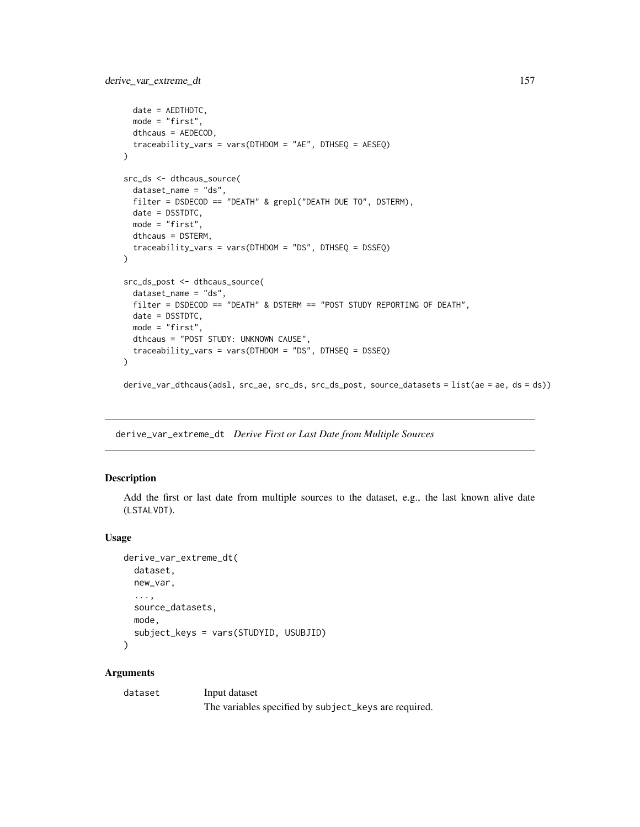```
date = AEDTHDTC,
  mode = "first",
  dthcaus = AEDECOD,
  traceability_vars = vars(DTHDOM = "AE", DTHSEQ = AESEQ)
)
src_ds <- dthcaus_source(
  dataset_name = "ds",
  filter = DSDECOD == "DEATH" & grepl("DEATH DUE TO", DSTERM),
  date = DSSTDTC,
  mode = "first",
  dthcaus = DSTERM,
  traceability_vars = vars(DTHDOM = "DS", DTHSEQ = DSSEQ)
)
src_ds_post <- dthcaus_source(
  dataset_name = "ds",
  filter = DSDECOD == "DEATH" & DSTERM == "POST STUDY REPORTING OF DEATH",
 date = DSSTDTC,
 mode = "first",
  dthcaus = "POST STUDY: UNKNOWN CAUSE",
  traceability_vars = vars(DTHDOM = "DS", DTHSEQ = DSSEQ)
\mathcal{L}derive_var_dthcaus(adsl, src_ae, src_ds, src_ds_post, source_datasets = list(ae = ae, ds = ds))
```
<span id="page-156-0"></span>derive\_var\_extreme\_dt *Derive First or Last Date from Multiple Sources*

### Description

Add the first or last date from multiple sources to the dataset, e.g., the last known alive date (LSTALVDT).

## Usage

```
derive_var_extreme_dt(
 dataset,
 new_var,
  ...,
  source_datasets,
 mode,
  subject_keys = vars(STUDYID, USUBJID)
\lambda
```
## **Arguments**

dataset Input dataset The variables specified by subject\_keys are required.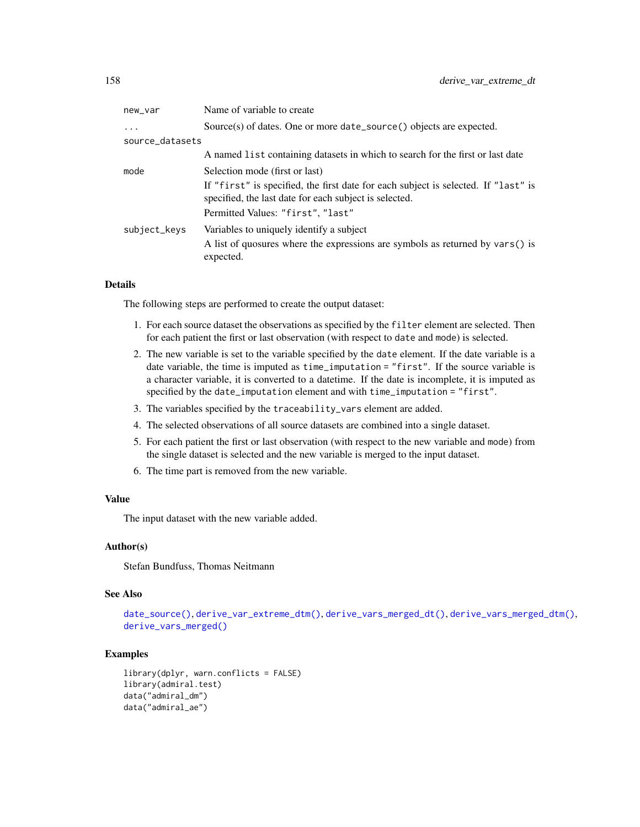| Name of variable to create                                                                                                                   |
|----------------------------------------------------------------------------------------------------------------------------------------------|
| Source(s) of dates. One or more date_source() objects are expected.                                                                          |
| source_datasets                                                                                                                              |
| A named list containing datasets in which to search for the first or last date                                                               |
| Selection mode (first or last)                                                                                                               |
| If "first" is specified, the first date for each subject is selected. If "last" is<br>specified, the last date for each subject is selected. |
| Permitted Values: "first", "last"                                                                                                            |
| Variables to uniquely identify a subject                                                                                                     |
| A list of quosures where the expressions are symbols as returned by vars() is<br>expected.                                                   |
|                                                                                                                                              |

# Details

The following steps are performed to create the output dataset:

- 1. For each source dataset the observations as specified by the filter element are selected. Then for each patient the first or last observation (with respect to date and mode) is selected.
- 2. The new variable is set to the variable specified by the date element. If the date variable is a date variable, the time is imputed as time\_imputation = "first". If the source variable is a character variable, it is converted to a datetime. If the date is incomplete, it is imputed as specified by the date\_imputation element and with time\_imputation = "first".
- 3. The variables specified by the traceability\_vars element are added.
- 4. The selected observations of all source datasets are combined into a single dataset.
- 5. For each patient the first or last observation (with respect to the new variable and mode) from the single dataset is selected and the new variable is merged to the input dataset.
- 6. The time part is removed from the new variable.

# Value

The input dataset with the new variable added.

### Author(s)

Stefan Bundfuss, Thomas Neitmann

## See Also

[date\\_source\(\)](#page-55-0), [derive\\_var\\_extreme\\_dtm\(\)](#page-159-0), [derive\\_vars\\_merged\\_dt\(\)](#page-124-0), [derive\\_vars\\_merged\\_dtm\(\)](#page-128-0), [derive\\_vars\\_merged\(\)](#page-121-0)

```
library(dplyr, warn.conflicts = FALSE)
library(admiral.test)
data("admiral_dm")
data("admiral_ae")
```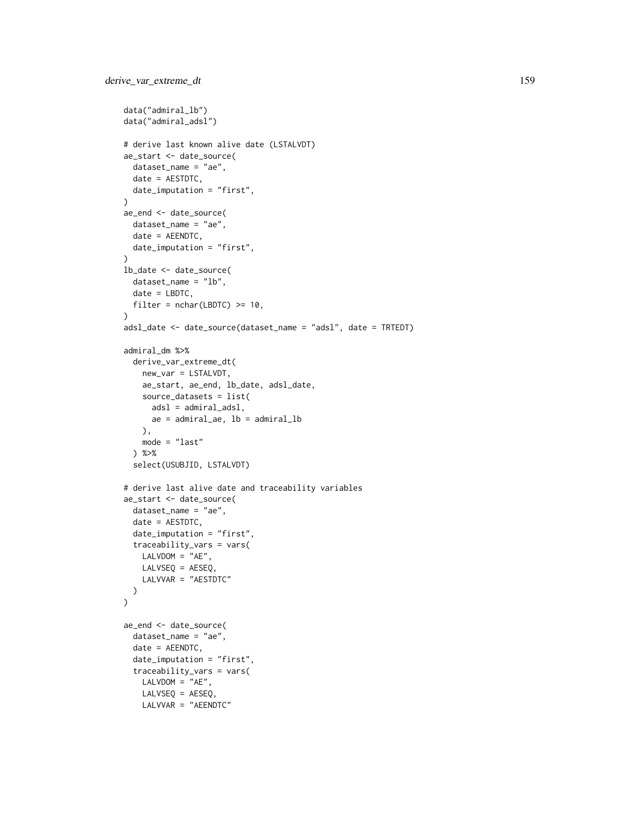```
data("admiral_lb")
data("admiral_adsl")
# derive last known alive date (LSTALVDT)
ae_start <- date_source(
  dataset_name = "ae",
  date = AESTDTC,
  date_imputation = "first",
\lambdaae_end <- date_source(
  dataset_name = "ae",
  date = AEENDTC,
  date_imputation = "first",
)
lb_date <- date_source(
  dataset_name = "lb",
  date = LBDTC,
  filter = nchar( LBDTC) \geq 10,
)
adsl_date <- date_source(dataset_name = "adsl", date = TRTEDT)
admiral_dm %>%
  derive_var_extreme_dt(
   new_var = LSTALVDT,
   ae_start, ae_end, lb_date, adsl_date,
   source_datasets = list(
     adsl = admiral_adsl,
      ae = admiral_ae, lb = admiral_lb
   ),
   mode = "last"
  ) %>%
  select(USUBJID, LSTALVDT)
# derive last alive date and traceability variables
ae_start <- date_source(
  dataset_name = "ae",
  date = AESTDTC,
  date_imputation = "first",
  traceability_vars = vars(
   LALVDOM = "AE",LALVSEQ = AESEQ,
   LALVVAR = "AESTDTC"
  )
\mathcal{L}ae_end <- date_source(
  dataset_name = "ae",
  date = AEENDTC,
  date_imputation = "first",
  traceability_vars = vars(
   LALVDOM = "AE",LALVSEQ = AESEQ,
   LALVVAR = "AEENDTC"
```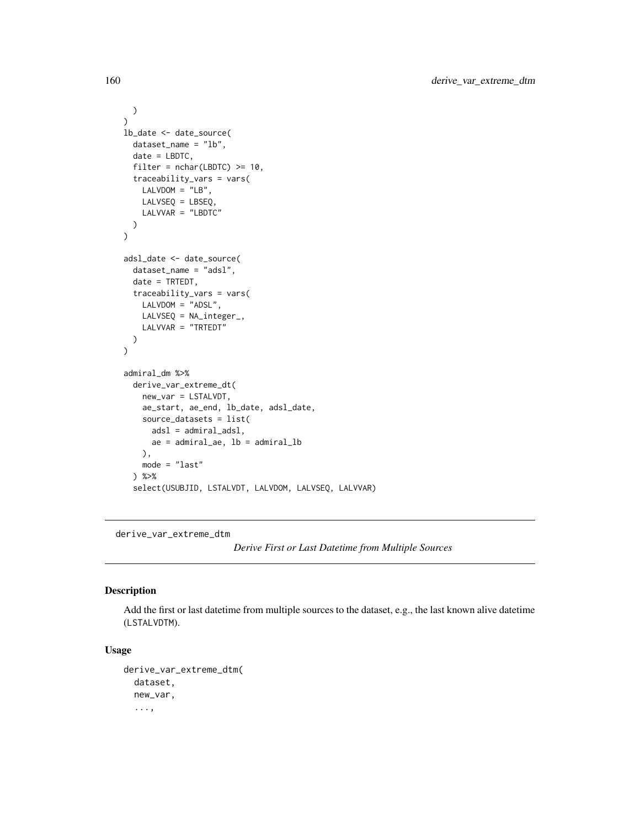```
)
)
lb_date <- date_source(
 dataset_name = "lb",
  date = LBDTC,
  filter = nchar(LBDTC) \geq 10,
  traceability_vars = vars(
    LALVDOM = "LB",LALVSEQ = LBSEQ,
    LALVVAR = "LBDTC"
  )
\mathcal{L}adsl_date <- date_source(
  dataset_name = "adsl",
  date = TRTEDT,
  traceability_vars = vars(
    LALVDOM = "ADSL",
    LALVSEQ = NA_integer_,
    LALVVAR = "TRTEDT"
  \mathcal{L}\lambdaadmiral_dm %>%
  derive_var_extreme_dt(
    new_var = LSTALVDT,
    ae_start, ae_end, lb_date, adsl_date,
    source_datasets = list(
      adsl = admiral_adsl,
      ae = admiral_ae, lb = admiral_lb
    ),
    mode = "last"
  ) %>%
  select(USUBJID, LSTALVDT, LALVDOM, LALVSEQ, LALVVAR)
```
<span id="page-159-0"></span>derive\_var\_extreme\_dtm

*Derive First or Last Datetime from Multiple Sources*

## Description

Add the first or last datetime from multiple sources to the dataset, e.g., the last known alive datetime (LSTALVDTM).

### Usage

```
derive_var_extreme_dtm(
  dataset,
  new_var,
  ...,
```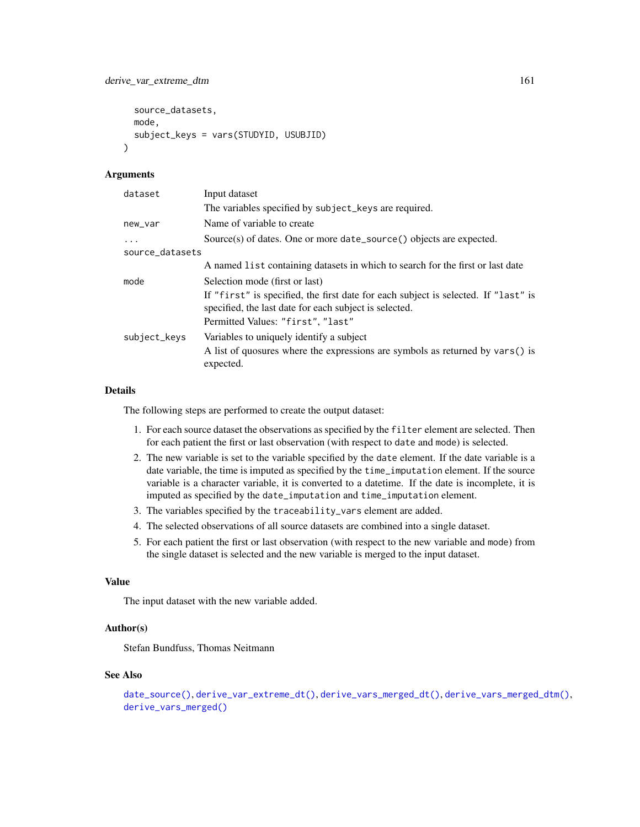```
source_datasets,
  mode,
  subject_keys = vars(STUDYID, USUBJID)
\lambda
```
### Arguments

| Input dataset                                                                                                                                |
|----------------------------------------------------------------------------------------------------------------------------------------------|
| The variables specified by subject_keys are required.                                                                                        |
| Name of variable to create                                                                                                                   |
| Source(s) of dates. One or more date_source() objects are expected.                                                                          |
| source_datasets                                                                                                                              |
| A named list containing datasets in which to search for the first or last date                                                               |
| Selection mode (first or last)                                                                                                               |
| If "first" is specified, the first date for each subject is selected. If "last" is<br>specified, the last date for each subject is selected. |
| Permitted Values: "first", "last"                                                                                                            |
| Variables to uniquely identify a subject<br>A list of quosures where the expressions are symbols as returned by vars() is                    |
| expected.                                                                                                                                    |
|                                                                                                                                              |

# Details

The following steps are performed to create the output dataset:

- 1. For each source dataset the observations as specified by the filter element are selected. Then for each patient the first or last observation (with respect to date and mode) is selected.
- 2. The new variable is set to the variable specified by the date element. If the date variable is a date variable, the time is imputed as specified by the time\_imputation element. If the source variable is a character variable, it is converted to a datetime. If the date is incomplete, it is imputed as specified by the date\_imputation and time\_imputation element.
- 3. The variables specified by the traceability\_vars element are added.
- 4. The selected observations of all source datasets are combined into a single dataset.
- 5. For each patient the first or last observation (with respect to the new variable and mode) from the single dataset is selected and the new variable is merged to the input dataset.

### Value

The input dataset with the new variable added.

## Author(s)

Stefan Bundfuss, Thomas Neitmann

### See Also

```
date_source(), derive_var_extreme_dt(), derive_vars_merged_dt(), derive_vars_merged_dtm(),
derive_vars_merged()
```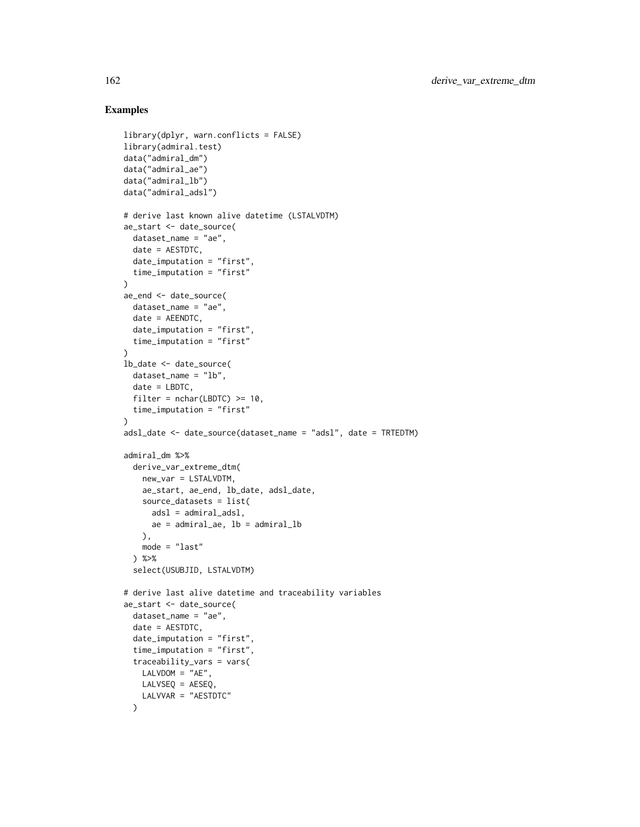```
library(dplyr, warn.conflicts = FALSE)
library(admiral.test)
data("admiral_dm")
data("admiral_ae")
data("admiral_lb")
data("admiral_adsl")
# derive last known alive datetime (LSTALVDTM)
ae_start <- date_source(
  dataset_name = "ae",
 date = AESTDTC,
  date_imputation = "first",
  time_imputation = "first"
\lambdaae_end <- date_source(
  dataset_name = "ae",
  date = AEENDTC,
  date_imputation = "first",
  time_imputation = "first"
)
lb_date <- date_source(
 dataset_name = "lb",
 date = LBDTC,
 filter = nchar( LBDTC) \geq 10,
  time_imputation = "first"
\lambdaadsl_date <- date_source(dataset_name = "adsl", date = TRTEDTM)
admiral_dm %>%
  derive_var_extreme_dtm(
   new_var = LSTALVDTM,
   ae_start, ae_end, lb_date, adsl_date,
   source_datasets = list(
     adsl = admiral_adsl,
     ae = admiral_ae, lb = admiral_lb
   ),
   mode = "last"
  ) %>%
  select(USUBJID, LSTALVDTM)
# derive last alive datetime and traceability variables
ae_start <- date_source(
  dataset_name = "ae",
  date = AESTDTC,
  date_imputation = "first",
  time_imputation = "first",
  traceability_vars = vars(
   LALVDOM = "AE",LALVSEQ = AESEQ,
   LALVVAR = "AESTDTC"
  )
```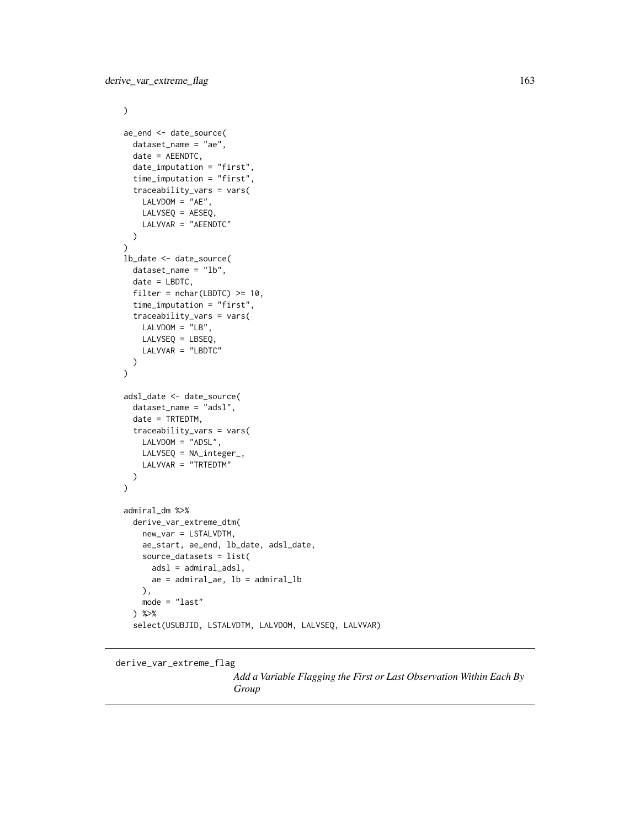```
\mathcal{L}ae_end <- date_source(
  dataset_name = "ae",
  date = AEENDTC,
  date_imputation = "first",
  time_imputation = "first",
  traceability_vars = vars(
    LALVDOM = "AE",LALVSEQ = AESEQ,
    LALVVAR = "AEENDTC"
  \mathcal{L})
lb_date <- date_source(
  dataset_name = "lb",
  date = LBDTC,
  filter = nchar( LBDTC) \geq 10,
  time_imputation = "first",
  traceability_vars = vars(
    LALVDOM = "LB",LALVSEQ = LBSEQ,
    LALVVAR = "LBDTC"
  )
\mathcal{L}adsl_date <- date_source(
  dataset_name = "adsl",
  date = TRTEDTM,
  traceability_vars = vars(
    LALVDOM = "ADSL",
    LALVSEQ = NA_integer_,
    LALVVAR = "TRTEDTM"
  )
\mathcal{L}admiral_dm %>%
  derive_var_extreme_dtm(
    new_var = LSTALVDTM,
    ae_start, ae_end, lb_date, adsl_date,
    source_datasets = list(
      adsl = admiral_adsl,
      ae = admiral_ae, lb = admiral_lb
    ),
    mode = "last"
  ) %>%
  select(USUBJID, LSTALVDTM, LALVDOM, LALVSEQ, LALVVAR)
```
### derive\_var\_extreme\_flag

*Add a Variable Flagging the First or Last Observation Within Each By Group*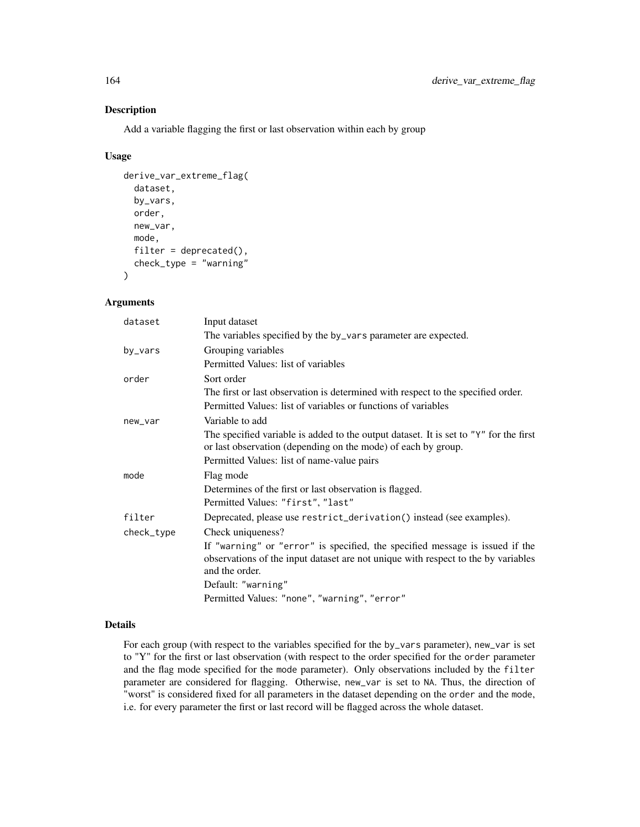# Description

Add a variable flagging the first or last observation within each by group

# Usage

```
derive_var_extreme_flag(
  dataset,
 by_vars,
  order,
  new_var,
 mode,
  filter = dependence(),check_type = "warning"
)
```
# Arguments

| dataset    | Input dataset                                                                         |
|------------|---------------------------------------------------------------------------------------|
|            | The variables specified by the by_vars parameter are expected.                        |
| by_vars    | Grouping variables                                                                    |
|            | Permitted Values: list of variables                                                   |
| order      | Sort order                                                                            |
|            | The first or last observation is determined with respect to the specified order.      |
|            | Permitted Values: list of variables or functions of variables                         |
| new_var    | Variable to add                                                                       |
|            | The specified variable is added to the output dataset. It is set to "Y" for the first |
|            | or last observation (depending on the mode) of each by group.                         |
|            | Permitted Values: list of name-value pairs                                            |
| mode       | Flag mode                                                                             |
|            | Determines of the first or last observation is flagged.                               |
|            | Permitted Values: "first", "last"                                                     |
| filter     | Deprecated, please use restrict_derivation() instead (see examples).                  |
| check_type | Check uniqueness?                                                                     |
|            | If "warning" or "error" is specified, the specified message is issued if the          |
|            | observations of the input dataset are not unique with respect to the by variables     |
|            | and the order.                                                                        |
|            | Default: "warning"                                                                    |
|            | Permitted Values: "none", "warning", "error"                                          |

# Details

For each group (with respect to the variables specified for the by\_vars parameter), new\_var is set to "Y" for the first or last observation (with respect to the order specified for the order parameter and the flag mode specified for the mode parameter). Only observations included by the filter parameter are considered for flagging. Otherwise, new\_var is set to NA. Thus, the direction of "worst" is considered fixed for all parameters in the dataset depending on the order and the mode, i.e. for every parameter the first or last record will be flagged across the whole dataset.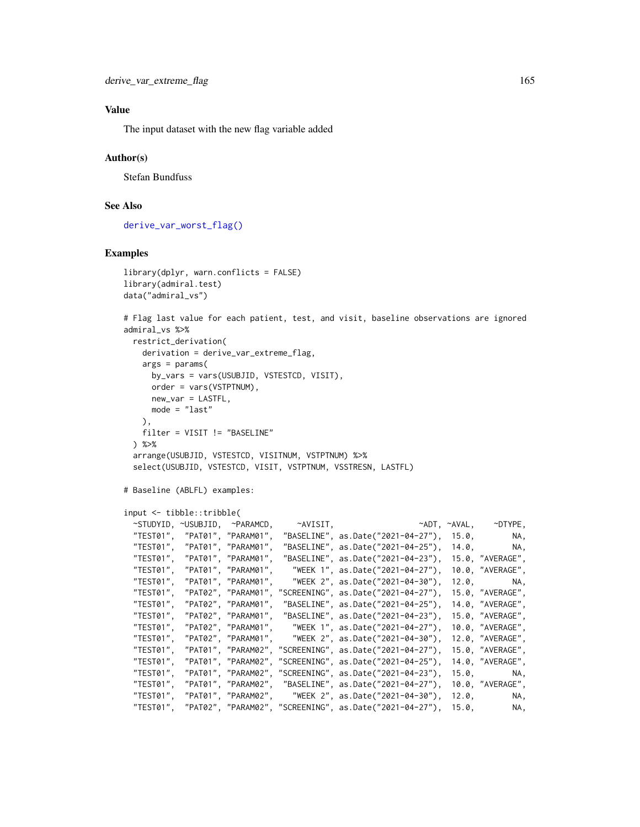### Value

The input dataset with the new flag variable added

### Author(s)

Stefan Bundfuss

## See Also

[derive\\_var\\_worst\\_flag\(\)](#page-192-0)

```
library(dplyr, warn.conflicts = FALSE)
library(admiral.test)
data("admiral_vs")
# Flag last value for each patient, test, and visit, baseline observations are ignored
admiral_vs %>%
 restrict_derivation(
   derivation = derive_var_extreme_flag,
   args = params(by_vars = vars(USUBJID, VSTESTCD, VISIT),
     order = vars(VSTPTNUM),
     new_var = LASTFL,
     mode = "last"
   ),
   filter = VISIT != "BASELINE"
 ) %>%
 arrange(USUBJID, VSTESTCD, VISITNUM, VSTPTNUM) %>%
 select(USUBJID, VSTESTCD, VISIT, VSTPTNUM, VSSTRESN, LASTFL)
# Baseline (ABLFL) examples:
input <- tibble::tribble(
 ~STUDYID, ~USUBJID, ~PARAMCD, ~AVISIT, ~ADT, ~AVAL, ~DTYPE,
 "TEST01", "PAT01", "PARAM01", "BASELINE", as.Date("2021-04-27"), 15.0, NA,
 "TEST01", "PAT01", "PARAM01", "BASELINE", as.Date("2021-04-25"), 14.0, NA,
 "TEST01", "PAT01", "PARAM01", "BASELINE", as.Date("2021-04-23"), 15.0, "AVERAGE",
 "TEST01", "PAT01", "PARAM01", "WEEK 1", as.Date("2021-04-27"), 10.0, "AVERAGE",
 "TEST01", "PAT01", "PARAM01", "WEEK 2", as.Date("2021-04-30"), 12.0, NA,
 "TEST01", "PAT02", "PARAM01", "SCREENING", as.Date("2021-04-27"), 15.0, "AVERAGE",
 "TEST01", "PAT02", "PARAM01", "BASELINE", as.Date("2021-04-25"), 14.0, "AVERAGE",
 "TEST01", "PAT02", "PARAM01", "BASELINE", as.Date("2021-04-23"), 15.0, "AVERAGE",
 "TEST01", "PAT02", "PARAM01", "WEEK 1", as.Date("2021-04-27"), 10.0, "AVERAGE",
                                 "WEEK 2", as.Date("2021-04-30"), 12.0, "AVERAGE"
 "TEST01", "PAT01", "PARAM02", "SCREENING", as.Date("2021-04-27"), 15.0, "AVERAGE",
  "TEST01", "PAT01", "PARAM02", "SCREENING", as.Date("2021-04-25"), 14.0, "AVERAGE",
  "TEST01", "PAT01", "PARAM02", "SCREENING", as.Date("2021-04-23"), 15.0, NA,
 "TEST01", "PAT01", "PARAM02", "BASELINE", as.Date("2021-04-27"), 10.0, "AVERAGE",
                                "WEEK 2", as.Date("2021-04-30"), 12.0, NA,
 "TEST01", "PAT02", "PARAM02", "SCREENING", as.Date("2021-04-27"), 15.0, NA,
```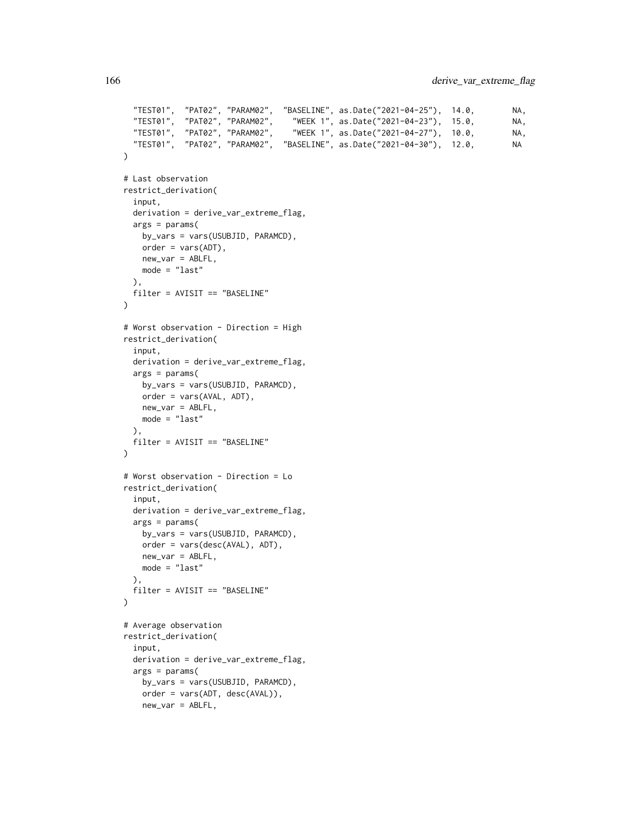```
"TEST01", "PAT02", "PARAM02", "BASELINE", as.Date("2021-04-25"), 14.0, NA,
  "TEST01", "PAT02", "PARAM02", "WEEK 1", as.Date("2021-04-23"), 15.0, NA,
  "TEST01", "PAT02", "PARAM02", "WEEK 1", as.Date("2021-04-27"), 10.0, NA,
  "TEST01", "PAT02", "PARAM02", "BASELINE", as.Date("2021-04-30"), 12.0, NA
)
# Last observation
restrict_derivation(
 input,
 derivation = derive_var_extreme_flag,
 args = params(by_vars = vars(USUBJID, PARAMCD),
   order = vars(ADT),
   new_var = ABLFL,
   mode = "last"
 ),
 filter = AVISIT == "BASELINE"
\mathcal{L}# Worst observation - Direction = High
restrict_derivation(
 input,
 derivation = derive_var_extreme_flag,
 args = params(by_vars = vars(USUBJID, PARAMCD),
   order = vars(AVAL, ADT),
   new_var = ABLFL,
   mode = "last"
 ),
 filter = AVISIT == "BASELINE"
\lambda# Worst observation - Direction = Lo
restrict_derivation(
 input,
 derivation = derive_var_extreme_flag,
 args = params(
   by_vars = vars(USUBJID, PARAMCD),
   order = vars(desc(AVAL), ADT),
   new_var = ABLFL,
   mode = "last"
 ),
 filter = AVISIT == "BASELINE"
)
# Average observation
restrict_derivation(
 input,
 derivation = derive_var_extreme_flag,
 args = params(
   by_vars = vars(USUBJID, PARAMCD),
   order = vars(ADT, desc(AVAL)),
   new_var = ABLFL,
```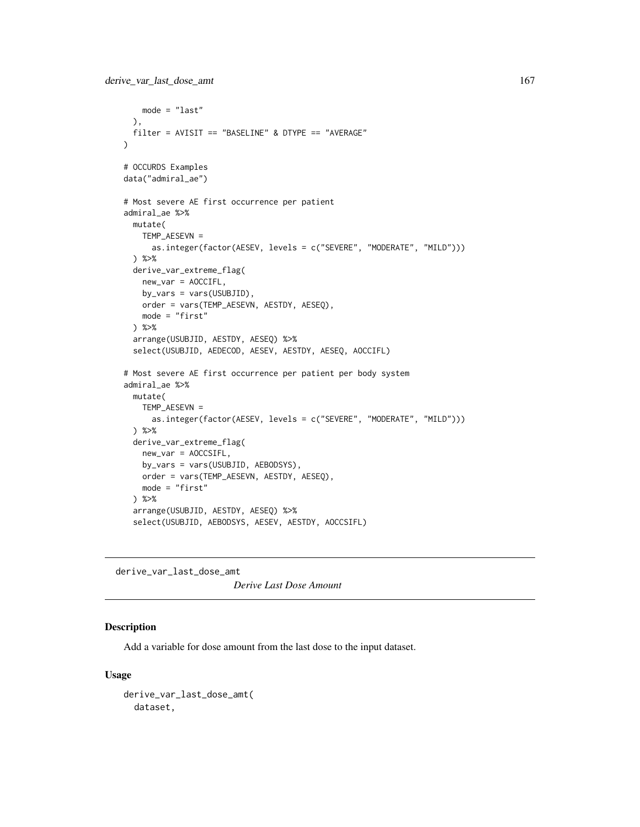```
mode = "last"
 ),
 filter = AVISIT == "BASELINE" & DTYPE == "AVERAGE"
)
# OCCURDS Examples
data("admiral_ae")
# Most severe AE first occurrence per patient
admiral_ae %>%
 mutate(
   TEMP_AESEVN =
     as.integer(factor(AESEV, levels = c("SEVERE", "MODERATE", "MILD")))
 ) %>%
 derive_var_extreme_flag(
   new_var = AOCCIFL,
   by_vars = vars(USUBJID),
   order = vars(TEMP_AESEVN, AESTDY, AESEQ),
   mode = "first"
 ) %>%
 arrange(USUBJID, AESTDY, AESEQ) %>%
 select(USUBJID, AEDECOD, AESEV, AESTDY, AESEQ, AOCCIFL)
# Most severe AE first occurrence per patient per body system
admiral_ae %>%
 mutate(
   TEMP_AESEVN =
     as.integer(factor(AESEV, levels = c("SEVERE", "MODERATE", "MILD")))
 ) %>%
 derive_var_extreme_flag(
   new_var = AOCCSIFL,
   by_vars = vars(USUBJID, AEBODSYS),
   order = vars(TEMP_AESEVN, AESTDY, AESEQ),
   mode = "first"
 ) %>%
 arrange(USUBJID, AESTDY, AESEQ) %>%
 select(USUBJID, AEBODSYS, AESEV, AESTDY, AOCCSIFL)
```
derive\_var\_last\_dose\_amt *Derive Last Dose Amount*

# Description

Add a variable for dose amount from the last dose to the input dataset.

### Usage

```
derive_var_last_dose_amt(
 dataset,
```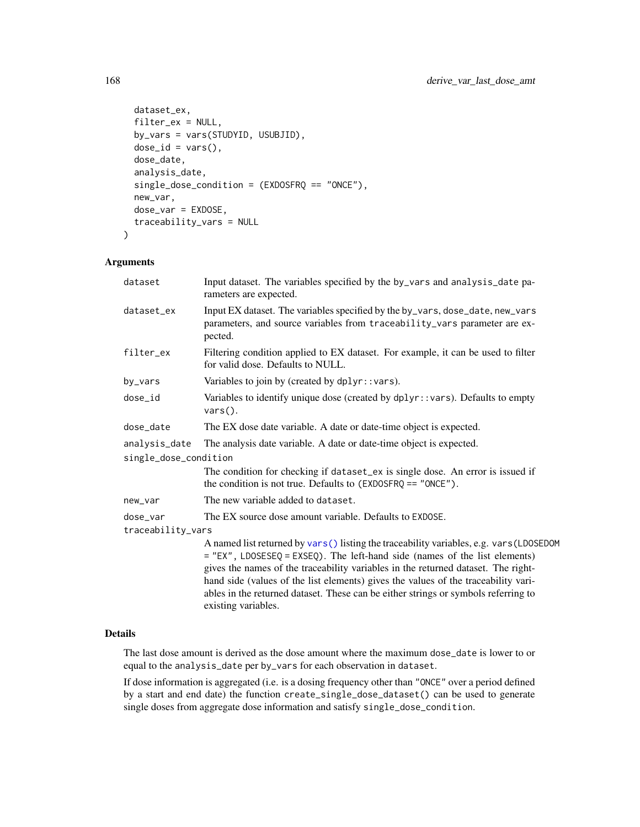```
dataset_ex,
 filter_ex = NULL,
 by_vars = vars(STUDYID, USUBJID),
 dose_id = vars(),dose_date,
  analysis_date,
  single_dose_condition = (EXDOSFRQ == "ONCE"),
 new_var,
 dose_var = EXDOSE,
  traceability_vars = NULL
\mathcal{L}
```
# Arguments

| dataset               | Input dataset. The variables specified by the by_vars and analysis_date pa-<br>rameters are expected.                                                                                                                                                                                                                                                                                                                                                            |
|-----------------------|------------------------------------------------------------------------------------------------------------------------------------------------------------------------------------------------------------------------------------------------------------------------------------------------------------------------------------------------------------------------------------------------------------------------------------------------------------------|
| dataset_ex            | Input EX dataset. The variables specified by the by_vars, dose_date, new_vars<br>parameters, and source variables from traceability_vars parameter are ex-<br>pected.                                                                                                                                                                                                                                                                                            |
| filter_ex             | Filtering condition applied to EX dataset. For example, it can be used to filter<br>for valid dose. Defaults to NULL.                                                                                                                                                                                                                                                                                                                                            |
| by_vars               | Variables to join by (created by dplyr::vars).                                                                                                                                                                                                                                                                                                                                                                                                                   |
| dose_id               | Variables to identify unique dose (created by dplyr::vars). Defaults to empty<br>$vars()$ .                                                                                                                                                                                                                                                                                                                                                                      |
| dose_date             | The EX dose date variable. A date or date-time object is expected.                                                                                                                                                                                                                                                                                                                                                                                               |
| analysis_date         | The analysis date variable. A date or date-time object is expected.                                                                                                                                                                                                                                                                                                                                                                                              |
| single_dose_condition |                                                                                                                                                                                                                                                                                                                                                                                                                                                                  |
|                       | The condition for checking if dataset_ex is single dose. An error is issued if<br>the condition is not true. Defaults to $(EXDOSFRQ == "ONCE").$                                                                                                                                                                                                                                                                                                                 |
| new_var               | The new variable added to dataset.                                                                                                                                                                                                                                                                                                                                                                                                                               |
| dose_var              | The EX source dose amount variable. Defaults to EXDOSE.                                                                                                                                                                                                                                                                                                                                                                                                          |
| traceability_vars     |                                                                                                                                                                                                                                                                                                                                                                                                                                                                  |
|                       | A named list returned by vars () listing the traceability variables, e.g. vars (LDOSEDOM<br>$=$ "EX", LDOSESEQ = EXSEQ). The left-hand side (names of the list elements)<br>gives the names of the traceability variables in the returned dataset. The right-<br>hand side (values of the list elements) gives the values of the traceability vari-<br>ables in the returned dataset. These can be either strings or symbols referring to<br>existing variables. |

## Details

The last dose amount is derived as the dose amount where the maximum dose\_date is lower to or equal to the analysis\_date per by\_vars for each observation in dataset.

If dose information is aggregated (i.e. is a dosing frequency other than "ONCE" over a period defined by a start and end date) the function create\_single\_dose\_dataset() can be used to generate single doses from aggregate dose information and satisfy single\_dose\_condition.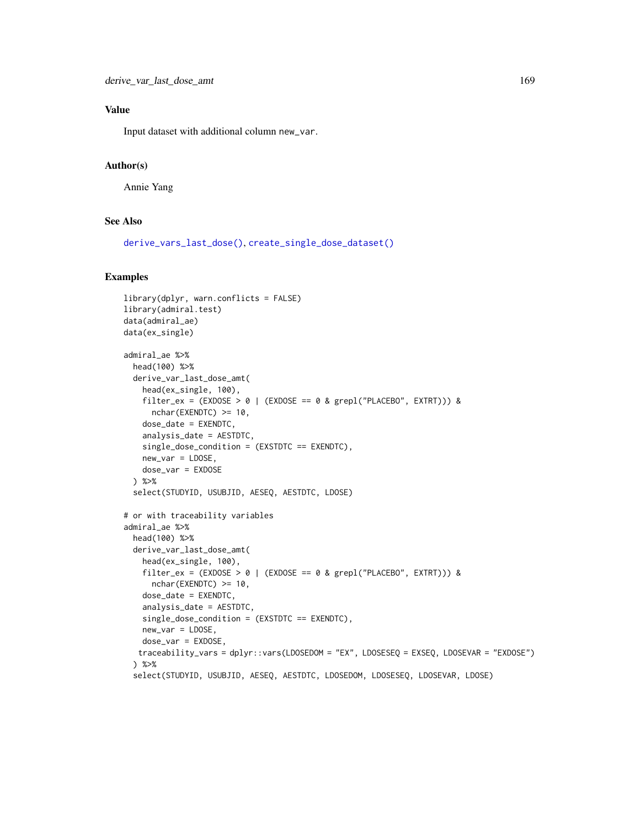# Value

Input dataset with additional column new\_var.

# Author(s)

Annie Yang

## See Also

[derive\\_vars\\_last\\_dose\(\)](#page-119-0), [create\\_single\\_dose\\_dataset\(\)](#page-52-0)

```
library(dplyr, warn.conflicts = FALSE)
library(admiral.test)
data(admiral_ae)
data(ex_single)
admiral_ae %>%
  head(100) %>%
  derive_var_last_dose_amt(
   head(ex_single, 100),
   filter_ex = (EXDOSE > 0 | (EXDOSE == 0 & grepl("PLACEBO", EXTRT))) &
      nchar(EXENDTC) >= 10,
    dose_date = EXENDTC,
    analysis_date = AESTDTC,
   single_dose_condition = (EXSTDTC == EXENDTC),
   new_var = LDOSE,
   dose_var = EXDOSE
  ) %>%
  select(STUDYID, USUBJID, AESEQ, AESTDTC, LDOSE)
# or with traceability variables
admiral_ae %>%
  head(100) %>%
  derive_var_last_dose_amt(
   head(ex_single, 100),
   filter_ex = (EXDOSE > 0 | (EXDOSE == 0 & grepl("PLACEBO", EXTRT))) &
     nchar(EXENDTC) >= 10,
    dose_date = EXENDTC,
    analysis_date = AESTDTC,
   single_dose_condition = (EXSTDTC == EXENDTC),
   new_var = LDOSE,
   dose_var = EXDOSE,
   traceability_vars = dplyr::vars(LDOSEDOM = "EX", LDOSESEQ = EXSEQ, LDOSEVAR = "EXDOSE")
  ) %>%
  select(STUDYID, USUBJID, AESEQ, AESTDTC, LDOSEDOM, LDOSESEQ, LDOSEVAR, LDOSE)
```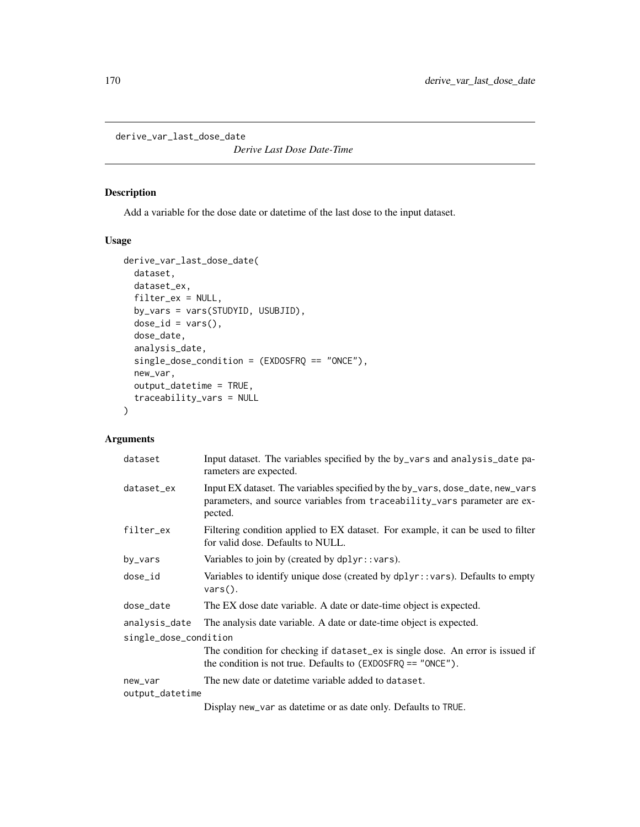derive\_var\_last\_dose\_date

*Derive Last Dose Date-Time*

# Description

Add a variable for the dose date or datetime of the last dose to the input dataset.

# Usage

```
derive_var_last_dose_date(
 dataset,
  dataset_ex,
 filter_ex = NULL,
 by_vars = vars(STUDYID, USUBJID),
 dose_id = vars(),
 dose_date,
  analysis_date,
  single_dose_condition = (EXDOSFRQ == "ONCE"),
 new_var,
 output_datetime = TRUE,
  traceability_vars = NULL
\mathcal{L}
```

| dataset               | Input dataset. The variables specified by the by_vars and analysis_date pa-<br>rameters are expected.                                                                 |
|-----------------------|-----------------------------------------------------------------------------------------------------------------------------------------------------------------------|
| dataset_ex            | Input EX dataset. The variables specified by the by_vars, dose_date, new_vars<br>parameters, and source variables from traceability_vars parameter are ex-<br>pected. |
| filter_ex             | Filtering condition applied to EX dataset. For example, it can be used to filter<br>for valid dose. Defaults to NULL.                                                 |
| by_vars               | Variables to join by (created by $d$ plyr::vars).                                                                                                                     |
| dose_id               | Variables to identify unique dose (created by dplyr::vars). Defaults to empty<br>$vars()$ .                                                                           |
| dose_date             | The EX dose date variable. A date or date-time object is expected.                                                                                                    |
| analysis_date         | The analysis date variable. A date or date-time object is expected.                                                                                                   |
| single_dose_condition |                                                                                                                                                                       |
|                       | The condition for checking if dataset_ex is single dose. An error is issued if<br>the condition is not true. Defaults to $(EXDOSFRQ == "ONCE")$ .                     |
| new_var               | The new date or date time variable added to dataset.                                                                                                                  |
| output_datetime       |                                                                                                                                                                       |
|                       | Display new_var as date time or as date only. Defaults to TRUE.                                                                                                       |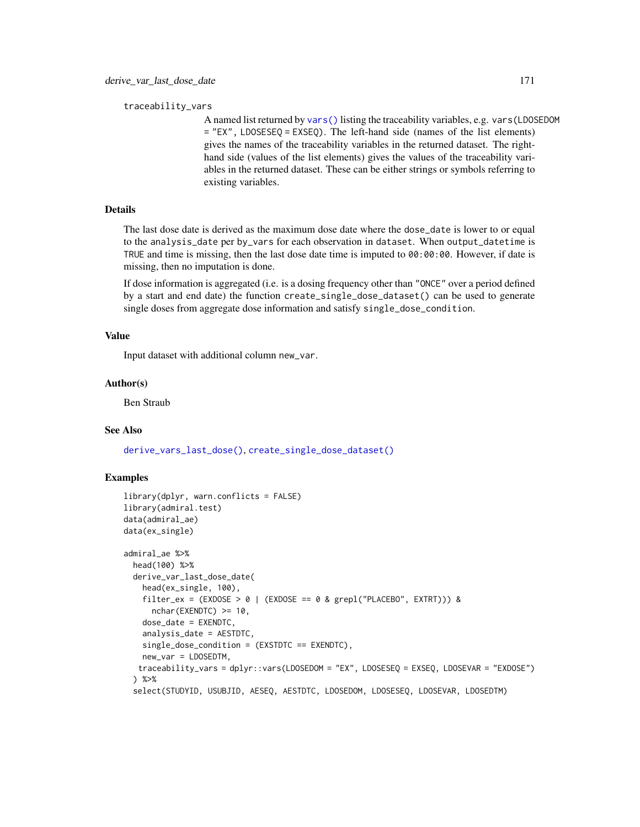traceability\_vars

A named list returned by [vars\(\)](#page-0-0) listing the traceability variables, e.g. vars(LDOSEDOM = "EX", LDOSESEQ = EXSEQ). The left-hand side (names of the list elements) gives the names of the traceability variables in the returned dataset. The righthand side (values of the list elements) gives the values of the traceability variables in the returned dataset. These can be either strings or symbols referring to existing variables.

# Details

The last dose date is derived as the maximum dose date where the dose\_date is lower to or equal to the analysis\_date per by\_vars for each observation in dataset. When output\_datetime is TRUE and time is missing, then the last dose date time is imputed to 00:00:00. However, if date is missing, then no imputation is done.

If dose information is aggregated (i.e. is a dosing frequency other than "ONCE" over a period defined by a start and end date) the function create\_single\_dose\_dataset() can be used to generate single doses from aggregate dose information and satisfy single\_dose\_condition.

### Value

Input dataset with additional column new\_var.

### Author(s)

Ben Straub

# See Also

[derive\\_vars\\_last\\_dose\(\)](#page-119-0), [create\\_single\\_dose\\_dataset\(\)](#page-52-0)

```
library(dplyr, warn.conflicts = FALSE)
library(admiral.test)
data(admiral_ae)
data(ex_single)
admiral_ae %>%
  head(100) %>%
  derive_var_last_dose_date(
   head(ex_single, 100),
    filter_ex = (EXDOSE > 0 | (EXDOSE == 0 & grepl("PLACEBO", EXTRT))) &
      nchar(EXENDTC) >= 10,
    dose_date = EXENDTC,
    analysis_date = AESTDTC,
    single_dose_condition = (EXSTDTC == EXENDTC),
    new_var = LDOSEDTM,
   traceability_vars = dplyr::vars(LDOSEDOM = "EX", LDOSESEQ = EXSEQ, LDOSEVAR = "EXDOSE")
  ) %>%
  select(STUDYID, USUBJID, AESEQ, AESTDTC, LDOSEDOM, LDOSESEQ, LDOSEVAR, LDOSEDTM)
```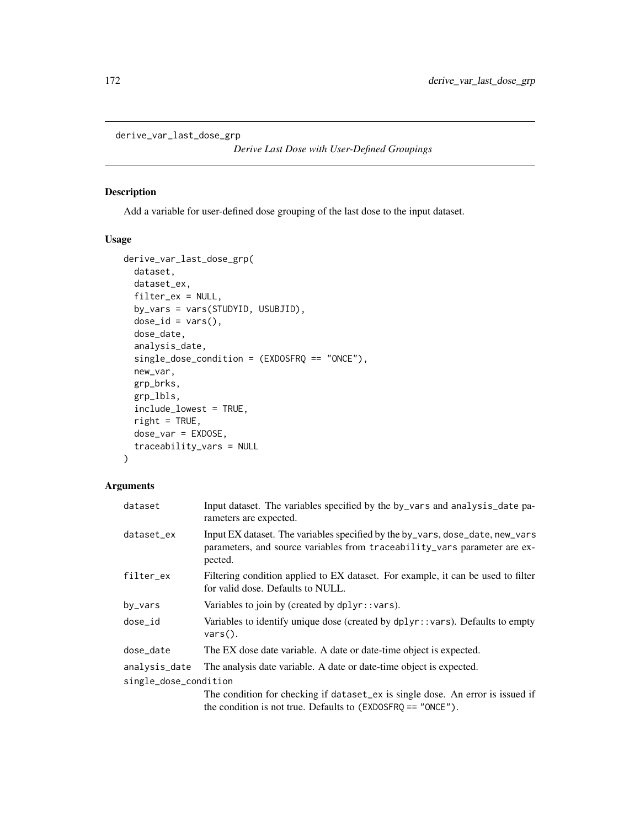```
derive_var_last_dose_grp
```
*Derive Last Dose with User-Defined Groupings*

# Description

Add a variable for user-defined dose grouping of the last dose to the input dataset.

### Usage

```
derive_var_last_dose_grp(
 dataset,
 dataset_ex,
  filter_ex = NULL,
 by_vars = vars(STUDYID, USUBJID),
  dose_id = vars(),dose_date,
  analysis_date,
  single_dose_condition = (EXDOSFRQ == "ONCE"),
  new_var,
 grp_brks,
  grp_lbls,
  include_lowest = TRUE,
  right = TRUE,dose_var = EXDOSE,
  traceability_vars = NULL
\mathcal{L}
```

| dataset               | Input dataset. The variables specified by the by_vars and analysis_date pa-<br>rameters are expected.                                                                 |
|-----------------------|-----------------------------------------------------------------------------------------------------------------------------------------------------------------------|
| dataset_ex            | Input EX dataset. The variables specified by the by_vars, dose_date, new_vars<br>parameters, and source variables from traceability_vars parameter are ex-<br>pected. |
| filter_ex             | Filtering condition applied to EX dataset. For example, it can be used to filter<br>for valid dose. Defaults to NULL.                                                 |
| by_vars               | Variables to join by (created by $d$ plyr:: vars).                                                                                                                    |
| dose_id               | Variables to identify unique dose (created by $dplyr$ : vars). Defaults to empty<br>$vars()$ .                                                                        |
| dose_date             | The EX dose date variable. A date or date-time object is expected.                                                                                                    |
| analysis_date         | The analysis date variable. A date or date-time object is expected.                                                                                                   |
| single_dose_condition |                                                                                                                                                                       |
|                       | The condition for checking if dataset_ex is single dose. An error is issued if<br>the condition is not true. Defaults to $(EXDOSFRQ == "ONCE")$ .                     |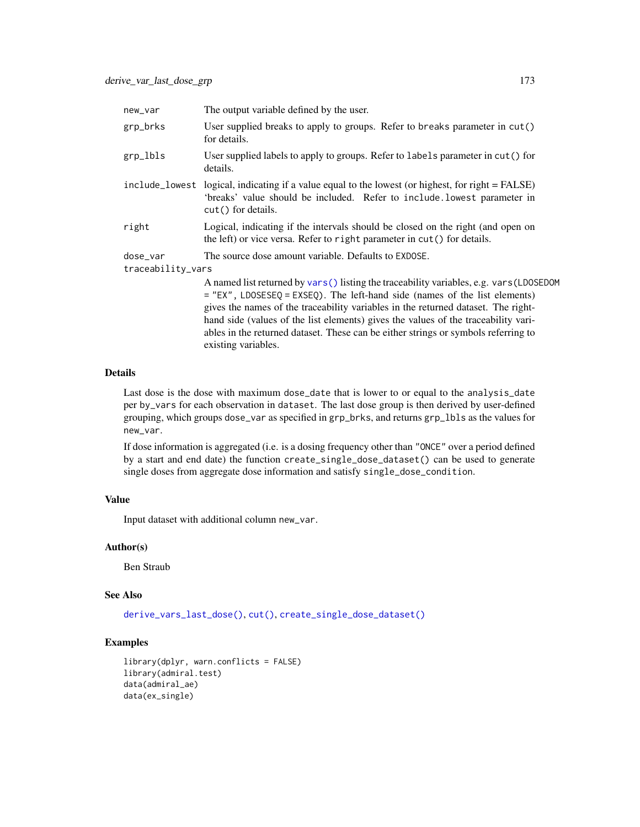| new_var                       | The output variable defined by the user.                                                                                                                                                                                                                      |
|-------------------------------|---------------------------------------------------------------------------------------------------------------------------------------------------------------------------------------------------------------------------------------------------------------|
| grp_brks                      | User supplied breaks to apply to groups. Refer to breaks parameter in $cut()$<br>for details.                                                                                                                                                                 |
| grp_lbls                      | User supplied labels to apply to groups. Refer to labels parameter in cut() for<br>details.                                                                                                                                                                   |
|                               | include_lowest logical, indicating if a value equal to the lowest (or highest, for right = FALSE)<br>'breaks' value should be included. Refer to include.lowest parameter in<br>$cut()$ for details.                                                          |
| right                         | Logical, indicating if the intervals should be closed on the right (and open on<br>the left) or vice versa. Refer to right parameter in cut() for details.                                                                                                    |
| dose_var<br>traceability_vars | The source dose amount variable. Defaults to EXDOSE.                                                                                                                                                                                                          |
|                               | A named list returned by vars () listing the traceability variables, e.g. vars (LDOSEDOM<br>$=$ "EX", LDOSESEQ = EXSEQ). The left-hand side (names of the list elements)<br>gives the names of the traceability variables in the returned dataset. The right- |

hand side (values of the list elements) gives the values of the traceability variables in the returned dataset. These can be either strings or symbols referring to existing variables.

# Details

Last dose is the dose with maximum dose\_date that is lower to or equal to the analysis\_date per by\_vars for each observation in dataset. The last dose group is then derived by user-defined grouping, which groups dose\_var as specified in grp\_brks, and returns grp\_lbls as the values for new\_var.

If dose information is aggregated (i.e. is a dosing frequency other than "ONCE" over a period defined by a start and end date) the function create\_single\_dose\_dataset() can be used to generate single doses from aggregate dose information and satisfy single\_dose\_condition.

# Value

Input dataset with additional column new\_var.

# Author(s)

Ben Straub

### See Also

[derive\\_vars\\_last\\_dose\(\)](#page-119-0), [cut\(\)](#page-0-0), [create\\_single\\_dose\\_dataset\(\)](#page-52-0)

```
library(dplyr, warn.conflicts = FALSE)
library(admiral.test)
data(admiral_ae)
data(ex_single)
```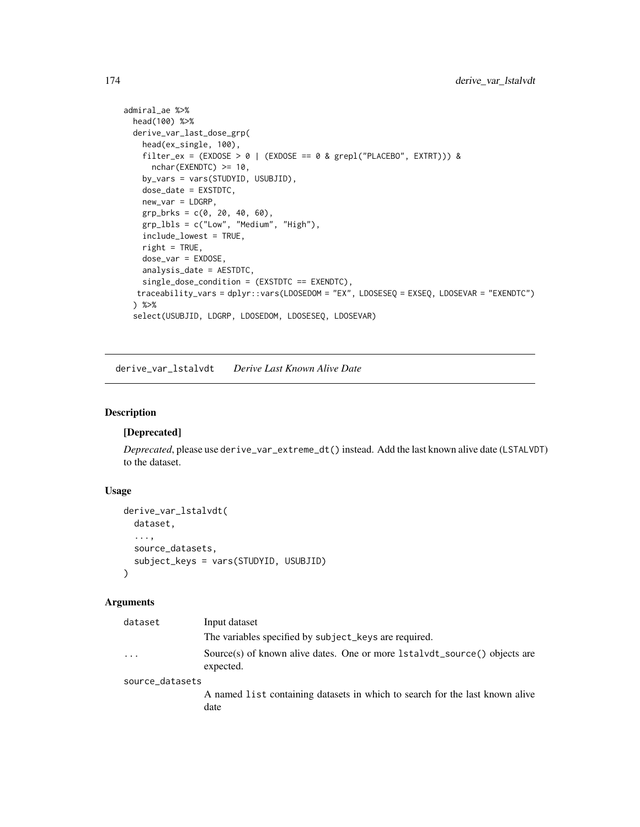```
admiral_ae %>%
 head(100) %>%
 derive_var_last_dose_grp(
   head(ex_single, 100),
   filter_ex = (EXDOSE > 0 | (EXDOSE == 0 & grepl("PLACEBO", EXTRT))) &
     nchar(EXENDTC) >= 10,
   by_vars = vars(STUDYID, USUBJID),
   dose_date = EXSTDTC,
   new_var = LDGRP,
   grp_brks = c(0, 20, 40, 60),
   grp_lbls = c("Low", "Medium", "High"),
   include_lowest = TRUE,
   right = TRUE,
   dose_var = EXDOSE,
   analysis_date = AESTDTC,
   single_dose_condition = (EXSTDTC == EXENDTC),
  traceability_vars = dplyr::vars(LDOSEDOM = "EX", LDOSESEQ = EXSEQ, LDOSEVAR = "EXENDTC")
 ) %>%
 select(USUBJID, LDGRP, LDOSEDOM, LDOSESEQ, LDOSEVAR)
```
derive\_var\_lstalvdt *Derive Last Known Alive Date*

# Description

### [Deprecated]

*Deprecated*, please use derive\_var\_extreme\_dt() instead. Add the last known alive date (LSTALVDT) to the dataset.

### Usage

```
derive_var_lstalvdt(
 dataset,
  ...,
 source_datasets,
 subject_keys = vars(STUDYID, USUBJID)
\lambda
```

| dataset         | Input dataset                                                                          |
|-----------------|----------------------------------------------------------------------------------------|
|                 | The variables specified by subject_keys are required.                                  |
| .               | Source(s) of known alive dates. One or more 1stalvdt_source() objects are<br>expected. |
| source_datasets |                                                                                        |
|                 | A named list containing datasets in which to search for the last known alive<br>date   |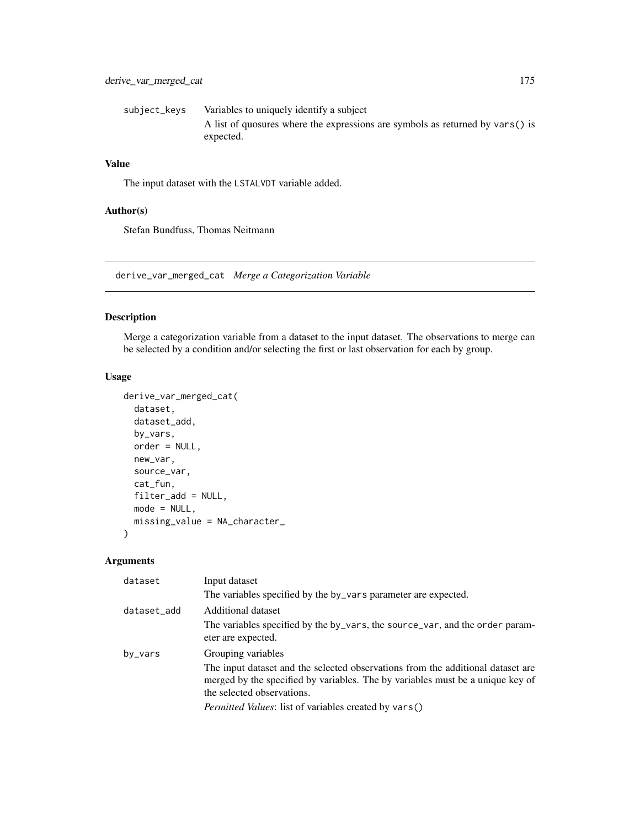| subject_kevs | Variables to uniquely identify a subject                                      |
|--------------|-------------------------------------------------------------------------------|
|              | A list of quosures where the expressions are symbols as returned by vars() is |
|              | expected.                                                                     |

# Value

The input dataset with the LSTALVDT variable added.

# Author(s)

Stefan Bundfuss, Thomas Neitmann

derive\_var\_merged\_cat *Merge a Categorization Variable*

# Description

Merge a categorization variable from a dataset to the input dataset. The observations to merge can be selected by a condition and/or selecting the first or last observation for each by group.

# Usage

```
derive_var_merged_cat(
 dataset,
  dataset_add,
 by_vars,
 order = NULL,
 new_var,
  source_var,
  cat_fun,
  filter_add = NULL,
 mode = NULL,missing_value = NA_character_
)
```

| dataset     | Input dataset                                                                                                                                                                                   |
|-------------|-------------------------------------------------------------------------------------------------------------------------------------------------------------------------------------------------|
|             | The variables specified by the by_vars parameter are expected.                                                                                                                                  |
| dataset_add | Additional dataset                                                                                                                                                                              |
|             | The variables specified by the by_vars, the source_var, and the order param-<br>eter are expected.                                                                                              |
| by_vars     | Grouping variables                                                                                                                                                                              |
|             | The input dataset and the selected observations from the additional dataset are<br>merged by the specified by variables. The by variables must be a unique key of<br>the selected observations. |
|             | Permitted Values: list of variables created by vars()                                                                                                                                           |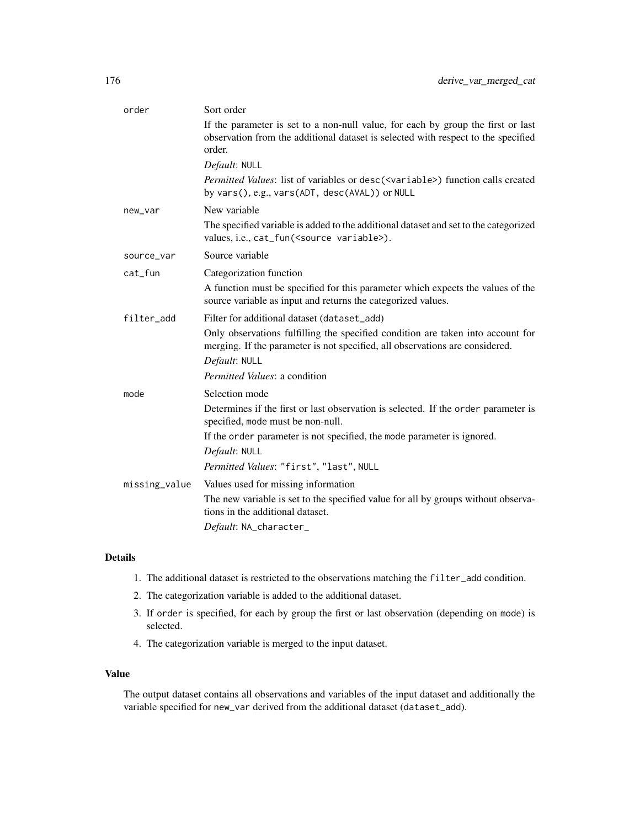| order         | Sort order                                                                                                                                                                      |
|---------------|---------------------------------------------------------------------------------------------------------------------------------------------------------------------------------|
|               | If the parameter is set to a non-null value, for each by group the first or last<br>observation from the additional dataset is selected with respect to the specified<br>order. |
|               | Default: NULL                                                                                                                                                                   |
|               | Permitted Values: list of variables or desc( <variable>) function calls created<br/>by vars(), e.g., vars(ADT, desc(AVAL)) or NULL</variable>                                   |
| new_var       | New variable                                                                                                                                                                    |
|               | The specified variable is added to the additional dataset and set to the categorized<br>values, i.e., cat_fun( <source variable=""/> ).                                         |
| source_var    | Source variable                                                                                                                                                                 |
| cat_fun       | Categorization function                                                                                                                                                         |
|               | A function must be specified for this parameter which expects the values of the<br>source variable as input and returns the categorized values.                                 |
| filter_add    | Filter for additional dataset (dataset_add)                                                                                                                                     |
|               | Only observations fulfilling the specified condition are taken into account for<br>merging. If the parameter is not specified, all observations are considered.                 |
|               | Default: NULL                                                                                                                                                                   |
|               | <i>Permitted Values: a condition</i>                                                                                                                                            |
| mode          | Selection mode                                                                                                                                                                  |
|               | Determines if the first or last observation is selected. If the order parameter is<br>specified, mode must be non-null.                                                         |
|               | If the order parameter is not specified, the mode parameter is ignored.                                                                                                         |
|               | Default: NULL                                                                                                                                                                   |
|               | Permitted Values: "first", "last", NULL                                                                                                                                         |
| missing_value | Values used for missing information                                                                                                                                             |
|               | The new variable is set to the specified value for all by groups without observa-<br>tions in the additional dataset.                                                           |
|               | Default: NA_character_                                                                                                                                                          |

# Details

- 1. The additional dataset is restricted to the observations matching the filter\_add condition.
- 2. The categorization variable is added to the additional dataset.
- 3. If order is specified, for each by group the first or last observation (depending on mode) is selected.
- 4. The categorization variable is merged to the input dataset.

# Value

The output dataset contains all observations and variables of the input dataset and additionally the variable specified for new\_var derived from the additional dataset (dataset\_add).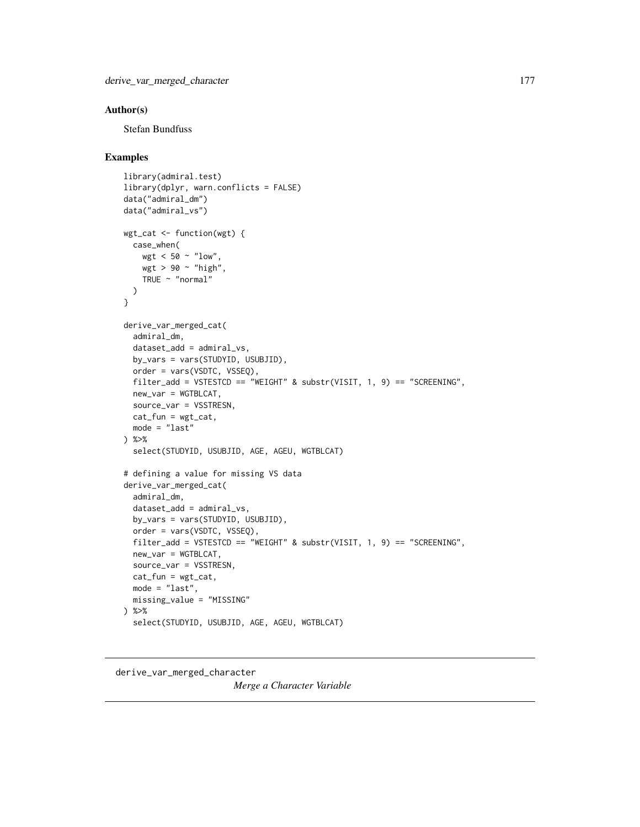## Author(s)

Stefan Bundfuss

### Examples

```
library(admiral.test)
library(dplyr, warn.conflicts = FALSE)
data("admiral_dm")
data("admiral_vs")
wgt_cat <- function(wgt) {
  case_when(
   wgt < 50 \sim "low",
   wgt > 90 ~ "high",
   TRUE ~ "normal"
  )
}
derive_var_merged_cat(
  admiral_dm,
  dataset_add = admiral_vs,
  by_vars = vars(STUDYID, USUBJID),
  order = vars(VSDTC, VSSEQ),
  filter_add = VSTESTCD == "WEIGHT" & substr(VISIT, 1, 9) == "SCREENING",
  new_var = WGTBLCAT,
  source_var = VSSTRESN,
  cat_fun = wgt_cat,
 mode = "last") %>%
  select(STUDYID, USUBJID, AGE, AGEU, WGTBLCAT)
# defining a value for missing VS data
derive_var_merged_cat(
  admiral_dm,
  dataset_add = admiral_vs,
 by_vars = vars(STUDYID, USUBJID),
  order = vars(VSDTC, VSSEQ),
 filter_add = VSTESTCD == "WEIGHT" & substr(VISIT, 1, 9) == "SCREENING",
 new_var = WGTBLCAT,
  source_var = VSSTRESN,
 cat_fun = wgt_cat,
 mode = "last",
  missing_value = "MISSING"
) %>%
  select(STUDYID, USUBJID, AGE, AGEU, WGTBLCAT)
```
# derive\_var\_merged\_character *Merge a Character Variable*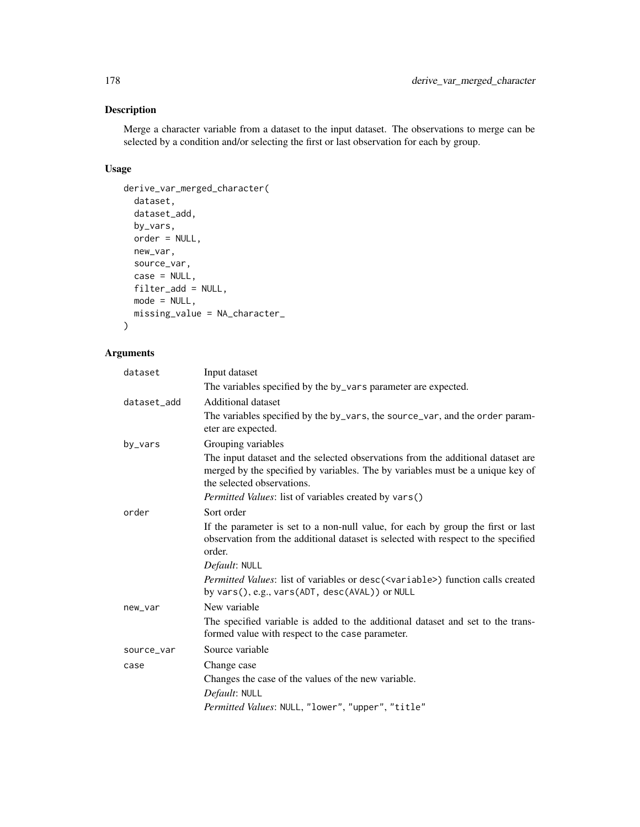# Description

Merge a character variable from a dataset to the input dataset. The observations to merge can be selected by a condition and/or selecting the first or last observation for each by group.

# Usage

```
derive_var_merged_character(
 dataset,
 dataset_add,
 by_vars,
 order = NULL,
 new_var,
 source_var,
 case = NULL,
 filter_add = NULL,
 mode = NULL,missing_value = NA_character_
)
```

| dataset     | Input dataset                                                                                                                                                                                   |
|-------------|-------------------------------------------------------------------------------------------------------------------------------------------------------------------------------------------------|
|             | The variables specified by the by_vars parameter are expected.                                                                                                                                  |
| dataset_add | <b>Additional dataset</b>                                                                                                                                                                       |
|             | The variables specified by the by_vars, the source_var, and the order param-<br>eter are expected.                                                                                              |
| by_vars     | Grouping variables                                                                                                                                                                              |
|             | The input dataset and the selected observations from the additional dataset are<br>merged by the specified by variables. The by variables must be a unique key of<br>the selected observations. |
|             | Permitted Values: list of variables created by vars()                                                                                                                                           |
| order       | Sort order                                                                                                                                                                                      |
|             | If the parameter is set to a non-null value, for each by group the first or last<br>observation from the additional dataset is selected with respect to the specified<br>order.                 |
|             | Default: NULL                                                                                                                                                                                   |
|             | Permitted Values: list of variables or desc( <variable>) function calls created<br/>by vars(), e.g., vars(ADT, desc(AVAL)) or NULL</variable>                                                   |
| new_var     | New variable                                                                                                                                                                                    |
|             | The specified variable is added to the additional dataset and set to the trans-<br>formed value with respect to the case parameter.                                                             |
| source_var  | Source variable                                                                                                                                                                                 |
| case        | Change case                                                                                                                                                                                     |
|             | Changes the case of the values of the new variable.                                                                                                                                             |
|             | Default: NULL                                                                                                                                                                                   |
|             | Permitted Values: NULL, "lower", "upper", "title"                                                                                                                                               |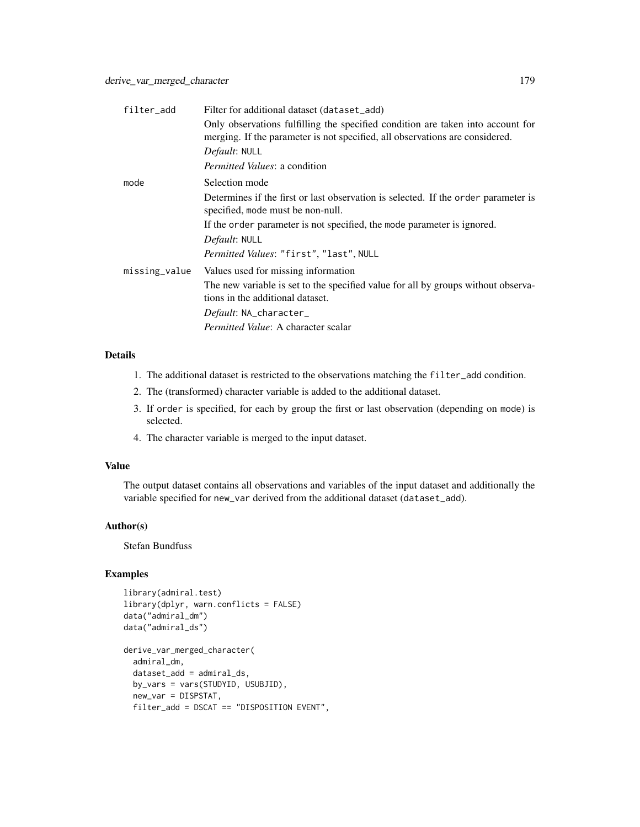| filter_add    | Filter for additional dataset (dataset_add)                                                                                                                     |
|---------------|-----------------------------------------------------------------------------------------------------------------------------------------------------------------|
|               | Only observations fulfilling the specified condition are taken into account for<br>merging. If the parameter is not specified, all observations are considered. |
|               | Default: NULL                                                                                                                                                   |
|               | <i>Permitted Values: a condition</i>                                                                                                                            |
| mode          | Selection mode                                                                                                                                                  |
|               | Determines if the first or last observation is selected. If the order parameter is<br>specified, mode must be non-null.                                         |
|               | If the order parameter is not specified, the mode parameter is ignored.                                                                                         |
|               | Default: NULL                                                                                                                                                   |
|               | Permitted Values: "first", "last", NULL                                                                                                                         |
| missing_value | Values used for missing information                                                                                                                             |
|               | The new variable is set to the specified value for all by groups without observa-<br>tions in the additional dataset.                                           |
|               | Default: NA_character_                                                                                                                                          |
|               | <i>Permitted Value:</i> A character scalar                                                                                                                      |

# Details

- 1. The additional dataset is restricted to the observations matching the filter\_add condition.
- 2. The (transformed) character variable is added to the additional dataset.
- 3. If order is specified, for each by group the first or last observation (depending on mode) is selected.
- 4. The character variable is merged to the input dataset.

## Value

The output dataset contains all observations and variables of the input dataset and additionally the variable specified for new\_var derived from the additional dataset (dataset\_add).

### Author(s)

Stefan Bundfuss

```
library(admiral.test)
library(dplyr, warn.conflicts = FALSE)
data("admiral_dm")
data("admiral_ds")
derive_var_merged_character(
 admiral_dm,
 dataset_add = admiral_ds,
 by_vars = vars(STUDYID, USUBJID),
 new_var = DISPSTAT,
 filter_add = DSCAT == "DISPOSITION EVENT",
```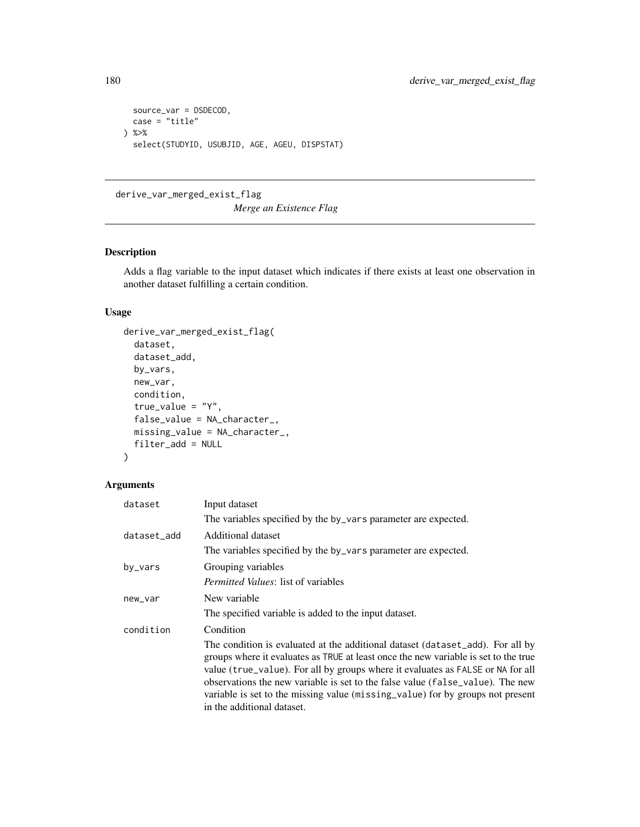```
source_var = DSDECOD,
  case = "title"
) %>%
  select(STUDYID, USUBJID, AGE, AGEU, DISPSTAT)
```
derive\_var\_merged\_exist\_flag

*Merge an Existence Flag*

# Description

Adds a flag variable to the input dataset which indicates if there exists at least one observation in another dataset fulfilling a certain condition.

# Usage

```
derive_var_merged_exist_flag(
  dataset,
  dataset_add,
 by_vars,
  new_var,
  condition,
  true_value = "Y",
  false_value = NA_character_,
 missing_value = NA_character_,
  filter_add = NULL
\mathcal{L}
```

| dataset     | Input dataset                                                                                                                                                                                                                                                                                                                                                                                                                                              |
|-------------|------------------------------------------------------------------------------------------------------------------------------------------------------------------------------------------------------------------------------------------------------------------------------------------------------------------------------------------------------------------------------------------------------------------------------------------------------------|
|             | The variables specified by the by_vars parameter are expected.                                                                                                                                                                                                                                                                                                                                                                                             |
| dataset_add | Additional dataset                                                                                                                                                                                                                                                                                                                                                                                                                                         |
|             | The variables specified by the by_vars parameter are expected.                                                                                                                                                                                                                                                                                                                                                                                             |
| by_vars     | Grouping variables                                                                                                                                                                                                                                                                                                                                                                                                                                         |
|             | <i>Permitted Values: list of variables</i>                                                                                                                                                                                                                                                                                                                                                                                                                 |
| new_var     | New variable                                                                                                                                                                                                                                                                                                                                                                                                                                               |
|             | The specified variable is added to the input dataset.                                                                                                                                                                                                                                                                                                                                                                                                      |
| condition   | Condition                                                                                                                                                                                                                                                                                                                                                                                                                                                  |
|             | The condition is evaluated at the additional dataset (dataset_add). For all by<br>groups where it evaluates as TRUE at least once the new variable is set to the true<br>value (true_value). For all by groups where it evaluates as FALSE or NA for all<br>observations the new variable is set to the false value (false_value). The new<br>variable is set to the missing value (missing value) for by groups not present<br>in the additional dataset. |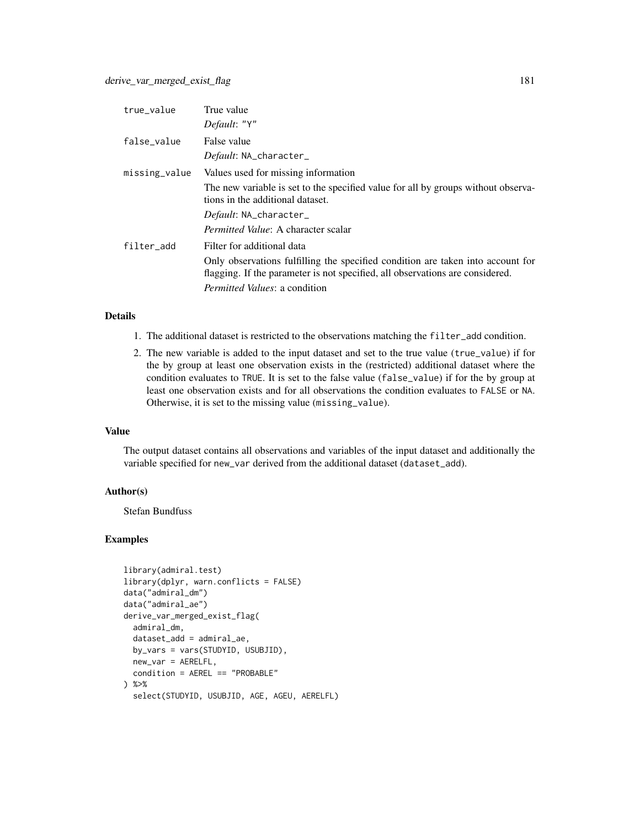| true_value    | True value                                                                                                                                                       |
|---------------|------------------------------------------------------------------------------------------------------------------------------------------------------------------|
|               | Default: "Y"                                                                                                                                                     |
| false_value   | False value                                                                                                                                                      |
|               | Default: NA_character_                                                                                                                                           |
| missing_value | Values used for missing information                                                                                                                              |
|               | The new variable is set to the specified value for all by groups without observa-<br>tions in the additional dataset.                                            |
|               | Default: NA_character_                                                                                                                                           |
|               | <i>Permitted Value:</i> A character scalar                                                                                                                       |
| filter add    | Filter for additional data                                                                                                                                       |
|               | Only observations fulfilling the specified condition are taken into account for<br>flagging. If the parameter is not specified, all observations are considered. |
|               | <i>Permitted Values: a condition</i>                                                                                                                             |

# Details

- 1. The additional dataset is restricted to the observations matching the filter\_add condition.
- 2. The new variable is added to the input dataset and set to the true value (true\_value) if for the by group at least one observation exists in the (restricted) additional dataset where the condition evaluates to TRUE. It is set to the false value (false\_value) if for the by group at least one observation exists and for all observations the condition evaluates to FALSE or NA. Otherwise, it is set to the missing value (missing\_value).

#### Value

The output dataset contains all observations and variables of the input dataset and additionally the variable specified for new\_var derived from the additional dataset (dataset\_add).

## Author(s)

Stefan Bundfuss

```
library(admiral.test)
library(dplyr, warn.conflicts = FALSE)
data("admiral_dm")
data("admiral_ae")
derive_var_merged_exist_flag(
  admiral_dm,
  dataset_add = admiral_ae,
  by_vars = vars(STUDYID, USUBJID),
  new_var = AERELFL,
  condition = AEREL == "PROBABLE"
) %>%
  select(STUDYID, USUBJID, AGE, AGEU, AERELFL)
```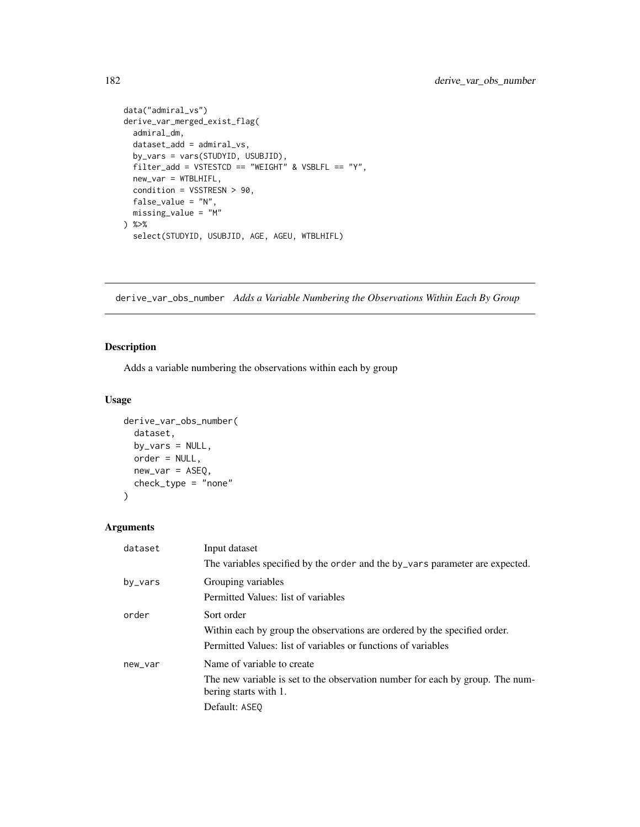```
data("admiral_vs")
derive_var_merged_exist_flag(
 admiral_dm,
 dataset_add = admiral_vs,
 by_vars = vars(STUDYID, USUBJID),
  filter\_add = VSTESTCD == "WEIGHT" & VSBLFL == "Y",
 new_var = WTBLHIFL,
 condition = VSSTRESN > 90,
 false_value = "N",
 missing_value = "M"
) %>%
  select(STUDYID, USUBJID, AGE, AGEU, WTBLHIFL)
```
derive\_var\_obs\_number *Adds a Variable Numbering the Observations Within Each By Group*

## Description

Adds a variable numbering the observations within each by group

## Usage

```
derive_var_obs_number(
  dataset,
 by_vars = NULL,order = NULL,
 new_var = ASEQ,
 check_type = "none"
\lambda
```

| dataset | Input dataset                                                                                                                                            |
|---------|----------------------------------------------------------------------------------------------------------------------------------------------------------|
|         | The variables specified by the order and the by_vars parameter are expected.                                                                             |
| by_vars | Grouping variables<br>Permitted Values: list of variables                                                                                                |
| order   | Sort order<br>Within each by group the observations are ordered by the specified order.<br>Permitted Values: list of variables or functions of variables |
| new_var | Name of variable to create<br>The new variable is set to the observation number for each by group. The num-<br>bering starts with 1.<br>Default: ASEO    |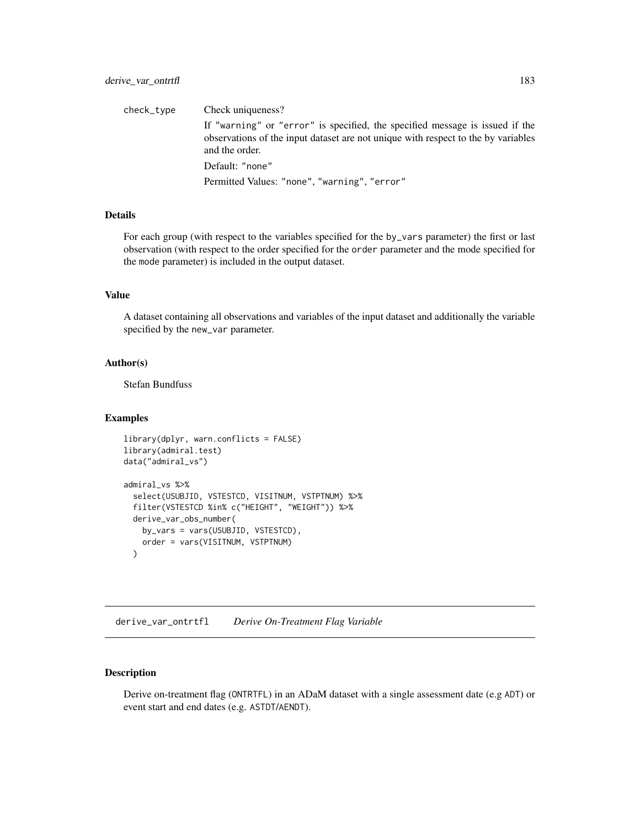check\_type Check uniqueness? If "warning" or "error" is specified, the specified message is issued if the observations of the input dataset are not unique with respect to the by variables and the order. Default: "none" Permitted Values: "none", "warning", "error"

## Details

For each group (with respect to the variables specified for the by\_vars parameter) the first or last observation (with respect to the order specified for the order parameter and the mode specified for the mode parameter) is included in the output dataset.

#### Value

A dataset containing all observations and variables of the input dataset and additionally the variable specified by the new\_var parameter.

#### Author(s)

Stefan Bundfuss

#### Examples

```
library(dplyr, warn.conflicts = FALSE)
library(admiral.test)
data("admiral_vs")
admiral_vs %>%
 select(USUBJID, VSTESTCD, VISITNUM, VSTPTNUM) %>%
 filter(VSTESTCD %in% c("HEIGHT", "WEIGHT")) %>%
 derive_var_obs_number(
   by_vars = vars(USUBJID, VSTESTCD),
   order = vars(VISITNUM, VSTPTNUM)
```

```
)
```
derive\_var\_ontrtfl *Derive On-Treatment Flag Variable*

## Description

Derive on-treatment flag (ONTRTFL) in an ADaM dataset with a single assessment date (e.g ADT) or event start and end dates (e.g. ASTDT/AENDT).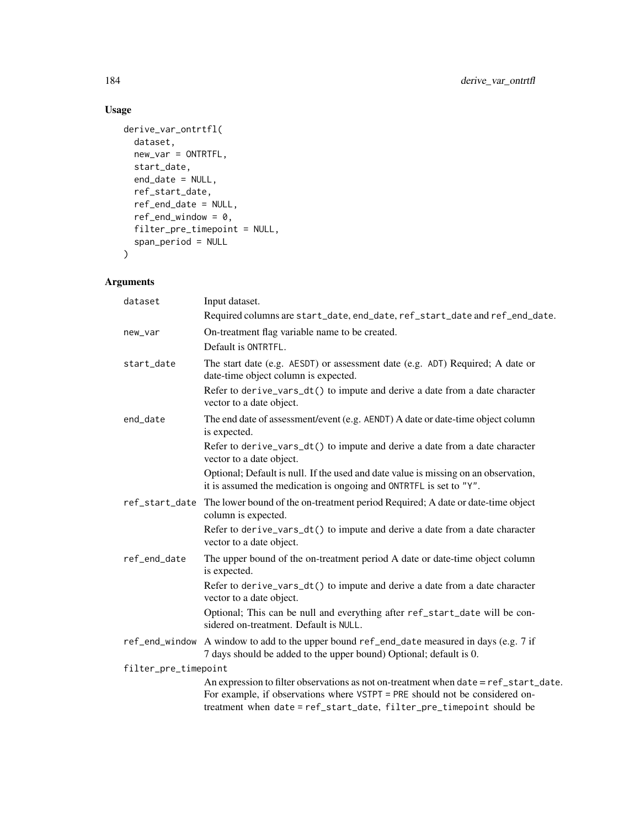# Usage

```
derive_var_ontrtfl(
  dataset,
  new\_var = ONTRTFL,
  start_date,
  end_date = NULL,
  ref_start_date,
  ref_end_date = NULL,
  ref\_end\_window = 0,filter_pre_timepoint = NULL,
  span_period = NULL
\mathcal{L}
```

| dataset              | Input dataset.                                                                                                                                                                                                                              |
|----------------------|---------------------------------------------------------------------------------------------------------------------------------------------------------------------------------------------------------------------------------------------|
|                      | Required columns are start_date, end_date, ref_start_date and ref_end_date.                                                                                                                                                                 |
| new_var              | On-treatment flag variable name to be created.                                                                                                                                                                                              |
|                      | Default is ONTRTFL.                                                                                                                                                                                                                         |
| start_date           | The start date (e.g. AESDT) or assessment date (e.g. ADT) Required; A date or<br>date-time object column is expected.                                                                                                                       |
|                      | Refer to derive_vars_dt() to impute and derive a date from a date character<br>vector to a date object.                                                                                                                                     |
| end date             | The end date of assessment/event (e.g. AENDT) A date or date-time object column<br>is expected.                                                                                                                                             |
|                      | Refer to derive_vars_dt() to impute and derive a date from a date character<br>vector to a date object.                                                                                                                                     |
|                      | Optional; Default is null. If the used and date value is missing on an observation,<br>it is assumed the medication is ongoing and ONTRTFL is set to "Y".                                                                                   |
| ref_start_date       | The lower bound of the on-treatment period Required; A date or date-time object<br>column is expected.                                                                                                                                      |
|                      | Refer to derive_vars_dt() to impute and derive a date from a date character<br>vector to a date object.                                                                                                                                     |
| ref_end_date         | The upper bound of the on-treatment period A date or date-time object column<br>is expected.                                                                                                                                                |
|                      | Refer to derive_vars_dt() to impute and derive a date from a date character<br>vector to a date object.                                                                                                                                     |
|                      | Optional; This can be null and everything after ref_start_date will be con-<br>sidered on-treatment. Default is NULL.                                                                                                                       |
|                      | ref_end_window A window to add to the upper bound ref_end_date measured in days (e.g. 7 if<br>7 days should be added to the upper bound) Optional; default is 0.                                                                            |
| filter_pre_timepoint |                                                                                                                                                                                                                                             |
|                      | An expression to filter observations as not on-treatment when date = ref_start_date.<br>For example, if observations where VSTPT = PRE should not be considered on-<br>treatment when date = ref_start_date, filter_pre_timepoint should be |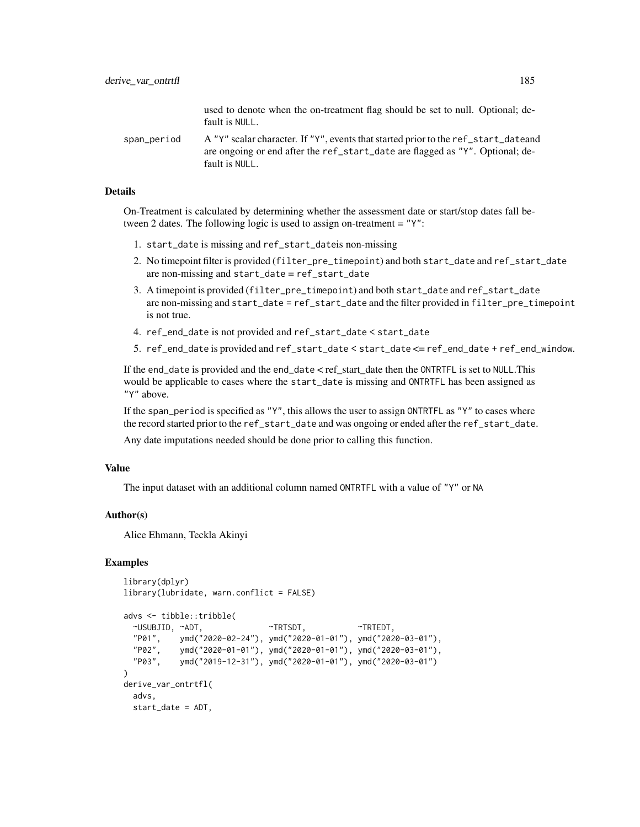used to denote when the on-treatment flag should be set to null. Optional; default is NULL.

span\_period A "Y" scalar character. If "Y", events that started prior to the ref\_start\_dateand are ongoing or end after the ref\_start\_date are flagged as "Y". Optional; default is NULL.

## Details

On-Treatment is calculated by determining whether the assessment date or start/stop dates fall between 2 dates. The following logic is used to assign on-treatment =  $"Y"$ :

- 1. start\_date is missing and ref\_start\_dateis non-missing
- 2. No timepoint filter is provided (filter\_pre\_timepoint) and both start\_date and ref\_start\_date are non-missing and start\_date = ref\_start\_date
- 3. A timepoint is provided (filter\_pre\_timepoint) and both start\_date and ref\_start\_date are non-missing and start\_date = ref\_start\_date and the filter provided in filter\_pre\_timepoint is not true.
- 4. ref\_end\_date is not provided and ref\_start\_date < start\_date
- 5. ref\_end\_date is provided and ref\_start\_date < start\_date <= ref\_end\_date + ref\_end\_window.

If the end\_date is provided and the end\_date  $\lt$  ref\_start\_date then the ONTRTFL is set to NULL. This would be applicable to cases where the start\_date is missing and ONTRTFL has been assigned as "Y" above.

If the span\_period is specified as "Y", this allows the user to assign ONTRTFL as "Y" to cases where the record started prior to the ref\_start\_date and was ongoing or ended after the ref\_start\_date.

Any date imputations needed should be done prior to calling this function.

#### Value

The input dataset with an additional column named ONTRTFL with a value of "Y" or NA

## Author(s)

Alice Ehmann, Teckla Akinyi

```
library(dplyr)
library(lubridate, warn.conflict = FALSE)
```

```
advs <- tibble::tribble(
 ~USUBJID, ~ADT, ~TRTSDT, ~TRTEDT,
 "P01", ymd("2020-02-24"), ymd("2020-01-01"), ymd("2020-03-01"),
 "P02", ymd("2020-01-01"), ymd("2020-01-01"), ymd("2020-03-01"),
 "P03", ymd("2019-12-31"), ymd("2020-01-01"), ymd("2020-03-01")
)
derive_var_ontrtfl(
 advs,
 start_date = ADT,
```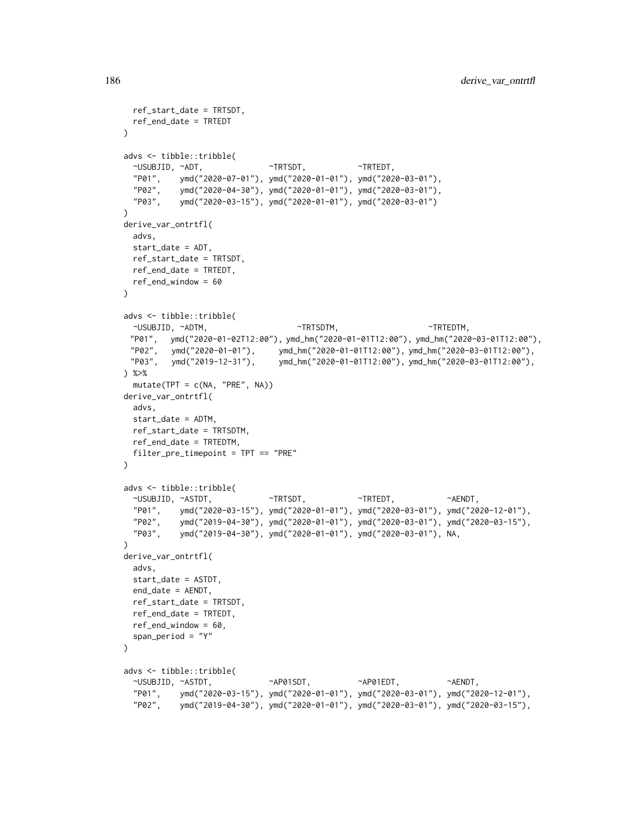```
ref_start_date = TRTSDT,
 ref_end_date = TRTEDT
)
advs <- tibble::tribble(
 ~USUBJID, ~ADT, ~TRTSDT, ~TRTEDT,
 "P01", ymd("2020-07-01"), ymd("2020-01-01"), ymd("2020-03-01"),
 "P02", ymd("2020-04-30"), ymd("2020-01-01"), ymd("2020-03-01"),
  "P03", ymd("2020-03-15"), ymd("2020-01-01"), ymd("2020-03-01")
\lambdaderive_var_ontrtfl(
 advs,
 start_date = ADT,
 ref_start_date = TRTSDT,
 ref_end_date = TRTEDT,
 ref_end_window = 60
)
advs <- tibble::tribble(
 \simUSUBJID, \simADTM, \simTRTSDTM, \simTRTSDTM, \simTRTEDTM, \sim"P01", ymd("2020-01-02T12:00"), ymd_hm("2020-01-01T12:00"), ymd_hm("2020-03-01T12:00"),
 "P02", ymd("2020-01-01"), ymd_hm("2020-01-01T12:00"), ymd_hm("2020-03-01T12:00"),
 "P03", ymd("2019-12-31"), ymd_hm("2020-01-01T12:00"), ymd_hm("2020-03-01T12:00"),
) %>%
 mutate(TPT = c(NA, "PRE", NA))
derive_var_ontrtfl(
 advs,
 start_date = ADTM,
 ref_start_date = TRTSDTM,
 ref_end_date = TRTEDTM,
 filter_pre_timepoint = TPT == "PRE"
\lambdaadvs <- tibble::tribble(
 ~USUBJID, ~ASTDT, ~TRTSDT, ~TRTEDT, ~AENDT,
 "P01", ymd("2020-03-15"), ymd("2020-01-01"), ymd("2020-03-01"), ymd("2020-12-01"),
 "P02", ymd("2019-04-30"), ymd("2020-01-01"), ymd("2020-03-01"), ymd("2020-03-15"),
  "P03", ymd("2019-04-30"), ymd("2020-01-01"), ymd("2020-03-01"), NA,
)
derive_var_ontrtfl(
 advs,
 start_date = ASTDT,
 end_date = AENDT,
 ref_start_date = TRTSDT,
 ref_end_date = TRTEDT,
 ref_end_window = 60,
 span_period = "Y"
\lambdaadvs <- tibble::tribble(
 ~USUBJID, ~ASTDT, ~AP01SDT, ~AP01EDT, ~AENDT,
  "P01", ymd("2020-03-15"), ymd("2020-01-01"), ymd("2020-03-01"), ymd("2020-12-01"),
  "P02", ymd("2019-04-30"), ymd("2020-01-01"), ymd("2020-03-01"), ymd("2020-03-15"),
```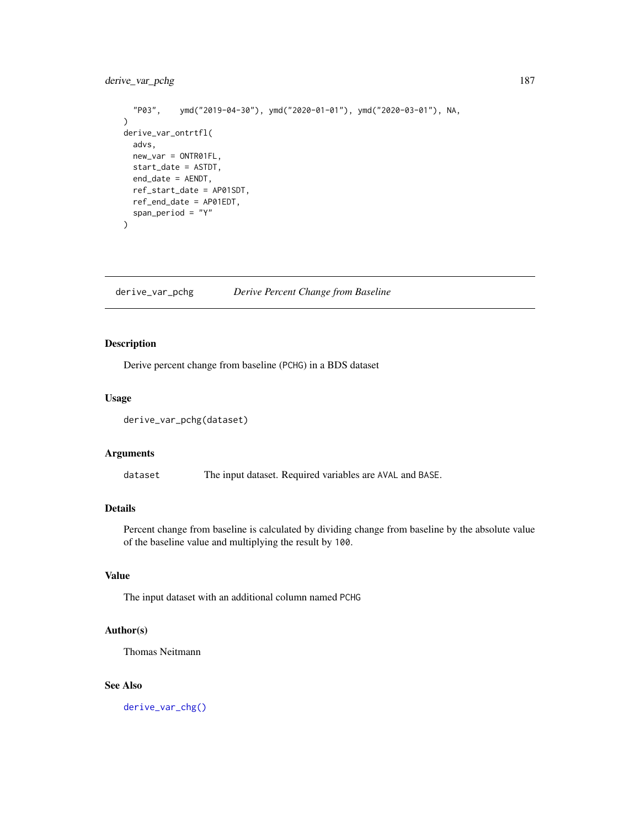# derive\_var\_pchg 187

```
"P03", ymd("2019-04-30"), ymd("2020-01-01"), ymd("2020-03-01"), NA,
\mathcal{L}derive_var_ontrtfl(
  advs,
  new_var = ONTR01FL,
  start_date = ASTDT,
  end_date = AENDT,
  ref_start_date = AP01SDT,
  ref_end_date = AP01EDT,
  span_period = "Y"
\mathcal{L}
```
## derive\_var\_pchg *Derive Percent Change from Baseline*

# Description

Derive percent change from baseline (PCHG) in a BDS dataset

#### Usage

```
derive_var_pchg(dataset)
```
## Arguments

dataset The input dataset. Required variables are AVAL and BASE.

# **Details**

Percent change from baseline is calculated by dividing change from baseline by the absolute value of the baseline value and multiplying the result by 100.

# Value

The input dataset with an additional column named PCHG

## Author(s)

Thomas Neitmann

## See Also

[derive\\_var\\_chg\(\)](#page-149-0)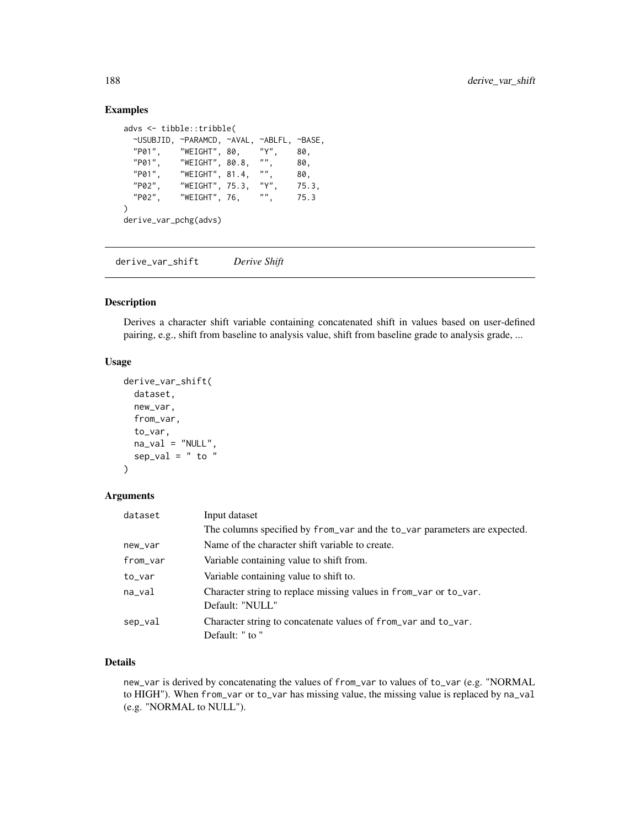## Examples

```
advs <- tibble::tribble(
 ~USUBJID, ~PARAMCD, ~AVAL, ~ABLFL, ~BASE,
 "P01", "WEIGHT", 80, "Y", 80,
  "P01", "WEIGHT", 80.8, "", 80,
  "P01", "WEIGHT", 81.4, "", 80,
 "P02", "WEIGHT", 75.3, "Y", 75.3,
 "P02", "WEIGHT", 76, "", 75.3
\lambdaderive_var_pchg(advs)
```
derive\_var\_shift *Derive Shift*

### Description

Derives a character shift variable containing concatenated shift in values based on user-defined pairing, e.g., shift from baseline to analysis value, shift from baseline grade to analysis grade, ...

# Usage

```
derive_var_shift(
  dataset,
  new_var,
  from_var,
  to_var,
  na\_val = "NULL",sep\_val = " to ")
```
#### Arguments

| dataset  | Input dataset                                                                        |
|----------|--------------------------------------------------------------------------------------|
|          | The columns specified by from var and the to var parameters are expected.            |
| new_var  | Name of the character shift variable to create.                                      |
| from_var | Variable containing value to shift from.                                             |
| to_var   | Variable containing value to shift to.                                               |
| na_val   | Character string to replace missing values in from_var or to_var.<br>Default: "NULL" |
| sep_val  | Character string to concatenate values of from_var and to_var.<br>Default: " to "    |

# Details

new\_var is derived by concatenating the values of from\_var to values of to\_var (e.g. "NORMAL to HIGH"). When from\_var or to\_var has missing value, the missing value is replaced by na\_val (e.g. "NORMAL to NULL").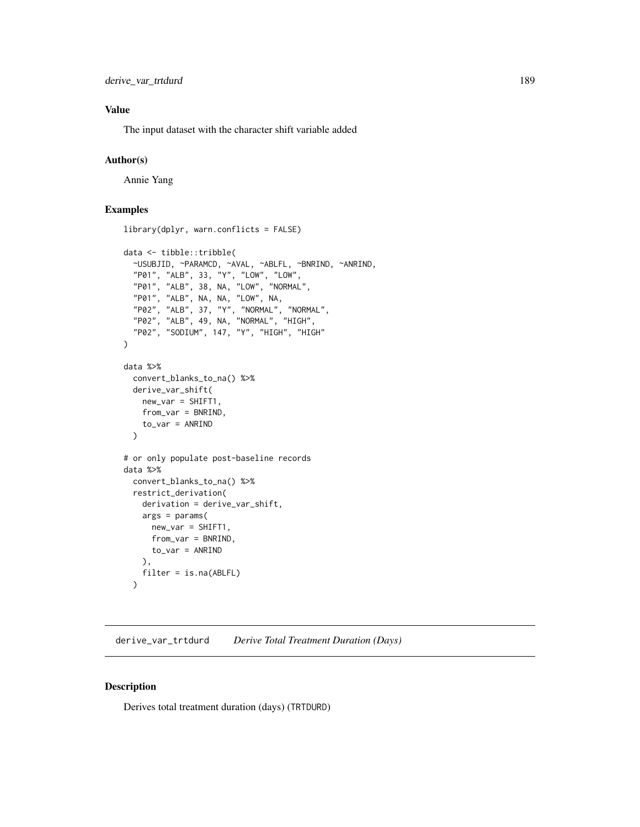## Value

The input dataset with the character shift variable added

## Author(s)

Annie Yang

## Examples

```
library(dplyr, warn.conflicts = FALSE)
data <- tibble::tribble(
 ~USUBJID, ~PARAMCD, ~AVAL, ~ABLFL, ~BNRIND, ~ANRIND,
  "P01", "ALB", 33, "Y", "LOW", "LOW",
  "P01", "ALB", 38, NA, "LOW", "NORMAL",
  "P01", "ALB", NA, NA, "LOW", NA,
  "P02", "ALB", 37, "Y", "NORMAL", "NORMAL",
  "P02", "ALB", 49, NA, "NORMAL", "HIGH",
  "P02", "SODIUM", 147, "Y", "HIGH", "HIGH"
)
data %>%
 convert_blanks_to_na() %>%
 derive_var_shift(
   new\_var = SHIFT1from_var = BNRIND,
   to_var = ANRIND
 )
# or only populate post-baseline records
data %>%
 convert_blanks_to_na() %>%
 restrict_derivation(
```
derivation = derive\_var\_shift, args = params( new\_var = SHIFT1, from\_var = BNRIND, to\_var = ANRIND ), filter = is.na(ABLFL)  $\lambda$ 

derive\_var\_trtdurd *Derive Total Treatment Duration (Days)*

#### Description

Derives total treatment duration (days) (TRTDURD)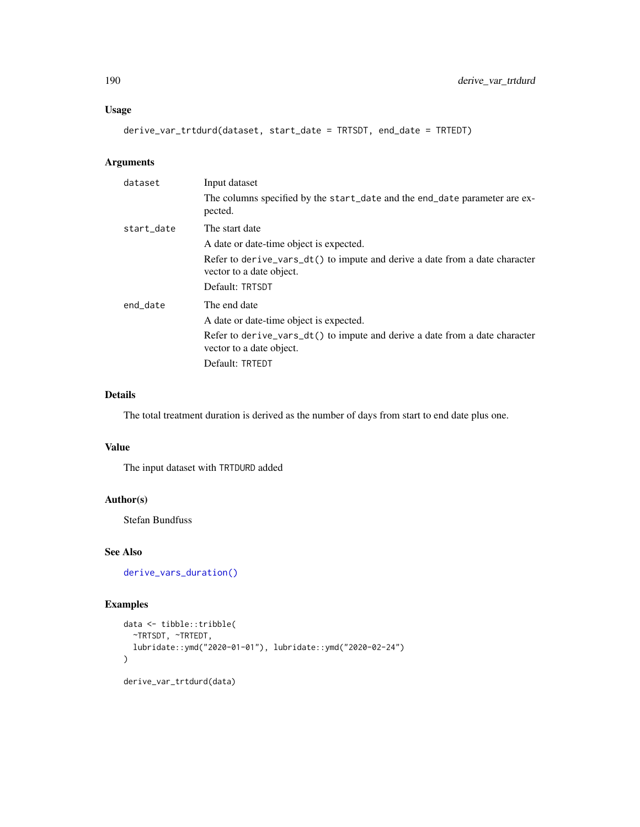## Usage

derive\_var\_trtdurd(dataset, start\_date = TRTSDT, end\_date = TRTEDT)

## Arguments

| dataset    | Input dataset                                                                                           |
|------------|---------------------------------------------------------------------------------------------------------|
|            | The columns specified by the start_date and the end_date parameter are ex-<br>pected.                   |
| start_date | The start date                                                                                          |
|            | A date or date-time object is expected.                                                                 |
|            | Refer to derive_vars_dt() to impute and derive a date from a date character<br>vector to a date object. |
|            | Default: TRTSDT                                                                                         |
| end_date   | The end date                                                                                            |
|            | A date or date-time object is expected.                                                                 |
|            | Refer to derive_vars_dt() to impute and derive a date from a date character<br>vector to a date object. |
|            | Default: TRTEDT                                                                                         |

# Details

The total treatment duration is derived as the number of days from start to end date plus one.

### Value

The input dataset with TRTDURD added

## Author(s)

Stefan Bundfuss

## See Also

[derive\\_vars\\_duration\(\)](#page-115-0)

```
data <- tibble::tribble(
  ~TRTSDT, ~TRTEDT,
  lubridate::ymd("2020-01-01"), lubridate::ymd("2020-02-24")
)
derive_var_trtdurd(data)
```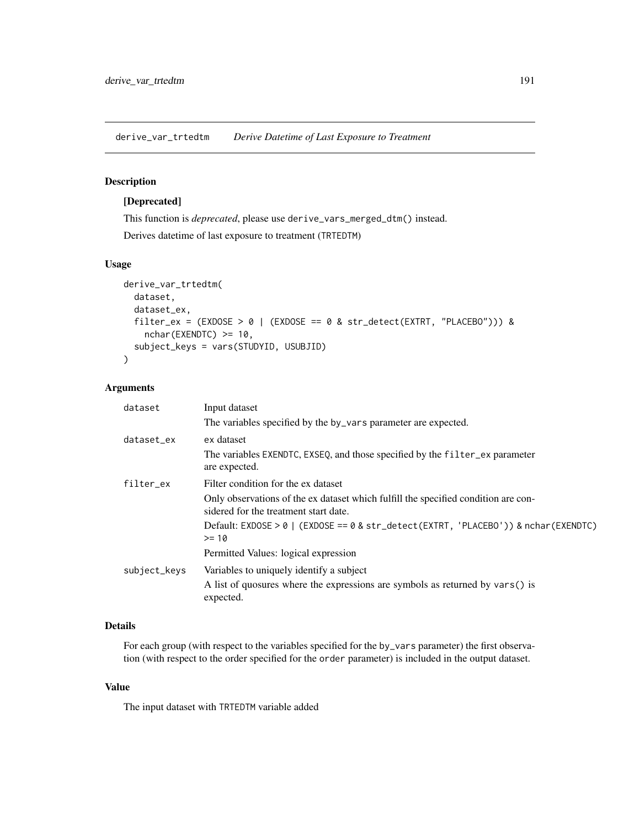derive\_var\_trtedtm *Derive Datetime of Last Exposure to Treatment*

# Description

# [Deprecated]

This function is *deprecated*, please use derive\_vars\_merged\_dtm() instead. Derives datetime of last exposure to treatment (TRTEDTM)

# Usage

```
derive_var_trtedtm(
  dataset,
  dataset_ex,
  filter_ex = (EXDOSE > 0 | (EXDOSE == 0 & str\_detect(EXTRT, "PLACEBO"))) &nchar(EXENDTC) >= 10,
  subject_keys = vars(STUDYID, USUBJID)
)
```
# Arguments

| dataset      | Input dataset                                                                                                               |
|--------------|-----------------------------------------------------------------------------------------------------------------------------|
|              | The variables specified by the by_vars parameter are expected.                                                              |
| dataset_ex   | ex dataset                                                                                                                  |
|              | The variables EXENDTC, EXSEQ, and those specified by the filter_ex parameter<br>are expected.                               |
| filter ex    | Filter condition for the ex dataset                                                                                         |
|              | Only observations of the ex dataset which fulfill the specified condition are con-<br>sidered for the treatment start date. |
|              | Default: EXDOSE > 0   (EXDOSE == 0 & str_detect(EXTRT, 'PLACEBO')) & nchar(EXENDTC)<br>$>= 10$                              |
|              | Permitted Values: logical expression                                                                                        |
| subject_keys | Variables to uniquely identify a subject                                                                                    |
|              | A list of quosures where the expressions are symbols as returned by vars() is<br>expected.                                  |

# Details

For each group (with respect to the variables specified for the by\_vars parameter) the first observation (with respect to the order specified for the order parameter) is included in the output dataset.

## Value

The input dataset with TRTEDTM variable added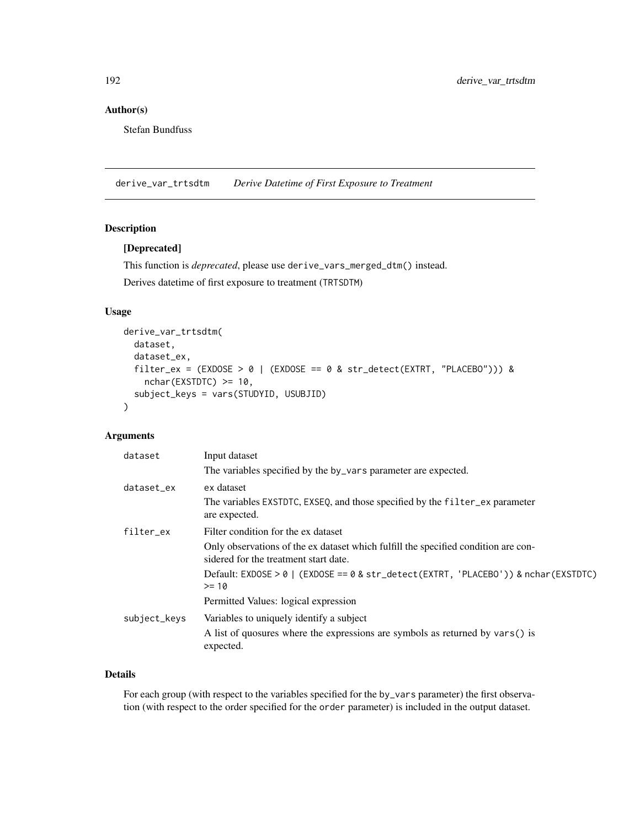# Author(s)

Stefan Bundfuss

derive\_var\_trtsdtm *Derive Datetime of First Exposure to Treatment*

## Description

# [Deprecated]

This function is *deprecated*, please use derive\_vars\_merged\_dtm() instead.

Derives datetime of first exposure to treatment (TRTSDTM)

# Usage

```
derive_var_trtsdtm(
 dataset,
 dataset_ex,
  filter_ex = (EXDOSE > 0 | (EXDOSE == 0 & str_detect(EXTRT, "PLACEBO"))) &
   nchar(EXSTDTC) >= 10,
  subject_keys = vars(STUDYID, USUBJID)
)
```
## Arguments

| dataset      | Input dataset                                                                                                               |
|--------------|-----------------------------------------------------------------------------------------------------------------------------|
|              | The variables specified by the by_vars parameter are expected.                                                              |
| dataset ex   | ex dataset                                                                                                                  |
|              | The variables EXSTDTC, EXSEQ, and those specified by the filter_ex parameter<br>are expected.                               |
| filter_ex    | Filter condition for the ex dataset                                                                                         |
|              | Only observations of the ex dataset which fulfill the specified condition are con-<br>sidered for the treatment start date. |
|              | Default: EXDOSE > 0   (EXDOSE == 0 & str_detect(EXTRT, 'PLACEBO')) & nchar(EXSTDTC)<br>$>= 10$                              |
|              | Permitted Values: logical expression                                                                                        |
| subject_keys | Variables to uniquely identify a subject                                                                                    |
|              | A list of quosures where the expressions are symbols as returned by vars() is<br>expected.                                  |

#### Details

For each group (with respect to the variables specified for the by\_vars parameter) the first observation (with respect to the order specified for the order parameter) is included in the output dataset.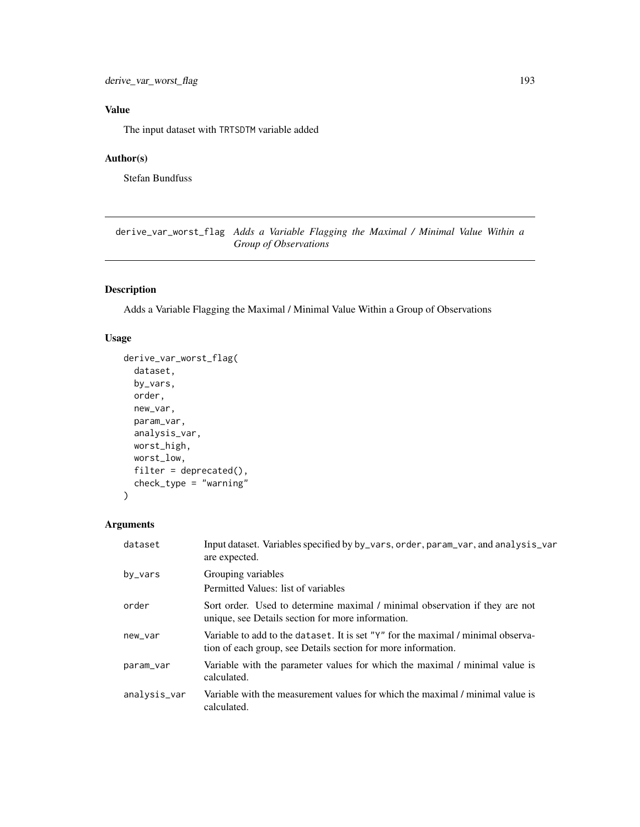derive\_var\_worst\_flag 193

# Value

The input dataset with TRTSDTM variable added

# Author(s)

Stefan Bundfuss

derive\_var\_worst\_flag *Adds a Variable Flagging the Maximal / Minimal Value Within a Group of Observations*

# Description

Adds a Variable Flagging the Maximal / Minimal Value Within a Group of Observations

# Usage

```
derive_var_worst_flag(
  dataset,
 by_vars,
  order,
 new_var,
 param_var,
  analysis_var,
 worst_high,
 worst_low,
  filter = deprecated(),
  check_type = "warning"
\lambda
```

| dataset      | Input dataset. Variables specified by by_vars, order, param_var, and analysis_var<br>are expected.                                                    |
|--------------|-------------------------------------------------------------------------------------------------------------------------------------------------------|
| by_vars      | Grouping variables                                                                                                                                    |
|              | Permitted Values: list of variables                                                                                                                   |
| order        | Sort order. Used to determine maximal / minimal observation if they are not<br>unique, see Details section for more information.                      |
| new_var      | Variable to add to the dataset. It is set " $Y''$ for the maximal / minimal observa-<br>tion of each group, see Details section for more information. |
| param_var    | Variable with the parameter values for which the maximal / minimal value is<br>calculated.                                                            |
| analysis_var | Variable with the measurement values for which the maximal / minimal value is<br>calculated.                                                          |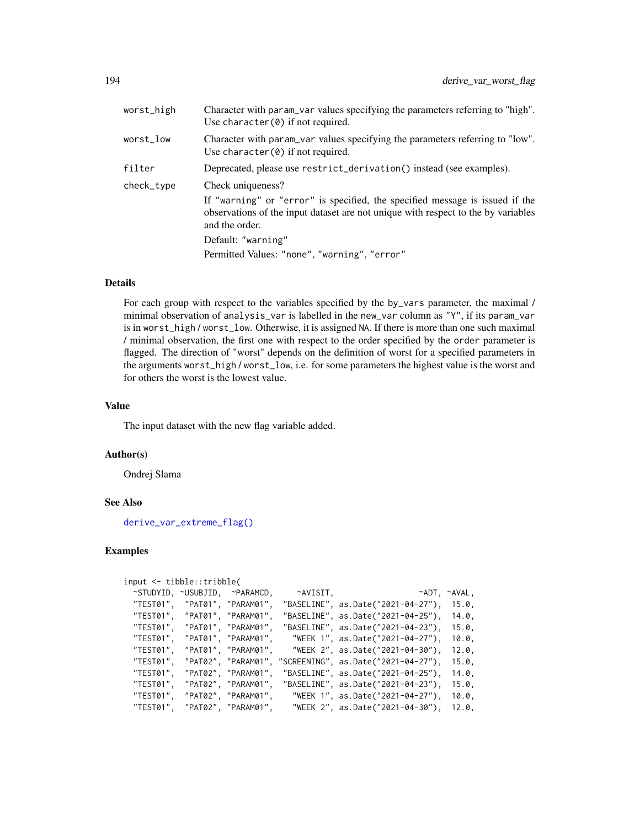| worst_high | Character with param_var values specifying the parameters referring to "high".<br>Use character $(0)$ if not required.                                                              |
|------------|-------------------------------------------------------------------------------------------------------------------------------------------------------------------------------------|
| worst_low  | Character with param var values specifying the parameters referring to "low".<br>Use character $(0)$ if not required.                                                               |
| filter     | Deprecated, please use restrict_derivation() instead (see examples).                                                                                                                |
| check_type | Check uniqueness?                                                                                                                                                                   |
|            | If "warning" or "error" is specified, the specified message is issued if the<br>observations of the input dataset are not unique with respect to the by variables<br>and the order. |
|            | Default: "warning"                                                                                                                                                                  |
|            | Permitted Values: "none", "warning", "error"                                                                                                                                        |

### Details

For each group with respect to the variables specified by the by\_vars parameter, the maximal / minimal observation of analysis\_var is labelled in the new\_var column as "Y", if its param\_var is in worst\_high / worst\_low. Otherwise, it is assigned NA. If there is more than one such maximal / minimal observation, the first one with respect to the order specified by the order parameter is flagged. The direction of "worst" depends on the definition of worst for a specified parameters in the arguments worst\_high / worst\_low, i.e. for some parameters the highest value is the worst and for others the worst is the lowest value.

#### Value

The input dataset with the new flag variable added.

#### Author(s)

Ondrej Slama

#### See Also

[derive\\_var\\_extreme\\_flag\(\)](#page-162-0)

```
input <- tibble::tribble(
 ~STUDYID, ~USUBJID, ~PARAMCD, ~AVISIT, ~ADT, ~AVAL,
 "TEST01", "PAT01", "PARAM01", "BASELINE", as.Date("2021-04-27"), 15.0,
 "TEST01", "PAT01", "PARAM01", "BASELINE", as.Date("2021-04-25"), 14.0,
 "TEST01", "PAT01", "PARAM01", "BASELINE", as.Date("2021-04-23"), 15.0,
                                 "WEEK 1", as.Date("2021-04-27"), 10.0,
 "TEST01", "PAT01", "PARAM01", "WEEK 2", as.Date("2021-04-30"), 12.0,
 "TEST01", "PAT02", "PARAM01", "SCREENING", as.Date("2021-04-27"), 15.0,
 "TEST01", "PAT02", "PARAM01", "BASELINE", as.Date("2021-04-25"), 14.0,
 "TEST01", "PAT02", "PARAM01", "BASELINE", as.Date("2021-04-23"), 15.0,
 "TEST01", "PAT02", "PARAM01", "WEEK 1", as.Date("2021-04-27"), 10.0,
 "TEST01", "PAT02", "PARAM01", "WEEK 2", as.Date("2021-04-30"), 12.0,
```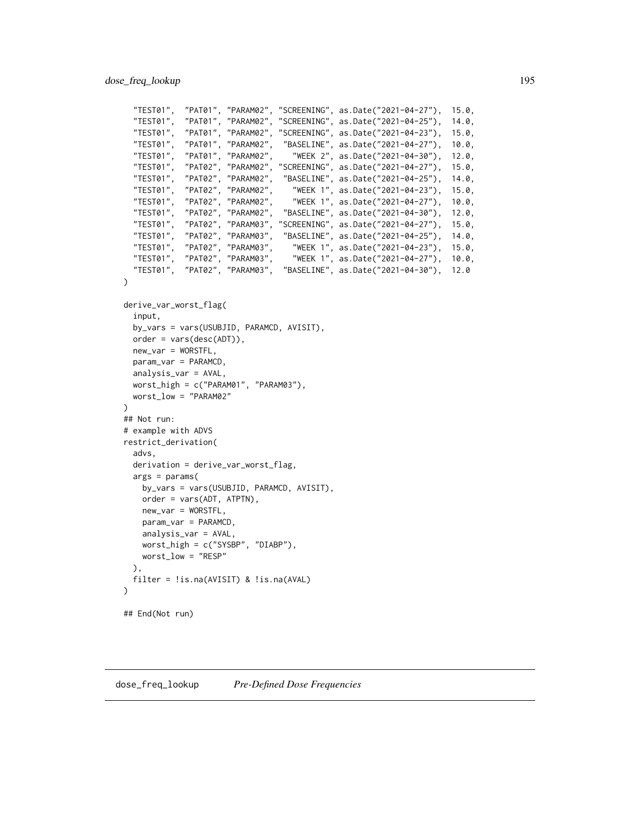```
"TEST01", "PAT01", "PARAM02", "SCREENING", as.Date("2021-04-27"), 15.0,
  "TEST01", "PAT01", "PARAM02", "SCREENING", as.Date("2021-04-25"), 14.0,
  "TEST01", "PAT01", "PARAM02", "SCREENING", as.Date("2021-04-23"), 15.0,
  "TEST01", "PAT01", "PARAM02", "BASELINE", as.Date("2021-04-27"), 10.0,
 "TEST01", "PAT01", "PARAM02", "WEEK 2", as.Date("2021-04-30"), 12.0,
 "TEST01", "PAT02", "PARAM02", "SCREENING", as.Date("2021-04-27"), 15.0,
 "TEST01", "PAT02", "PARAM02", "BASELINE", as.Date("2021-04-25"), 14.0,
  "TEST01", "PAT02", "PARAM02", "WEEK 1", as.Date("2021-04-23"), 15.0,
  "TEST01", "PAT02", "PARAM02", "WEEK 1", as.Date("2021-04-27"), 10.0,
  "TEST01", "PAT02", "PARAM02", "BASELINE", as.Date("2021-04-30"), 12.0,
  "TEST01", "PAT02", "PARAM03", "SCREENING", as.Date("2021-04-27"), 15.0,
 "TEST01", "PAT02", "PARAM03", "BASELINE", as.Date("2021-04-25"), 14.0,<br>"TEST01", "PAT02", "PARAM03", "WEEK 1", as.Date("2021-04-23"), 15.0,<br>"TEST01", "PAT02", "PARAM03", "WEEK 1", as.Date("2021-04-27"), 10.0,
  "TEST01", "PAT02", "PARAM03", "WEEK 1", as.Date("2021-04-23"), 15.0,
  "TEST01", "PAT02", "PARAM03", "WEEK 1", as.Date("2021-04-27"), 10.0,
  "TEST01", "PAT02", "PARAM03", "BASELINE", as.Date("2021-04-30"), 12.0
)
derive_var_worst_flag(
 input,
 by_vars = vars(USUBJID, PARAMCD, AVISIT),
 order = vars(desc(ADT)),
 new_var = WORSTFL,
 param_var = PARAMCD,
 analysis_var = AVAL,
 worst_high = c("PARAM01", "PARAM03"),
 worst_low = "PARAM02"
\lambda## Not run:
# example with ADVS
restrict_derivation(
 advs,
 derivation = derive_var_worst_flag,
 args = params(by_vars = vars(USUBJID, PARAMCD, AVISIT),
    order = vars(ADT, ATPTN),
   new_var = WORSTFL,
   param_var = PARAMCD,
   analysis_var = AVAL,
   worst_high = c("SYSBP", "DIABP"),
   worst_low = "RESP"
 ),
 filter = !is.na(AVISIT) & !is.na(AVAL)
)
## End(Not run)
```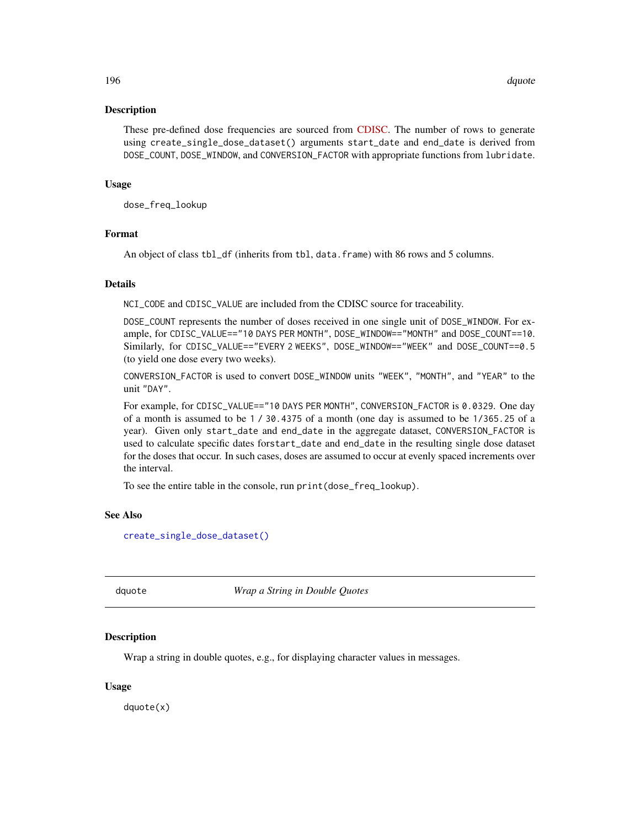#### Description

These pre-defined dose frequencies are sourced from [CDISC.](https://evs.nci.nih.gov/ftp1/CDISC/SDTM/SDTM%20Terminology.pdf) The number of rows to generate using create\_single\_dose\_dataset() arguments start\_date and end\_date is derived from DOSE\_COUNT, DOSE\_WINDOW, and CONVERSION\_FACTOR with appropriate functions from lubridate.

#### Usage

dose\_freq\_lookup

#### Format

An object of class tbl\_df (inherits from tbl, data.frame) with 86 rows and 5 columns.

#### Details

NCI\_CODE and CDISC\_VALUE are included from the CDISC source for traceability.

DOSE\_COUNT represents the number of doses received in one single unit of DOSE\_WINDOW. For example, for CDISC\_VALUE=="10 DAYS PER MONTH", DOSE\_WINDOW=="MONTH" and DOSE\_COUNT==10. Similarly, for CDISC\_VALUE=="EVERY 2 WEEKS", DOSE\_WINDOW=="WEEK" and DOSE\_COUNT==0.5 (to yield one dose every two weeks).

CONVERSION\_FACTOR is used to convert DOSE\_WINDOW units "WEEK", "MONTH", and "YEAR" to the unit "DAY".

For example, for CDISC\_VALUE=="10 DAYS PER MONTH", CONVERSION\_FACTOR is 0.0329. One day of a month is assumed to be 1 / 30.4375 of a month (one day is assumed to be 1/365.25 of a year). Given only start\_date and end\_date in the aggregate dataset, CONVERSION\_FACTOR is used to calculate specific dates forstart\_date and end\_date in the resulting single dose dataset for the doses that occur. In such cases, doses are assumed to occur at evenly spaced increments over the interval.

To see the entire table in the console, run print(dose\_freq\_lookup).

#### See Also

[create\\_single\\_dose\\_dataset\(\)](#page-52-0)

dquote *Wrap a String in Double Quotes*

#### Description

Wrap a string in double quotes, e.g., for displaying character values in messages.

#### Usage

dquote(x)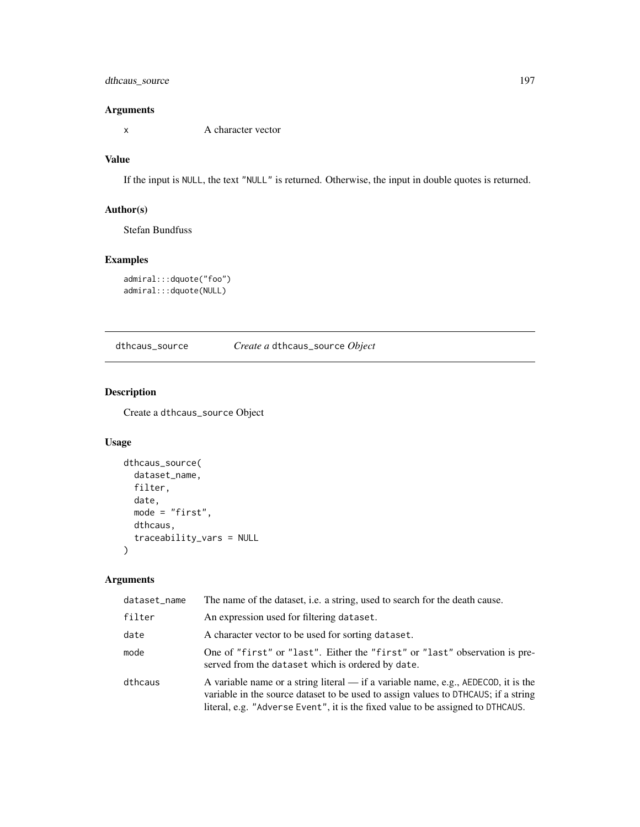# dthcaus\_source 197

## Arguments

x A character vector

# Value

If the input is NULL, the text "NULL" is returned. Otherwise, the input in double quotes is returned.

## Author(s)

Stefan Bundfuss

## Examples

```
admiral:::dquote("foo")
admiral:::dquote(NULL)
```
dthcaus\_source *Create a* dthcaus\_source *Object*

## Description

Create a dthcaus\_source Object

# Usage

```
dthcaus_source(
  dataset_name,
 filter,
 date,
 mode = "first",
 dthcaus,
  traceability_vars = NULL
)
```

| dataset_name | The name of the dataset, i.e. a string, used to search for the death cause.                                                                                                                                                                                 |
|--------------|-------------------------------------------------------------------------------------------------------------------------------------------------------------------------------------------------------------------------------------------------------------|
| filter       | An expression used for filtering dataset.                                                                                                                                                                                                                   |
| date         | A character vector to be used for sorting dataset.                                                                                                                                                                                                          |
| mode         | One of "first" or "last". Either the "first" or "last" observation is pre-<br>served from the dataset which is ordered by date.                                                                                                                             |
| dthcaus      | A variable name or a string literal — if a variable name, e.g., AEDECOD, it is the<br>variable in the source dataset to be used to assign values to DTHCAUS; if a string<br>literal, e.g. "Adverse Event", it is the fixed value to be assigned to DTHCAUS. |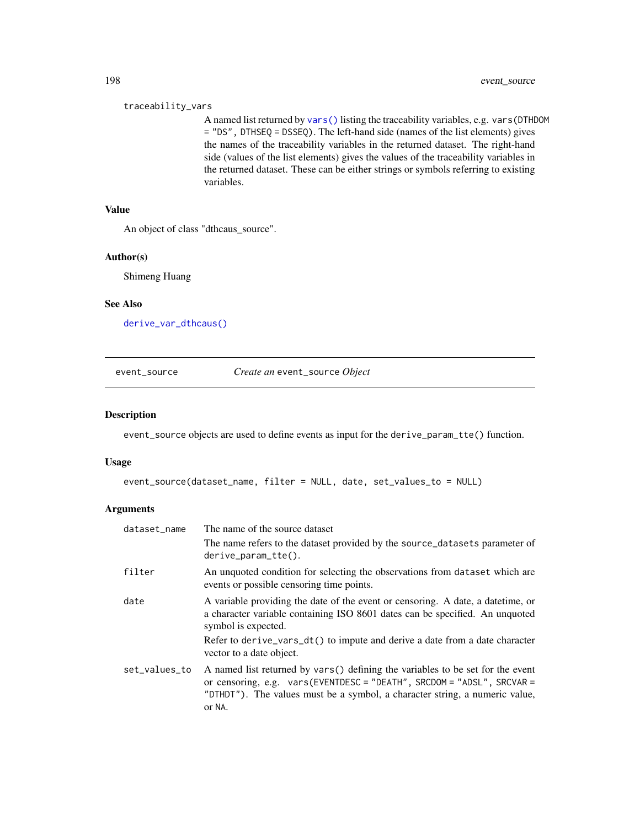#### traceability\_vars

A named list returned by [vars\(\)](#page-0-0) listing the traceability variables, e.g. vars(DTHDOM = "DS", DTHSEQ = DSSEQ). The left-hand side (names of the list elements) gives the names of the traceability variables in the returned dataset. The right-hand side (values of the list elements) gives the values of the traceability variables in the returned dataset. These can be either strings or symbols referring to existing variables.

# Value

An object of class "dthcaus\_source".

#### Author(s)

Shimeng Huang

## See Also

[derive\\_var\\_dthcaus\(\)](#page-153-0)

## event\_source *Create an* event\_source *Object*

## Description

event\_source objects are used to define events as input for the derive\_param\_tte() function.

#### Usage

```
event_source(dataset_name, filter = NULL, date, set_values_to = NULL)
```

| dataset_name  | The name of the source dataset                                                                                                                                                                                                                       |
|---------------|------------------------------------------------------------------------------------------------------------------------------------------------------------------------------------------------------------------------------------------------------|
|               | The name refers to the dataset provided by the source_datasets parameter of<br>$derive\_param\_tte()$ .                                                                                                                                              |
| filter        | An unquoted condition for selecting the observations from dataset which are<br>events or possible censoring time points.                                                                                                                             |
| date          | A variable providing the date of the event or censoring. A date, a date time, or<br>a character variable containing ISO 8601 dates can be specified. An unquoted<br>symbol is expected.                                                              |
|               | Refer to derive_vars_dt() to impute and derive a date from a date character<br>vector to a date object.                                                                                                                                              |
| set_values_to | A named list returned by vars() defining the variables to be set for the event<br>or censoring, e.g. $vars$ (EVENTDESC = "DEATH", SRCDOM = "ADSL", SRCVAR =<br>"DTHDT"). The values must be a symbol, a character string, a numeric value,<br>or NA. |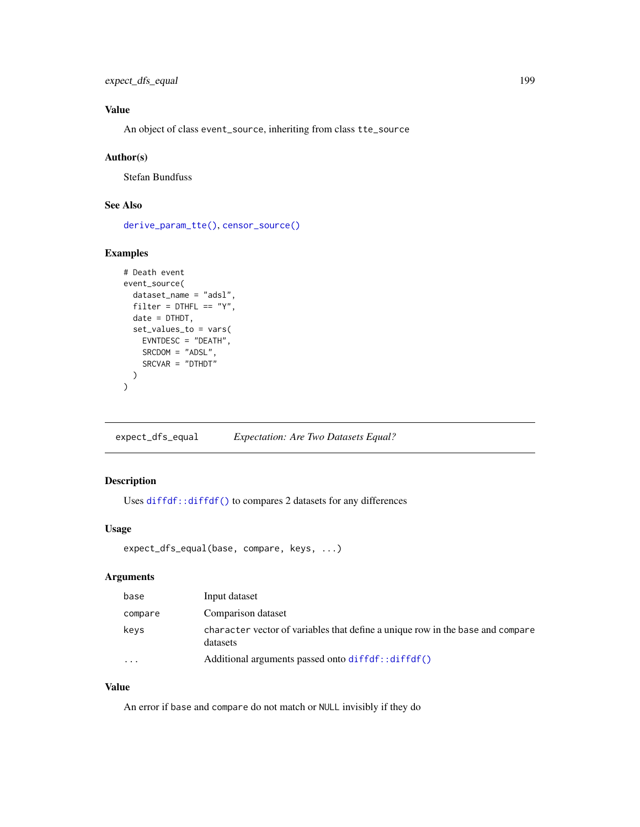expect\_dfs\_equal 199

# Value

An object of class event\_source, inheriting from class tte\_source

## Author(s)

Stefan Bundfuss

# See Also

[derive\\_param\\_tte\(\)](#page-90-0), [censor\\_source\(\)](#page-31-0)

# Examples

```
# Death event
event_source(
  dataset_name = "adsl",
 filter = DTHFL == "Y",date = DTHDT,
  set_values_to = vars(
    EVNTDESC = "DEATH",
    SRCDOM = "ADSL",
    SRCVAR = "DTHDT")
\lambda
```
expect\_dfs\_equal *Expectation: Are Two Datasets Equal?*

# Description

Uses [diffdf::diffdf\(\)](#page-0-0) to compares 2 datasets for any differences

# Usage

```
expect_dfs_equal(base, compare, keys, ...)
```
# Arguments

| base    | Input dataset                                                                              |
|---------|--------------------------------------------------------------------------------------------|
| compare | Comparison dataset                                                                         |
| keys    | character vector of variables that define a unique row in the base and compare<br>datasets |
| .       | Additional arguments passed onto diffdf::diffdf()                                          |

# Value

An error if base and compare do not match or NULL invisibly if they do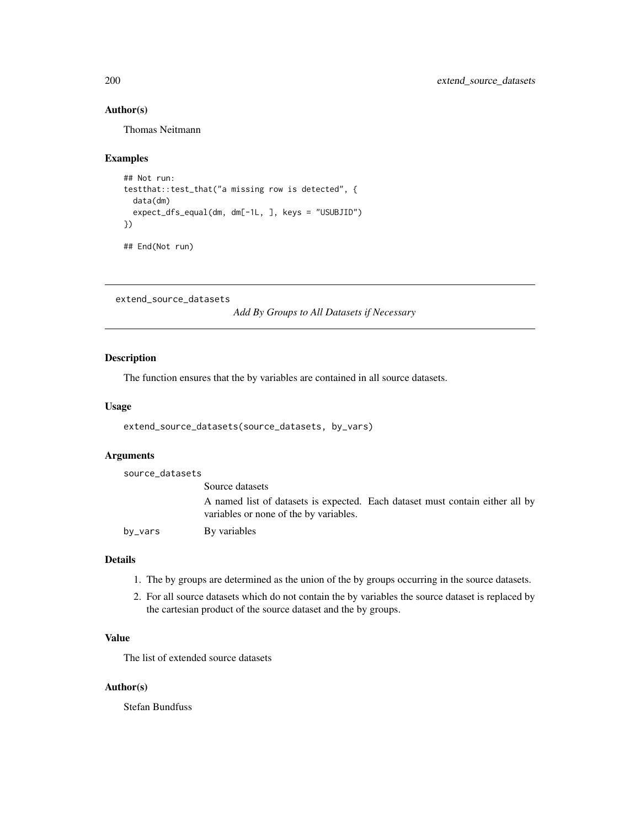# Author(s)

Thomas Neitmann

## Examples

```
## Not run:
testthat::test_that("a missing row is detected", {
  data(dm)
  expect_dfs_equal(dm, dm[-1L, ], keys = "USUBJID")
})
## End(Not run)
```
extend\_source\_datasets

*Add By Groups to All Datasets if Necessary*

## Description

The function ensures that the by variables are contained in all source datasets.

## Usage

```
extend_source_datasets(source_datasets, by_vars)
```
## Arguments

source\_datasets

|         | Source datasets                                                                                                         |
|---------|-------------------------------------------------------------------------------------------------------------------------|
|         | A named list of datasets is expected. Each dataset must contain either all by<br>variables or none of the by variables. |
| by_vars | By variables                                                                                                            |
|         |                                                                                                                         |

## Details

- 1. The by groups are determined as the union of the by groups occurring in the source datasets.
- 2. For all source datasets which do not contain the by variables the source dataset is replaced by the cartesian product of the source dataset and the by groups.

# Value

The list of extended source datasets

## Author(s)

Stefan Bundfuss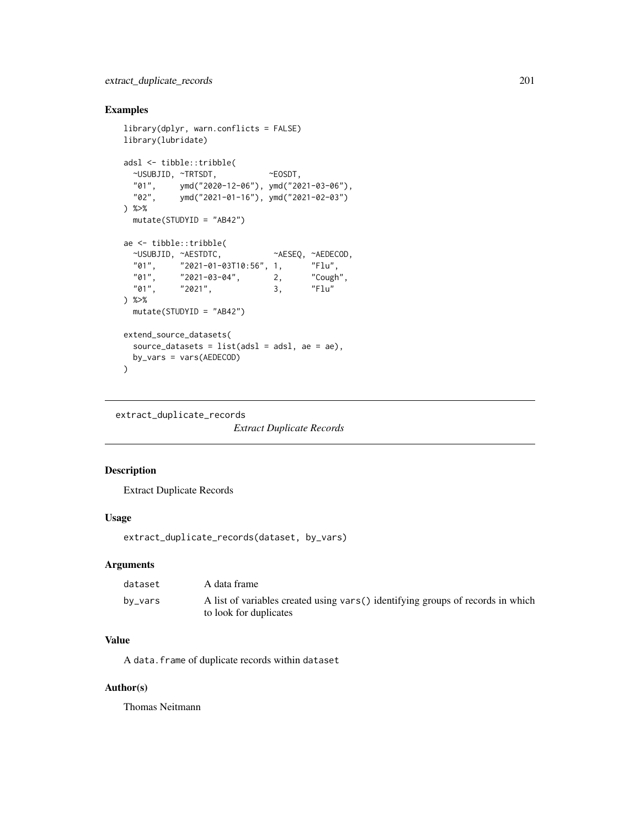# Examples

```
library(dplyr, warn.conflicts = FALSE)
library(lubridate)
adsl <- tibble::tribble(
 ~USUBJID, ~TRTSDT, ~EOSDT,
 "01", ymd("2020-12-06"), ymd("2021-03-06"),
 "02", ymd("2021-01-16"), ymd("2021-02-03")
) %>%
 mutate(STUDYID = "AB42")
ae <- tibble::tribble(
 ~USUBJID, ~AESTDTC, ~AESEQ, ~AEDECOD,
          "01", "2021-01-03T10:56", 1, "Flu",
 "01", "2021-03-04", 2, "Cough",
 "01", \t"2021", \t3,) %>%
 mutate(STUDYID = "AB42")
extend_source_datasets(
 source_datasets = list(adsl = adsl, ae = ae),
 by_vars = vars(AEDECOD)
\mathcal{L}
```
extract\_duplicate\_records

*Extract Duplicate Records*

# Description

Extract Duplicate Records

## Usage

extract\_duplicate\_records(dataset, by\_vars)

#### **Arguments**

| dataset | A data frame                                                                                               |
|---------|------------------------------------------------------------------------------------------------------------|
| by_vars | A list of variables created using vars () identifying groups of records in which<br>to look for duplicates |

# Value

A data.frame of duplicate records within dataset

#### Author(s)

Thomas Neitmann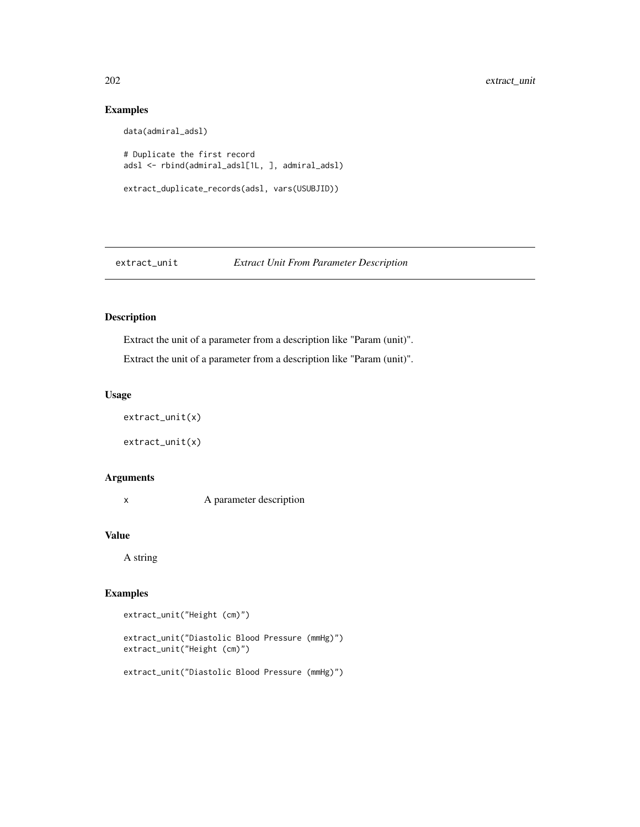# Examples

```
data(admiral_adsl)
# Duplicate the first record
adsl <- rbind(admiral_adsl[1L, ], admiral_adsl)
extract_duplicate_records(adsl, vars(USUBJID))
```
# extract\_unit *Extract Unit From Parameter Description*

# Description

Extract the unit of a parameter from a description like "Param (unit)".

Extract the unit of a parameter from a description like "Param (unit)".

## Usage

extract\_unit(x)

extract\_unit(x)

# Arguments

x A parameter description

#### Value

A string

# Examples

extract\_unit("Height (cm)")

extract\_unit("Diastolic Blood Pressure (mmHg)") extract\_unit("Height (cm)")

extract\_unit("Diastolic Blood Pressure (mmHg)")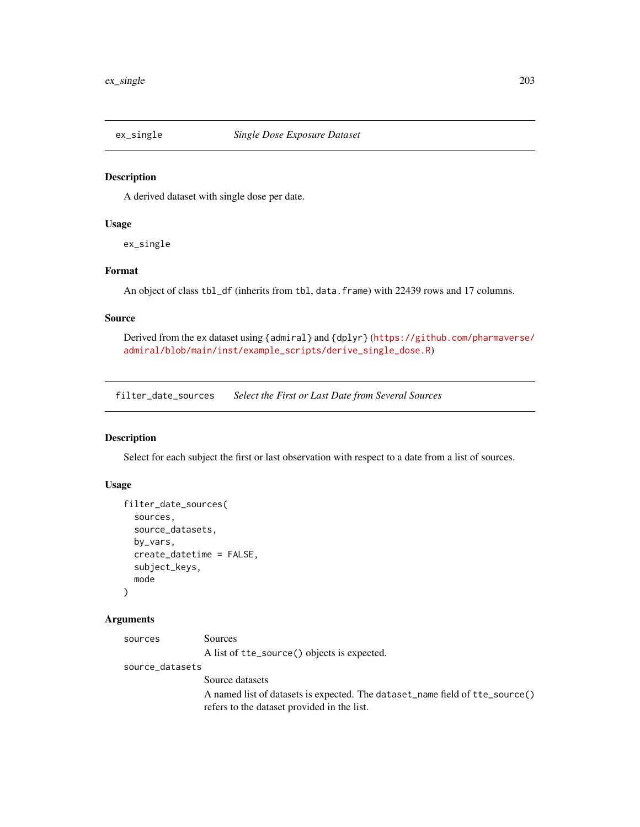# Description

A derived dataset with single dose per date.

# Usage

ex\_single

# Format

An object of class tbl\_df (inherits from tbl, data.frame) with 22439 rows and 17 columns.

## Source

Derived from the ex dataset using {admiral} and {dplyr} ([https://github.com/pharmaverse/](https://github.com/pharmaverse/admiral/blob/main/inst/example_scripts/derive_single_dose.R) [admiral/blob/main/inst/example\\_scripts/derive\\_single\\_dose.R](https://github.com/pharmaverse/admiral/blob/main/inst/example_scripts/derive_single_dose.R))

filter\_date\_sources *Select the First or Last Date from Several Sources*

# Description

Select for each subject the first or last observation with respect to a date from a list of sources.

## Usage

```
filter_date_sources(
  sources,
  source_datasets,
 by_vars,
  create_datetime = FALSE,
  subject_keys,
 mode
)
```

| sources         | Sources                                                                      |  |  |
|-----------------|------------------------------------------------------------------------------|--|--|
|                 | A list of tte_source() objects is expected.                                  |  |  |
| source_datasets |                                                                              |  |  |
|                 | Source datasets                                                              |  |  |
|                 | A named list of datasets is expected. The dataset_name field of tte_source() |  |  |
|                 | refers to the dataset provided in the list.                                  |  |  |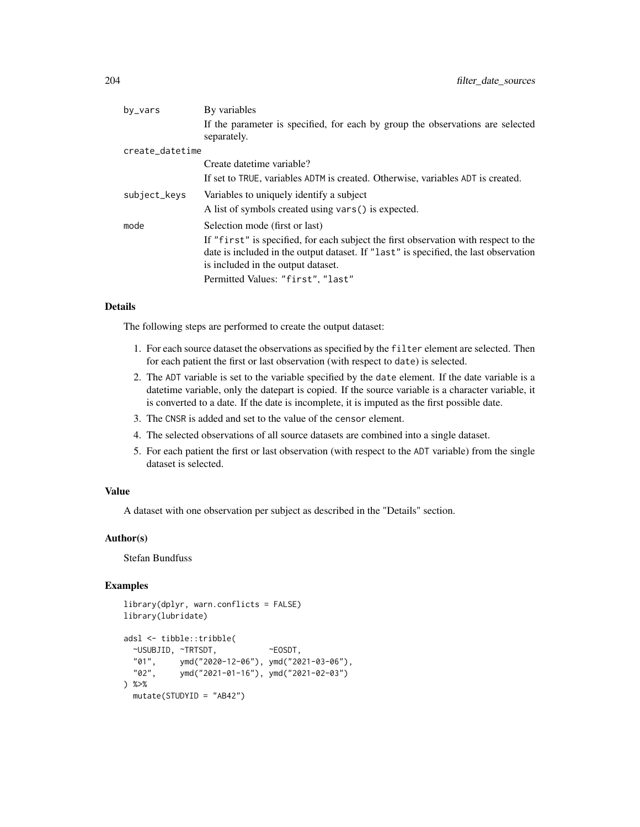| by_vars         | By variables                                                                                  |  |  |
|-----------------|-----------------------------------------------------------------------------------------------|--|--|
|                 | If the parameter is specified, for each by group the observations are selected<br>separately. |  |  |
| create_datetime |                                                                                               |  |  |
|                 | Create datetime variable?                                                                     |  |  |
|                 | If set to TRUE, variables ADTM is created. Otherwise, variables ADT is created.               |  |  |
| subject_keys    | Variables to uniquely identify a subject                                                      |  |  |
|                 | A list of symbols created using vars() is expected.                                           |  |  |
| mode            | Selection mode (first or last)                                                                |  |  |
|                 | If "first" is specified, for each subject the first observation with respect to the           |  |  |
|                 | date is included in the output dataset. If "last" is specified, the last observation          |  |  |
|                 | is included in the output dataset.                                                            |  |  |
|                 | Permitted Values: "first", "last"                                                             |  |  |

## Details

The following steps are performed to create the output dataset:

- 1. For each source dataset the observations as specified by the filter element are selected. Then for each patient the first or last observation (with respect to date) is selected.
- 2. The ADT variable is set to the variable specified by the date element. If the date variable is a datetime variable, only the datepart is copied. If the source variable is a character variable, it is converted to a date. If the date is incomplete, it is imputed as the first possible date.
- 3. The CNSR is added and set to the value of the censor element.
- 4. The selected observations of all source datasets are combined into a single dataset.
- 5. For each patient the first or last observation (with respect to the ADT variable) from the single dataset is selected.

## Value

A dataset with one observation per subject as described in the "Details" section.

#### Author(s)

Stefan Bundfuss

```
library(dplyr, warn.conflicts = FALSE)
library(lubridate)
adsl <- tibble::tribble(
 ~USUBJID, ~TRTSDT, ~EOSDT,
 "01", ymd("2020-12-06"), ymd("2021-03-06"),
  "02", ymd("2021-01-16"), ymd("2021-02-03")
) %>%
 mutate(STUDYID = "AB42")
```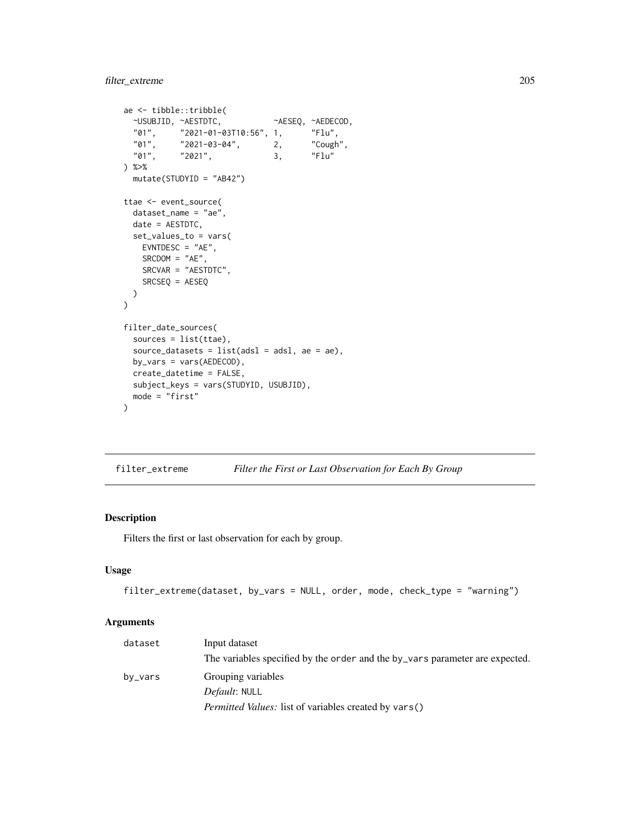```
ae <- tibble::tribble(
 ~USUBJID, ~AESTDTC, ~AESEQ, ~AEDECOD,
 "01", "2021-01-03T10:56", 1, "Flu",
  "01", "2021-03-04", 2, "Cough",
  "01", "2021", 3, "Flu"
) %>%
 mutate(STUDYID = "AB42")
ttae <- event_source(
 dataset_name = "ae",
 date = AESTDTC,
 set_values_to = vars(
   EVNTDESC = "AE",SRCDOM = "AE",SRCVAR = "AESTDTC",
   SRCSEQ = AESEQ
 )
\mathcal{L}filter_date_sources(
 sources = list(ttae),
 source_datasets = list(ads1 = ads1, ae = ae),
 by_vars = vars(AEDECOD),
 create_datetime = FALSE,
 subject_keys = vars(STUDYID, USUBJID),
 mode = "first"
)
```

| filter_extreme |  | Filter the First or Last Observation for Each By Group |  |  |  |
|----------------|--|--------------------------------------------------------|--|--|--|
|----------------|--|--------------------------------------------------------|--|--|--|

# Description

Filters the first or last observation for each by group.

## Usage

```
filter_extreme(dataset, by_vars = NULL, order, mode, check_type = "warning")
```

| dataset | Input dataset                                                                |  |  |
|---------|------------------------------------------------------------------------------|--|--|
|         | The variables specified by the order and the by vars parameter are expected. |  |  |
| by_vars | Grouping variables                                                           |  |  |
|         | <i>Default:</i> NULL                                                         |  |  |
|         | <i>Permitted Values:</i> list of variables created by vars()                 |  |  |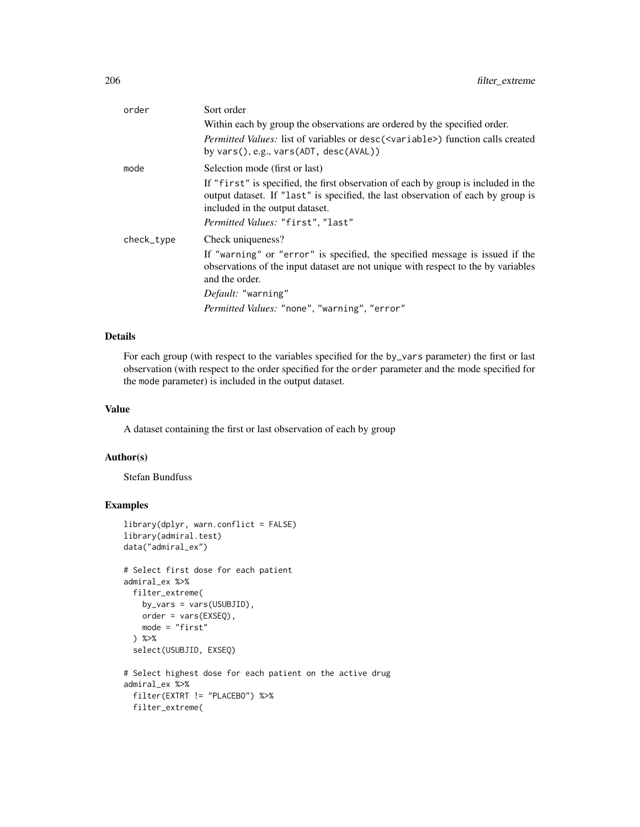| order      | Sort order                                                                                                                                                                                                |
|------------|-----------------------------------------------------------------------------------------------------------------------------------------------------------------------------------------------------------|
|            | Within each by group the observations are ordered by the specified order.                                                                                                                                 |
|            | Permitted Values: list of variables or desc( <variable>) function calls created<br/>by vars(), e.g., vars(ADT, desc(AVAL))</variable>                                                                     |
| mode       | Selection mode (first or last)                                                                                                                                                                            |
|            | If "first" is specified, the first observation of each by group is included in the<br>output dataset. If "last" is specified, the last observation of each by group is<br>included in the output dataset. |
|            | Permitted Values: "first", "last"                                                                                                                                                                         |
| check_type | Check uniqueness?                                                                                                                                                                                         |
|            | If "warning" or "error" is specified, the specified message is issued if the<br>observations of the input dataset are not unique with respect to the by variables<br>and the order.                       |
|            | Default: "warning"                                                                                                                                                                                        |
|            | Permitted Values: "none", "warning", "error"                                                                                                                                                              |

#### Details

For each group (with respect to the variables specified for the by\_vars parameter) the first or last observation (with respect to the order specified for the order parameter and the mode specified for the mode parameter) is included in the output dataset.

# Value

A dataset containing the first or last observation of each by group

#### Author(s)

Stefan Bundfuss

filter\_extreme(

```
library(dplyr, warn.conflict = FALSE)
library(admiral.test)
data("admiral_ex")
# Select first dose for each patient
admiral_ex %>%
 filter_extreme(
   by_vars = vars(USUBJID),
   order = vars(EXSEQ),
   mode = "first"
  ) %>%
  select(USUBJID, EXSEQ)
# Select highest dose for each patient on the active drug
admiral_ex %>%
  filter(EXTRT != "PLACEBO") %>%
```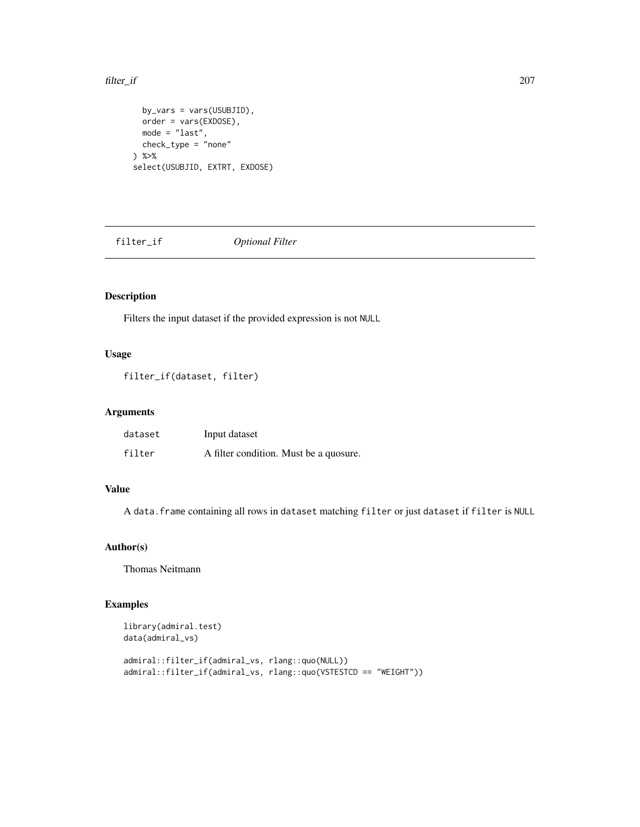#### filter\_if 207

```
by_vars = vars(USUBJID),
 order = vars(EXDOSE),
 mode = "last",
 check_type = "none"
) %>%
select(USUBJID, EXTRT, EXDOSE)
```
filter\_if *Optional Filter*

# Description

Filters the input dataset if the provided expression is not NULL

# Usage

```
filter_if(dataset, filter)
```
# Arguments

| dataset | Input dataset                          |
|---------|----------------------------------------|
| filter  | A filter condition. Must be a quosure. |

# Value

A data.frame containing all rows in dataset matching filter or just dataset if filter is NULL

# Author(s)

Thomas Neitmann

```
library(admiral.test)
data(admiral_vs)
admiral::filter_if(admiral_vs, rlang::quo(NULL))
admiral::filter_if(admiral_vs, rlang::quo(VSTESTCD == "WEIGHT"))
```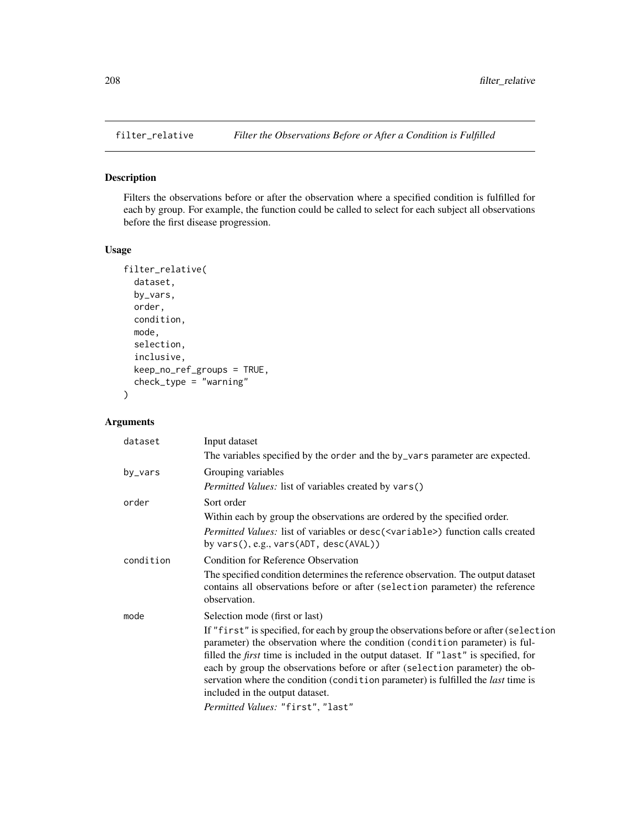# Description

Filters the observations before or after the observation where a specified condition is fulfilled for each by group. For example, the function could be called to select for each subject all observations before the first disease progression.

## Usage

```
filter_relative(
 dataset,
 by_vars,
 order,
  condition,
 mode,
 selection,
  inclusive,
 keep_no_ref_groups = TRUE,
 check_type = "warning"
)
```

| dataset   | Input dataset                                                                                                                                                                                                                                                                                                                                                                                                                                                                        |
|-----------|--------------------------------------------------------------------------------------------------------------------------------------------------------------------------------------------------------------------------------------------------------------------------------------------------------------------------------------------------------------------------------------------------------------------------------------------------------------------------------------|
|           | The variables specified by the order and the by_vars parameter are expected.                                                                                                                                                                                                                                                                                                                                                                                                         |
| by_vars   | Grouping variables                                                                                                                                                                                                                                                                                                                                                                                                                                                                   |
|           | <i>Permitted Values:</i> list of variables created by vars()                                                                                                                                                                                                                                                                                                                                                                                                                         |
| order     | Sort order                                                                                                                                                                                                                                                                                                                                                                                                                                                                           |
|           | Within each by group the observations are ordered by the specified order.                                                                                                                                                                                                                                                                                                                                                                                                            |
|           | Permitted Values: list of variables or desc( <variable>) function calls created<br/>by vars(), e.g., vars(ADT, desc(AVAL))</variable>                                                                                                                                                                                                                                                                                                                                                |
| condition | Condition for Reference Observation                                                                                                                                                                                                                                                                                                                                                                                                                                                  |
|           | The specified condition determines the reference observation. The output dataset<br>contains all observations before or after (selection parameter) the reference<br>observation.                                                                                                                                                                                                                                                                                                    |
| mode      | Selection mode (first or last)                                                                                                                                                                                                                                                                                                                                                                                                                                                       |
|           | If "first" is specified, for each by group the observations before or after (selection<br>parameter) the observation where the condition (condition parameter) is ful-<br>filled the <i>first</i> time is included in the output dataset. If "last" is specified, for<br>each by group the observations before or after (selection parameter) the ob-<br>servation where the condition (condition parameter) is fulfilled the <i>last</i> time is<br>included in the output dataset. |
|           | Permitted Values: "first", "last"                                                                                                                                                                                                                                                                                                                                                                                                                                                    |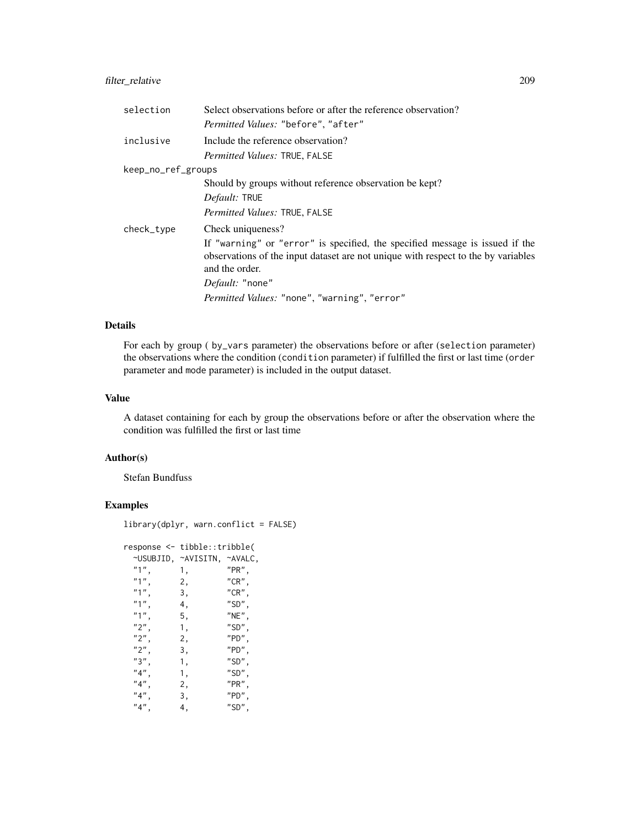# filter\_relative 209

| selection          | Select observations before or after the reference observation?                                                                                                                      |  |  |
|--------------------|-------------------------------------------------------------------------------------------------------------------------------------------------------------------------------------|--|--|
|                    | Permitted Values: "before", "after"                                                                                                                                                 |  |  |
| inclusive          | Include the reference observation?                                                                                                                                                  |  |  |
|                    | <i>Permitted Values: TRUE, FALSE</i>                                                                                                                                                |  |  |
| keep_no_ref_groups |                                                                                                                                                                                     |  |  |
|                    | Should by groups without reference observation be kept?                                                                                                                             |  |  |
|                    | <i>Default:</i> TRUE                                                                                                                                                                |  |  |
|                    | Permitted Values: TRUE, FALSE                                                                                                                                                       |  |  |
| check_type         | Check uniqueness?                                                                                                                                                                   |  |  |
|                    | If "warning" or "error" is specified, the specified message is issued if the<br>observations of the input dataset are not unique with respect to the by variables<br>and the order. |  |  |
|                    | <i>Default:</i> "none"                                                                                                                                                              |  |  |
|                    | <i>Permitted Values:</i> "none", "warning", "error"                                                                                                                                 |  |  |

## Details

For each by group ( by\_vars parameter) the observations before or after (selection parameter) the observations where the condition (condition parameter) if fulfilled the first or last time (order parameter and mode parameter) is included in the output dataset.

# Value

A dataset containing for each by group the observations before or after the observation where the condition was fulfilled the first or last time

### Author(s)

Stefan Bundfuss

```
library(dplyr, warn.conflict = FALSE)
```

| response <- tibble::tribble( |                             |              |
|------------------------------|-----------------------------|--------------|
|                              | ~USUBJID, ~AVISITN, ~AVALC, |              |
| "1",                         | 1,                          | "PR",        |
| $"1"$ ,                      | 2,                          | "CR",        |
| "1",                         | 3,                          | $"$ CR $"$ , |
| "1",                         | 4,                          | "SD",        |
| "1",                         | 5,                          | $"$ NE $"$ , |
| "2",                         | 1,                          | $"SD"$ ,     |
| "2",                         | 2,                          | "PD",        |
| "2",                         | З,                          | "PD",        |
| "3",                         | 1,                          | "SD",        |
| "4",                         | 1,                          | "SD",        |
| "4"                          | 2,                          | $"$ PR $"$ , |
| "4",                         | 3,                          | "PD",        |
| "4",                         | 4,                          | "SD",        |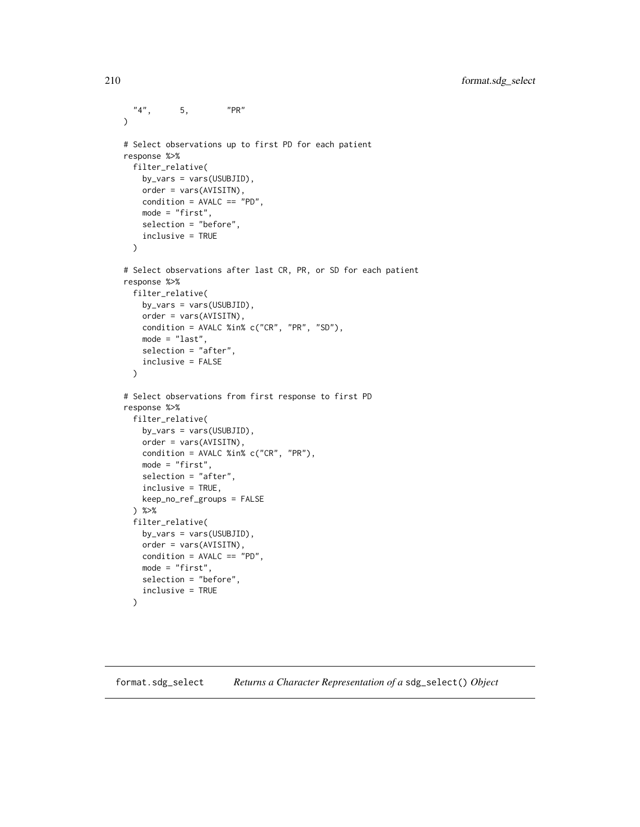```
"4", 5, "PR"
\mathcal{L}# Select observations up to first PD for each patient
response %>%
 filter_relative(
   by_vars = vars(USUBJID),
   order = vars(AVISITN),
   condition = AVALC == "PD",mode = "first",
   selection = "before",
   inclusive = TRUE
  )
# Select observations after last CR, PR, or SD for each patient
response %>%
  filter_relative(
   by_vars = vars(USUBJID),
   order = vars(AVISITN),
   condition = AVALC %in% c("CR", "PR", "SD"),
   mode = "last",
   selection = "after",
   inclusive = FALSE
  )
# Select observations from first response to first PD
response %>%
  filter_relative(
   by_vars = vars(USUBJID),
   order = vars(AVISITN),
   condition = AVALC %in% c("CR", "PR"),
   mode = "first",
   selection = "after",
   inclusive = TRUE,
   keep_no_ref_groups = FALSE
  ) %>%
  filter_relative(
   by_vars = vars(USUBJID),
   order = vars(AVISITN),
   condition = AVALC == "PD",mode = "first",
   selection = "before",
    inclusive = TRUE
  )
```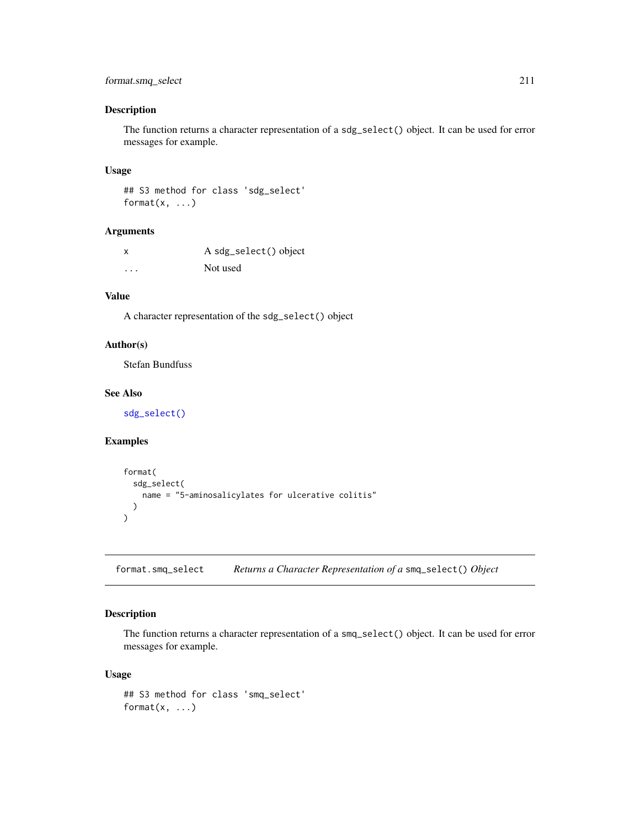# format.smq\_select 211

## Description

The function returns a character representation of a sdg\_select() object. It can be used for error messages for example.

#### Usage

```
## S3 method for class 'sdg_select'
format(x, \ldots)
```
## Arguments

| x        | A sdg_select() object |
|----------|-----------------------|
| $\cdots$ | Not used              |

# Value

A character representation of the sdg\_select() object

## Author(s)

Stefan Bundfuss

## See Also

[sdg\\_select\(\)](#page-231-0)

# Examples

```
format(
  sdg_select(
   name = "5-aminosalicylates for ulcerative colitis"
  )
)
```
format.smq\_select *Returns a Character Representation of a* smq\_select() *Object*

# Description

The function returns a character representation of a smq\_select() object. It can be used for error messages for example.

#### Usage

```
## S3 method for class 'smq_select'
format(x, \ldots)
```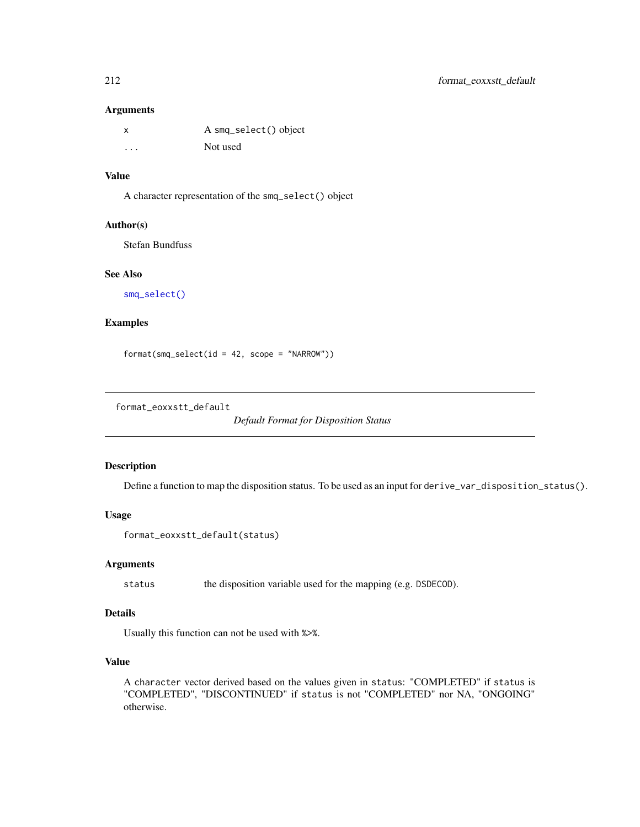## Arguments

| x | A smq_select() object |
|---|-----------------------|
| . | Not used              |

## Value

A character representation of the smq\_select() object

#### Author(s)

Stefan Bundfuss

# See Also

[smq\\_select\(\)](#page-234-0)

# Examples

format(smq\_select(id = 42, scope = "NARROW"))

format\_eoxxstt\_default

*Default Format for Disposition Status*

# Description

Define a function to map the disposition status. To be used as an input for derive\_var\_disposition\_status().

#### Usage

```
format_eoxxstt_default(status)
```
#### Arguments

status the disposition variable used for the mapping (e.g. DSDECOD).

# Details

Usually this function can not be used with %>%.

## Value

A character vector derived based on the values given in status: "COMPLETED" if status is "COMPLETED", "DISCONTINUED" if status is not "COMPLETED" nor NA, "ONGOING" otherwise.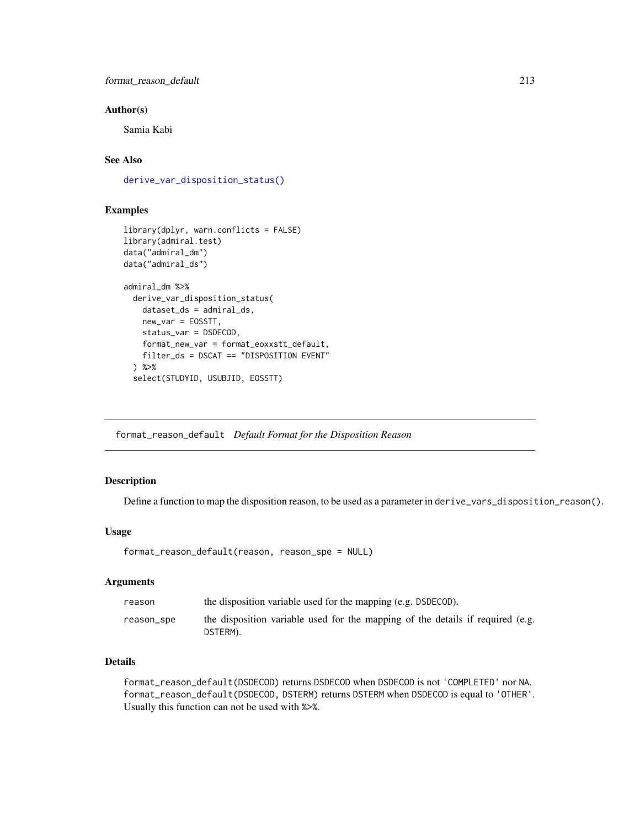## Author(s)

Samia Kabi

# See Also

[derive\\_var\\_disposition\\_status\(\)](#page-151-0)

## Examples

```
library(dplyr, warn.conflicts = FALSE)
library(admiral.test)
data("admiral_dm")
data("admiral_ds")
admiral_dm %>%
 derive_var_disposition_status(
   dataset_ds = admiral_ds,
   new_var = EOSSTT,
   status_var = DSDECOD,
   format_new_var = format_eoxxstt_default,
   filter_ds = DSCAT == "DISPOSITION EVENT"
 ) %>%
 select(STUDYID, USUBJID, EOSSTT)
```
format\_reason\_default *Default Format for the Disposition Reason*

# Description

Define a function to map the disposition reason, to be used as a parameter in derive\_vars\_disposition\_reason().

## Usage

```
format_reason_default(reason, reason_spe = NULL)
```
## Arguments

| reason     | the disposition variable used for the mapping (e.g. DSDECOD).                              |
|------------|--------------------------------------------------------------------------------------------|
| reason_spe | the disposition variable used for the mapping of the details if required (e.g.<br>DSTERM). |

# Details

format\_reason\_default(DSDECOD) returns DSDECOD when DSDECOD is not 'COMPLETED' nor NA. format\_reason\_default(DSDECOD, DSTERM) returns DSTERM when DSDECOD is equal to 'OTHER'. Usually this function can not be used with %>%.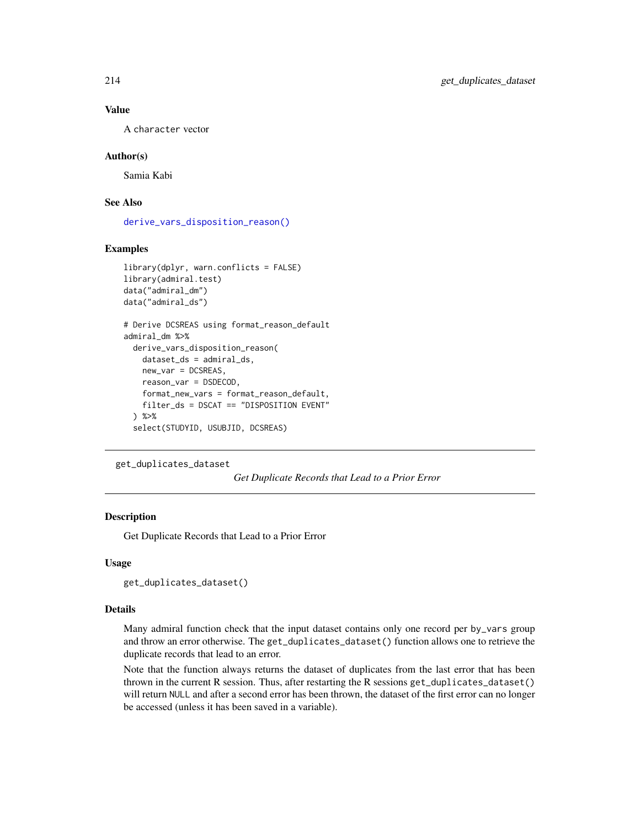## Value

A character vector

## Author(s)

Samia Kabi

# See Also

[derive\\_vars\\_disposition\\_reason\(\)](#page-102-0)

## Examples

```
library(dplyr, warn.conflicts = FALSE)
library(admiral.test)
data("admiral_dm")
data("admiral_ds")
# Derive DCSREAS using format_reason_default
admiral_dm %>%
 derive_vars_disposition_reason(
   dataset_ds = admiral_ds,
   new_var = DCSREAS,
   reason_var = DSDECOD,
   format_new_vars = format_reason_default,
   filter_ds = DSCAT == "DISPOSITION EVENT"
 ) %>%
 select(STUDYID, USUBJID, DCSREAS)
```

```
get_duplicates_dataset
```
*Get Duplicate Records that Lead to a Prior Error*

# Description

Get Duplicate Records that Lead to a Prior Error

## Usage

```
get_duplicates_dataset()
```
#### Details

Many admiral function check that the input dataset contains only one record per by\_vars group and throw an error otherwise. The get\_duplicates\_dataset() function allows one to retrieve the duplicate records that lead to an error.

Note that the function always returns the dataset of duplicates from the last error that has been thrown in the current R session. Thus, after restarting the R sessions get\_duplicates\_dataset() will return NULL and after a second error has been thrown, the dataset of the first error can no longer be accessed (unless it has been saved in a variable).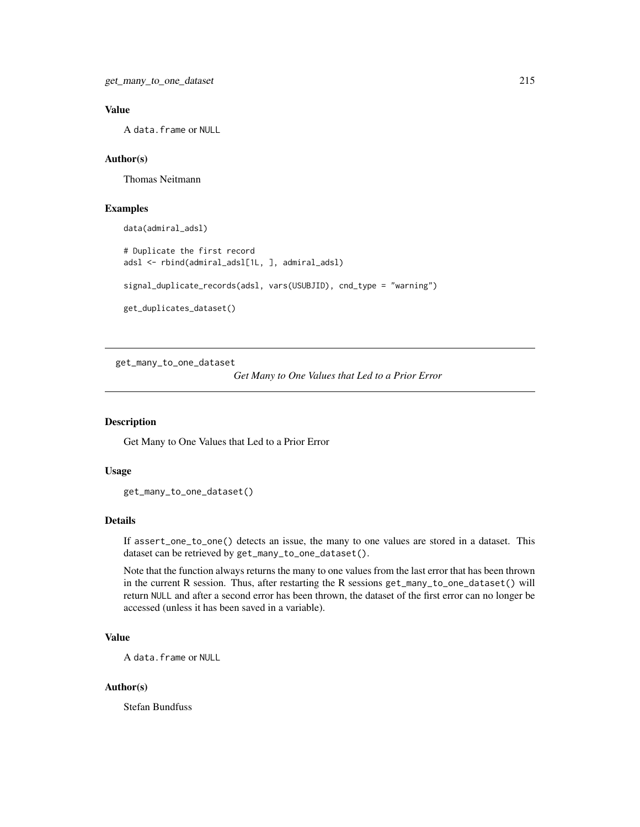# Value

A data.frame or NULL

## Author(s)

Thomas Neitmann

#### Examples

```
data(admiral_adsl)
```
# Duplicate the first record adsl <- rbind(admiral\_adsl[1L, ], admiral\_adsl) signal\_duplicate\_records(adsl, vars(USUBJID), cnd\_type = "warning") get\_duplicates\_dataset()

get\_many\_to\_one\_dataset

*Get Many to One Values that Led to a Prior Error*

#### Description

Get Many to One Values that Led to a Prior Error

## Usage

```
get_many_to_one_dataset()
```
#### Details

If assert\_one\_to\_one() detects an issue, the many to one values are stored in a dataset. This dataset can be retrieved by get\_many\_to\_one\_dataset().

Note that the function always returns the many to one values from the last error that has been thrown in the current R session. Thus, after restarting the R sessions get\_many\_to\_one\_dataset() will return NULL and after a second error has been thrown, the dataset of the first error can no longer be accessed (unless it has been saved in a variable).

# Value

A data.frame or NULL

## Author(s)

Stefan Bundfuss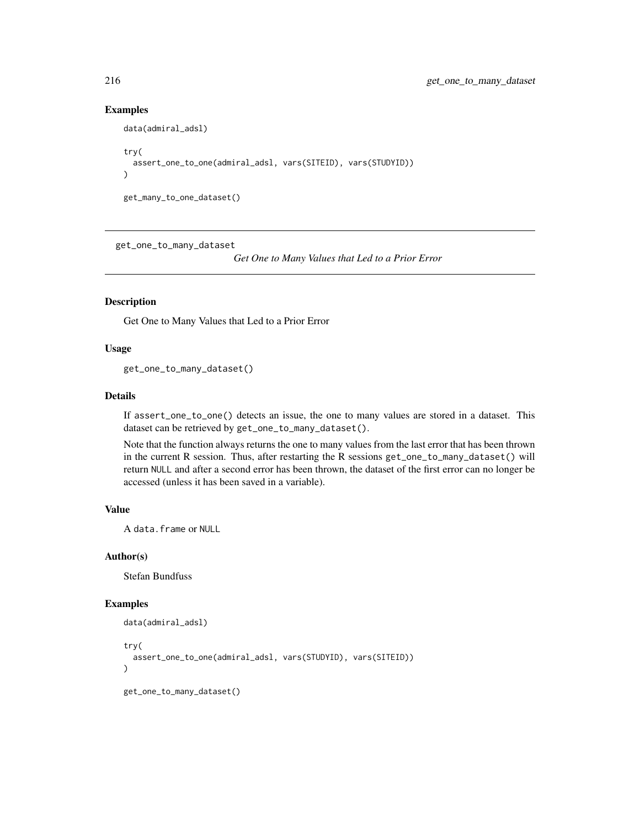## Examples

```
data(admiral_adsl)
try(
 assert_one_to_one(admiral_adsl, vars(SITEID), vars(STUDYID))
\lambdaget_many_to_one_dataset()
```
get\_one\_to\_many\_dataset

*Get One to Many Values that Led to a Prior Error*

## Description

Get One to Many Values that Led to a Prior Error

## Usage

get\_one\_to\_many\_dataset()

## Details

If assert\_one\_to\_one() detects an issue, the one to many values are stored in a dataset. This dataset can be retrieved by get\_one\_to\_many\_dataset().

Note that the function always returns the one to many values from the last error that has been thrown in the current R session. Thus, after restarting the R sessions get\_one\_to\_many\_dataset() will return NULL and after a second error has been thrown, the dataset of the first error can no longer be accessed (unless it has been saved in a variable).

#### Value

A data.frame or NULL

#### Author(s)

Stefan Bundfuss

```
data(admiral_adsl)
try(
 assert_one_to_one(admiral_adsl, vars(STUDYID), vars(SITEID))
)
get_one_to_many_dataset()
```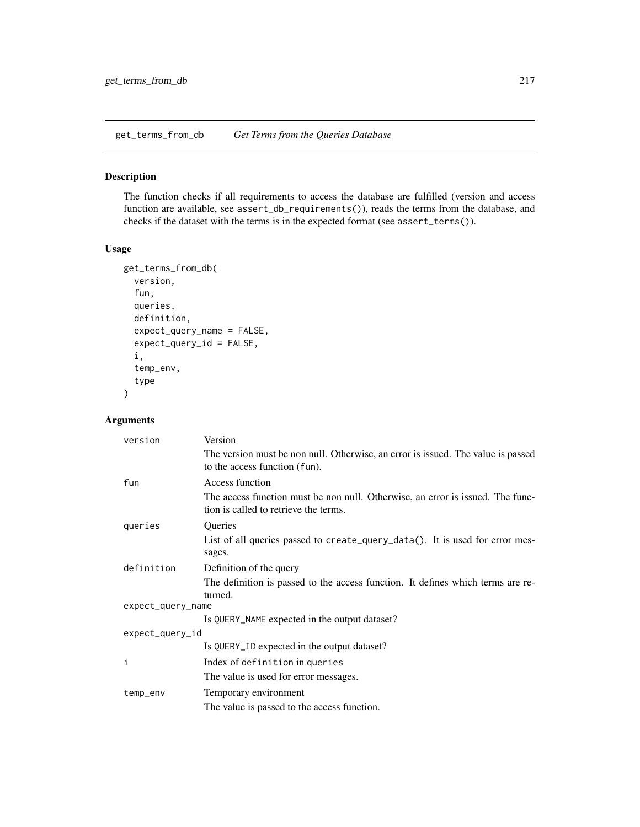<span id="page-216-0"></span>get\_terms\_from\_db *Get Terms from the Queries Database*

# Description

The function checks if all requirements to access the database are fulfilled (version and access function are available, see assert\_db\_requirements()), reads the terms from the database, and checks if the dataset with the terms is in the expected format (see assert\_terms()).

#### Usage

```
get_terms_from_db(
  version,
  fun,
  queries,
  definition,
  expect_query_name = FALSE,
  expect_query_id = FALSE,
  i,
  temp_env,
  type
\mathcal{L}
```
# Arguments

| version           | Version                                                                                                                 |  |
|-------------------|-------------------------------------------------------------------------------------------------------------------------|--|
|                   | The version must be non null. Otherwise, an error is issued. The value is passed<br>to the access function (fun).       |  |
| fun               | Access function                                                                                                         |  |
|                   | The access function must be non null. Otherwise, an error is issued. The func-<br>tion is called to retrieve the terms. |  |
| queries           | Queries                                                                                                                 |  |
|                   | List of all queries passed to create_query_data(). It is used for error mes-<br>sages.                                  |  |
| definition        | Definition of the query                                                                                                 |  |
|                   | The definition is passed to the access function. It defines which terms are re-<br>turned.                              |  |
| expect_query_name |                                                                                                                         |  |
|                   | Is QUERY_NAME expected in the output dataset?                                                                           |  |
| expect_query_id   |                                                                                                                         |  |
|                   | Is QUERY_ID expected in the output dataset?                                                                             |  |
| i                 | Index of definition in queries                                                                                          |  |
|                   | The value is used for error messages.                                                                                   |  |
| temp_env          | Temporary environment                                                                                                   |  |
|                   | The value is passed to the access function.                                                                             |  |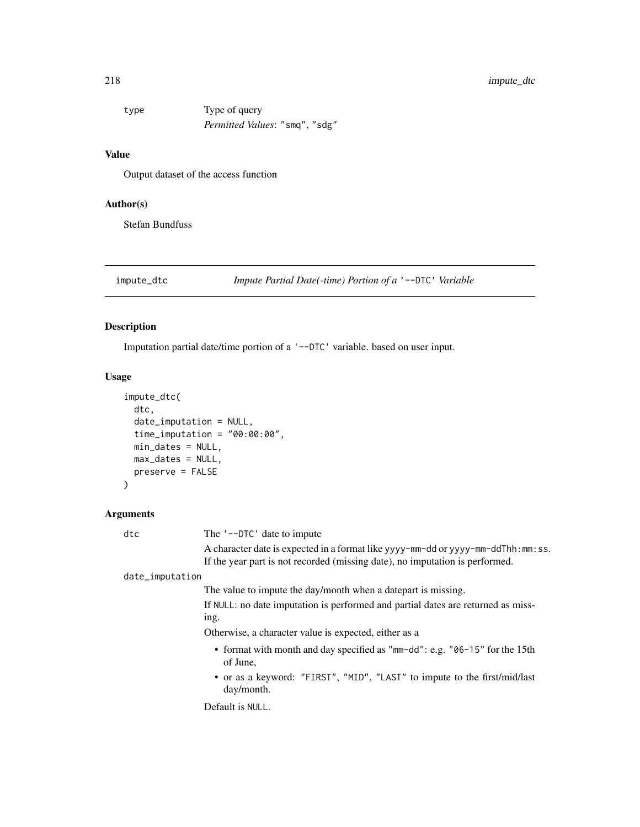# <span id="page-217-0"></span>218 impute\_dtc

| type | Type of query                         |
|------|---------------------------------------|
|      | <i>Permitted Values:</i> "smq", "sdg" |

#### Value

Output dataset of the access function

#### Author(s)

Stefan Bundfuss

impute\_dtc *Impute Partial Date(-time) Portion of a* '--DTC' *Variable*

#### Description

Imputation partial date/time portion of a '--DTC' variable. based on user input.

#### Usage

```
impute_dtc(
  dtc,
  date_imputation = NULL,
  time_imputation = "00:00:00",
  min_dates = NULL,
 max_dates = NULL,
 preserve = FALSE
\mathcal{L}
```
#### Arguments

dtc The '--DTC' date to impute A character date is expected in a format like yyyy-mm-dd or yyyy-mm-ddThh:mm:ss. If the year part is not recorded (missing date), no imputation is performed. date\_imputation The value to impute the day/month when a datepart is missing. If NULL: no date imputation is performed and partial dates are returned as missing. Otherwise, a character value is expected, either as a • format with month and day specified as "mm-dd": e.g. "06-15" for the 15th of June, • or as a keyword: "FIRST", "MID", "LAST" to impute to the first/mid/last day/month. Default is NULL.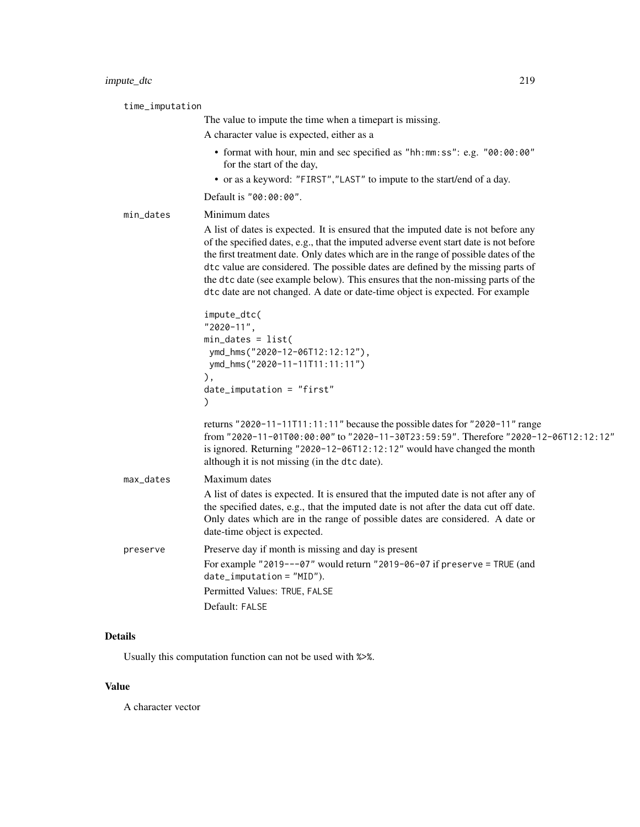time\_imputation The value to impute the time when a timepart is missing. A character value is expected, either as a • format with hour, min and sec specified as "hh:mm:ss": e.g. "00:00:00" for the start of the day, • or as a keyword: "FIRST","LAST" to impute to the start/end of a day. Default is "00:00:00". min\_dates Minimum dates A list of dates is expected. It is ensured that the imputed date is not before any of the specified dates, e.g., that the imputed adverse event start date is not before the first treatment date. Only dates which are in the range of possible dates of the dtc value are considered. The possible dates are defined by the missing parts of the dtc date (see example below). This ensures that the non-missing parts of the dtc date are not changed. A date or date-time object is expected. For example impute\_dtc( "2020-11", min\_dates = list( ymd\_hms("2020-12-06T12:12:12"), ymd\_hms("2020-11-11T11:11:11") ), date\_imputation = "first" ) returns "2020-11-11T11:11:11" because the possible dates for "2020-11" range from "2020-11-01T00:00:00" to "2020-11-30T23:59:59". Therefore "2020-12-06T12:12:12" is ignored. Returning "2020-12-06T12:12:12" would have changed the month although it is not missing (in the dtc date). max\_dates Maximum dates A list of dates is expected. It is ensured that the imputed date is not after any of the specified dates, e.g., that the imputed date is not after the data cut off date. Only dates which are in the range of possible dates are considered. A date or date-time object is expected. preserve Preserve day if month is missing and day is present For example "2019---07" would return "2019-06-07 if preserve = TRUE (and date\_imputation = "MID"). Permitted Values: TRUE, FALSE Default: FALSE

#### Details

Usually this computation function can not be used with %>%.

#### Value

A character vector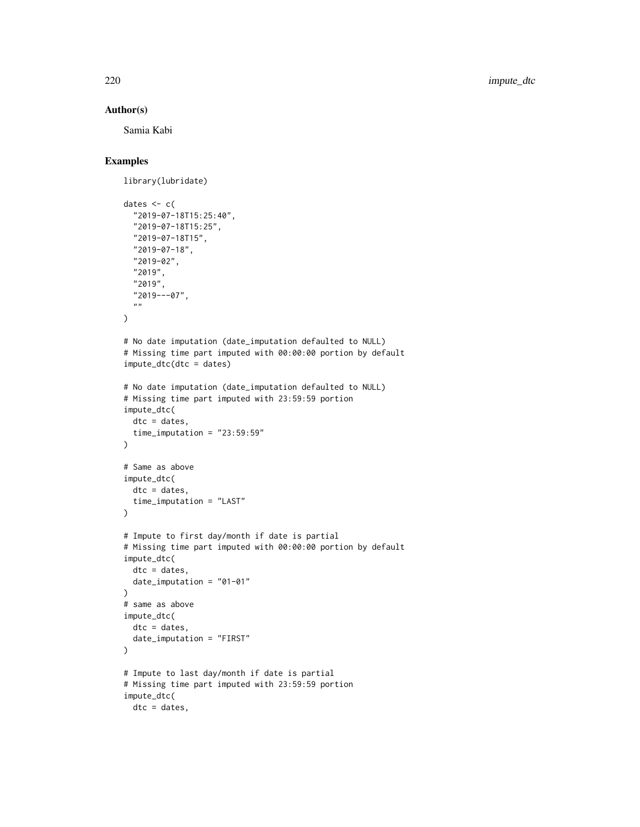#### Author(s)

Samia Kabi

```
library(lubridate)
dates <-c("2019-07-18T15:25:40",
  "2019-07-18T15:25",
  "2019-07-18T15",
  "2019-07-18",
  "2019-02",
  "2019",
  "2019",
  "2019---07",
  \boldsymbol{m} \boldsymbol{m}\lambda# No date imputation (date_imputation defaulted to NULL)
# Missing time part imputed with 00:00:00 portion by default
impute_dtc(dtc = dates)
# No date imputation (date_imputation defaulted to NULL)
# Missing time part imputed with 23:59:59 portion
impute_dtc(
 dtc = dates,
  time_imputation = "23:59:59"\lambda# Same as above
impute_dtc(
  dtc = dates,
  time_imputation = "LAST"
\mathcal{L}# Impute to first day/month if date is partial
# Missing time part imputed with 00:00:00 portion by default
impute_dtc(
  dtc = dates,
  date_imputation = "01-01"
\lambda# same as above
impute_dtc(
  dtc = dates,
  date_imputation = "FIRST"
\mathcal{L}# Impute to last day/month if date is partial
# Missing time part imputed with 23:59:59 portion
impute_dtc(
 dtc = dates,
```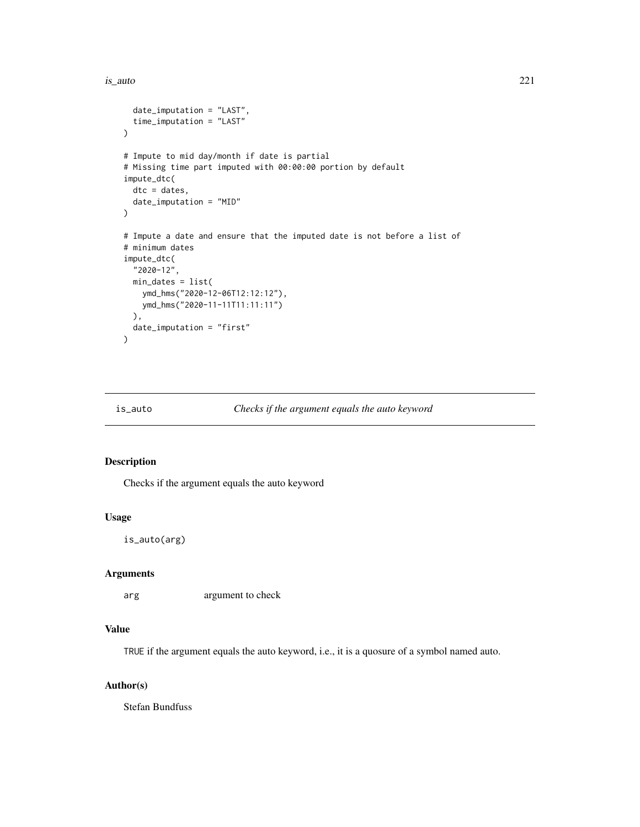<span id="page-220-0"></span>is\_auto 221

```
date_imputation = "LAST",
  time_imputation = "LAST"
\mathcal{L}# Impute to mid day/month if date is partial
# Missing time part imputed with 00:00:00 portion by default
impute_dtc(
  dtc = dates,
  date_imputation = "MID"
\lambda# Impute a date and ensure that the imputed date is not before a list of
# minimum dates
impute_dtc(
  "2020-12",
 min_dates = list(
    ymd_hms("2020-12-06T12:12:12"),
    ymd_hms("2020-11-11T11:11:11")
  ),
  date_imputation = "first"
)
```
# Description

Checks if the argument equals the auto keyword

#### Usage

is\_auto(arg)

#### Arguments

arg argument to check

#### Value

TRUE if the argument equals the auto keyword, i.e., it is a quosure of a symbol named auto.

#### Author(s)

Stefan Bundfuss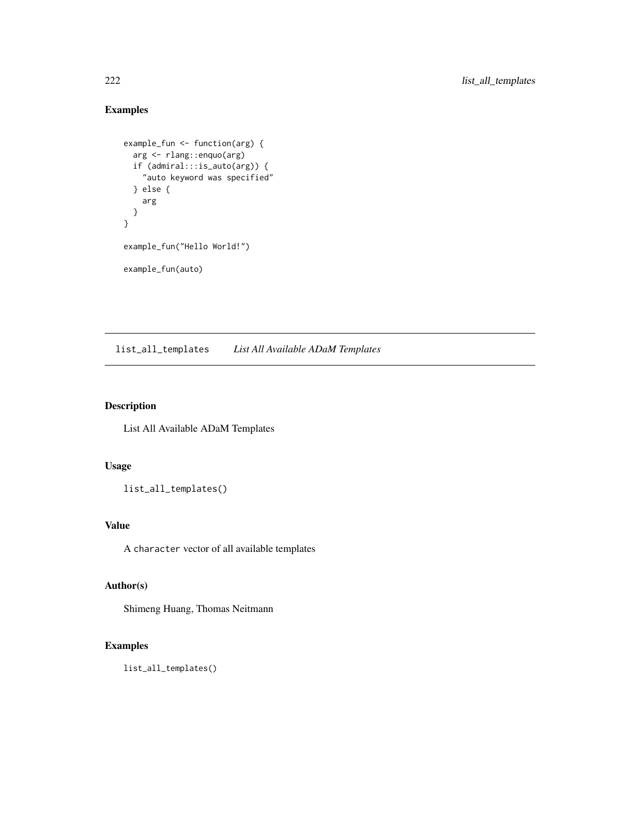# Examples

```
example_fun <- function(arg) {
  arg <- rlang::enquo(arg)
  if (admiral:::is_auto(arg)) {
    "auto keyword was specified"
  } else {
   arg
 }
}
example_fun("Hello World!")
example_fun(auto)
```
list\_all\_templates *List All Available ADaM Templates*

# Description

List All Available ADaM Templates

#### Usage

list\_all\_templates()

#### Value

A character vector of all available templates

# Author(s)

Shimeng Huang, Thomas Neitmann

```
list_all_templates()
```
<span id="page-221-0"></span>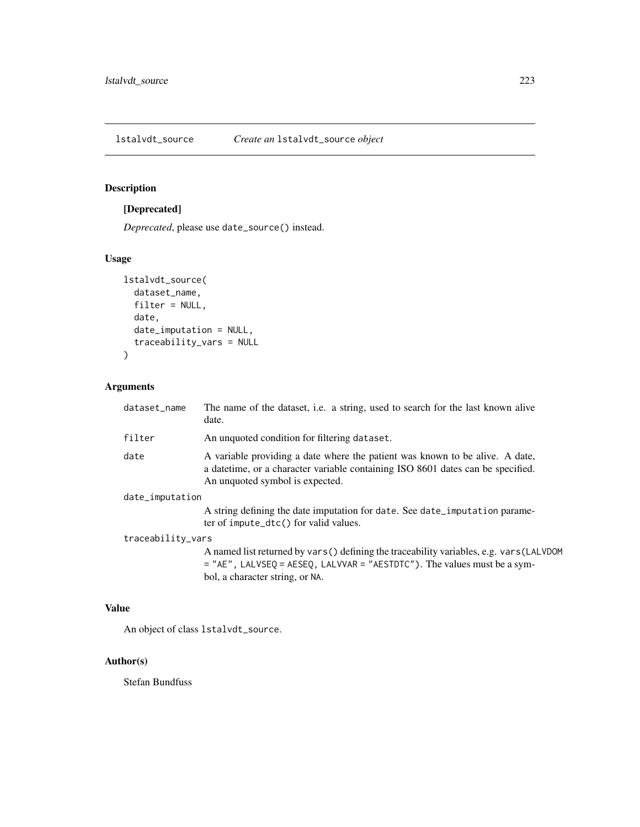<span id="page-222-0"></span>

# [Deprecated]

*Deprecated*, please use date\_source() instead.

# Usage

```
lstalvdt_source(
  dataset_name,
  filter = NULL,
  date,
  date_imputation = NULL,
  traceability_vars = NULL
\mathcal{L}
```
# Arguments

| dataset_name      | The name of the dataset, i.e. a string, used to search for the last known alive<br>date.                                                                                                                  |
|-------------------|-----------------------------------------------------------------------------------------------------------------------------------------------------------------------------------------------------------|
| filter            | An unquoted condition for filtering dataset.                                                                                                                                                              |
| date              | A variable providing a date where the patient was known to be alive. A date,<br>a datetime, or a character variable containing ISO 8601 dates can be specified.<br>An unquoted symbol is expected.        |
| date_imputation   |                                                                                                                                                                                                           |
|                   | A string defining the date imputation for date. See date imputation parame-<br>ter of impute_dtc() for valid values.                                                                                      |
| traceability_vars |                                                                                                                                                                                                           |
|                   | A named list returned by vars () defining the traceability variables, e.g. vars (LALVDOM<br>$=$ "AE", LALVSEO = AESEO, LALVVAR = "AESTDTC"). The values must be a sym-<br>bol, a character string, or NA. |

#### Value

An object of class lstalvdt\_source.

# Author(s)

Stefan Bundfuss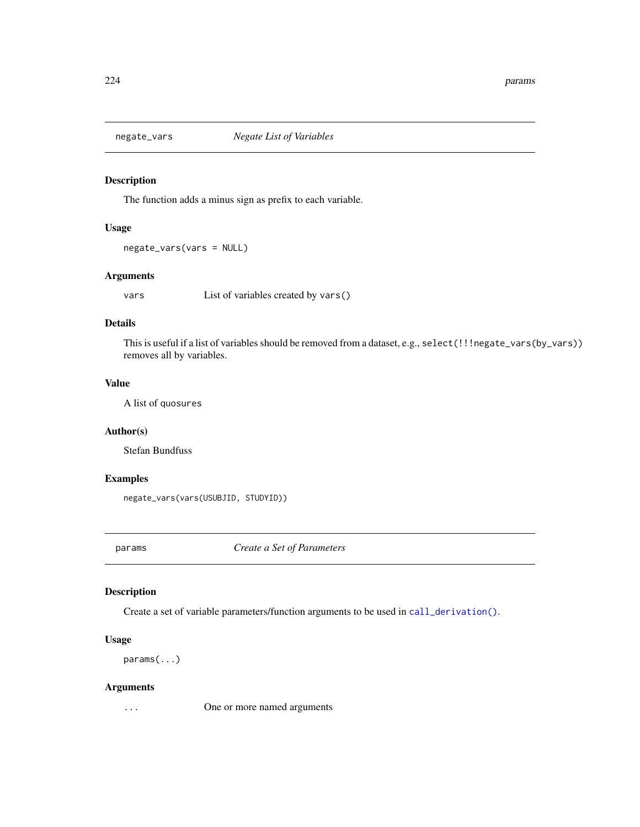<span id="page-223-1"></span>

The function adds a minus sign as prefix to each variable.

# Usage

```
negate_vars(vars = NULL)
```
#### Arguments

vars List of variables created by vars()

#### Details

This is useful if a list of variables should be removed from a dataset, e.g., select(!!!negate\_vars(by\_vars)) removes all by variables.

#### Value

A list of quosures

#### Author(s)

Stefan Bundfuss

#### Examples

negate\_vars(vars(USUBJID, STUDYID))

<span id="page-223-0"></span>params *Create a Set of Parameters*

# Description

Create a set of variable parameters/function arguments to be used in [call\\_derivation\(\)](#page-29-0).

#### Usage

params(...)

#### Arguments

... One or more named arguments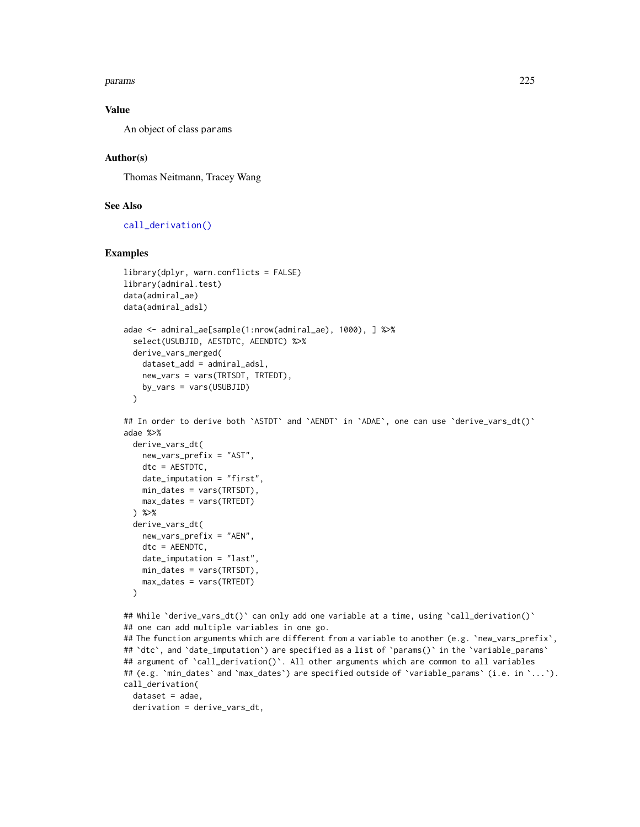#### <span id="page-224-0"></span>params 225

#### Value

An object of class params

#### Author(s)

Thomas Neitmann, Tracey Wang

# See Also

[call\\_derivation\(\)](#page-29-0)

```
library(dplyr, warn.conflicts = FALSE)
library(admiral.test)
data(admiral_ae)
data(admiral_adsl)
adae <- admiral_ae[sample(1:nrow(admiral_ae), 1000), ] %>%
  select(USUBJID, AESTDTC, AEENDTC) %>%
  derive_vars_merged(
   dataset_add = admiral_adsl,
   new_vars = vars(TRTSDT, TRTEDT),
   by_vars = vars(USUBJID)
  )
## In order to derive both `ASTDT` and `AENDT` in `ADAE`, one can use `derive_vars_dt()`
adae %>%
  derive_vars_dt(
   new_vars_prefix = "AST",
   dtc = AESTDTC,
   date_imputation = "first",
   min_dates = vars(TRTSDT),
   max_dates = vars(TRTEDT)
  ) %>%
  derive_vars_dt(
   new_vars_prefix = "AEN",
   dtc = AEENDTC,
   date_imputation = "last",
   min_dates = vars(TRTSDT),
   max_dates = vars(TRTEDT)
  )
## While `derive_vars_dt()` can only add one variable at a time, using `call_derivation()`
## one can add multiple variables in one go.
## The function arguments which are different from a variable to another (e.g. `new_vars_prefix`,
## 'dtc', and 'date_imputation') are specified as a list of 'params()' in the 'variable_params'
## argument of `call_derivation()`. All other arguments which are common to all variables
## (e.g. `min_dates` and `max_dates`) are specified outside of `variable_params` (i.e. in `...`).
call_derivation(
  dataset = adae,
  derivation = derive_vars_dt,
```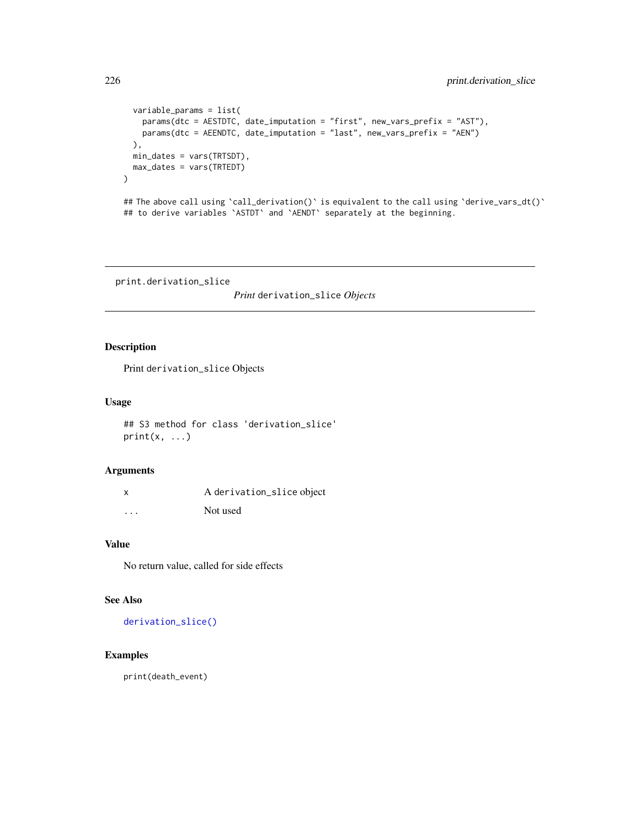```
variable_params = list(
   params(dtc = AESTDTC, date_imputation = "first", new_vars_prefix = "AST"),
   params(dtc = AEENDTC, date_imputation = "last", new_vars_prefix = "AEN")
 ),
 min_dates = vars(TRTSDT),
 max_dates = vars(TRTEDT)
\mathcal{L}## The above call using `call_derivation()` is equivalent to the call using `derive_vars_dt()`
## to derive variables `ASTDT` and `AENDT` separately at the beginning.
```
print.derivation\_slice

*Print* derivation\_slice *Objects*

# Description

Print derivation\_slice Objects

# Usage

## S3 method for class 'derivation\_slice'  $print(x, \ldots)$ 

#### Arguments

|          | A derivation_slice object |
|----------|---------------------------|
| $\cdots$ | Not used                  |

# Value

No return value, called for side effects

# See Also

[derivation\\_slice\(\)](#page-59-0)

# Examples

print(death\_event)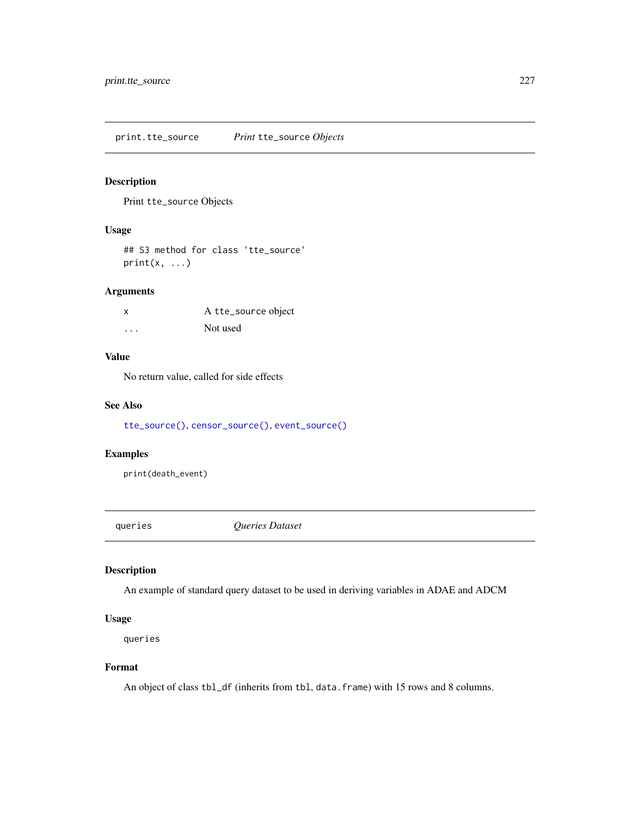<span id="page-226-0"></span>print.tte\_source *Print* tte\_source *Objects*

# Description

Print tte\_source Objects

# Usage

## S3 method for class 'tte\_source'  $print(x, \ldots)$ 

# Arguments

| X | A tte_source object |
|---|---------------------|
| . | Not used            |

# Value

No return value, called for side effects

#### See Also

[tte\\_source\(\)](#page-236-0), [censor\\_source\(\)](#page-31-0), [event\\_source\(\)](#page-197-0)

# Examples

print(death\_event)

queries *Queries Dataset*

#### Description

An example of standard query dataset to be used in deriving variables in ADAE and ADCM

# Usage

queries

#### Format

An object of class tbl\_df (inherits from tbl, data.frame) with 15 rows and 8 columns.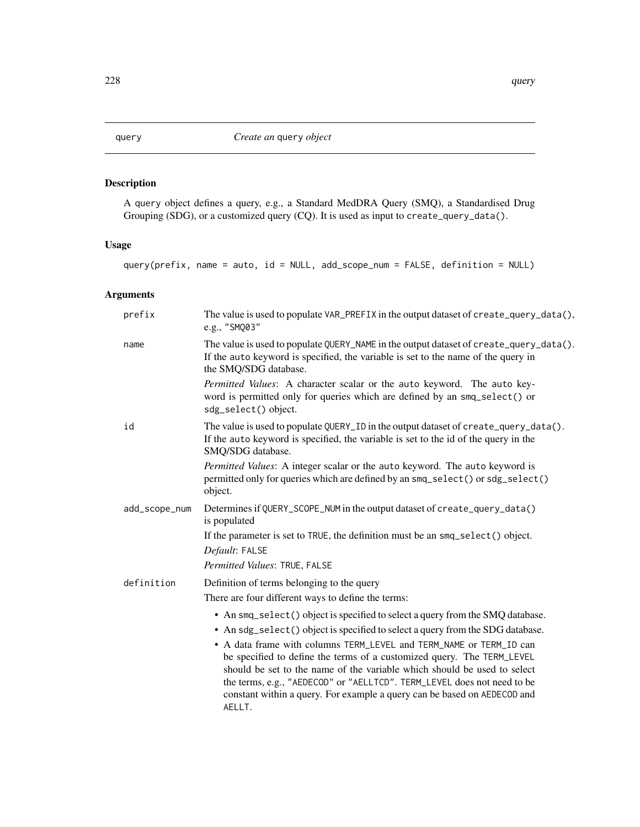<span id="page-227-1"></span><span id="page-227-0"></span>

A query object defines a query, e.g., a Standard MedDRA Query (SMQ), a Standardised Drug Grouping (SDG), or a customized query (CQ). It is used as input to create\_query\_data().

# Usage

```
query(prefix, name = auto, id = NULL, add_scope_num = FALSE, definition = NULL)
```
# Arguments

| prefix        | The value is used to populate VAR_PREFIX in the output dataset of create_query_data(),<br>e.g., "SMQ03"                                                                                                                                                                                                                                                                                    |
|---------------|--------------------------------------------------------------------------------------------------------------------------------------------------------------------------------------------------------------------------------------------------------------------------------------------------------------------------------------------------------------------------------------------|
| name          | The value is used to populate QUERY_NAME in the output dataset of create_query_data().<br>If the auto keyword is specified, the variable is set to the name of the query in<br>the SMQ/SDG database.                                                                                                                                                                                       |
|               | Permitted Values: A character scalar or the auto keyword. The auto key-<br>word is permitted only for queries which are defined by an smq_select() or<br>sdg_select() object.                                                                                                                                                                                                              |
| id            | The value is used to populate QUERY_ID in the output dataset of create_query_data().<br>If the auto keyword is specified, the variable is set to the id of the query in the<br>SMQ/SDG database.                                                                                                                                                                                           |
|               | Permitted Values: A integer scalar or the auto keyword. The auto keyword is<br>permitted only for queries which are defined by an smq_select() or sdg_select()<br>object.                                                                                                                                                                                                                  |
| add_scope_num | Determines if QUERY_SCOPE_NUM in the output dataset of create_query_data()<br>is populated                                                                                                                                                                                                                                                                                                 |
|               | If the parameter is set to TRUE, the definition must be an smq_select() object.<br>Default: FALSE                                                                                                                                                                                                                                                                                          |
|               | Permitted Values: TRUE, FALSE                                                                                                                                                                                                                                                                                                                                                              |
| definition    | Definition of terms belonging to the query                                                                                                                                                                                                                                                                                                                                                 |
|               | There are four different ways to define the terms:                                                                                                                                                                                                                                                                                                                                         |
|               | • An smq_select() object is specified to select a query from the SMQ database.                                                                                                                                                                                                                                                                                                             |
|               | • An sdg_select() object is specified to select a query from the SDG database.                                                                                                                                                                                                                                                                                                             |
|               | • A data frame with columns TERM_LEVEL and TERM_NAME or TERM_ID can<br>be specified to define the terms of a customized query. The TERM_LEVEL<br>should be set to the name of the variable which should be used to select<br>the terms, e.g., "AEDECOD" or "AELLTCD". TERM_LEVEL does not need to be<br>constant within a query. For example a query can be based on AEDECOD and<br>AELLT. |
|               |                                                                                                                                                                                                                                                                                                                                                                                            |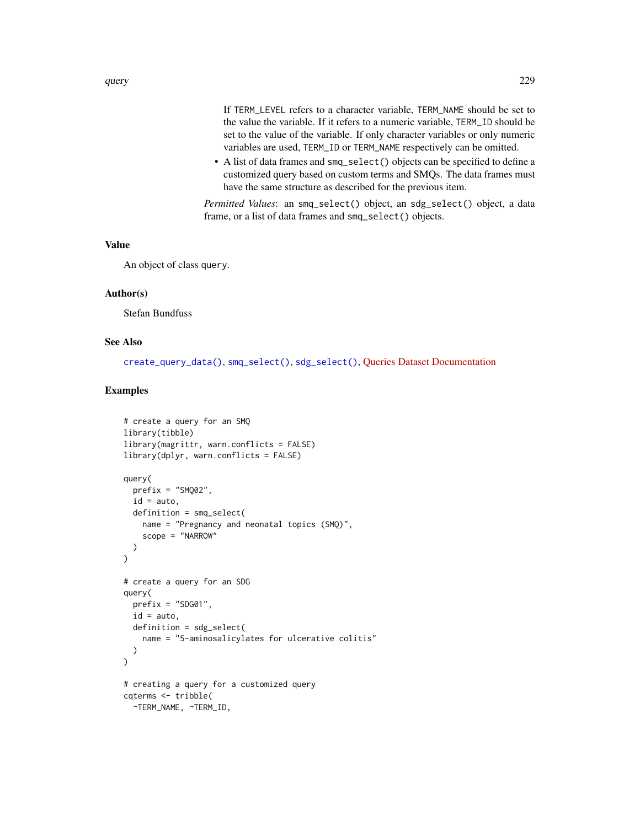<span id="page-228-0"></span>If TERM\_LEVEL refers to a character variable, TERM\_NAME should be set to the value the variable. If it refers to a numeric variable, TERM\_ID should be set to the value of the variable. If only character variables or only numeric variables are used, TERM\_ID or TERM\_NAME respectively can be omitted.

• A list of data frames and smq\_select() objects can be specified to define a customized query based on custom terms and SMQs. The data frames must have the same structure as described for the previous item.

*Permitted Values*: an smq\_select() object, an sdg\_select() object, a data frame, or a list of data frames and smq\_select() objects.

#### Value

An object of class query.

#### Author(s)

Stefan Bundfuss

#### See Also

[create\\_query\\_data\(\)](#page-48-0), [smq\\_select\(\)](#page-234-0), [sdg\\_select\(\)](#page-231-0), [Queries Dataset Documentation](../articles/queries_dataset.html)

```
# create a query for an SMQ
library(tibble)
library(magrittr, warn.conflicts = FALSE)
library(dplyr, warn.conflicts = FALSE)
query(
  prefix = "SM002".id = auto,definition = smq_select(
   name = "Pregnancy and neonatal topics (SMQ)",
    scope = "NARROW"
  )
\mathcal{L}# create a query for an SDG
query(
  prefix = "SDG01",
  id = auto,definition = sdg_select(
   name = "5-aminosalicylates for ulcerative colitis"
  )
)
# creating a query for a customized query
cqterms <- tribble(
  ~TERM_NAME, ~TERM_ID,
```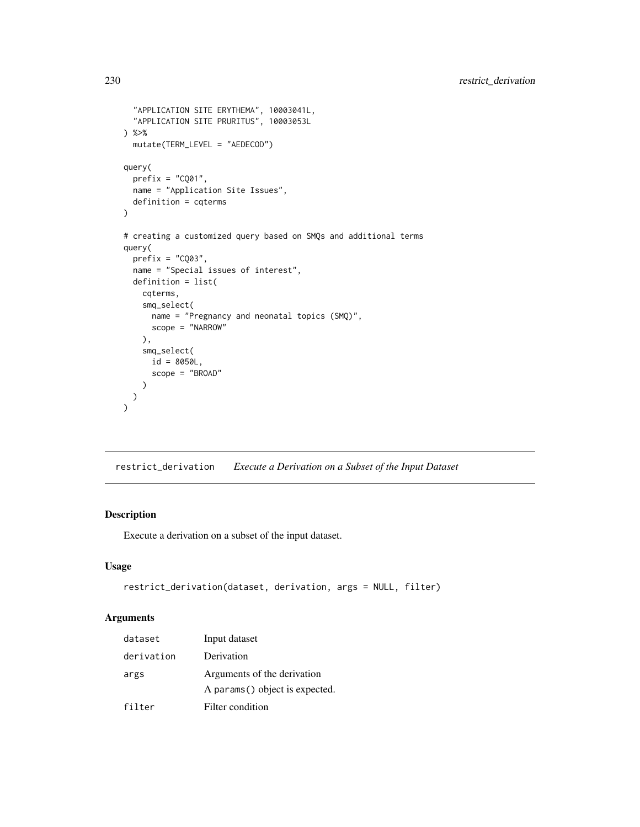```
"APPLICATION SITE ERYTHEMA", 10003041L,
  "APPLICATION SITE PRURITUS", 10003053L
) %>%
 mutate(TERM_LEVEL = "AEDECOD")
query(
 prefix = "CQ01",name = "Application Site Issues",
 definition = cqterms
\mathcal{L}# creating a customized query based on SMQs and additional terms
query(
 prefix = "CQ03",name = "Special issues of interest",
 definition = list(
   cqterms,
   smq_select(
      name = "Pregnancy and neonatal topics (SMQ)",
      scope = "NARROW"
   ),
    smq_select(
     id = 8050L,scope = "BROAD"
   )
 )
\overline{\phantom{a}}
```
<span id="page-229-0"></span>restrict\_derivation *Execute a Derivation on a Subset of the Input Dataset*

#### Description

Execute a derivation on a subset of the input dataset.

#### Usage

```
restrict_derivation(dataset, derivation, args = NULL, filter)
```
#### Arguments

| dataset    | Input dataset                                                  |
|------------|----------------------------------------------------------------|
| derivation | Derivation                                                     |
| args       | Arguments of the derivation<br>A params () object is expected. |
| filter     | Filter condition                                               |

<span id="page-229-1"></span>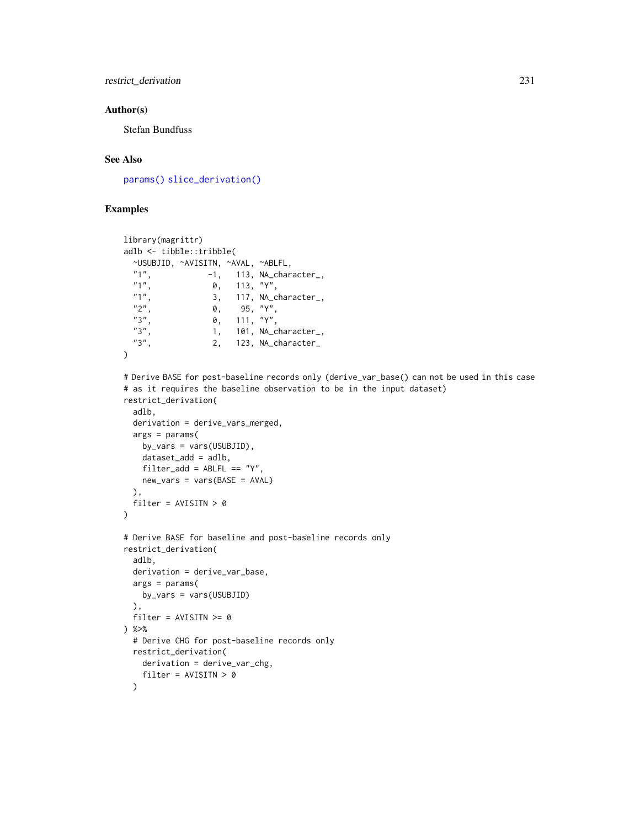# <span id="page-230-0"></span>restrict\_derivation 231

#### Author(s)

Stefan Bundfuss

#### See Also

[params\(\)](#page-223-0) [slice\\_derivation\(\)](#page-232-0)

```
library(magrittr)
adlb <- tibble::tribble(
 ~USUBJID, ~AVISITN, ~AVAL, ~ABLFL,
 "1", -1, 113, NA_character_,
  "1", 0, 113, "Y",
  "1", 3, 117, NA_character_,
  "2", 0, 95, "Y",
  "3", 0, 111, "Y",
 "3", 1, 101, NA_character_,
 "3", 2, 123, NA_character_
\lambda# Derive BASE for post-baseline records only (derive_var_base() can not be used in this case
# as it requires the baseline observation to be in the input dataset)
restrict_derivation(
 adlb,
 derivation = derive_vars_merged,
 args = params(by_vars = vars(USUBJID),
   dataset_add = adlb,
   filter\_add = ABLFL == "Y",new_vars = vars(BASE = AVAL)
 ),
 filter = AVISITN > 0\lambda# Derive BASE for baseline and post-baseline records only
restrict_derivation(
 adlb,
 derivation = derive_var_base,
 args = params(by_vars = vars(USUBJID)
 ),
 filter = AVISITN >= 0
) %>%
 # Derive CHG for post-baseline records only
 restrict_derivation(
   derivation = derive_var_chg,
   filter = AVISITN > 0
 )
```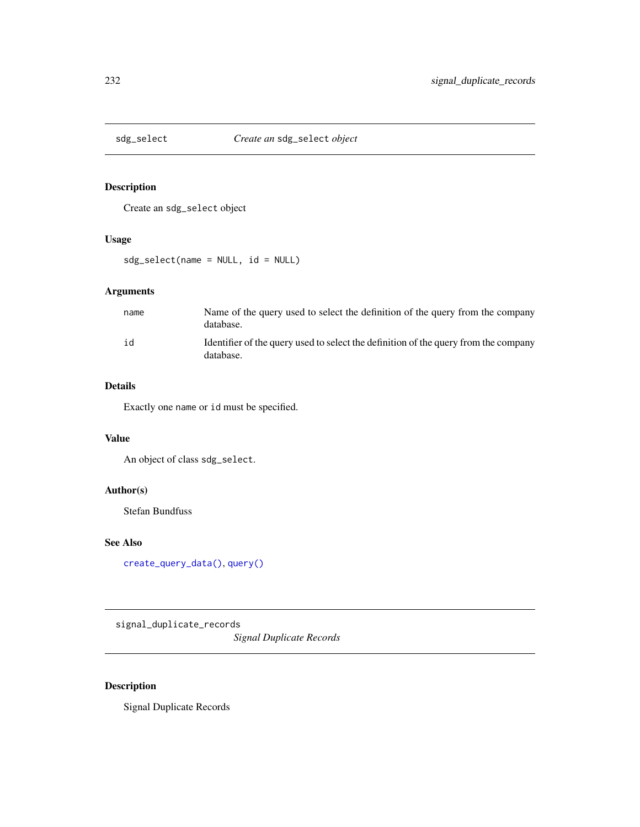<span id="page-231-1"></span><span id="page-231-0"></span>

Create an sdg\_select object

#### Usage

sdg\_select(name = NULL, id = NULL)

# Arguments

| name | Name of the query used to select the definition of the query from the company<br>database.       |
|------|--------------------------------------------------------------------------------------------------|
| id   | Identifier of the query used to select the definition of the query from the company<br>database. |

# Details

Exactly one name or id must be specified.

#### Value

An object of class sdg\_select.

#### Author(s)

Stefan Bundfuss

# See Also

[create\\_query\\_data\(\)](#page-48-0), [query\(\)](#page-227-0)

signal\_duplicate\_records

*Signal Duplicate Records*

# Description

Signal Duplicate Records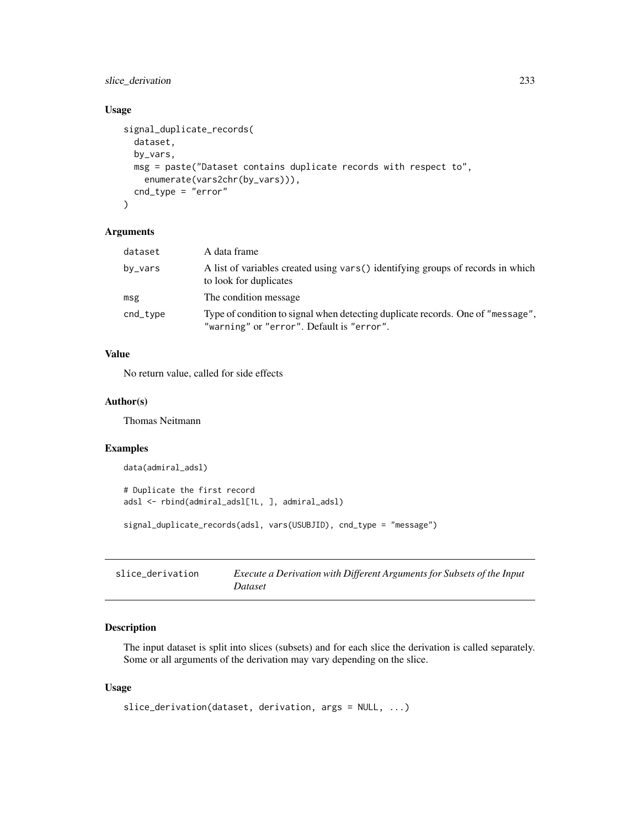# <span id="page-232-1"></span>slice\_derivation 233

#### Usage

```
signal_duplicate_records(
 dataset,
 by_vars,
 msg = paste("Dataset contains duplicate records with respect to",
    enumerate(vars2chr(by_vars))),
  cnd_type = "error"
)
```
# Arguments

| dataset  | A data frame                                                                                                                 |
|----------|------------------------------------------------------------------------------------------------------------------------------|
| by_vars  | A list of variables created using vars () identifying groups of records in which<br>to look for duplicates                   |
| msg      | The condition message                                                                                                        |
| cnd_type | Type of condition to signal when detecting duplicate records. One of "message",<br>"warning" or "error". Default is "error". |

# Value

No return value, called for side effects

# Author(s)

Thomas Neitmann

#### Examples

```
data(admiral_adsl)
```

```
# Duplicate the first record
adsl <- rbind(admiral_adsl[1L, ], admiral_adsl)
signal_duplicate_records(adsl, vars(USUBJID), cnd_type = "message")
```
<span id="page-232-0"></span>

| slice derivation | Execute a Derivation with Different Arguments for Subsets of the Input |
|------------------|------------------------------------------------------------------------|
|                  | Dataset                                                                |

# Description

The input dataset is split into slices (subsets) and for each slice the derivation is called separately. Some or all arguments of the derivation may vary depending on the slice.

#### Usage

```
slice_derivation(dataset, derivation, args = NULL, ...)
```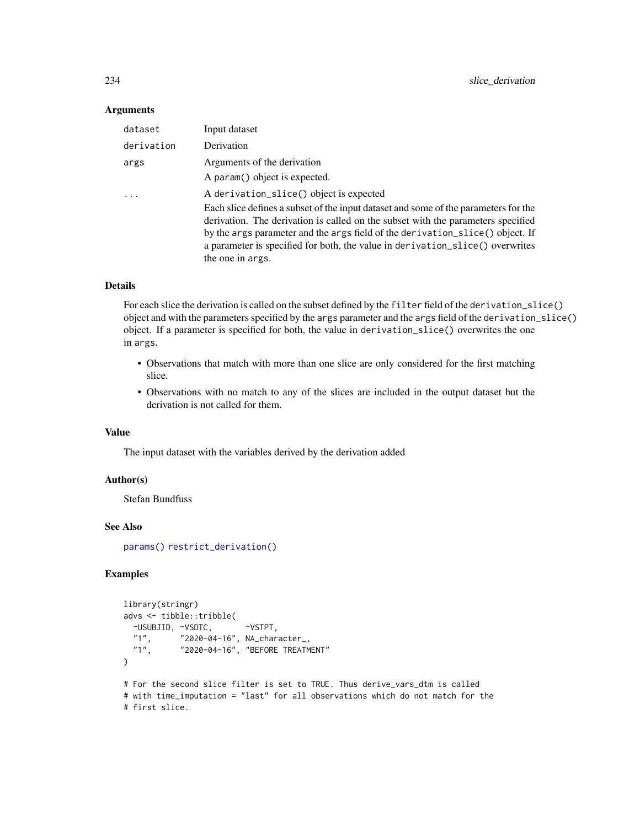#### **Arguments**

| dataset    | Input dataset                                                                                                                                                                                                                                                                                                                                                 |
|------------|---------------------------------------------------------------------------------------------------------------------------------------------------------------------------------------------------------------------------------------------------------------------------------------------------------------------------------------------------------------|
| derivation | Derivation                                                                                                                                                                                                                                                                                                                                                    |
| args       | Arguments of the derivation                                                                                                                                                                                                                                                                                                                                   |
|            | A param() object is expected.                                                                                                                                                                                                                                                                                                                                 |
| $\cdot$    | A derivation_slice() object is expected                                                                                                                                                                                                                                                                                                                       |
|            | Each slice defines a subset of the input dataset and some of the parameters for the<br>derivation. The derivation is called on the subset with the parameters specified<br>by the args parameter and the args field of the derivation_slice() object. If<br>a parameter is specified for both, the value in derivation_slice() overwrites<br>the one in args. |

#### Details

For each slice the derivation is called on the subset defined by the filter field of the derivation\_slice() object and with the parameters specified by the args parameter and the args field of the derivation\_slice() object. If a parameter is specified for both, the value in derivation\_slice() overwrites the one in args.

- Observations that match with more than one slice are only considered for the first matching slice.
- Observations with no match to any of the slices are included in the output dataset but the derivation is not called for them.

#### Value

The input dataset with the variables derived by the derivation added

#### Author(s)

Stefan Bundfuss

#### See Also

[params\(\)](#page-223-0) [restrict\\_derivation\(\)](#page-229-0)

```
library(stringr)
advs <- tibble::tribble(
  \simUSUBJID, \simVSDTC, \simVSTPT, "1", "2020-04-16", NA_chard
  "1", "2020-04-16", NA_character_,
             "2020-04-16", "BEFORE TREATMENT"
)
# For the second slice filter is set to TRUE. Thus derive_vars_dtm is called
# with time_imputation = "last" for all observations which do not match for the
# first slice.
```
<span id="page-233-0"></span>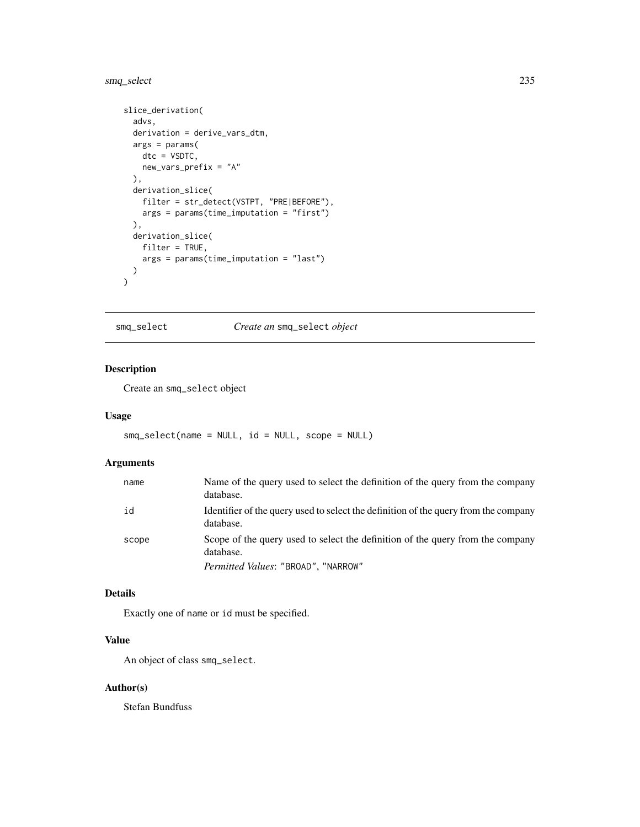# <span id="page-234-1"></span>smq\_select 235

```
slice_derivation(
  advs,
  derivation = derive_vars_dtm,
 args = params(
   dtc = VSDTC,
   new_vars_prefix = "A"
  ),
  derivation_slice(
   filter = str_detect(VSTPT, "PRE|BEFORE"),
   args = params(time_imputation = "first")
  ),
  derivation_slice(
   filter = TRUE,
   args = params(time_imputation = "last")
  )
)
```
<span id="page-234-0"></span>smq\_select *Create an* smq\_select *object*

# Description

Create an smq\_select object

#### Usage

smq\_select(name = NULL, id = NULL, scope = NULL)

#### Arguments

| name  | Name of the query used to select the definition of the query from the company<br>database.       |
|-------|--------------------------------------------------------------------------------------------------|
| id    | Identifier of the query used to select the definition of the query from the company<br>database. |
| scope | Scope of the query used to select the definition of the query from the company<br>database.      |
|       | Permitted Values: "BROAD", "NARROW"                                                              |

#### Details

Exactly one of name or id must be specified.

# Value

An object of class smq\_select.

#### Author(s)

Stefan Bundfuss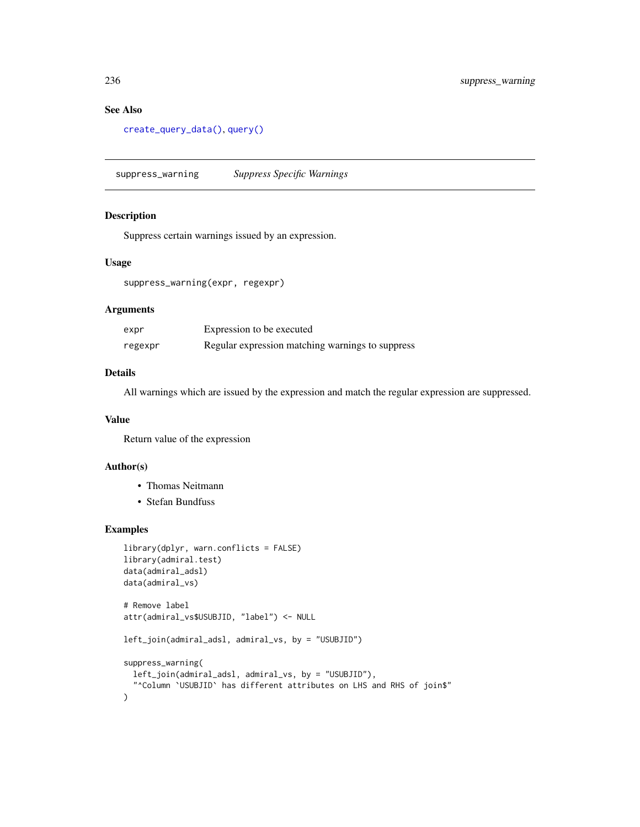#### See Also

```
create_query_data(), query()
```
suppress\_warning *Suppress Specific Warnings*

# Description

Suppress certain warnings issued by an expression.

# Usage

suppress\_warning(expr, regexpr)

# Arguments

| expr    | Expression to be executed                        |
|---------|--------------------------------------------------|
| regexpr | Regular expression matching warnings to suppress |

#### Details

All warnings which are issued by the expression and match the regular expression are suppressed.

#### Value

Return value of the expression

# Author(s)

- Thomas Neitmann
- Stefan Bundfuss

```
library(dplyr, warn.conflicts = FALSE)
library(admiral.test)
data(admiral_adsl)
data(admiral_vs)
# Remove label
attr(admiral_vs$USUBJID, "label") <- NULL
left_join(admiral_adsl, admiral_vs, by = "USUBJID")
suppress_warning(
  left_join(admiral_adsl, admiral_vs, by = "USUBJID"),
  "^Column `USUBJID` has different attributes on LHS and RHS of join$"
\lambda
```
<span id="page-235-0"></span>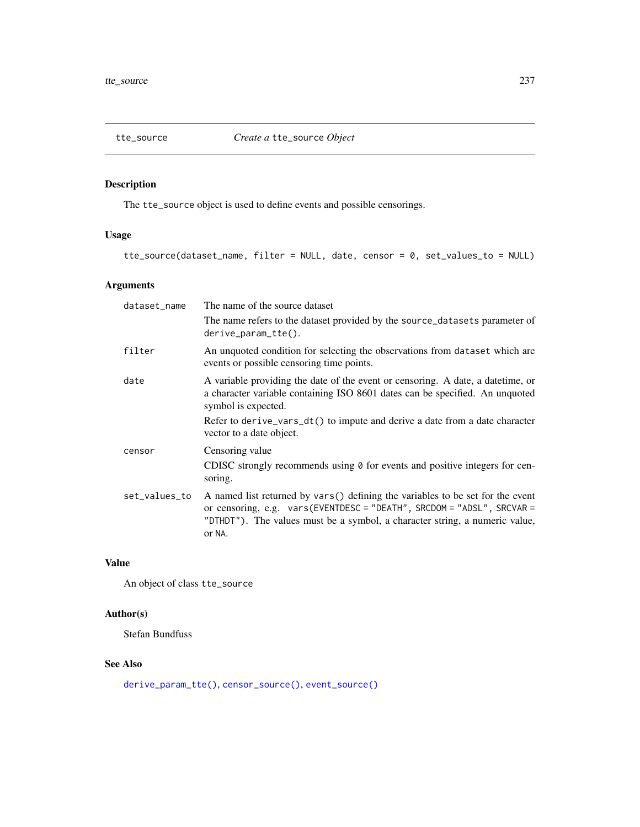<span id="page-236-1"></span><span id="page-236-0"></span>

The tte\_source object is used to define events and possible censorings.

# Usage

```
tte_source(dataset_name, filter = NULL, date, censor = 0, set_values_to = NULL)
```
# Arguments

| dataset_name  | The name of the source dataset                                                                                                                                                                                                                    |
|---------------|---------------------------------------------------------------------------------------------------------------------------------------------------------------------------------------------------------------------------------------------------|
|               | The name refers to the dataset provided by the source_datasets parameter of<br>$derive\_param\_tte()$ .                                                                                                                                           |
| filter        | An unquoted condition for selecting the observations from dataset which are<br>events or possible censoring time points.                                                                                                                          |
| date          | A variable providing the date of the event or censoring. A date, a date time, or<br>a character variable containing ISO 8601 dates can be specified. An unquoted<br>symbol is expected.                                                           |
|               | Refer to derive_vars_dt() to impute and derive a date from a date character<br>vector to a date object.                                                                                                                                           |
| censor        | Censoring value                                                                                                                                                                                                                                   |
|               | CDISC strongly recommends using $\theta$ for events and positive integers for cen-<br>soring.                                                                                                                                                     |
| set_values_to | A named list returned by vars() defining the variables to be set for the event<br>or censoring, e.g. vars(EVENTDESC = "DEATH", SRCDOM = "ADSL", SRCVAR =<br>"DTHDT"). The values must be a symbol, a character string, a numeric value,<br>or NA. |

# Value

An object of class tte\_source

# Author(s)

Stefan Bundfuss

# See Also

[derive\\_param\\_tte\(\)](#page-90-0), [censor\\_source\(\)](#page-31-0), [event\\_source\(\)](#page-197-0)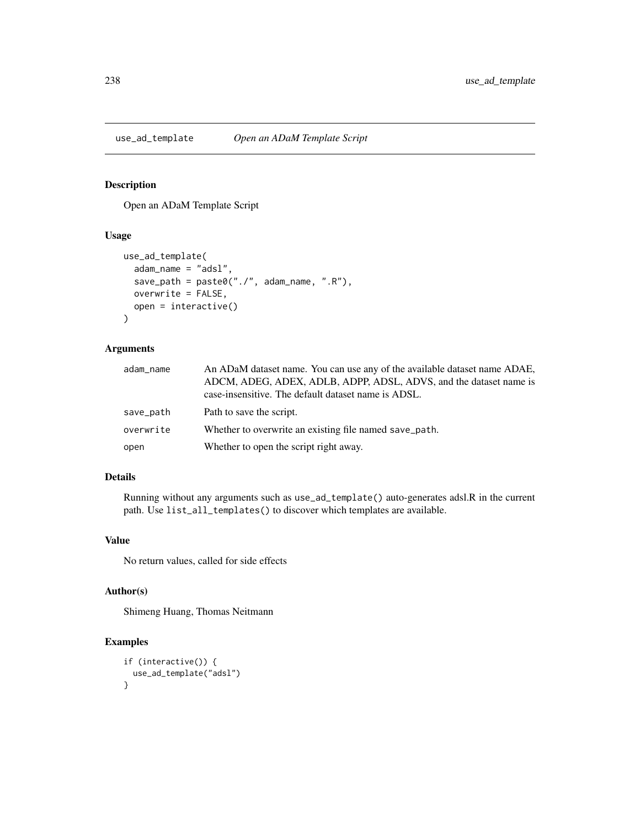<span id="page-237-0"></span>

Open an ADaM Template Script

# Usage

```
use_ad_template(
  adam_name = "adsl",
  save_path = \text{past}e("./", adam_name, ".R"),
 overwrite = FALSE,
 open = interactive()
)
```
#### Arguments

| adam_name | An ADaM dataset name. You can use any of the available dataset name ADAE,<br>ADCM, ADEG, ADEX, ADLB, ADPP, ADSL, ADVS, and the dataset name is<br>case-insensitive. The default dataset name is ADSL. |
|-----------|-------------------------------------------------------------------------------------------------------------------------------------------------------------------------------------------------------|
| save_path | Path to save the script.                                                                                                                                                                              |
| overwrite | Whether to overwrite an existing file named save_path.                                                                                                                                                |
| open      | Whether to open the script right away.                                                                                                                                                                |

#### Details

Running without any arguments such as use\_ad\_template() auto-generates adsl.R in the current path. Use list\_all\_templates() to discover which templates are available.

#### Value

No return values, called for side effects

# Author(s)

Shimeng Huang, Thomas Neitmann

```
if (interactive()) {
 use_ad_template("adsl")
}
```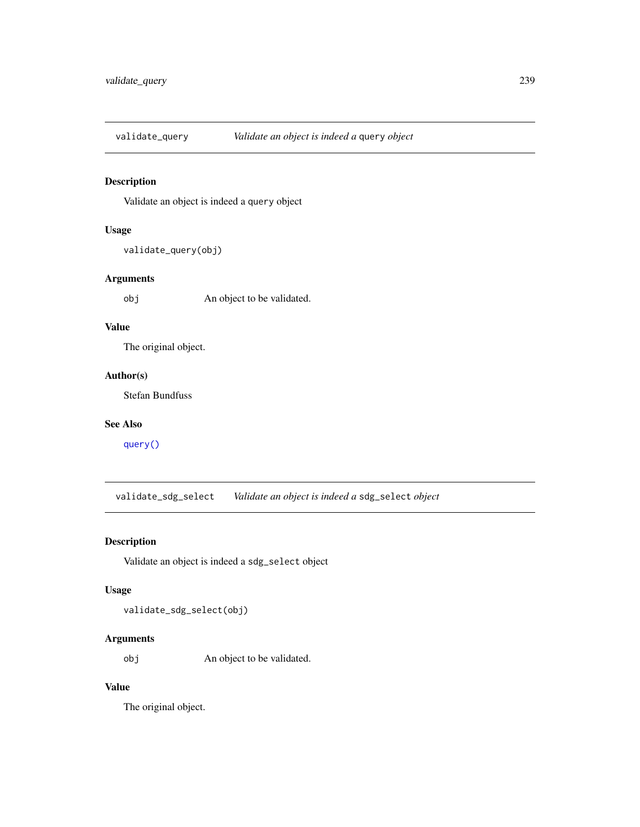<span id="page-238-0"></span>

Validate an object is indeed a query object

# Usage

validate\_query(obj)

# Arguments

obj An object to be validated.

# Value

The original object.

# Author(s)

Stefan Bundfuss

#### See Also

[query\(\)](#page-227-0)

validate\_sdg\_select *Validate an object is indeed a* sdg\_select *object*

# Description

Validate an object is indeed a sdg\_select object

#### Usage

validate\_sdg\_select(obj)

# Arguments

obj An object to be validated.

# Value

The original object.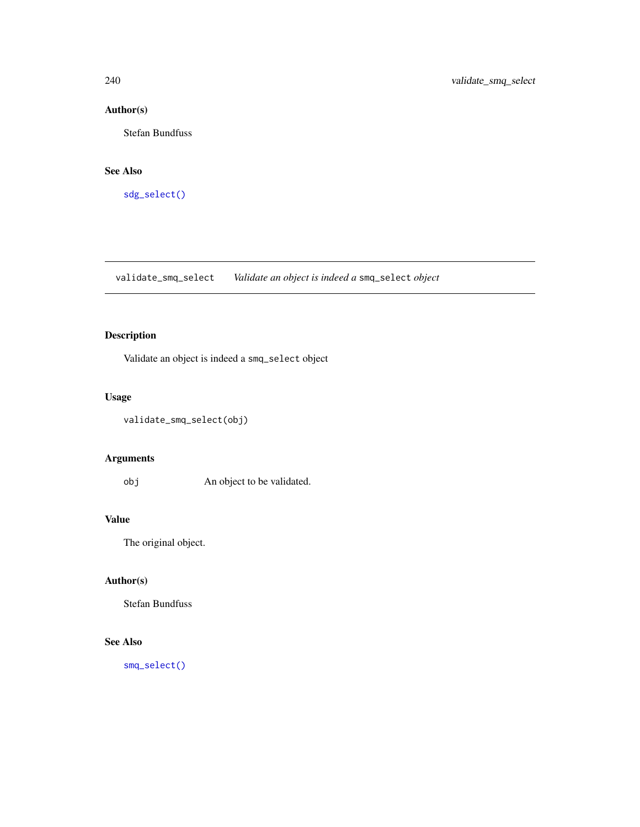# Author(s)

Stefan Bundfuss

#### See Also

[sdg\\_select\(\)](#page-231-0)

validate\_smq\_select *Validate an object is indeed a* smq\_select *object*

# Description

Validate an object is indeed a smq\_select object

# Usage

```
validate_smq_select(obj)
```
# Arguments

obj An object to be validated.

# Value

The original object.

# Author(s)

Stefan Bundfuss

# See Also

[smq\\_select\(\)](#page-234-0)

<span id="page-239-0"></span>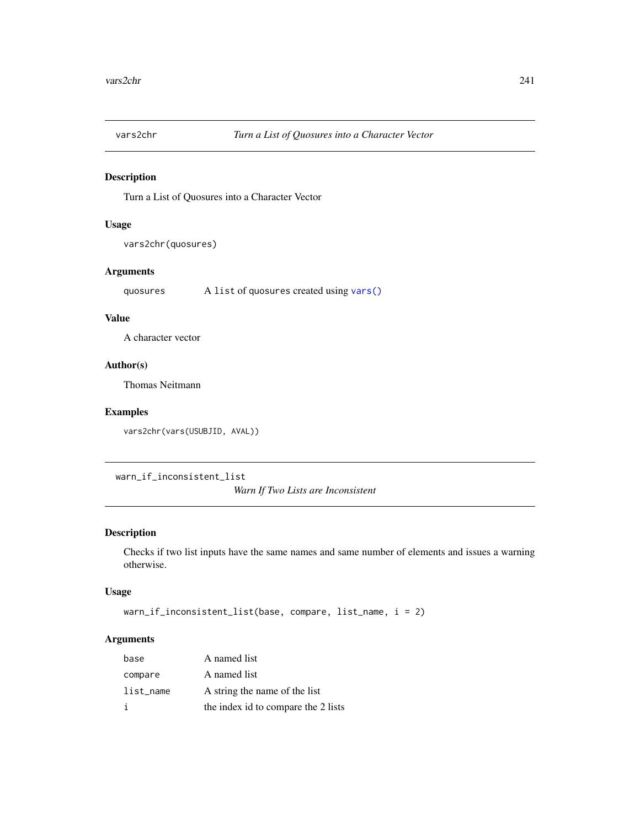<span id="page-240-0"></span>

Turn a List of Quosures into a Character Vector

# Usage

vars2chr(quosures)

# Arguments

quosures A list of quosures created using [vars\(\)](#page-0-0)

# Value

A character vector

# Author(s)

Thomas Neitmann

# Examples

vars2chr(vars(USUBJID, AVAL))

warn\_if\_inconsistent\_list

*Warn If Two Lists are Inconsistent*

# Description

Checks if two list inputs have the same names and same number of elements and issues a warning otherwise.

#### Usage

```
warn_if_inconsistent_list(base, compare, list_name, i = 2)
```
# Arguments

| base      | A named list                        |
|-----------|-------------------------------------|
| compare   | A named list                        |
| list_name | A string the name of the list       |
|           | the index id to compare the 2 lists |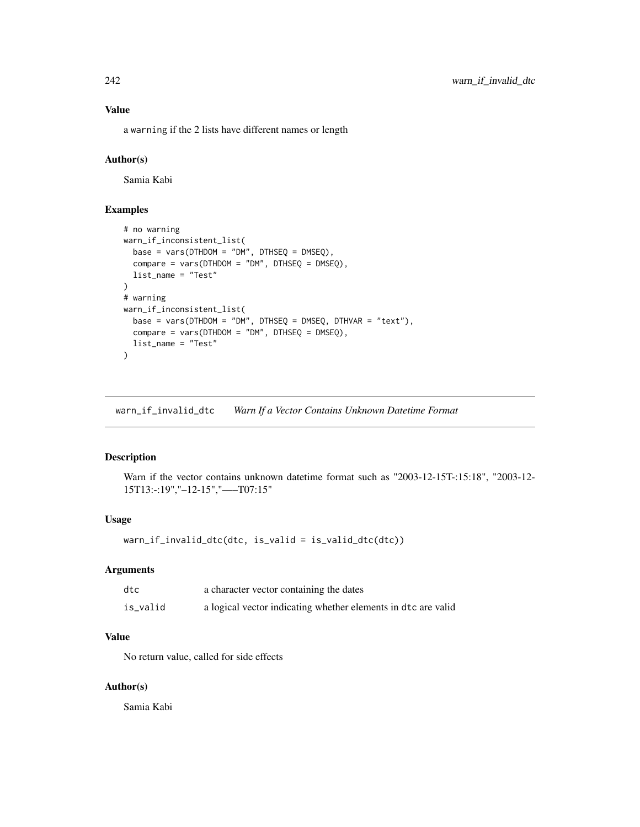#### Value

a warning if the 2 lists have different names or length

#### Author(s)

Samia Kabi

#### Examples

```
# no warning
warn_if_inconsistent_list(
  base = vars(DTHDOM = "DM", DTHSEQ = DMSEQ),
  compare = vars(DTHDOM = "DM", DTHSEQ = DMSEQ),list_name = "Test"
)
# warning
warn_if_inconsistent_list(
 base = vars(DTHDOM = "DM", DTHSEQ = DMSEQ, DTHVAR = "text"),
  compare = vars(DTHDOM = "DM", DTHSEQ = DMSEQ),list_name = "Test"
)
```
warn\_if\_invalid\_dtc *Warn If a Vector Contains Unknown Datetime Format*

#### Description

Warn if the vector contains unknown datetime format such as "2003-12-15T-:15:18", "2003-12- 15T13:-:19","–12-15","—–T07:15"

#### Usage

```
warn_if_invalid_dtc(dtc, is_valid = is_valid_dtc(dtc))
```
#### Arguments

| dtc      | a character vector containing the dates                       |
|----------|---------------------------------------------------------------|
| is_valid | a logical vector indicating whether elements in dtc are valid |

# Value

No return value, called for side effects

#### Author(s)

Samia Kabi

<span id="page-241-0"></span>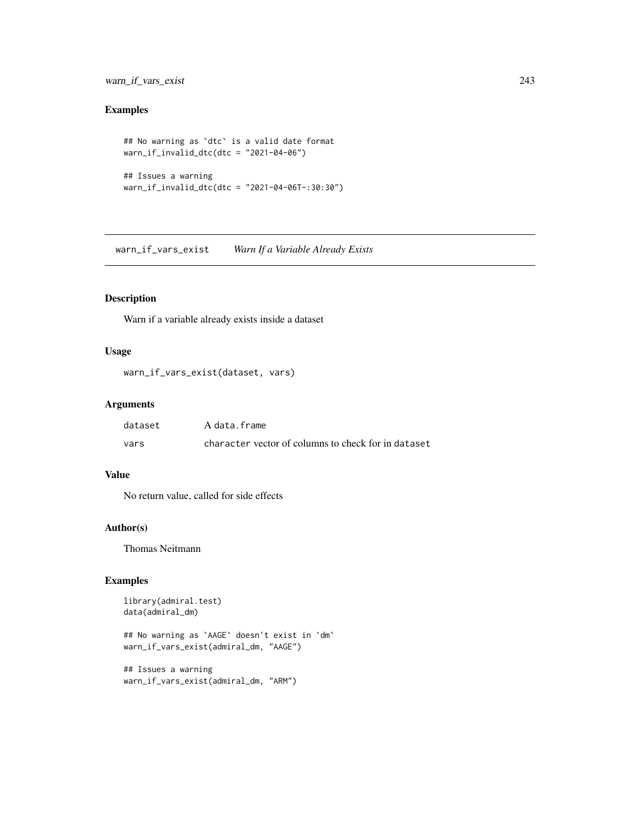# <span id="page-242-0"></span>warn\_if\_vars\_exist 243

# Examples

```
## No warning as `dtc` is a valid date format
warn_if_invalid_dtc(dtc = "2021-04-06")
## Issues a warning
```

```
warn_if_invalid_dtc(dtc = "2021-04-06T-:30:30")
```
warn\_if\_vars\_exist *Warn If a Variable Already Exists*

# Description

Warn if a variable already exists inside a dataset

#### Usage

```
warn_if_vars_exist(dataset, vars)
```
#### Arguments

| dataset | A data.frame                                        |
|---------|-----------------------------------------------------|
| vars    | character vector of columns to check for in dataset |

# Value

No return value, called for side effects

# Author(s)

Thomas Neitmann

# Examples

```
library(admiral.test)
data(admiral_dm)
```
## No warning as `AAGE` doesn't exist in `dm` warn\_if\_vars\_exist(admiral\_dm, "AAGE")

```
## Issues a warning
warn_if_vars_exist(admiral_dm, "ARM")
```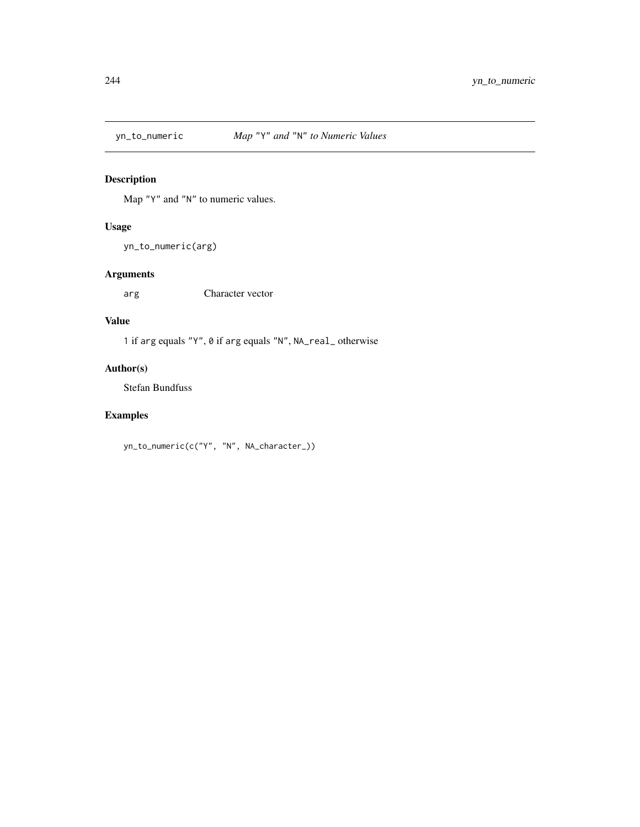<span id="page-243-0"></span>

Map "Y" and "N" to numeric values.

# Usage

yn\_to\_numeric(arg)

# Arguments

arg Character vector

# Value

1 if arg equals "Y", 0 if arg equals "N", NA\_real\_ otherwise

# Author(s)

Stefan Bundfuss

# Examples

yn\_to\_numeric(c("Y", "N", NA\_character\_))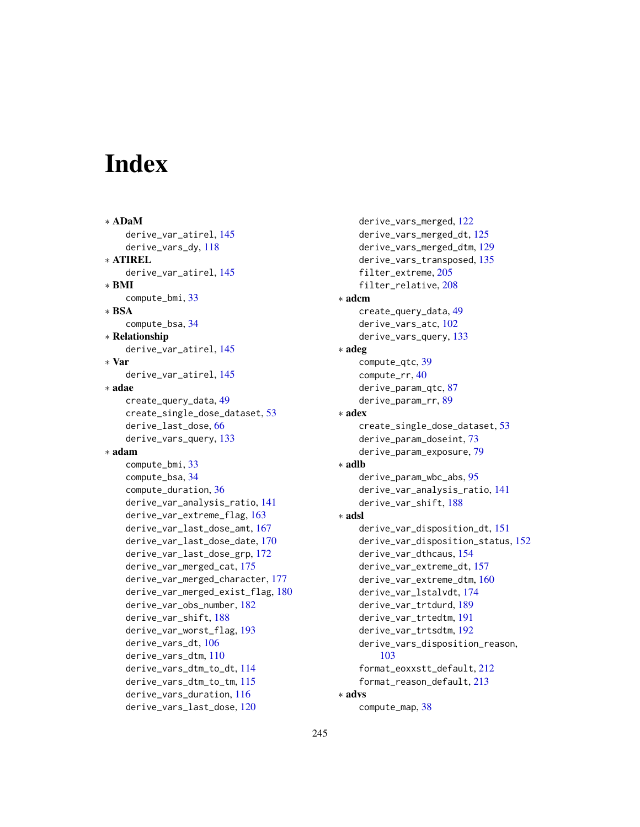# **Index**

∗ ADaM derive\_var\_atirel, [145](#page-144-0) derive\_vars\_dy, [118](#page-117-0) ∗ ATIREL derive\_var\_atirel, [145](#page-144-0) ∗ BMI compute\_bmi, [33](#page-32-0) ∗ BSA compute\_bsa, [34](#page-33-0) ∗ Relationship derive\_var\_atirel, [145](#page-144-0) ∗ Var derive\_var\_atirel, [145](#page-144-0) ∗ adae create\_query\_data, [49](#page-48-1) create\_single\_dose\_dataset, [53](#page-52-0) derive\_last\_dose, [66](#page-65-0) derive\_vars\_query, [133](#page-132-0) ∗ adam compute\_bmi, [33](#page-32-0) compute\_bsa, [34](#page-33-0) compute\_duration, [36](#page-35-0) derive\_var\_analysis\_ratio, [141](#page-140-0) derive\_var\_extreme\_flag, [163](#page-162-0) derive\_var\_last\_dose\_amt, [167](#page-166-0) derive\_var\_last\_dose\_date, [170](#page-169-0) derive\_var\_last\_dose\_grp, [172](#page-171-0) derive\_var\_merged\_cat, [175](#page-174-0) derive\_var\_merged\_character, [177](#page-176-0) derive\_var\_merged\_exist\_flag, [180](#page-179-0) derive\_var\_obs\_number, [182](#page-181-0) derive\_var\_shift, [188](#page-187-0) derive\_var\_worst\_flag, [193](#page-192-0) derive\_vars\_dt, [106](#page-105-0) derive\_vars\_dtm, [110](#page-109-0) derive\_vars\_dtm\_to\_dt, [114](#page-113-0) derive\_vars\_dtm\_to\_tm, [115](#page-114-0) derive\_vars\_duration, [116](#page-115-0) derive\_vars\_last\_dose, [120](#page-119-0)

derive\_vars\_merged, [122](#page-121-0) derive\_vars\_merged\_dt, [125](#page-124-0) derive\_vars\_merged\_dtm, [129](#page-128-0) derive\_vars\_transposed, [135](#page-134-0) filter\_extreme, [205](#page-204-0) filter\_relative, [208](#page-207-0) ∗ adcm create\_query\_data, [49](#page-48-1) derive\_vars\_atc, [102](#page-101-0) derive\_vars\_query, [133](#page-132-0) ∗ adeg compute\_qtc, [39](#page-38-0) compute\_rr, [40](#page-39-0) derive\_param\_qtc, [87](#page-86-0) derive\_param\_rr, [89](#page-88-0) ∗ adex create\_single\_dose\_dataset, [53](#page-52-0) derive\_param\_doseint, [73](#page-72-0) derive\_param\_exposure, [79](#page-78-0) ∗ adlb derive\_param\_wbc\_abs, [95](#page-94-0) derive\_var\_analysis\_ratio, [141](#page-140-0) derive\_var\_shift, [188](#page-187-0) ∗ adsl derive\_var\_disposition\_dt, [151](#page-150-0) derive\_var\_disposition\_status, [152](#page-151-0) derive\_var\_dthcaus, [154](#page-153-0) derive\_var\_extreme\_dt, [157](#page-156-0) derive\_var\_extreme\_dtm, [160](#page-159-0) derive\_var\_lstalvdt, [174](#page-173-0) derive\_var\_trtdurd, [189](#page-188-0) derive\_var\_trtedtm, [191](#page-190-0) derive\_var\_trtsdtm, [192](#page-191-0) derive\_vars\_disposition\_reason, [103](#page-102-0) format\_eoxxstt\_default, [212](#page-211-0) format\_reason\_default, [213](#page-212-0) ∗ advs compute\_map, [38](#page-37-0)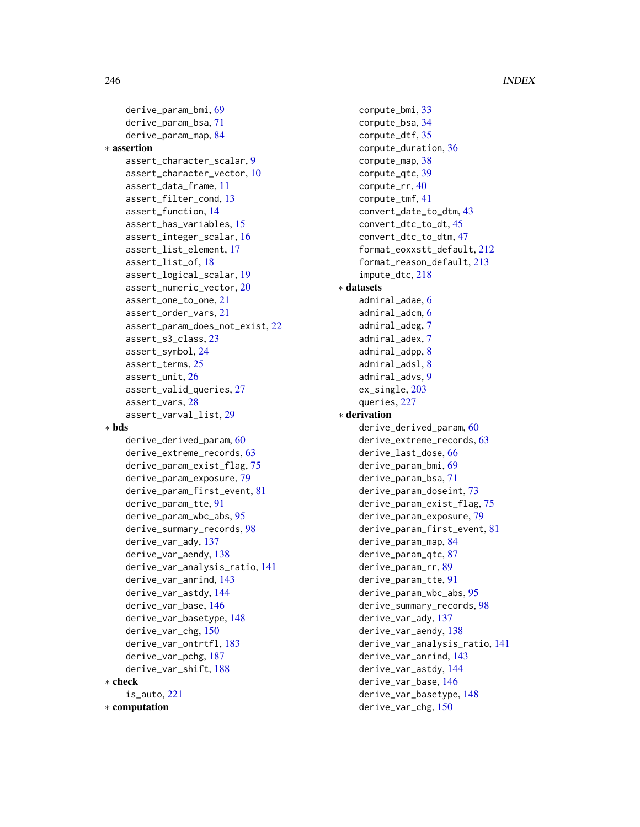```
derive_param_bmi, 69
    derive_param_bsa, 71
    derive_param_map, 84
∗ assertion
    assert_character_scalar, 9
    assert_character_vector, 10
    assert_data_frame, 11
    13
    assert_function, 14
    assert_has_variables, 15
    assert_integer_scalar, 16
    assert_list_element, 17
    assert_list_of, 18
    assert_logical_scalar, 19
    assert_numeric_vector, 20
    assert_one_to_one, 21
    assert_order_vars, 21
    assert_param_does_not_exist, 22
    assert_s3_class, 23
    assert_symbol, 24
    assert_terms, 25
    assert_unit, 26
    assert_valid_queries, 27
    assert_vars, 28
    assert_varval_list, 29
∗ bds
    derive_derived_param, 60
    derive_extreme_records, 63
    derive_param_exist_flag, 75
    derive_param_exposure, 79
    derive_param_first_event, 81
    derive_param_tte, 91
    derive_param_wbc_abs, 95
    derive_summary_records, 98
    derive_var_ady, 137
    derive_var_aendy, 138
    derive_var_analysis_ratio, 141
    derive_var_anrind, 143
    derive_var_astdy, 144
    derive_var_base, 146
    derive_var_basetype, 148
    derive_var_chg, 150
    derive_var_ontrtfl, 183
    derive_var_pchg, 187
    derive_var_shift, 188
∗ check
    is_auto, 221
∗ computation
```

```
compute_bmi, 33
    compute_bsa, 34
    compute_dtf, 35
    compute_duration, 36
    compute_map, 38
    compute_qtc, 39
    compute_rr, 40
    compute_tmf, 41
    convert_date_to_dtm, 43
    convert_dtc_to_dt, 45
    convert_dtc_to_dtm, 47
    format_eoxxstt_default, 212
    format_reason_default, 213
    impute_dtc, 218
∗ datasets
    admiral_adae, 6
    admiral_adcm, 6
    admiral_adeg, 7
    admiral_adex, 7
    admiral_adpp, 8
    admiral_adsl, 8
    admiral_advs, 9
    ex_single, 203
    queries, 227
∗ derivation
    derive_derived_param, 60
    derive_extreme_records, 63
    derive_last_dose, 66
    derive_param_bmi, 69
    derive_param_bsa, 71
    derive_param_doseint, 73
    derive_param_exist_flag, 75
    derive_param_exposure, 79
    derive_param_first_event, 81
    derive_param_map, 84
    derive_param_qtc, 87
    derive_param_rr, 89
    derive_param_tte, 91
    derive_param_wbc_abs, 95
    derive_summary_records, 98
    derive_var_ady, 137
    derive_var_aendy, 138
    derive_var_analysis_ratio, 141
    derive_var_anrind, 143
    derive_var_astdy, 144
    derive_var_base, 146
    derive_var_basetype, 148
    derive_var_chg, 150
```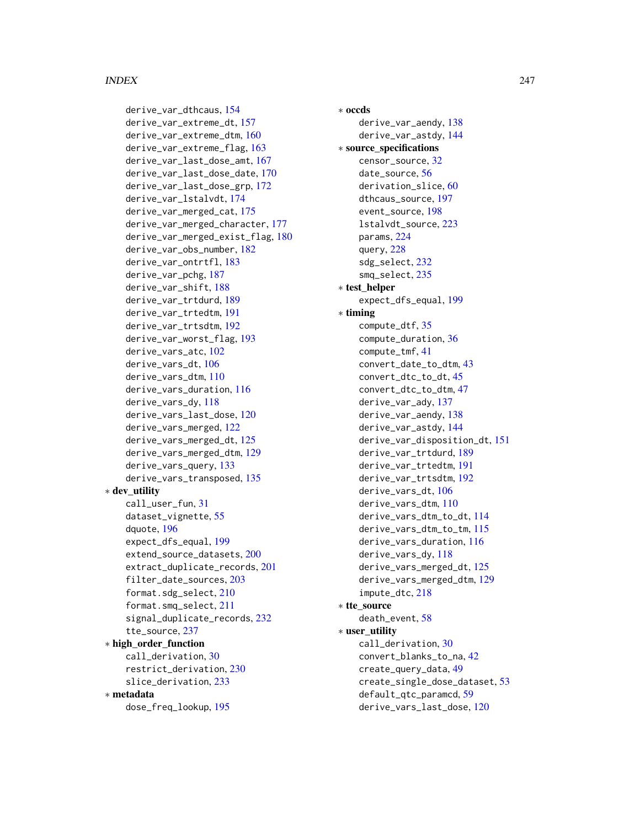#### INDEX  $247$

derive\_var\_dthcaus, [154](#page-153-0) derive\_var\_extreme\_dt, [157](#page-156-0) derive\_var\_extreme\_dtm, [160](#page-159-0) derive\_var\_extreme\_flag, [163](#page-162-0) derive\_var\_last\_dose\_amt, [167](#page-166-0) derive\_var\_last\_dose\_date, [170](#page-169-0) derive\_var\_last\_dose\_grp, [172](#page-171-0) derive\_var\_lstalvdt, [174](#page-173-0) derive\_var\_merged\_cat, [175](#page-174-0) derive\_var\_merged\_character, [177](#page-176-0) derive\_var\_merged\_exist\_flag, [180](#page-179-0) derive\_var\_obs\_number, [182](#page-181-0) derive\_var\_ontrtfl, [183](#page-182-0) derive\_var\_pchg, [187](#page-186-0) derive\_var\_shift, [188](#page-187-0) derive\_var\_trtdurd, [189](#page-188-0) derive\_var\_trtedtm, [191](#page-190-0) derive\_var\_trtsdtm, [192](#page-191-0) derive\_var\_worst\_flag, [193](#page-192-0) derive\_vars\_atc, [102](#page-101-0) derive vars dt. [106](#page-105-0) derive\_vars\_dtm, [110](#page-109-0) derive\_vars\_duration, [116](#page-115-0) derive\_vars\_dy, [118](#page-117-0) derive\_vars\_last\_dose, [120](#page-119-0) derive\_vars\_merged, [122](#page-121-0) derive\_vars\_merged\_dt, [125](#page-124-0) derive\_vars\_merged\_dtm, [129](#page-128-0) derive\_vars\_query, [133](#page-132-0) derive\_vars\_transposed, [135](#page-134-0) ∗ dev\_utility call\_user\_fun, [31](#page-30-0) dataset\_vignette, [55](#page-54-0) dquote, [196](#page-195-0) expect\_dfs\_equal, [199](#page-198-0) extend\_source\_datasets, [200](#page-199-0) extract\_duplicate\_records, [201](#page-200-0) filter\_date\_sources, [203](#page-202-0) format.sdg\_select, [210](#page-209-0) format.smq\_select, [211](#page-210-0) signal\_duplicate\_records, [232](#page-231-1) tte\_source, [237](#page-236-1) ∗ high\_order\_function call\_derivation, [30](#page-29-1) restrict\_derivation, [230](#page-229-1) slice\_derivation, [233](#page-232-1) ∗ metadata dose\_freq\_lookup, [195](#page-194-0)

∗ occds derive\_var\_aendy, [138](#page-137-0) derive\_var\_astdy, [144](#page-143-0) ∗ source\_specifications censor\_source, [32](#page-31-1) date\_source, [56](#page-55-0) derivation\_slice, [60](#page-59-1) dthcaus source, [197](#page-196-0) event\_source, [198](#page-197-1) lstalvdt\_source, [223](#page-222-0) params, [224](#page-223-1) query, [228](#page-227-1) sdg\_select, [232](#page-231-1) smq\_select, [235](#page-234-1) ∗ test\_helper expect\_dfs\_equal, [199](#page-198-0) ∗ timing compute\_dtf, [35](#page-34-0) compute\_duration, [36](#page-35-0) compute\_tmf, [41](#page-40-0) convert\_date\_to\_dtm, [43](#page-42-0) convert\_dtc\_to\_dt, [45](#page-44-0) convert\_dtc\_to\_dtm, [47](#page-46-0) derive\_var\_ady, [137](#page-136-0) derive\_var\_aendy, [138](#page-137-0) derive\_var\_astdy, [144](#page-143-0) derive\_var\_disposition\_dt, [151](#page-150-0) derive\_var\_trtdurd, [189](#page-188-0) derive\_var\_trtedtm, [191](#page-190-0) derive\_var\_trtsdtm, [192](#page-191-0) derive\_vars\_dt, [106](#page-105-0) derive\_vars\_dtm, [110](#page-109-0) derive\_vars\_dtm\_to\_dt, [114](#page-113-0) derive\_vars\_dtm\_to\_tm, [115](#page-114-0) derive\_vars\_duration, [116](#page-115-0) derive\_vars\_dy, [118](#page-117-0) derive\_vars\_merged\_dt, [125](#page-124-0) derive\_vars\_merged\_dtm, [129](#page-128-0) impute\_dtc, [218](#page-217-0) ∗ tte\_source death\_event, [58](#page-57-0) ∗ user\_utility call\_derivation, [30](#page-29-1) convert\_blanks\_to\_na, [42](#page-41-0) create\_query\_data, [49](#page-48-1) create\_single\_dose\_dataset, [53](#page-52-0) default\_qtc\_paramcd, [59](#page-58-0) derive\_vars\_last\_dose, [120](#page-119-0)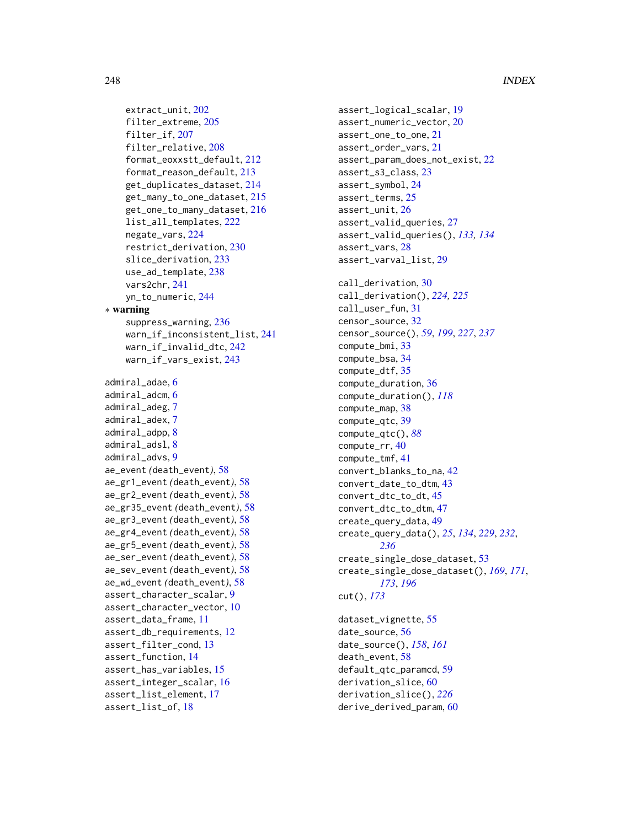```
extract_unit, 202
    filter_extreme, 205
    filter_if, 207
    filter_relative, 208
    format_eoxxstt_default, 212
    format_reason_default, 213
    get_duplicates_dataset, 214
    get_many_to_one_dataset, 215
    get_one_to_many_dataset, 216
    list_all_templates, 222
    negate_vars, 224
    restrict_derivation, 230
    slice_derivation, 233
    use_ad_template, 238
    vars2chr, 241
    yn_to_numeric, 244
∗ warning
    suppress_warning, 236
    warn_if_inconsistent_list, 241
    warn_if_invalid_dtc, 242
    warn_if_vars_exist, 243
admiral_adae, 6
admiral_adcm, 6
admiral_adeg, 7
admiral_adex, 7
admiral_adpp, 8
admiral_adsl, 8
admiral_advs, 9
ae_event (death_event), 58
ae_gr1_event (death_event), 58
ae_gr2_event (death_event), 58
ae_gr35_event (death_event), 58
ae_gr3_event (death_event), 58
ae_gr4_event (death_event), 58
ae_gr5_event (death_event), 58
ae_ser_event (death_event), 58
ae_sev_event (death_event), 58
ae_wd_event (death_event), 58
assert_character_scalar, 9
assert_character_vector, 10
assert_data_frame, 11
assert_db_requirements, 12
assert_filter_cond, 13
assert_function, 14
assert_has_variables, 15
assert_integer_scalar, 16
assert_list_element, 17
assert_list_of, 18
```
assert\_logical\_scalar, [19](#page-18-0) assert\_numeric\_vector, [20](#page-19-0) assert\_one\_to\_one, [21](#page-20-0) assert\_order\_vars, [21](#page-20-0) assert\_param\_does\_not\_exist, [22](#page-21-0) assert\_s3\_class, [23](#page-22-0) assert\_symbol, [24](#page-23-0) assert\_terms, [25](#page-24-0) assert\_unit, [26](#page-25-0) assert\_valid\_queries, [27](#page-26-0) assert\_valid\_queries(), *[133,](#page-132-0) [134](#page-133-0)* assert\_vars, [28](#page-27-0) assert\_varval\_list, [29](#page-28-0) call\_derivation, [30](#page-29-1) call\_derivation(), *[224,](#page-223-1) [225](#page-224-0)* call\_user\_fun, [31](#page-30-0) censor\_source, [32](#page-31-1) censor\_source(), *[59](#page-58-0)*, *[199](#page-198-0)*, *[227](#page-226-0)*, *[237](#page-236-1)* compute\_bmi, [33](#page-32-0) compute\_bsa, [34](#page-33-0) compute\_dtf, [35](#page-34-0) compute\_duration, [36](#page-35-0) compute\_duration(), *[118](#page-117-0)* compute\_map, [38](#page-37-0) compute\_qtc, [39](#page-38-0) compute\_qtc(), *[88](#page-87-0)* compute\_rr, [40](#page-39-0) compute\_tmf, [41](#page-40-0) convert\_blanks\_to\_na, [42](#page-41-0) convert\_date\_to\_dtm, [43](#page-42-0) convert\_dtc\_to\_dt, [45](#page-44-0) convert\_dtc\_to\_dtm, [47](#page-46-0) create\_query\_data, [49](#page-48-1) create\_query\_data(), *[25](#page-24-0)*, *[134](#page-133-0)*, *[229](#page-228-0)*, *[232](#page-231-1)*, *[236](#page-235-0)* create\_single\_dose\_dataset, [53](#page-52-0) create\_single\_dose\_dataset(), *[169](#page-168-0)*, *[171](#page-170-0)*, *[173](#page-172-0)*, *[196](#page-195-0)* cut(), *[173](#page-172-0)* dataset\_vignette, [55](#page-54-0) date\_source, [56](#page-55-0) date\_source(), *[158](#page-157-0)*, *[161](#page-160-0)* death\_event, [58](#page-57-0)

default\_qtc\_paramcd, [59](#page-58-0) derivation\_slice, [60](#page-59-1) derivation\_slice(), *[226](#page-225-0)* derive\_derived\_param, [60](#page-59-1)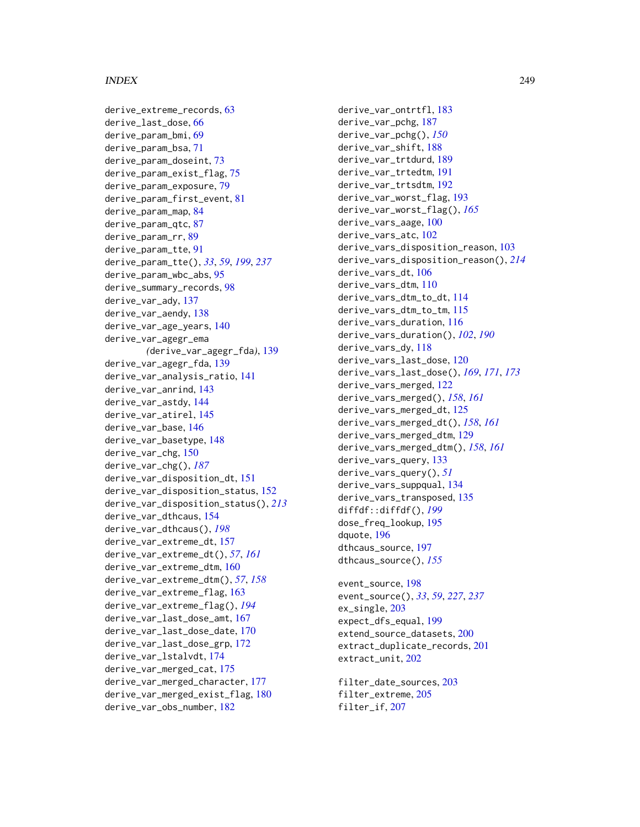#### INDEX 249

derive\_extreme\_records, [63](#page-62-0) derive\_last\_dose, [66](#page-65-0) derive\_param\_bmi, [69](#page-68-0) derive\_param\_bsa, [71](#page-70-0) derive\_param\_doseint, [73](#page-72-0) derive\_param\_exist\_flag, [75](#page-74-0) derive\_param\_exposure, [79](#page-78-0) derive\_param\_first\_event, [81](#page-80-0) derive\_param\_map, [84](#page-83-0) derive\_param\_qtc, [87](#page-86-0) derive\_param\_rr, [89](#page-88-0) derive\_param\_tte, [91](#page-90-1) derive\_param\_tte(), *[33](#page-32-0)*, *[59](#page-58-0)*, *[199](#page-198-0)*, *[237](#page-236-1)* derive\_param\_wbc\_abs, [95](#page-94-0) derive\_summary\_records, [98](#page-97-0) derive\_var\_ady, [137](#page-136-0) derive\_var\_aendy, [138](#page-137-0) derive\_var\_age\_years, [140](#page-139-0) derive\_var\_agegr\_ema *(*derive\_var\_agegr\_fda*)*, [139](#page-138-0) derive\_var\_agegr\_fda, [139](#page-138-0) derive\_var\_analysis\_ratio, [141](#page-140-0) derive\_var\_anrind, [143](#page-142-0) derive\_var\_astdy, [144](#page-143-0) derive\_var\_atirel, [145](#page-144-0) derive var base, [146](#page-145-0) derive\_var\_basetype, [148](#page-147-0) derive\_var\_chg, [150](#page-149-0) derive\_var\_chg(), *[187](#page-186-0)* derive\_var\_disposition\_dt, [151](#page-150-0) derive\_var\_disposition\_status, [152](#page-151-0) derive\_var\_disposition\_status(), *[213](#page-212-0)* derive\_var\_dthcaus, [154](#page-153-0) derive\_var\_dthcaus(), *[198](#page-197-1)* derive\_var\_extreme\_dt, [157](#page-156-0) derive\_var\_extreme\_dt(), *[57](#page-56-0)*, *[161](#page-160-0)* derive\_var\_extreme\_dtm, [160](#page-159-0) derive\_var\_extreme\_dtm(), *[57](#page-56-0)*, *[158](#page-157-0)* derive\_var\_extreme\_flag, [163](#page-162-0) derive\_var\_extreme\_flag(), *[194](#page-193-0)* derive\_var\_last\_dose\_amt, [167](#page-166-0) derive\_var\_last\_dose\_date, [170](#page-169-0) derive\_var\_last\_dose\_grp, [172](#page-171-0) derive\_var\_lstalvdt, [174](#page-173-0) derive\_var\_merged\_cat, [175](#page-174-0) derive\_var\_merged\_character, [177](#page-176-0) derive\_var\_merged\_exist\_flag, [180](#page-179-0) derive\_var\_obs\_number, [182](#page-181-0)

derive\_var\_ontrtfl, [183](#page-182-0) derive\_var\_pchg, [187](#page-186-0) derive\_var\_pchg(), *[150](#page-149-0)* derive\_var\_shift, [188](#page-187-0) derive\_var\_trtdurd, [189](#page-188-0) derive\_var\_trtedtm, [191](#page-190-0) derive\_var\_trtsdtm, [192](#page-191-0) derive\_var\_worst\_flag, [193](#page-192-0) derive\_var\_worst\_flag(), *[165](#page-164-0)* derive\_vars\_aage, [100](#page-99-0) derive\_vars\_atc, [102](#page-101-0) derive\_vars\_disposition\_reason, [103](#page-102-0) derive\_vars\_disposition\_reason(), *[214](#page-213-0)* derive\_vars\_dt, [106](#page-105-0) derive\_vars\_dtm, [110](#page-109-0) derive\_vars\_dtm\_to\_dt, [114](#page-113-0) derive\_vars\_dtm\_to\_tm, [115](#page-114-0) derive\_vars\_duration, [116](#page-115-0) derive\_vars\_duration(), *[102](#page-101-0)*, *[190](#page-189-0)* derive\_vars\_dy, [118](#page-117-0) derive\_vars\_last\_dose, [120](#page-119-0) derive\_vars\_last\_dose(), *[169](#page-168-0)*, *[171](#page-170-0)*, *[173](#page-172-0)* derive\_vars\_merged, [122](#page-121-0) derive\_vars\_merged(), *[158](#page-157-0)*, *[161](#page-160-0)* derive\_vars\_merged\_dt, [125](#page-124-0) derive\_vars\_merged\_dt(), *[158](#page-157-0)*, *[161](#page-160-0)* derive\_vars\_merged\_dtm, [129](#page-128-0) derive\_vars\_merged\_dtm(), *[158](#page-157-0)*, *[161](#page-160-0)* derive\_vars\_query, [133](#page-132-0) derive\_vars\_query(), *[51](#page-50-0)* derive\_vars\_suppqual, [134](#page-133-0) derive\_vars\_transposed, [135](#page-134-0) diffdf::diffdf(), *[199](#page-198-0)* dose\_freq\_lookup, [195](#page-194-0) dquote, [196](#page-195-0) dthcaus\_source, [197](#page-196-0) dthcaus\_source(), *[155](#page-154-0)*

event\_source, [198](#page-197-1) event\_source(), *[33](#page-32-0)*, *[59](#page-58-0)*, *[227](#page-226-0)*, *[237](#page-236-1)* ex\_single, [203](#page-202-0) expect\_dfs\_equal, [199](#page-198-0) extend\_source\_datasets, [200](#page-199-0) extract\_duplicate\_records, [201](#page-200-0) extract\_unit, [202](#page-201-0)

filter\_date\_sources, [203](#page-202-0) filter\_extreme, [205](#page-204-0) filter\_if, [207](#page-206-0)